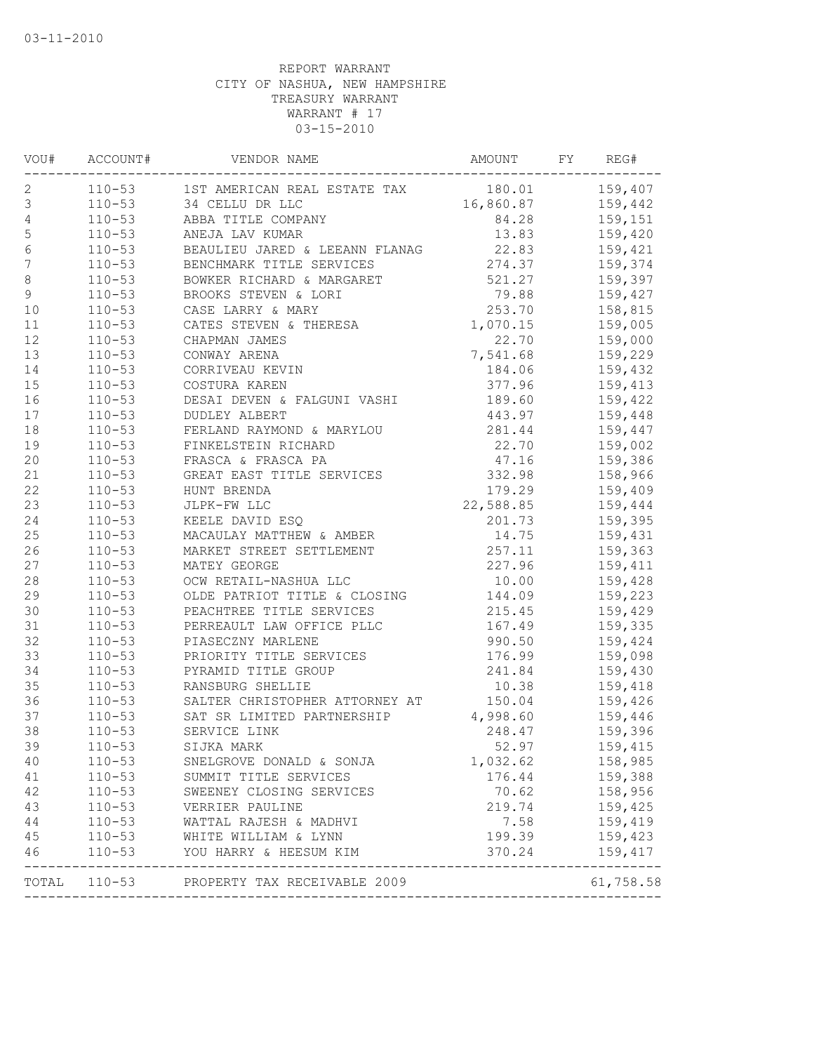| VOU#             | ACCOUNT#   | VENDOR NAME                                                                 | AMOUNT    | FY | REG#                       |
|------------------|------------|-----------------------------------------------------------------------------|-----------|----|----------------------------|
| 2                |            | 110-53 1ST AMERICAN REAL ESTATE TAX                                         |           |    | 180.01 159,407             |
| $\mathsf 3$      | $110 - 53$ | 34 CELLU DR LLC                                                             | 16,860.87 |    | 159,442                    |
| $\sqrt{4}$       | $110 - 53$ | ABBA TITLE COMPANY                                                          | 84.28     |    | 159,151                    |
| 5                | $110 - 53$ | ANEJA LAV KUMAR                                                             | 13.83     |    | 159,420                    |
| $\sqrt{6}$       | $110 - 53$ | BEAULIEU JARED & LEEANN FLANAG                                              | 22.83     |    | 159,421                    |
| $\boldsymbol{7}$ | $110 - 53$ | ------- IIILE SERVICES<br>BOWKER RICHARD & MARGARET<br>BROOKS STEVEN & IODI | 274.37    |    | 159,374                    |
| $\,8\,$          | $110 - 53$ |                                                                             | 521.27    |    | 159,397                    |
| $\mathsf{S}$     | $110 - 53$ |                                                                             | 79.88     |    | 159,427                    |
| 10               | $110 - 53$ | CASE LARRY & MARY                                                           | 253.70    |    | 158,815                    |
| 11               | $110 - 53$ | CATES STEVEN & THERESA                                                      | 1,070.15  |    | 159,005                    |
| 12               | $110 - 53$ | CHAPMAN JAMES                                                               | 22.70     |    | 159,000                    |
| 13               | $110 - 53$ | CONWAY ARENA                                                                | 7,541.68  |    | 159,229                    |
| 14               | $110 - 53$ | CORRIVEAU KEVIN                                                             | 184.06    |    | 159,432                    |
| 15               | $110 - 53$ | COSTURA KAREN                                                               | 377.96    |    | 159,413                    |
| 16               | $110 - 53$ | DESAI DEVEN & FALGUNI VASHI                                                 | 189.60    |    | 159,422                    |
| 17               | $110 - 53$ | <b>DUDLEY ALBERT</b>                                                        | 443.97    |    | 159,448                    |
| $18\,$           | $110 - 53$ | FERLAND RAYMOND & MARYLOU                                                   | 281.44    |    | 159,447                    |
| 19               | $110 - 53$ |                                                                             | 22.70     |    | 159,002                    |
| 20               | $110 - 53$ | FINKELSTEIN RICHARD<br>FRASCA & FRASCA PA<br>GREAT EAST TITLE SERVICES      | 47.16     |    | 159,386                    |
| 21               | $110 - 53$ |                                                                             | 332.98    |    | 158,966                    |
| 22               | $110 - 53$ | HUNT BRENDA                                                                 | 179.29    |    | 159,409                    |
| 23               | $110 - 53$ | JLPK-FW LLC                                                                 | 22,588.85 |    | 159,444                    |
| 24               | $110 - 53$ | KEELE DAVID ESQ                                                             | 201.73    |    | 159,395                    |
| 25               | $110 - 53$ | KEELE DAVID ESQ<br>MACAULAY MATTHEW & AMBER<br>MARKET STREET SETTLEMENT     | 14.75     |    | 159,431                    |
| 26               | $110 - 53$ |                                                                             | 257.11    |    | 159,363                    |
| 27               | $110 - 53$ | MATEY GEORGE                                                                | 227.96    |    | 159,411                    |
| $2\,8$           | $110 - 53$ | OCW RETAIL-NASHUA LLC                                                       | 10.00     |    | 159,428                    |
| 29               | $110 - 53$ | OLDE PATRIOT TITLE & CLOSING                                                | 144.09    |    | 159,223                    |
| 30               | $110 - 53$ | PEACHTREE TITLE SERVICES                                                    | 215.45    |    | 159,429                    |
| 31               | $110 - 53$ | PERREAULT LAW OFFICE PLLC                                                   | 167.49    |    | 159,335                    |
| 32               | $110 - 53$ | PIASECZNY MARLENE                                                           | 990.50    |    | 159,424                    |
| 33               | $110 - 53$ | PRIORITY TITLE SERVICES                                                     | 176.99    |    | 159,098                    |
| 34               | $110 - 53$ | PYRAMID TITLE GROUP                                                         | 241.84    |    | 159,430                    |
| 35               | $110 - 53$ | RANSBURG SHELLIE                                                            | 10.38     |    | 159,418                    |
| 36               | $110 - 53$ | SALTER CHRISTOPHER ATTORNEY AT                                              | 150.04    |    | 159,426                    |
| 37               | $110 - 53$ | SAT SR LIMITED PARTNERSHIP                                                  | 4,998.60  |    | 159,446                    |
| 38               | $110 - 53$ | SERVICE LINK                                                                | 248.47    |    | 159,396                    |
| 39               | $110 - 53$ | SIJKA MARK                                                                  | 52.97     |    |                            |
|                  |            |                                                                             |           |    | 159,415                    |
| 40               | $110 - 53$ | SNELGROVE DONALD & SONJA                                                    | 1,032.62  |    | 158,985                    |
| 41               | $110 - 53$ | SUMMIT TITLE SERVICES                                                       | 176.44    |    | 159,388                    |
| 42               | $110 - 53$ | SWEENEY CLOSING SERVICES                                                    | 70.62     |    | 158,956                    |
| 43               | $110 - 53$ | VERRIER PAULINE                                                             | 219.74    |    | 159,425                    |
| 44               | $110 - 53$ | WATTAL RAJESH & MADHVI                                                      | 7.58      |    | 159,419                    |
| 45               | $110 - 53$ | WHITE WILLIAM & LYNN                                                        | 199.39    |    | 159,423                    |
| 46               | $110 - 53$ | YOU HARRY & HEESUM KIM                                                      | 370.24    |    | 159,417<br>--------------- |
| TOTAL            |            | 110-53 PROPERTY TAX RECEIVABLE 2009                                         |           |    | 61,758.58                  |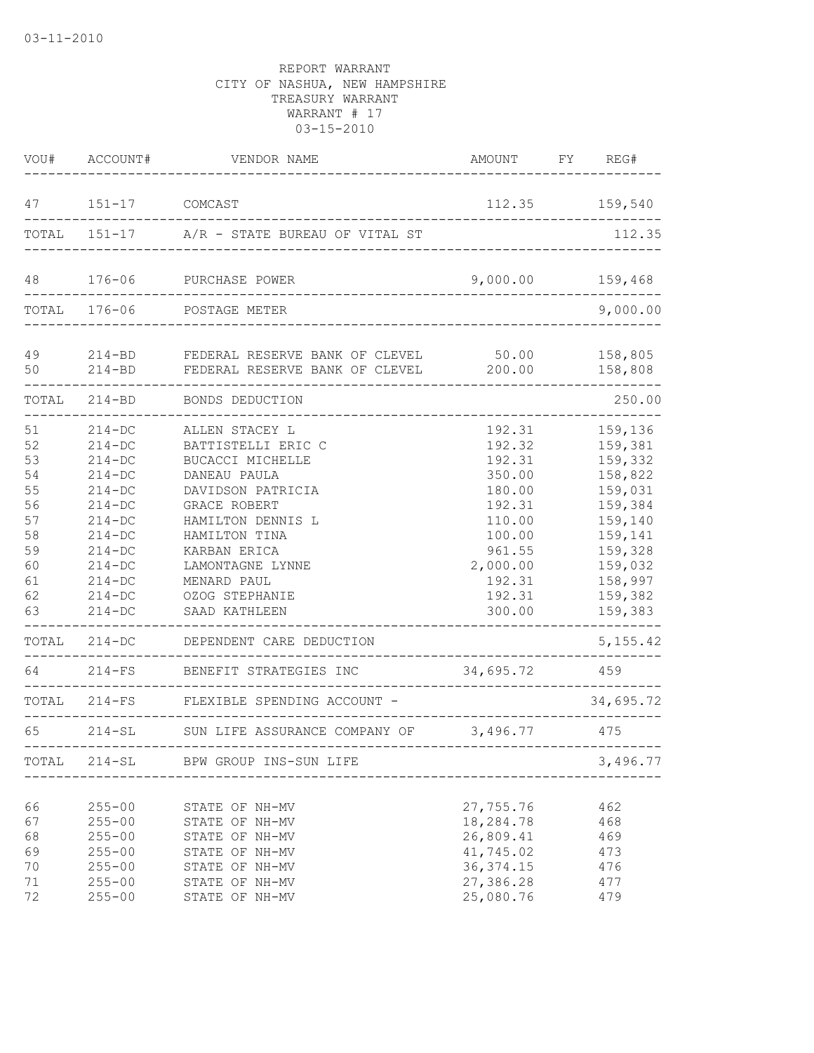|                                                                            | VOU# ACCOUNT#                                                                                                                                                        | VENDOR NAME                                                                                                                                                                                                                                                                                                            | AMOUNT FY REG#                                                                                                                                    |                                                                                                                                                         |
|----------------------------------------------------------------------------|----------------------------------------------------------------------------------------------------------------------------------------------------------------------|------------------------------------------------------------------------------------------------------------------------------------------------------------------------------------------------------------------------------------------------------------------------------------------------------------------------|---------------------------------------------------------------------------------------------------------------------------------------------------|---------------------------------------------------------------------------------------------------------------------------------------------------------|
| 47                                                                         | 151-17 COMCAST                                                                                                                                                       |                                                                                                                                                                                                                                                                                                                        |                                                                                                                                                   | 112.35 159,540                                                                                                                                          |
|                                                                            |                                                                                                                                                                      | TOTAL 151-17 A/R - STATE BUREAU OF VITAL ST                                                                                                                                                                                                                                                                            |                                                                                                                                                   | 112.35                                                                                                                                                  |
| 48                                                                         |                                                                                                                                                                      | 176-06 PURCHASE POWER                                                                                                                                                                                                                                                                                                  | 9,000.00                                                                                                                                          | 159,468                                                                                                                                                 |
|                                                                            | TOTAL 176-06                                                                                                                                                         | POSTAGE METER                                                                                                                                                                                                                                                                                                          |                                                                                                                                                   | 9,000.00                                                                                                                                                |
| 49                                                                         |                                                                                                                                                                      | 214-BD FEDERAL RESERVE BANK OF CLEVEL 50.00<br>50 214-BD FEDERAL RESERVE BANK OF CLEVEL 200.00                                                                                                                                                                                                                         |                                                                                                                                                   | 158,805<br>158,808                                                                                                                                      |
|                                                                            |                                                                                                                                                                      | TOTAL 214-BD BONDS DEDUCTION                                                                                                                                                                                                                                                                                           |                                                                                                                                                   | 250.00                                                                                                                                                  |
| 51<br>52<br>53<br>54<br>55<br>56<br>57<br>58<br>59<br>60<br>61<br>62<br>63 | $214-DC$<br>$214-DC$<br>$214 - DC$<br>$214-DC$<br>$214-DC$<br>$214 - DC$<br>$214 - DC$<br>$214 - DC$<br>$214 - DC$<br>$214-DC$<br>$214-DC$<br>$214-DC$<br>$214 - DC$ | ALLEN STACEY L<br>BATTISTELLI ERIC C<br>BUCACCI MICHELLE<br>DANEAU PAULA<br>DAVIDSON PATRICIA<br>GRACE ROBERT<br>HAMILTON DENNIS L<br>HAMILTON TINA<br>KARBAN ERICA<br>LAMONTAGNE LYNNE<br>MENARD PAUL<br>OZOG STEPHANIE<br>SAAD KATHLEEN<br>TOTAL 214-DC DEPENDENT CARE DEDUCTION<br>64 214-FS BENEFIT STRATEGIES INC | 192.31<br>192.32<br>192.31<br>350.00<br>180.00<br>192.31<br>110.00<br>100.00<br>961.55<br>2,000.00<br>192.31<br>192.31<br>300.00<br>34,695.72 459 | 159,136<br>159,381<br>159,332<br>158,822<br>159,031<br>159,384<br>159,140<br>159,141<br>159,328<br>159,032<br>158,997<br>159,382<br>159,383<br>5,155.42 |
|                                                                            |                                                                                                                                                                      | TOTAL 214-FS FLEXIBLE SPENDING ACCOUNT -                                                                                                                                                                                                                                                                               |                                                                                                                                                   | 34,695.72                                                                                                                                               |
| 65                                                                         |                                                                                                                                                                      | 214-SL SUN LIFE ASSURANCE COMPANY OF 3,496.77 475                                                                                                                                                                                                                                                                      |                                                                                                                                                   |                                                                                                                                                         |
|                                                                            |                                                                                                                                                                      | TOTAL 214-SL BPW GROUP INS-SUN LIFE                                                                                                                                                                                                                                                                                    |                                                                                                                                                   | 3,496.77                                                                                                                                                |
| 66<br>67<br>68<br>69<br>70<br>71<br>72                                     | $255 - 00$<br>$255 - 00$<br>$255 - 00$<br>$255 - 00$<br>$255 - 00$<br>$255 - 00$<br>$255 - 00$                                                                       | STATE OF NH-MV<br>STATE OF NH-MV<br>STATE OF NH-MV<br>STATE OF NH-MV<br>STATE OF NH-MV<br>STATE OF NH-MV<br>STATE OF NH-MV                                                                                                                                                                                             | 27,755.76<br>18,284.78<br>26,809.41<br>41,745.02<br>36, 374.15<br>27,386.28<br>25,080.76                                                          | 462<br>468<br>469<br>473<br>476<br>477<br>479                                                                                                           |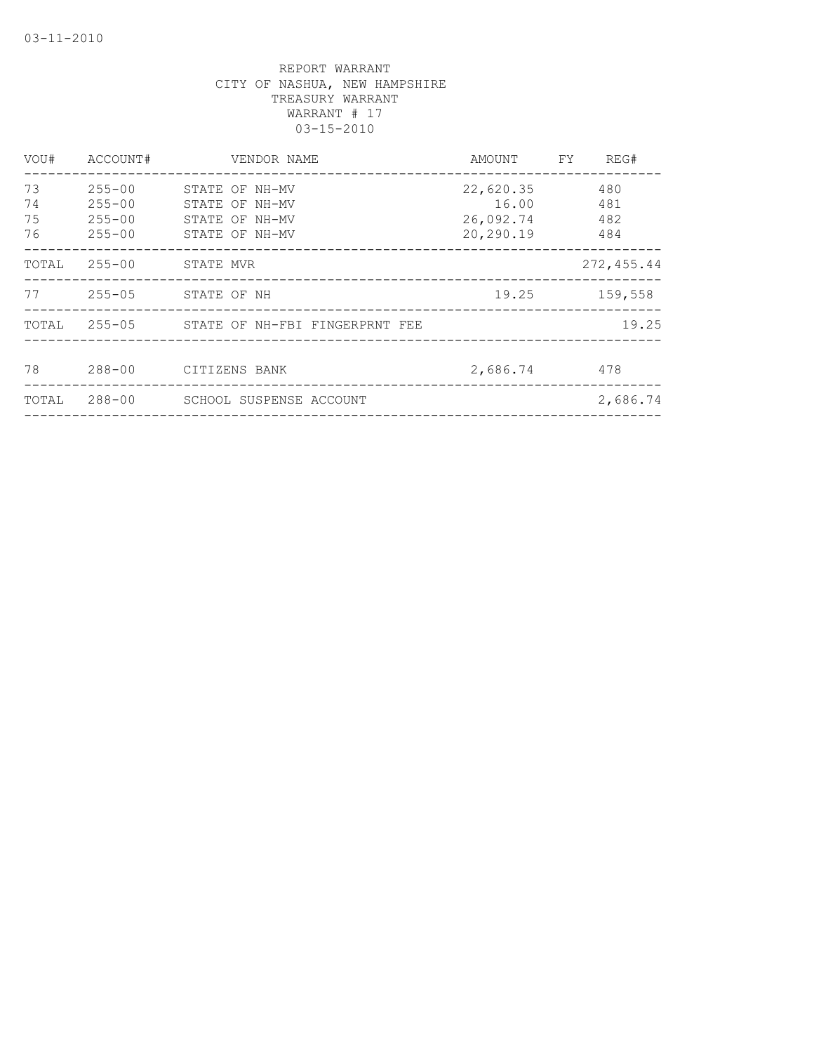| VOU#                 | ACCOUNT#                                             | VENDOR NAME                                                          | AMOUNT                                       | FY | REG#                     |
|----------------------|------------------------------------------------------|----------------------------------------------------------------------|----------------------------------------------|----|--------------------------|
| 73<br>74<br>75<br>76 | $255 - 00$<br>$255 - 00$<br>$255 - 00$<br>$255 - 00$ | STATE OF NH-MV<br>STATE OF NH-MV<br>STATE OF NH-MV<br>STATE OF NH-MV | 22,620.35<br>16.00<br>26,092.74<br>20,290.19 |    | 480<br>481<br>482<br>484 |
| TOTAL                | 255-00                                               | STATE MVR                                                            |                                              |    | 272,455.44               |
| 77                   | $255 - 05$                                           | STATE OF NH                                                          | 19.25                                        |    | 159,558                  |
| TOTAL                |                                                      | 255-05 STATE OF NH-FBI FINGERPRNT FEE                                |                                              |    | 19.25                    |
| 78                   | $288 - 00$                                           | CITIZENS BANK                                                        | 2,686.74                                     |    | 478                      |
| TOTAL                | $288 - 00$                                           | SCHOOL SUSPENSE ACCOUNT                                              |                                              |    | 2,686.74                 |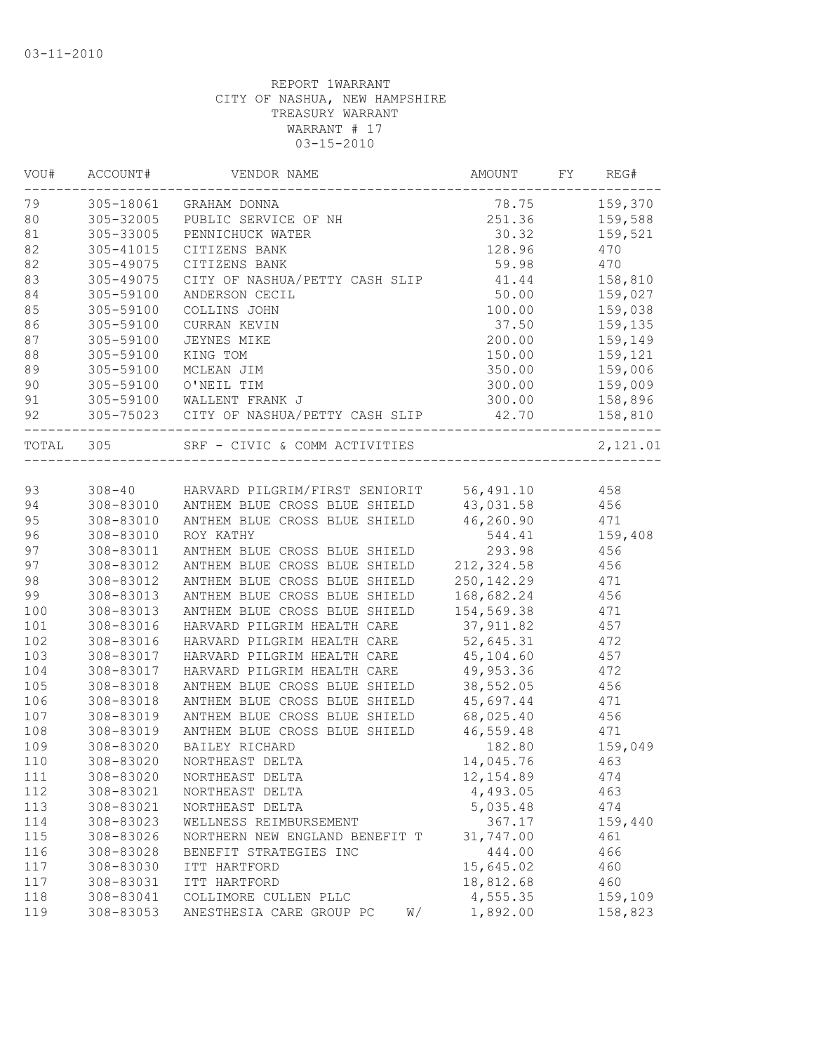| 159,370<br>79<br>305-18061<br>78.75<br>GRAHAM DONNA<br>80<br>305-32005<br>PUBLIC SERVICE OF NH<br>251.36<br>159,588<br>81<br>305-33005<br>30.32<br>159,521<br>PENNICHUCK WATER<br>82<br>305-41015<br>128.96<br>470<br>CITIZENS BANK<br>82<br>470<br>305-49075<br>CITIZENS BANK<br>59.98<br>83<br>305-49075<br>CITY OF NASHUA/PETTY CASH SLIP<br>41.44<br>158,810<br>84<br>305-59100<br>50.00<br>159,027<br>ANDERSON CECIL<br>85<br>305-59100<br>100.00<br>159,038<br>COLLINS JOHN<br>305-59100<br>37.50<br>159,135<br>CURRAN KEVIN<br>87<br>305-59100<br>200.00<br>159,149<br><b>JEYNES MIKE</b><br>305-59100<br>KING TOM<br>150.00<br>159,121<br>89<br>305-59100<br>MCLEAN JIM<br>350.00<br>159,006<br>90<br>305-59100<br>O'NEIL TIM<br>300.00<br>159,009<br>91<br>305-59100<br>WALLENT FRANK J<br>300.00<br>158,896<br>42.70<br>92<br>305-75023 CITY OF NASHUA/PETTY CASH SLIP<br>158,810<br>TOTAL<br>305<br>SRF - CIVIC & COMM ACTIVITIES<br>93<br>308-40 HARVARD PILGRIM/FIRST SENIORIT 56,491.10<br>458<br>ANTHEM BLUE CROSS BLUE SHIELD 43,031.58<br>456<br>94<br>308-83010<br>95<br>ANTHEM BLUE CROSS BLUE SHIELD 46,260.90<br>308-83010<br>471<br>96<br>308-83010<br>544.41<br>159,408<br>ROY KATHY<br>97<br>308-83011<br>ANTHEM BLUE CROSS BLUE SHIELD<br>293.98<br>456<br>212,324.58<br>97<br>308-83012<br>ANTHEM BLUE CROSS BLUE SHIELD<br>456<br>98<br>250, 142.29<br>308-83012<br>ANTHEM BLUE CROSS BLUE SHIELD<br>471<br>99<br>308-83013<br>ANTHEM BLUE CROSS BLUE SHIELD<br>168,682.24<br>456<br>308-83013<br>ANTHEM BLUE CROSS BLUE SHIELD<br>154,569.38<br>471<br>37, 911.82<br>308-83016<br>HARVARD PILGRIM HEALTH CARE<br>457<br>52,645.31<br>308-83016<br>HARVARD PILGRIM HEALTH CARE<br>472<br>308-83017<br>HARVARD PILGRIM HEALTH CARE<br>45,104.60<br>457<br>308-83017<br>HARVARD PILGRIM HEALTH CARE<br>49,953.36<br>472<br>38,552.05<br>308-83018<br>ANTHEM BLUE CROSS BLUE SHIELD<br>456<br>45,697.44<br>308-83018<br>ANTHEM BLUE CROSS BLUE SHIELD<br>471<br>68,025.40<br>308-83019<br>ANTHEM BLUE CROSS BLUE SHIELD<br>456<br>308-83019<br>ANTHEM BLUE CROSS BLUE SHIELD<br>46,559.48<br>471<br>308-83020<br>BAILEY RICHARD<br>182.80<br>159,049<br>NORTHEAST DELTA<br>463<br>308-83020<br>14,045.76<br>308-83020<br>12, 154.89<br>111<br>NORTHEAST DELTA<br>474<br>112<br>308-83021<br>4,493.05<br>463<br>NORTHEAST DELTA<br>113<br>308-83021<br>5,035.48<br>474<br>NORTHEAST DELTA<br>114<br>308-83023<br>WELLNESS REIMBURSEMENT<br>367.17<br>159,440<br>115<br>308-83026<br>31,747.00<br>NORTHERN NEW ENGLAND BENEFIT T<br>461<br>444.00<br>116<br>308-83028<br>BENEFIT STRATEGIES INC<br>466<br>15,645.02<br>117<br>308-83030<br>ITT HARTFORD<br>460<br>18,812.68<br>460<br>117<br>308-83031<br>ITT HARTFORD<br>4,555.35<br>118<br>308-83041<br>COLLIMORE CULLEN PLLC<br>159,109<br>308-83053<br>1,892.00<br>119<br>ANESTHESIA CARE GROUP PC<br>W/<br>158,823 | VOU# | ACCOUNT# | VENDOR NAME | AMOUNT | FY | REG#     |
|-----------------------------------------------------------------------------------------------------------------------------------------------------------------------------------------------------------------------------------------------------------------------------------------------------------------------------------------------------------------------------------------------------------------------------------------------------------------------------------------------------------------------------------------------------------------------------------------------------------------------------------------------------------------------------------------------------------------------------------------------------------------------------------------------------------------------------------------------------------------------------------------------------------------------------------------------------------------------------------------------------------------------------------------------------------------------------------------------------------------------------------------------------------------------------------------------------------------------------------------------------------------------------------------------------------------------------------------------------------------------------------------------------------------------------------------------------------------------------------------------------------------------------------------------------------------------------------------------------------------------------------------------------------------------------------------------------------------------------------------------------------------------------------------------------------------------------------------------------------------------------------------------------------------------------------------------------------------------------------------------------------------------------------------------------------------------------------------------------------------------------------------------------------------------------------------------------------------------------------------------------------------------------------------------------------------------------------------------------------------------------------------------------------------------------------------------------------------------------------------------------------------------------------------------------------------------------------------------------------------------------------------------------------------------------------------------------------------------------------------------------------------------------------------------------------------------------------------------------------------------------------------------|------|----------|-------------|--------|----|----------|
|                                                                                                                                                                                                                                                                                                                                                                                                                                                                                                                                                                                                                                                                                                                                                                                                                                                                                                                                                                                                                                                                                                                                                                                                                                                                                                                                                                                                                                                                                                                                                                                                                                                                                                                                                                                                                                                                                                                                                                                                                                                                                                                                                                                                                                                                                                                                                                                                                                                                                                                                                                                                                                                                                                                                                                                                                                                                                               |      |          |             |        |    |          |
|                                                                                                                                                                                                                                                                                                                                                                                                                                                                                                                                                                                                                                                                                                                                                                                                                                                                                                                                                                                                                                                                                                                                                                                                                                                                                                                                                                                                                                                                                                                                                                                                                                                                                                                                                                                                                                                                                                                                                                                                                                                                                                                                                                                                                                                                                                                                                                                                                                                                                                                                                                                                                                                                                                                                                                                                                                                                                               |      |          |             |        |    |          |
|                                                                                                                                                                                                                                                                                                                                                                                                                                                                                                                                                                                                                                                                                                                                                                                                                                                                                                                                                                                                                                                                                                                                                                                                                                                                                                                                                                                                                                                                                                                                                                                                                                                                                                                                                                                                                                                                                                                                                                                                                                                                                                                                                                                                                                                                                                                                                                                                                                                                                                                                                                                                                                                                                                                                                                                                                                                                                               |      |          |             |        |    |          |
|                                                                                                                                                                                                                                                                                                                                                                                                                                                                                                                                                                                                                                                                                                                                                                                                                                                                                                                                                                                                                                                                                                                                                                                                                                                                                                                                                                                                                                                                                                                                                                                                                                                                                                                                                                                                                                                                                                                                                                                                                                                                                                                                                                                                                                                                                                                                                                                                                                                                                                                                                                                                                                                                                                                                                                                                                                                                                               |      |          |             |        |    |          |
|                                                                                                                                                                                                                                                                                                                                                                                                                                                                                                                                                                                                                                                                                                                                                                                                                                                                                                                                                                                                                                                                                                                                                                                                                                                                                                                                                                                                                                                                                                                                                                                                                                                                                                                                                                                                                                                                                                                                                                                                                                                                                                                                                                                                                                                                                                                                                                                                                                                                                                                                                                                                                                                                                                                                                                                                                                                                                               |      |          |             |        |    |          |
|                                                                                                                                                                                                                                                                                                                                                                                                                                                                                                                                                                                                                                                                                                                                                                                                                                                                                                                                                                                                                                                                                                                                                                                                                                                                                                                                                                                                                                                                                                                                                                                                                                                                                                                                                                                                                                                                                                                                                                                                                                                                                                                                                                                                                                                                                                                                                                                                                                                                                                                                                                                                                                                                                                                                                                                                                                                                                               |      |          |             |        |    |          |
|                                                                                                                                                                                                                                                                                                                                                                                                                                                                                                                                                                                                                                                                                                                                                                                                                                                                                                                                                                                                                                                                                                                                                                                                                                                                                                                                                                                                                                                                                                                                                                                                                                                                                                                                                                                                                                                                                                                                                                                                                                                                                                                                                                                                                                                                                                                                                                                                                                                                                                                                                                                                                                                                                                                                                                                                                                                                                               |      |          |             |        |    |          |
|                                                                                                                                                                                                                                                                                                                                                                                                                                                                                                                                                                                                                                                                                                                                                                                                                                                                                                                                                                                                                                                                                                                                                                                                                                                                                                                                                                                                                                                                                                                                                                                                                                                                                                                                                                                                                                                                                                                                                                                                                                                                                                                                                                                                                                                                                                                                                                                                                                                                                                                                                                                                                                                                                                                                                                                                                                                                                               |      |          |             |        |    |          |
|                                                                                                                                                                                                                                                                                                                                                                                                                                                                                                                                                                                                                                                                                                                                                                                                                                                                                                                                                                                                                                                                                                                                                                                                                                                                                                                                                                                                                                                                                                                                                                                                                                                                                                                                                                                                                                                                                                                                                                                                                                                                                                                                                                                                                                                                                                                                                                                                                                                                                                                                                                                                                                                                                                                                                                                                                                                                                               | 86   |          |             |        |    |          |
|                                                                                                                                                                                                                                                                                                                                                                                                                                                                                                                                                                                                                                                                                                                                                                                                                                                                                                                                                                                                                                                                                                                                                                                                                                                                                                                                                                                                                                                                                                                                                                                                                                                                                                                                                                                                                                                                                                                                                                                                                                                                                                                                                                                                                                                                                                                                                                                                                                                                                                                                                                                                                                                                                                                                                                                                                                                                                               |      |          |             |        |    |          |
|                                                                                                                                                                                                                                                                                                                                                                                                                                                                                                                                                                                                                                                                                                                                                                                                                                                                                                                                                                                                                                                                                                                                                                                                                                                                                                                                                                                                                                                                                                                                                                                                                                                                                                                                                                                                                                                                                                                                                                                                                                                                                                                                                                                                                                                                                                                                                                                                                                                                                                                                                                                                                                                                                                                                                                                                                                                                                               | 88   |          |             |        |    |          |
|                                                                                                                                                                                                                                                                                                                                                                                                                                                                                                                                                                                                                                                                                                                                                                                                                                                                                                                                                                                                                                                                                                                                                                                                                                                                                                                                                                                                                                                                                                                                                                                                                                                                                                                                                                                                                                                                                                                                                                                                                                                                                                                                                                                                                                                                                                                                                                                                                                                                                                                                                                                                                                                                                                                                                                                                                                                                                               |      |          |             |        |    |          |
|                                                                                                                                                                                                                                                                                                                                                                                                                                                                                                                                                                                                                                                                                                                                                                                                                                                                                                                                                                                                                                                                                                                                                                                                                                                                                                                                                                                                                                                                                                                                                                                                                                                                                                                                                                                                                                                                                                                                                                                                                                                                                                                                                                                                                                                                                                                                                                                                                                                                                                                                                                                                                                                                                                                                                                                                                                                                                               |      |          |             |        |    |          |
|                                                                                                                                                                                                                                                                                                                                                                                                                                                                                                                                                                                                                                                                                                                                                                                                                                                                                                                                                                                                                                                                                                                                                                                                                                                                                                                                                                                                                                                                                                                                                                                                                                                                                                                                                                                                                                                                                                                                                                                                                                                                                                                                                                                                                                                                                                                                                                                                                                                                                                                                                                                                                                                                                                                                                                                                                                                                                               |      |          |             |        |    |          |
|                                                                                                                                                                                                                                                                                                                                                                                                                                                                                                                                                                                                                                                                                                                                                                                                                                                                                                                                                                                                                                                                                                                                                                                                                                                                                                                                                                                                                                                                                                                                                                                                                                                                                                                                                                                                                                                                                                                                                                                                                                                                                                                                                                                                                                                                                                                                                                                                                                                                                                                                                                                                                                                                                                                                                                                                                                                                                               |      |          |             |        |    |          |
|                                                                                                                                                                                                                                                                                                                                                                                                                                                                                                                                                                                                                                                                                                                                                                                                                                                                                                                                                                                                                                                                                                                                                                                                                                                                                                                                                                                                                                                                                                                                                                                                                                                                                                                                                                                                                                                                                                                                                                                                                                                                                                                                                                                                                                                                                                                                                                                                                                                                                                                                                                                                                                                                                                                                                                                                                                                                                               |      |          |             |        |    | 2,121.01 |
|                                                                                                                                                                                                                                                                                                                                                                                                                                                                                                                                                                                                                                                                                                                                                                                                                                                                                                                                                                                                                                                                                                                                                                                                                                                                                                                                                                                                                                                                                                                                                                                                                                                                                                                                                                                                                                                                                                                                                                                                                                                                                                                                                                                                                                                                                                                                                                                                                                                                                                                                                                                                                                                                                                                                                                                                                                                                                               |      |          |             |        |    |          |
|                                                                                                                                                                                                                                                                                                                                                                                                                                                                                                                                                                                                                                                                                                                                                                                                                                                                                                                                                                                                                                                                                                                                                                                                                                                                                                                                                                                                                                                                                                                                                                                                                                                                                                                                                                                                                                                                                                                                                                                                                                                                                                                                                                                                                                                                                                                                                                                                                                                                                                                                                                                                                                                                                                                                                                                                                                                                                               |      |          |             |        |    |          |
|                                                                                                                                                                                                                                                                                                                                                                                                                                                                                                                                                                                                                                                                                                                                                                                                                                                                                                                                                                                                                                                                                                                                                                                                                                                                                                                                                                                                                                                                                                                                                                                                                                                                                                                                                                                                                                                                                                                                                                                                                                                                                                                                                                                                                                                                                                                                                                                                                                                                                                                                                                                                                                                                                                                                                                                                                                                                                               |      |          |             |        |    |          |
|                                                                                                                                                                                                                                                                                                                                                                                                                                                                                                                                                                                                                                                                                                                                                                                                                                                                                                                                                                                                                                                                                                                                                                                                                                                                                                                                                                                                                                                                                                                                                                                                                                                                                                                                                                                                                                                                                                                                                                                                                                                                                                                                                                                                                                                                                                                                                                                                                                                                                                                                                                                                                                                                                                                                                                                                                                                                                               |      |          |             |        |    |          |
|                                                                                                                                                                                                                                                                                                                                                                                                                                                                                                                                                                                                                                                                                                                                                                                                                                                                                                                                                                                                                                                                                                                                                                                                                                                                                                                                                                                                                                                                                                                                                                                                                                                                                                                                                                                                                                                                                                                                                                                                                                                                                                                                                                                                                                                                                                                                                                                                                                                                                                                                                                                                                                                                                                                                                                                                                                                                                               |      |          |             |        |    |          |
|                                                                                                                                                                                                                                                                                                                                                                                                                                                                                                                                                                                                                                                                                                                                                                                                                                                                                                                                                                                                                                                                                                                                                                                                                                                                                                                                                                                                                                                                                                                                                                                                                                                                                                                                                                                                                                                                                                                                                                                                                                                                                                                                                                                                                                                                                                                                                                                                                                                                                                                                                                                                                                                                                                                                                                                                                                                                                               |      |          |             |        |    |          |
|                                                                                                                                                                                                                                                                                                                                                                                                                                                                                                                                                                                                                                                                                                                                                                                                                                                                                                                                                                                                                                                                                                                                                                                                                                                                                                                                                                                                                                                                                                                                                                                                                                                                                                                                                                                                                                                                                                                                                                                                                                                                                                                                                                                                                                                                                                                                                                                                                                                                                                                                                                                                                                                                                                                                                                                                                                                                                               |      |          |             |        |    |          |
|                                                                                                                                                                                                                                                                                                                                                                                                                                                                                                                                                                                                                                                                                                                                                                                                                                                                                                                                                                                                                                                                                                                                                                                                                                                                                                                                                                                                                                                                                                                                                                                                                                                                                                                                                                                                                                                                                                                                                                                                                                                                                                                                                                                                                                                                                                                                                                                                                                                                                                                                                                                                                                                                                                                                                                                                                                                                                               |      |          |             |        |    |          |
|                                                                                                                                                                                                                                                                                                                                                                                                                                                                                                                                                                                                                                                                                                                                                                                                                                                                                                                                                                                                                                                                                                                                                                                                                                                                                                                                                                                                                                                                                                                                                                                                                                                                                                                                                                                                                                                                                                                                                                                                                                                                                                                                                                                                                                                                                                                                                                                                                                                                                                                                                                                                                                                                                                                                                                                                                                                                                               |      |          |             |        |    |          |
|                                                                                                                                                                                                                                                                                                                                                                                                                                                                                                                                                                                                                                                                                                                                                                                                                                                                                                                                                                                                                                                                                                                                                                                                                                                                                                                                                                                                                                                                                                                                                                                                                                                                                                                                                                                                                                                                                                                                                                                                                                                                                                                                                                                                                                                                                                                                                                                                                                                                                                                                                                                                                                                                                                                                                                                                                                                                                               | 100  |          |             |        |    |          |
|                                                                                                                                                                                                                                                                                                                                                                                                                                                                                                                                                                                                                                                                                                                                                                                                                                                                                                                                                                                                                                                                                                                                                                                                                                                                                                                                                                                                                                                                                                                                                                                                                                                                                                                                                                                                                                                                                                                                                                                                                                                                                                                                                                                                                                                                                                                                                                                                                                                                                                                                                                                                                                                                                                                                                                                                                                                                                               | 101  |          |             |        |    |          |
|                                                                                                                                                                                                                                                                                                                                                                                                                                                                                                                                                                                                                                                                                                                                                                                                                                                                                                                                                                                                                                                                                                                                                                                                                                                                                                                                                                                                                                                                                                                                                                                                                                                                                                                                                                                                                                                                                                                                                                                                                                                                                                                                                                                                                                                                                                                                                                                                                                                                                                                                                                                                                                                                                                                                                                                                                                                                                               | 102  |          |             |        |    |          |
|                                                                                                                                                                                                                                                                                                                                                                                                                                                                                                                                                                                                                                                                                                                                                                                                                                                                                                                                                                                                                                                                                                                                                                                                                                                                                                                                                                                                                                                                                                                                                                                                                                                                                                                                                                                                                                                                                                                                                                                                                                                                                                                                                                                                                                                                                                                                                                                                                                                                                                                                                                                                                                                                                                                                                                                                                                                                                               | 103  |          |             |        |    |          |
|                                                                                                                                                                                                                                                                                                                                                                                                                                                                                                                                                                                                                                                                                                                                                                                                                                                                                                                                                                                                                                                                                                                                                                                                                                                                                                                                                                                                                                                                                                                                                                                                                                                                                                                                                                                                                                                                                                                                                                                                                                                                                                                                                                                                                                                                                                                                                                                                                                                                                                                                                                                                                                                                                                                                                                                                                                                                                               | 104  |          |             |        |    |          |
|                                                                                                                                                                                                                                                                                                                                                                                                                                                                                                                                                                                                                                                                                                                                                                                                                                                                                                                                                                                                                                                                                                                                                                                                                                                                                                                                                                                                                                                                                                                                                                                                                                                                                                                                                                                                                                                                                                                                                                                                                                                                                                                                                                                                                                                                                                                                                                                                                                                                                                                                                                                                                                                                                                                                                                                                                                                                                               | 105  |          |             |        |    |          |
|                                                                                                                                                                                                                                                                                                                                                                                                                                                                                                                                                                                                                                                                                                                                                                                                                                                                                                                                                                                                                                                                                                                                                                                                                                                                                                                                                                                                                                                                                                                                                                                                                                                                                                                                                                                                                                                                                                                                                                                                                                                                                                                                                                                                                                                                                                                                                                                                                                                                                                                                                                                                                                                                                                                                                                                                                                                                                               | 106  |          |             |        |    |          |
|                                                                                                                                                                                                                                                                                                                                                                                                                                                                                                                                                                                                                                                                                                                                                                                                                                                                                                                                                                                                                                                                                                                                                                                                                                                                                                                                                                                                                                                                                                                                                                                                                                                                                                                                                                                                                                                                                                                                                                                                                                                                                                                                                                                                                                                                                                                                                                                                                                                                                                                                                                                                                                                                                                                                                                                                                                                                                               | 107  |          |             |        |    |          |
|                                                                                                                                                                                                                                                                                                                                                                                                                                                                                                                                                                                                                                                                                                                                                                                                                                                                                                                                                                                                                                                                                                                                                                                                                                                                                                                                                                                                                                                                                                                                                                                                                                                                                                                                                                                                                                                                                                                                                                                                                                                                                                                                                                                                                                                                                                                                                                                                                                                                                                                                                                                                                                                                                                                                                                                                                                                                                               | 108  |          |             |        |    |          |
|                                                                                                                                                                                                                                                                                                                                                                                                                                                                                                                                                                                                                                                                                                                                                                                                                                                                                                                                                                                                                                                                                                                                                                                                                                                                                                                                                                                                                                                                                                                                                                                                                                                                                                                                                                                                                                                                                                                                                                                                                                                                                                                                                                                                                                                                                                                                                                                                                                                                                                                                                                                                                                                                                                                                                                                                                                                                                               | 109  |          |             |        |    |          |
|                                                                                                                                                                                                                                                                                                                                                                                                                                                                                                                                                                                                                                                                                                                                                                                                                                                                                                                                                                                                                                                                                                                                                                                                                                                                                                                                                                                                                                                                                                                                                                                                                                                                                                                                                                                                                                                                                                                                                                                                                                                                                                                                                                                                                                                                                                                                                                                                                                                                                                                                                                                                                                                                                                                                                                                                                                                                                               | 110  |          |             |        |    |          |
|                                                                                                                                                                                                                                                                                                                                                                                                                                                                                                                                                                                                                                                                                                                                                                                                                                                                                                                                                                                                                                                                                                                                                                                                                                                                                                                                                                                                                                                                                                                                                                                                                                                                                                                                                                                                                                                                                                                                                                                                                                                                                                                                                                                                                                                                                                                                                                                                                                                                                                                                                                                                                                                                                                                                                                                                                                                                                               |      |          |             |        |    |          |
|                                                                                                                                                                                                                                                                                                                                                                                                                                                                                                                                                                                                                                                                                                                                                                                                                                                                                                                                                                                                                                                                                                                                                                                                                                                                                                                                                                                                                                                                                                                                                                                                                                                                                                                                                                                                                                                                                                                                                                                                                                                                                                                                                                                                                                                                                                                                                                                                                                                                                                                                                                                                                                                                                                                                                                                                                                                                                               |      |          |             |        |    |          |
|                                                                                                                                                                                                                                                                                                                                                                                                                                                                                                                                                                                                                                                                                                                                                                                                                                                                                                                                                                                                                                                                                                                                                                                                                                                                                                                                                                                                                                                                                                                                                                                                                                                                                                                                                                                                                                                                                                                                                                                                                                                                                                                                                                                                                                                                                                                                                                                                                                                                                                                                                                                                                                                                                                                                                                                                                                                                                               |      |          |             |        |    |          |
|                                                                                                                                                                                                                                                                                                                                                                                                                                                                                                                                                                                                                                                                                                                                                                                                                                                                                                                                                                                                                                                                                                                                                                                                                                                                                                                                                                                                                                                                                                                                                                                                                                                                                                                                                                                                                                                                                                                                                                                                                                                                                                                                                                                                                                                                                                                                                                                                                                                                                                                                                                                                                                                                                                                                                                                                                                                                                               |      |          |             |        |    |          |
|                                                                                                                                                                                                                                                                                                                                                                                                                                                                                                                                                                                                                                                                                                                                                                                                                                                                                                                                                                                                                                                                                                                                                                                                                                                                                                                                                                                                                                                                                                                                                                                                                                                                                                                                                                                                                                                                                                                                                                                                                                                                                                                                                                                                                                                                                                                                                                                                                                                                                                                                                                                                                                                                                                                                                                                                                                                                                               |      |          |             |        |    |          |
|                                                                                                                                                                                                                                                                                                                                                                                                                                                                                                                                                                                                                                                                                                                                                                                                                                                                                                                                                                                                                                                                                                                                                                                                                                                                                                                                                                                                                                                                                                                                                                                                                                                                                                                                                                                                                                                                                                                                                                                                                                                                                                                                                                                                                                                                                                                                                                                                                                                                                                                                                                                                                                                                                                                                                                                                                                                                                               |      |          |             |        |    |          |
|                                                                                                                                                                                                                                                                                                                                                                                                                                                                                                                                                                                                                                                                                                                                                                                                                                                                                                                                                                                                                                                                                                                                                                                                                                                                                                                                                                                                                                                                                                                                                                                                                                                                                                                                                                                                                                                                                                                                                                                                                                                                                                                                                                                                                                                                                                                                                                                                                                                                                                                                                                                                                                                                                                                                                                                                                                                                                               |      |          |             |        |    |          |
|                                                                                                                                                                                                                                                                                                                                                                                                                                                                                                                                                                                                                                                                                                                                                                                                                                                                                                                                                                                                                                                                                                                                                                                                                                                                                                                                                                                                                                                                                                                                                                                                                                                                                                                                                                                                                                                                                                                                                                                                                                                                                                                                                                                                                                                                                                                                                                                                                                                                                                                                                                                                                                                                                                                                                                                                                                                                                               |      |          |             |        |    |          |
|                                                                                                                                                                                                                                                                                                                                                                                                                                                                                                                                                                                                                                                                                                                                                                                                                                                                                                                                                                                                                                                                                                                                                                                                                                                                                                                                                                                                                                                                                                                                                                                                                                                                                                                                                                                                                                                                                                                                                                                                                                                                                                                                                                                                                                                                                                                                                                                                                                                                                                                                                                                                                                                                                                                                                                                                                                                                                               |      |          |             |        |    |          |
|                                                                                                                                                                                                                                                                                                                                                                                                                                                                                                                                                                                                                                                                                                                                                                                                                                                                                                                                                                                                                                                                                                                                                                                                                                                                                                                                                                                                                                                                                                                                                                                                                                                                                                                                                                                                                                                                                                                                                                                                                                                                                                                                                                                                                                                                                                                                                                                                                                                                                                                                                                                                                                                                                                                                                                                                                                                                                               |      |          |             |        |    |          |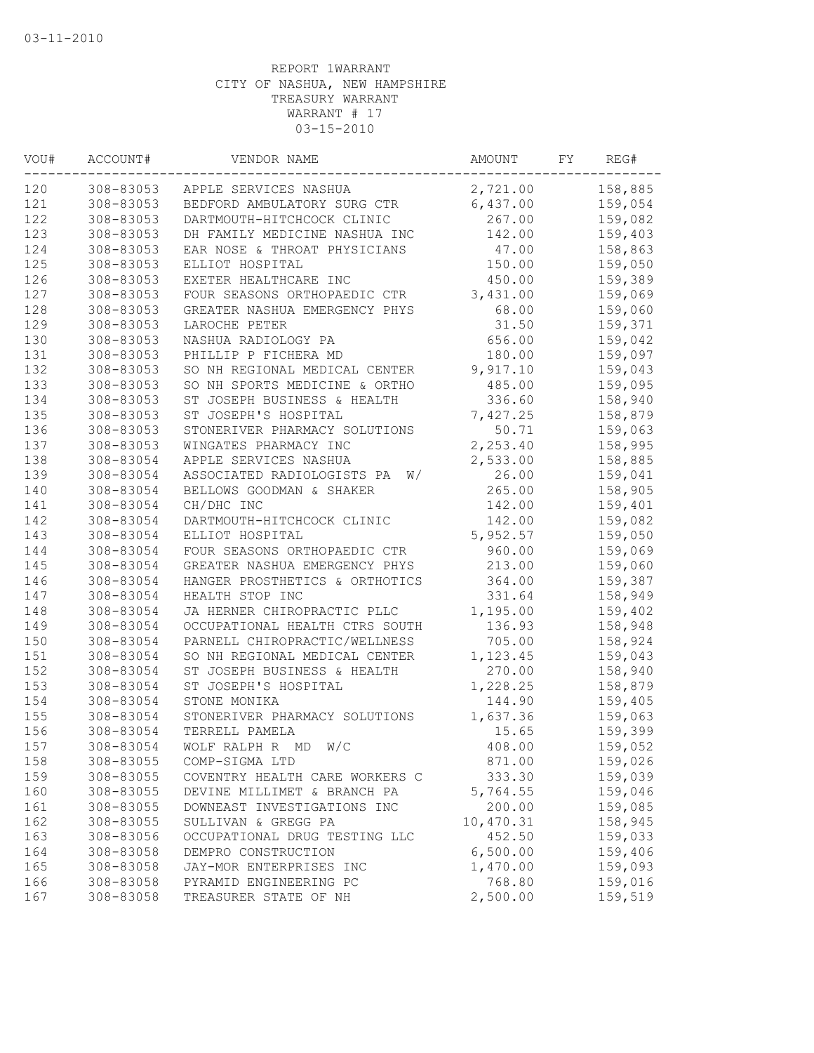| VOU# | ACCOUNT#  | VENDOR NAME                      | AMOUNT    | FY | REG#    |
|------|-----------|----------------------------------|-----------|----|---------|
| 120  | 308-83053 | APPLE SERVICES NASHUA            | 2,721.00  |    | 158,885 |
| 121  | 308-83053 | BEDFORD AMBULATORY SURG CTR      | 6,437.00  |    | 159,054 |
| 122  | 308-83053 | DARTMOUTH-HITCHCOCK CLINIC       | 267.00    |    | 159,082 |
| 123  | 308-83053 | DH FAMILY MEDICINE NASHUA INC    | 142.00    |    | 159,403 |
| 124  | 308-83053 | EAR NOSE & THROAT PHYSICIANS     | 47.00     |    | 158,863 |
| 125  | 308-83053 | ELLIOT HOSPITAL                  | 150.00    |    | 159,050 |
| 126  | 308-83053 | EXETER HEALTHCARE INC            | 450.00    |    | 159,389 |
| 127  | 308-83053 | FOUR SEASONS ORTHOPAEDIC CTR     | 3,431.00  |    | 159,069 |
| 128  | 308-83053 | GREATER NASHUA EMERGENCY PHYS    | 68.00     |    | 159,060 |
| 129  | 308-83053 | LAROCHE PETER                    | 31.50     |    | 159,371 |
| 130  | 308-83053 | NASHUA RADIOLOGY PA              | 656.00    |    | 159,042 |
| 131  | 308-83053 | PHILLIP P FICHERA MD             | 180.00    |    | 159,097 |
| 132  | 308-83053 | SO NH REGIONAL MEDICAL CENTER    | 9,917.10  |    | 159,043 |
| 133  | 308-83053 | SO NH SPORTS MEDICINE & ORTHO    | 485.00    |    | 159,095 |
| 134  | 308-83053 | ST JOSEPH BUSINESS & HEALTH      | 336.60    |    | 158,940 |
| 135  | 308-83053 | ST JOSEPH'S HOSPITAL             | 7,427.25  |    | 158,879 |
| 136  | 308-83053 | STONERIVER PHARMACY SOLUTIONS    | 50.71     |    | 159,063 |
| 137  | 308-83053 | WINGATES PHARMACY INC            | 2,253.40  |    | 158,995 |
| 138  | 308-83054 | APPLE SERVICES NASHUA            | 2,533.00  |    | 158,885 |
| 139  | 308-83054 | ASSOCIATED RADIOLOGISTS PA<br>W/ | 26.00     |    | 159,041 |
| 140  | 308-83054 | BELLOWS GOODMAN & SHAKER         | 265.00    |    | 158,905 |
| 141  | 308-83054 | CH/DHC INC                       | 142.00    |    | 159,401 |
| 142  | 308-83054 | DARTMOUTH-HITCHCOCK CLINIC       | 142.00    |    | 159,082 |
| 143  | 308-83054 | ELLIOT HOSPITAL                  | 5,952.57  |    | 159,050 |
| 144  | 308-83054 | FOUR SEASONS ORTHOPAEDIC CTR     | 960.00    |    | 159,069 |
| 145  | 308-83054 | GREATER NASHUA EMERGENCY PHYS    | 213.00    |    | 159,060 |
| 146  | 308-83054 | HANGER PROSTHETICS & ORTHOTICS   | 364.00    |    | 159,387 |
| 147  | 308-83054 | HEALTH STOP INC                  | 331.64    |    | 158,949 |
| 148  | 308-83054 | JA HERNER CHIROPRACTIC PLLC      | 1,195.00  |    | 159,402 |
| 149  | 308-83054 | OCCUPATIONAL HEALTH CTRS SOUTH   | 136.93    |    | 158,948 |
| 150  | 308-83054 | PARNELL CHIROPRACTIC/WELLNESS    | 705.00    |    | 158,924 |
| 151  | 308-83054 | SO NH REGIONAL MEDICAL CENTER    | 1,123.45  |    | 159,043 |
| 152  | 308-83054 | ST JOSEPH BUSINESS & HEALTH      | 270.00    |    | 158,940 |
| 153  | 308-83054 | ST JOSEPH'S HOSPITAL             | 1,228.25  |    | 158,879 |
| 154  | 308-83054 | STONE MONIKA                     | 144.90    |    | 159,405 |
| 155  | 308-83054 | STONERIVER PHARMACY SOLUTIONS    | 1,637.36  |    | 159,063 |
| 156  | 308-83054 | TERRELL PAMELA                   | 15.65     |    | 159,399 |
| 157  | 308-83054 | WOLF RALPH R MD W/C              | 408.00    |    | 159,052 |
| 158  | 308-83055 | COMP-SIGMA LTD                   | 871.00    |    | 159,026 |
| 159  | 308-83055 | COVENTRY HEALTH CARE WORKERS C   | 333.30    |    | 159,039 |
| 160  | 308-83055 | DEVINE MILLIMET & BRANCH PA      | 5,764.55  |    | 159,046 |
| 161  | 308-83055 | DOWNEAST INVESTIGATIONS INC      | 200.00    |    | 159,085 |
| 162  | 308-83055 | SULLIVAN & GREGG PA              | 10,470.31 |    | 158,945 |
| 163  | 308-83056 | OCCUPATIONAL DRUG TESTING LLC    | 452.50    |    | 159,033 |
| 164  | 308-83058 | DEMPRO CONSTRUCTION              | 6,500.00  |    | 159,406 |
| 165  | 308-83058 | JAY-MOR ENTERPRISES INC          | 1,470.00  |    | 159,093 |
| 166  | 308-83058 | PYRAMID ENGINEERING PC           | 768.80    |    | 159,016 |
| 167  | 308-83058 | TREASURER STATE OF NH            | 2,500.00  |    | 159,519 |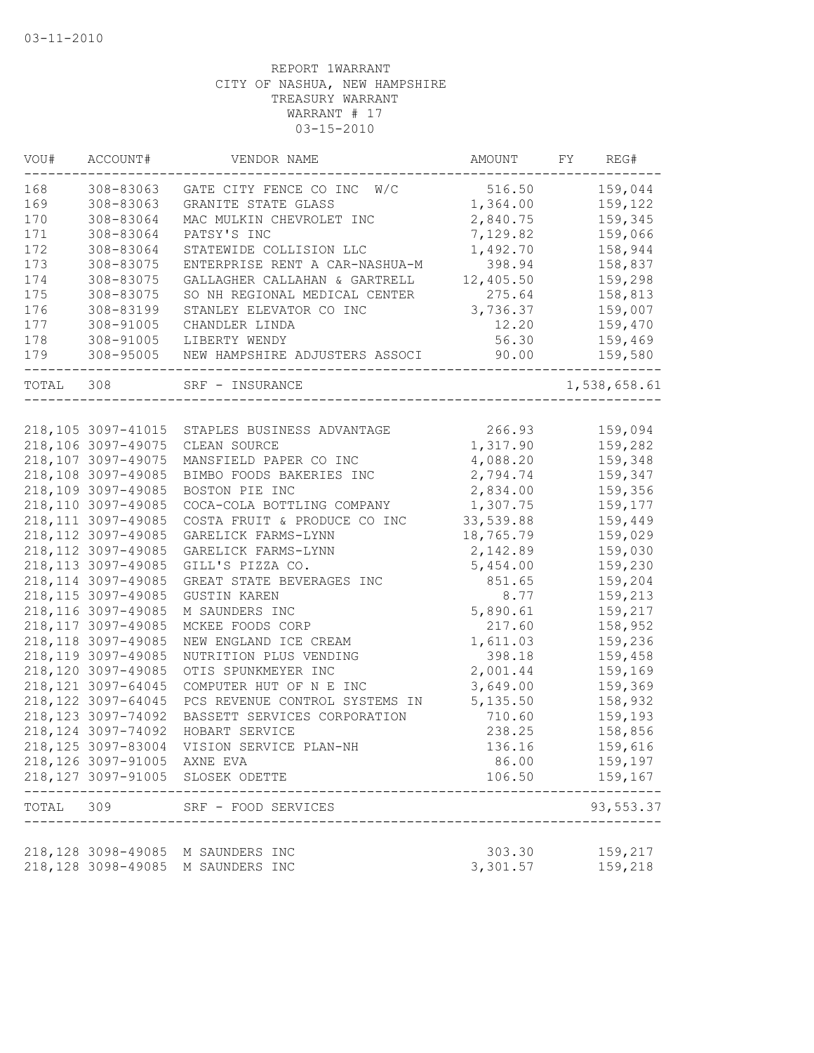| VOU#      | ACCOUNT#                    | VENDOR NAME                    | AMOUNT    | FΥ | REG#         |
|-----------|-----------------------------|--------------------------------|-----------|----|--------------|
| 168       | 308-83063                   | W/C<br>GATE CITY FENCE CO INC  | 516.50    |    | 159,044      |
| 169       | 308-83063                   | GRANITE STATE GLASS            | 1,364.00  |    | 159,122      |
| 170       | 308-83064                   | MAC MULKIN CHEVROLET INC       | 2,840.75  |    | 159,345      |
| 171       | 308-83064                   | PATSY'S INC                    | 7,129.82  |    | 159,066      |
| 172       | 308-83064                   | STATEWIDE COLLISION LLC        | 1,492.70  |    | 158,944      |
| 173       | 308-83075                   | ENTERPRISE RENT A CAR-NASHUA-M | 398.94    |    | 158,837      |
| 174       | 308-83075                   | GALLAGHER CALLAHAN & GARTRELL  | 12,405.50 |    | 159,298      |
| 175       | 308-83075                   | SO NH REGIONAL MEDICAL CENTER  | 275.64    |    | 158,813      |
| 176       | 308-83199                   | STANLEY ELEVATOR CO INC        | 3,736.37  |    | 159,007      |
| 177       | 308-91005                   | CHANDLER LINDA                 | 12.20     |    | 159,470      |
| 178       | 308-91005                   | LIBERTY WENDY                  | 56.30     |    | 159,469      |
| 179       | 308-95005                   | NEW HAMPSHIRE ADJUSTERS ASSOCI | 90.00     |    | 159,580      |
| TOTAL     | 308                         | SRF - INSURANCE                |           |    | 1,538,658.61 |
|           |                             |                                |           |    |              |
|           | 218,105 3097-41015          | STAPLES BUSINESS ADVANTAGE     | 266.93    |    | 159,094      |
|           | 218,106 3097-49075          | CLEAN SOURCE                   | 1,317.90  |    | 159,282      |
|           | 218,107 3097-49075          | MANSFIELD PAPER CO INC         | 4,088.20  |    | 159,348      |
|           | 218,108 3097-49085          | BIMBO FOODS BAKERIES INC       | 2,794.74  |    | 159,347      |
|           | 218,109 3097-49085          | BOSTON PIE INC                 | 2,834.00  |    | 159,356      |
|           | 218,110 3097-49085          | COCA-COLA BOTTLING COMPANY     | 1,307.75  |    | 159,177      |
|           | 218, 111 3097-49085         | COSTA FRUIT & PRODUCE CO INC   | 33,539.88 |    | 159,449      |
|           | 218, 112 3097-49085         | GARELICK FARMS-LYNN            | 18,765.79 |    | 159,029      |
|           | 218, 112 3097-49085         | GARELICK FARMS-LYNN            | 2,142.89  |    | 159,030      |
|           | 218, 113 3097-49085         | GILL'S PIZZA CO.               | 5,454.00  |    | 159,230      |
|           | 218, 114 3097-49085         | GREAT STATE BEVERAGES INC      | 851.65    |    | 159,204      |
|           | 218, 115 3097-49085         | <b>GUSTIN KAREN</b>            | 8.77      |    | 159,213      |
|           | 218, 116 3097-49085         | M SAUNDERS INC                 | 5,890.61  |    | 159,217      |
|           | 218, 117 3097-49085         | MCKEE FOODS CORP               | 217.60    |    | 158,952      |
|           | 218, 118 3097-49085         | NEW ENGLAND ICE CREAM          | 1,611.03  |    | 159,236      |
|           | 218, 119 3097-49085         | NUTRITION PLUS VENDING         | 398.18    |    | 159,458      |
|           | 218,120 3097-49085          | OTIS SPUNKMEYER INC            | 2,001.44  |    | 159,169      |
|           | 218, 121 3097-64045         | COMPUTER HUT OF N E INC        | 3,649.00  |    | 159,369      |
|           | 218, 122 3097-64045         | PCS REVENUE CONTROL SYSTEMS IN | 5, 135.50 |    | 158,932      |
|           | 218, 123 3097-74092         | BASSETT SERVICES CORPORATION   | 710.60    |    | 159,193      |
|           | 218, 124 3097-74092         | HOBART SERVICE                 | 238.25    |    | 158,856      |
|           | 218, 125 3097-83004         | VISION SERVICE PLAN-NH         | 136.16    |    | 159,616      |
|           | 218,126 3097-91005 AXNE EVA |                                | 86.00     |    | 159,197      |
|           | 218, 127 3097-91005         | SLOSEK ODETTE                  | 106.50    |    | 159,167      |
| TOTAL 309 |                             | SRF - FOOD SERVICES            |           |    | 93,553.37    |
|           |                             |                                |           |    |              |
|           | 218,128 3098-49085          | M SAUNDERS INC                 | 303.30    |    | 159,217      |
|           | 218, 128 3098-49085         | M SAUNDERS INC                 | 3,301.57  |    | 159,218      |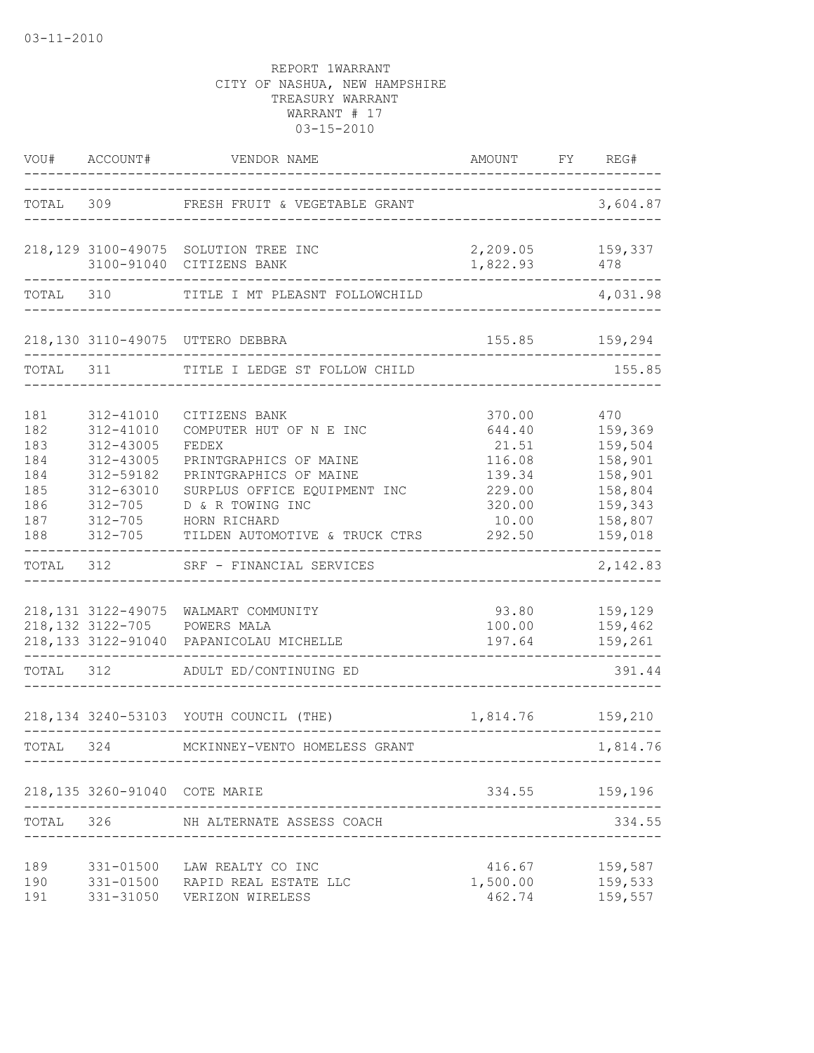|                                                             | VOU# ACCOUNT#                                                                                            | VENDOR NAME                                                                                                                                                                                                         | AMOUNT                                                                               | FY | REG#                                                                                        |
|-------------------------------------------------------------|----------------------------------------------------------------------------------------------------------|---------------------------------------------------------------------------------------------------------------------------------------------------------------------------------------------------------------------|--------------------------------------------------------------------------------------|----|---------------------------------------------------------------------------------------------|
| TOTAL                                                       |                                                                                                          | 309 FRESH FRUIT & VEGETABLE GRANT                                                                                                                                                                                   |                                                                                      |    | 3,604.87                                                                                    |
|                                                             | 3100-91040                                                                                               | 218,129 3100-49075 SOLUTION TREE INC<br>CITIZENS BANK                                                                                                                                                               | 2, 209.05 159, 337<br>1,822.93                                                       |    | 478                                                                                         |
| TOTAL                                                       | 310                                                                                                      | TITLE I MT PLEASNT FOLLOWCHILD                                                                                                                                                                                      |                                                                                      |    | 4,031.98                                                                                    |
|                                                             |                                                                                                          | 218,130 3110-49075 UTTERO DEBBRA                                                                                                                                                                                    |                                                                                      |    | 155.85 159,294                                                                              |
| TOTAL                                                       | 311                                                                                                      | TITLE I LEDGE ST FOLLOW CHILD                                                                                                                                                                                       |                                                                                      |    | 155.85                                                                                      |
| 181<br>182<br>183<br>184<br>184<br>185<br>186<br>187<br>188 | 312-41010<br>312-41010<br>312-43005<br>312-43005<br>312-59182<br>312-63010<br>$312 - 705$<br>$312 - 705$ | CITIZENS BANK<br>COMPUTER HUT OF N E INC<br>FEDEX<br>PRINTGRAPHICS OF MAINE<br>PRINTGRAPHICS OF MAINE<br>SURPLUS OFFICE EQUIPMENT INC<br>D & R TOWING INC<br>HORN RICHARD<br>312-705 TILDEN AUTOMOTIVE & TRUCK CTRS | 370.00<br>644.40<br>21.51<br>116.08<br>139.34<br>229.00<br>320.00<br>10.00<br>292.50 |    | 470<br>159,369<br>159,504<br>158,901<br>158,901<br>158,804<br>159,343<br>158,807<br>159,018 |
| TOTAL                                                       | 312                                                                                                      | SRF - FINANCIAL SERVICES                                                                                                                                                                                            |                                                                                      |    | $- - - - - - -$<br>2,142.83                                                                 |
| TOTAL 312                                                   |                                                                                                          | 218,131 3122-49075 WALMART COMMUNITY<br>218,132 3122-705 POWERS MALA<br>218,133 3122-91040 PAPANICOLAU MICHELLE<br>ADULT ED/CONTINUING ED                                                                           | 93.80<br>100.00<br>197.64                                                            |    | 159,129<br>159,462<br>159,261<br>391.44                                                     |
|                                                             |                                                                                                          | 218,134 3240-53103 YOUTH COUNCIL (THE)                                                                                                                                                                              | 1,814.76 159,210                                                                     |    |                                                                                             |
| TOTAL 324                                                   |                                                                                                          | MCKINNEY-VENTO HOMELESS GRANT                                                                                                                                                                                       |                                                                                      |    | 1,814.76                                                                                    |
|                                                             | 218,135 3260-91040 COTE MARIE                                                                            |                                                                                                                                                                                                                     |                                                                                      |    | 334.55 159,196                                                                              |
| TOTAL                                                       | 326                                                                                                      | NH ALTERNATE ASSESS COACH                                                                                                                                                                                           |                                                                                      |    | 334.55                                                                                      |
| 189<br>190<br>191                                           |                                                                                                          | 331-01500 LAW REALTY CO INC<br>331-01500 RAPID REAL ESTATE LLC<br>331-31050 VERIZON WIRELESS                                                                                                                        | 416.67<br>1,500.00<br>462.74                                                         |    | 159,587<br>159,533<br>159,557                                                               |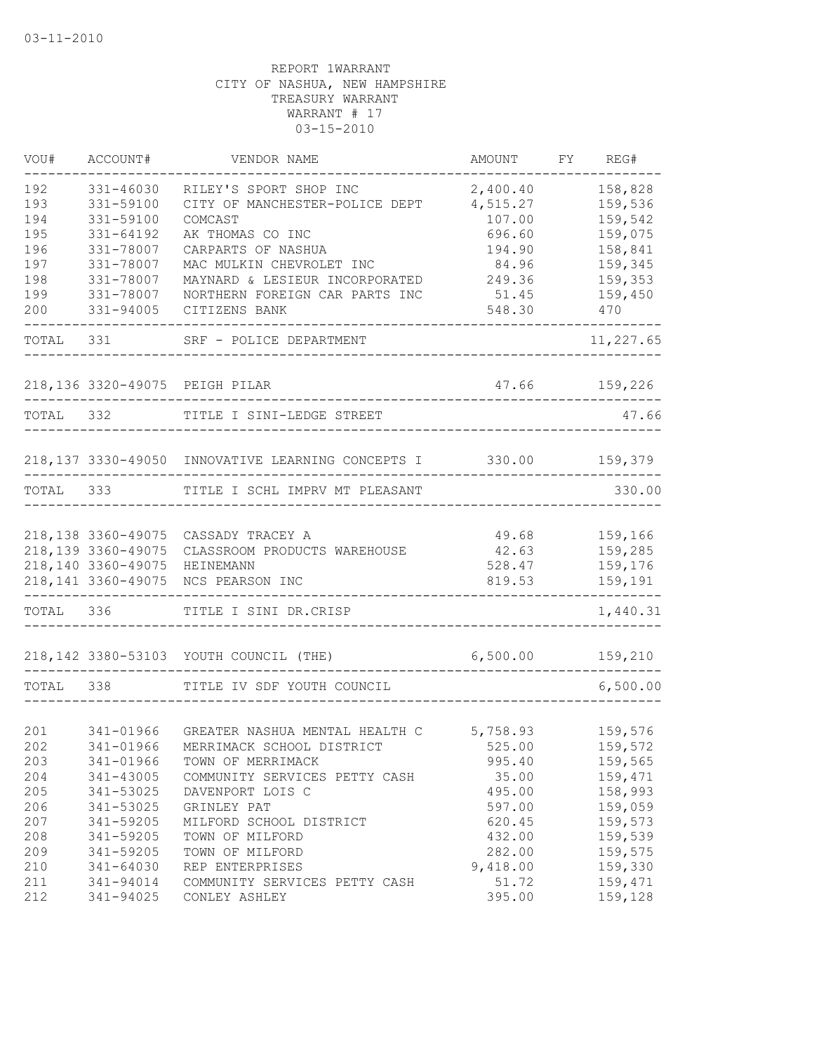| VOU#      | ACCOUNT#            | VENDOR NAME                                       | <b>AMOUNT</b> | FY | REG#           |
|-----------|---------------------|---------------------------------------------------|---------------|----|----------------|
| 192       | 331-46030           | RILEY'S SPORT SHOP INC                            | 2,400.40      |    | 158,828        |
| 193       | 331-59100           | CITY OF MANCHESTER-POLICE DEPT                    | 4,515.27      |    | 159,536        |
| 194       | 331-59100           | COMCAST                                           | 107.00        |    | 159,542        |
| 195       | 331-64192           | AK THOMAS CO INC                                  | 696.60        |    | 159,075        |
| 196       | 331-78007           | CARPARTS OF NASHUA                                | 194.90        |    | 158,841        |
| 197       | 331-78007           | MAC MULKIN CHEVROLET INC                          | 84.96         |    | 159,345        |
| 198       | 331-78007           | MAYNARD & LESIEUR INCORPORATED                    | 249.36        |    | 159,353        |
| 199       | 331-78007           | NORTHERN FOREIGN CAR PARTS INC                    | 51.45         |    | 159,450        |
| 200       | 331-94005           | CITIZENS BANK                                     | 548.30        |    | 470            |
| TOTAL     | 331                 | SRF - POLICE DEPARTMENT                           |               |    | 11,227.65      |
|           |                     | 218,136 3320-49075 PEIGH PILAR                    | 47.66         |    | 159,226        |
|           |                     |                                                   |               |    |                |
| TOTAL     | 332                 | TITLE I SINI-LEDGE STREET                         |               |    | 47.66          |
|           |                     | 218,137 3330-49050 INNOVATIVE LEARNING CONCEPTS I |               |    | 330.00 159,379 |
|           |                     | TOTAL 333 TITLE I SCHL IMPRV MT PLEASANT          |               |    | 330.00         |
|           |                     |                                                   |               |    |                |
|           |                     | 218,138 3360-49075 CASSADY TRACEY A               | 49.68         |    | 159,166        |
|           | 218, 139 3360-49075 | CLASSROOM PRODUCTS WAREHOUSE                      | 42.63         |    | 159,285        |
|           | 218,140 3360-49075  | HEINEMANN                                         | 528.47        |    | 159,176        |
|           | 218, 141 3360-49075 | NCS PEARSON INC                                   | 819.53        |    | 159,191        |
| TOTAL 336 |                     | TITLE I SINI DR.CRISP                             |               |    | 1,440.31       |
|           |                     | 218, 142 3380-53103 YOUTH COUNCIL (THE)           | 6,500.00      |    | 159,210        |
| TOTAL     | 338                 | TITLE IV SDF YOUTH COUNCIL                        |               |    | 6,500.00       |
|           |                     |                                                   |               |    |                |
| 201       | 341-01966           | GREATER NASHUA MENTAL HEALTH C                    | 5,758.93      |    | 159,576        |
| 202       | 341-01966           | MERRIMACK SCHOOL DISTRICT                         | 525.00        |    | 159,572        |
| 203       | 341-01966           | TOWN OF MERRIMACK                                 | 995.40        |    | 159,565        |
| 204       | 341-43005           | COMMUNITY SERVICES PETTY CASH                     | 35.00         |    | 159,471        |
| 205       | 341-53025           | DAVENPORT LOIS C                                  | 495.00        |    | 158,993        |
| 206       | 341-53025           | GRINLEY PAT                                       | 597.00        |    | 159,059        |
| 207       | 341-59205           | MILFORD SCHOOL DISTRICT                           | 620.45        |    | 159,573        |
| 208       | 341-59205           | TOWN OF MILFORD                                   | 432.00        |    | 159,539        |
| 209       | 341-59205           | TOWN OF MILFORD                                   | 282.00        |    | 159,575        |
| 210       | 341-64030           | REP ENTERPRISES                                   | 9,418.00      |    | 159,330        |
| 211       | 341-94014           | COMMUNITY SERVICES PETTY CASH                     | 51.72         |    | 159,471        |
| 212       | 341-94025           | CONLEY ASHLEY                                     | 395.00        |    | 159,128        |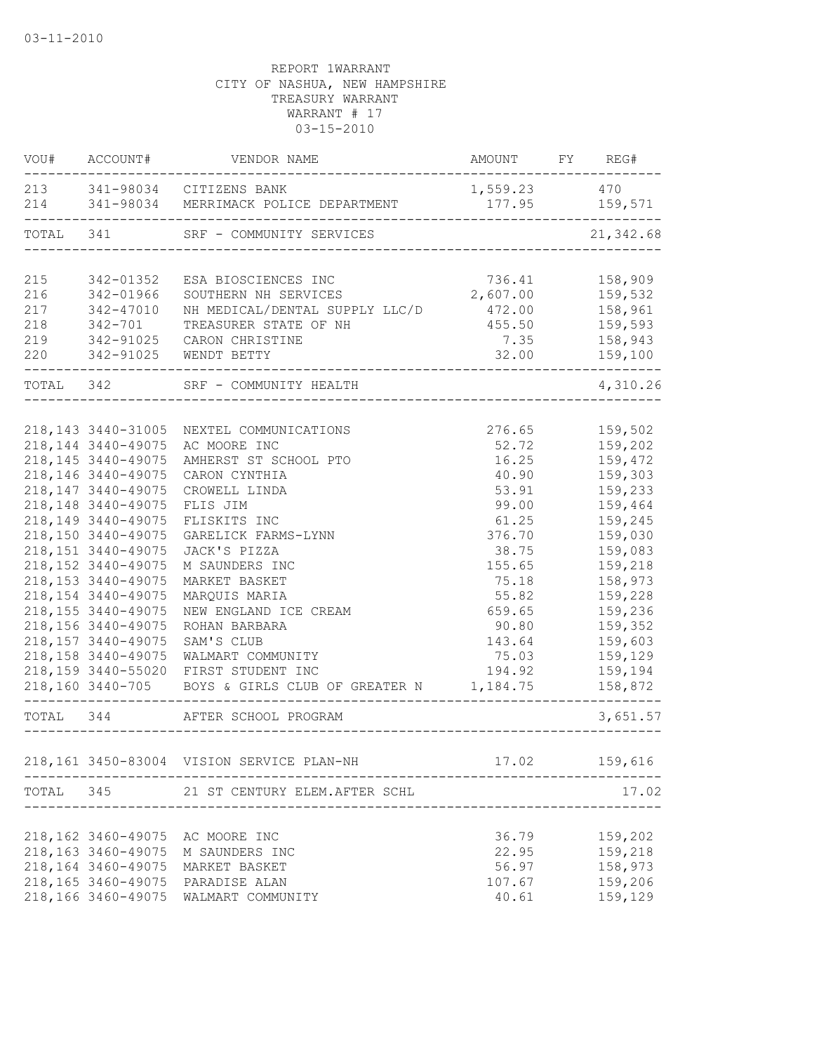|                                        | VOU# ACCOUNT#                                                                                                                                                                                                                                                                                                                                                             | VENDOR NAME                                                                                                                                                                                                                                                                                                                                                                                              | AMOUNT FY REG#                                                                                                                                              |                                                                                                                                                                                                    |
|----------------------------------------|---------------------------------------------------------------------------------------------------------------------------------------------------------------------------------------------------------------------------------------------------------------------------------------------------------------------------------------------------------------------------|----------------------------------------------------------------------------------------------------------------------------------------------------------------------------------------------------------------------------------------------------------------------------------------------------------------------------------------------------------------------------------------------------------|-------------------------------------------------------------------------------------------------------------------------------------------------------------|----------------------------------------------------------------------------------------------------------------------------------------------------------------------------------------------------|
|                                        |                                                                                                                                                                                                                                                                                                                                                                           | 213 341-98034 CITIZENS BANK<br>214   341-98034   MERRIMACK   POLICE   DEPARTMENT   177.95   159,571                                                                                                                                                                                                                                                                                                      | 1,559.23 470                                                                                                                                                |                                                                                                                                                                                                    |
| TOTAL 341                              |                                                                                                                                                                                                                                                                                                                                                                           | SRF - COMMUNITY SERVICES                                                                                                                                                                                                                                                                                                                                                                                 |                                                                                                                                                             | 21, 342.68                                                                                                                                                                                         |
| 215<br>216<br>217<br>218<br>219<br>220 | 342-01352<br>342-01966<br>342-47010<br>$342 - 701$<br>342-91025<br>342-91025                                                                                                                                                                                                                                                                                              | ESA BIOSCIENCES INC<br>SOUTHERN NH SERVICES<br>NH MEDICAL/DENTAL SUPPLY LLC/D<br>TREASURER STATE OF NH<br>CARON CHRISTINE<br>WENDT BETTY                                                                                                                                                                                                                                                                 | 736.41<br>2,607.00<br>472.00<br>455.50<br>7.35<br>32.00                                                                                                     | 158,909<br>159,532<br>158,961<br>159,593<br>158,943<br>159,100                                                                                                                                     |
|                                        |                                                                                                                                                                                                                                                                                                                                                                           | TOTAL 342 SRF - COMMUNITY HEALTH                                                                                                                                                                                                                                                                                                                                                                         |                                                                                                                                                             | 4,310.26                                                                                                                                                                                           |
|                                        | 218, 143 3440-31005<br>218, 144 3440-49075<br>218, 145 3440-49075<br>218,146 3440-49075<br>218, 147 3440-49075<br>218, 148 3440-49075<br>218, 149 3440-49075<br>218,150 3440-49075<br>218, 151 3440-49075<br>218, 152 3440-49075<br>218, 153 3440-49075<br>218, 154 3440-49075<br>218, 155 3440-49075<br>218,156 3440-49075<br>218, 157 3440-49075<br>218, 158 3440-49075 | NEXTEL COMMUNICATIONS<br>AC MOORE INC<br>AMHERST ST SCHOOL PTO<br>CARON CYNTHIA<br>CROWELL LINDA<br>FLIS JIM<br>FLISKITS INC<br>GARELICK FARMS-LYNN<br>JACK'S PIZZA<br>M SAUNDERS INC<br>MARKET BASKET<br>MARQUIS MARIA<br>NEW ENGLAND ICE CREAM<br>ROHAN BARBARA<br>SAM'S CLUB<br>WALMART COMMUNITY<br>218,159 3440-55020 FIRST STUDENT INC<br>218,160 3440-705 BOYS & GIRLS CLUB OF GREATER N 1,184.75 | 276.65<br>52.72<br>16.25<br>40.90<br>53.91<br>99.00<br>61.25<br>376.70<br>38.75<br>155.65<br>75.18<br>55.82<br>659.65<br>90.80<br>143.64<br>75.03<br>194.92 | 159,502<br>159,202<br>159,472<br>159,303<br>159,233<br>159,464<br>159,245<br>159,030<br>159,083<br>159,218<br>158,973<br>159,228<br>159,236<br>159,352<br>159,603<br>159,129<br>159,194<br>158,872 |
|                                        | TOTAL 344                                                                                                                                                                                                                                                                                                                                                                 | AFTER SCHOOL PROGRAM                                                                                                                                                                                                                                                                                                                                                                                     | --------------------------------                                                                                                                            | 3,651.57                                                                                                                                                                                           |
|                                        |                                                                                                                                                                                                                                                                                                                                                                           | 218,161 3450-83004 VISION SERVICE PLAN-NH                                                                                                                                                                                                                                                                                                                                                                |                                                                                                                                                             | 17.02    159,616                                                                                                                                                                                   |
| TOTAL                                  |                                                                                                                                                                                                                                                                                                                                                                           | 345 21 ST CENTURY ELEM.AFTER SCHL                                                                                                                                                                                                                                                                                                                                                                        |                                                                                                                                                             | 17.02                                                                                                                                                                                              |
|                                        | 218, 162 3460-49075<br>218, 163 3460-49075<br>218,164 3460-49075<br>218, 165 3460-49075<br>218,166 3460-49075                                                                                                                                                                                                                                                             | AC MOORE INC<br>M SAUNDERS INC<br>MARKET BASKET<br>PARADISE ALAN<br>WALMART COMMUNITY                                                                                                                                                                                                                                                                                                                    | 36.79<br>22.95<br>56.97<br>107.67<br>40.61                                                                                                                  | 159,202<br>159,218<br>158,973<br>159,206<br>159,129                                                                                                                                                |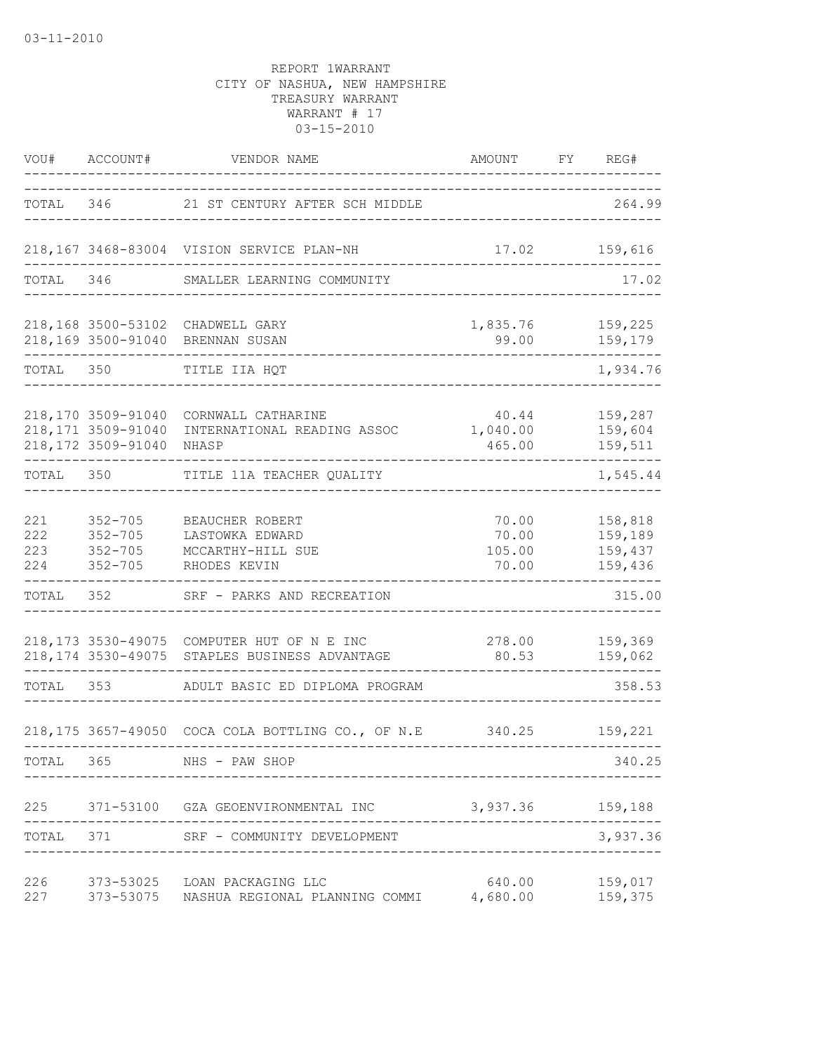| VOU#                     | ACCOUNT#                                                         | VENDOR NAME                                                                                 | AMOUNT            | FY | REG#                                                    |
|--------------------------|------------------------------------------------------------------|---------------------------------------------------------------------------------------------|-------------------|----|---------------------------------------------------------|
|                          |                                                                  | TOTAL 346 21 ST CENTURY AFTER SCH MIDDLE                                                    |                   |    | 264.99                                                  |
|                          |                                                                  | 218,167 3468-83004 VISION SERVICE PLAN-NH                                                   | 17.02             |    | 159,616                                                 |
| TOTAL                    | 346                                                              | SMALLER LEARNING COMMUNITY                                                                  |                   |    | 17.02                                                   |
|                          |                                                                  | 218,168 3500-53102 CHADWELL GARY<br>218,169 3500-91040 BRENNAN SUSAN                        | 1,835.76<br>99.00 |    | 159,225<br>159,179                                      |
| TOTAL 350                |                                                                  | TITLE IIA HQT                                                                               |                   |    | 1,934.76                                                |
|                          | 218,170 3509-91040<br>218, 171 3509-91040<br>218, 172 3509-91040 | CORNWALL CATHARINE<br>INTERNATIONAL READING ASSOC 1,040.00<br>NHASP                         | 40.44<br>465.00   |    | 159,287<br>159,604<br>159,511                           |
| TOTAL 350                |                                                                  | TITLE 11A TEACHER QUALITY                                                                   |                   |    | 1,545.44                                                |
| 221<br>222<br>223<br>224 | $352 - 705$<br>$352 - 705$<br>$352 - 705$<br>$352 - 705$         | BEAUCHER ROBERT<br>LASTOWKA EDWARD<br>MCCARTHY-HILL SUE<br>RHODES KEVIN                     | 105.00<br>70.00   |    | 70.00    158,818<br>70.00 159,189<br>159,437<br>159,436 |
| TOTAL                    | 352                                                              | SRF - PARKS AND RECREATION                                                                  |                   |    | 315.00                                                  |
|                          |                                                                  | 218,173 3530-49075 COMPUTER HUT OF N E INC<br>218,174 3530-49075 STAPLES BUSINESS ADVANTAGE | 278.00<br>80.53   |    | 159,369<br>159,062                                      |
| TOTAL 353                |                                                                  | ADULT BASIC ED DIPLOMA PROGRAM                                                              |                   |    | 358.53                                                  |
|                          |                                                                  | 218,175 3657-49050 COCA COLA BOTTLING CO., OF N.E                                           |                   |    | 340.25 159,221                                          |
| TOTAL                    | 365                                                              | NHS - PAW SHOP                                                                              |                   |    | 340.25                                                  |
|                          |                                                                  | 225 371-53100 GZA GEOENVIRONMENTAL INC                                                      | 3,937.36 159,188  |    |                                                         |
| TOTAL                    | 371                                                              | SRF - COMMUNITY DEVELOPMENT                                                                 |                   |    | 3,937.36                                                |
| 226<br>227               |                                                                  | 373-53025 LOAN PACKAGING LLC<br>373-53075 NASHUA REGIONAL PLANNING COMMI 4,680.00           | 640.00            |    | 159,017<br>159,375                                      |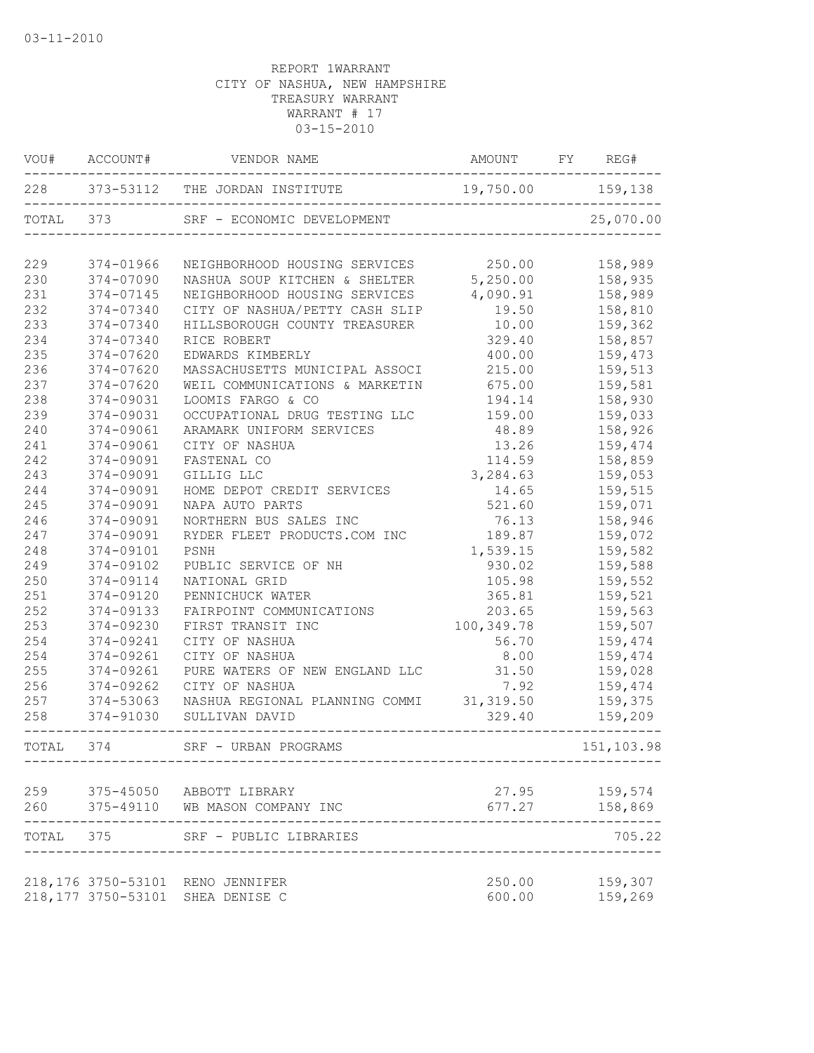|           | VOU# ACCOUNT# | VENDOR NAME                        | AMOUNT FY REG#    |                         |
|-----------|---------------|------------------------------------|-------------------|-------------------------|
|           |               | 228 373-53112 THE JORDAN INSTITUTE | 19,750.00 159,138 |                         |
| TOTAL 373 |               | SRF - ECONOMIC DEVELOPMENT         |                   | 25,070.00               |
| 229       | 374-01966     | NEIGHBORHOOD HOUSING SERVICES      | 250.00            | 158,989                 |
| 230       | 374-07090     | NASHUA SOUP KITCHEN & SHELTER      | 5,250.00          | 158,935                 |
| 231       | 374-07145     | NEIGHBORHOOD HOUSING SERVICES      | 4,090.91          | 158,989                 |
| 232       | 374-07340     | CITY OF NASHUA/PETTY CASH SLIP     | 19.50             | 158,810                 |
| 233       | 374-07340     | HILLSBOROUGH COUNTY TREASURER      | 10.00             | 159,362                 |
| 234       | 374-07340     | RICE ROBERT                        | 329.40            | 158,857                 |
| 235       | 374-07620     | EDWARDS KIMBERLY                   | 400.00            | 159,473                 |
| 236       | 374-07620     | MASSACHUSETTS MUNICIPAL ASSOCI     | 215.00            | 159,513                 |
| 237       | 374-07620     | WEIL COMMUNICATIONS & MARKETIN     | 675.00            | 159,581                 |
| 238       | 374-09031     | LOOMIS FARGO & CO                  | 194.14            | 158,930                 |
| 239       | 374-09031     | OCCUPATIONAL DRUG TESTING LLC      | 159.00            | 159,033                 |
| 240       | 374-09061     | ARAMARK UNIFORM SERVICES           | 48.89             | 158,926                 |
| 241       | 374-09061     | CITY OF NASHUA                     | 13.26             | 159,474                 |
| 242       | 374-09091     | FASTENAL CO                        | 114.59            | 158,859                 |
| 243       | 374-09091     | GILLIG LLC                         | 3,284.63          | 159,053                 |
| 244       | 374-09091     | HOME DEPOT CREDIT SERVICES         | 14.65             | 159,515                 |
| 245       | 374-09091     | NAPA AUTO PARTS                    | 521.60            | 159,071                 |
| 246       | 374-09091     | NORTHERN BUS SALES INC             | 76.13             | 158,946                 |
| 247       | 374-09091     | RYDER FLEET PRODUCTS.COM INC       | 189.87            | 159,072                 |
| 248       | 374-09101     | PSNH                               | 1,539.15          | 159,582                 |
| 249       | 374-09102     | PUBLIC SERVICE OF NH               | 930.02            | 159,588                 |
| 250       | 374-09114     | NATIONAL GRID                      | 105.98            | 159,552                 |
| 251       | 374-09120     | PENNICHUCK WATER                   | 365.81            | 159,521                 |
| 252       | 374-09133     | FAIRPOINT COMMUNICATIONS           | 203.65            | 159,563                 |
| 253       | 374-09230     | FIRST TRANSIT INC                  | 100,349.78        | 159,507                 |
| 254       | 374-09241     | CITY OF NASHUA                     | 56.70             | 159,474                 |
| 254       | 374-09261     | CITY OF NASHUA                     | 8.00              | 159,474                 |
| 255       | 374-09261     | PURE WATERS OF NEW ENGLAND LLC     | 31.50             | 159,028                 |
| 256       | 374-09262     | CITY OF NASHUA                     | 7.92              | 159,474                 |
| 257       | 374-53063     | NASHUA REGIONAL PLANNING COMMI     | 31, 319.50        | 159,375                 |
| 258       | 374-91030     | SULLIVAN DAVID                     | 329.40            | 159,209                 |
| TOTAL     | 374           | SRF - URBAN PROGRAMS               |                   | 151,103.98              |
|           |               |                                    |                   |                         |
| 259       |               | 375-45050 ABBOTT LIBRARY           | 27.95             | 159,574                 |
| 260       |               | 375-49110 WB MASON COMPANY INC     |                   | 677.27 158,869<br>----- |
| TOTAL 375 |               | SRF - PUBLIC LIBRARIES             |                   | 705.22                  |
|           |               | 218,176 3750-53101 RENO JENNIFER   | 250.00            | 159,307                 |
|           |               | 218,177 3750-53101 SHEA DENISE C   | 600.00            | 159,269                 |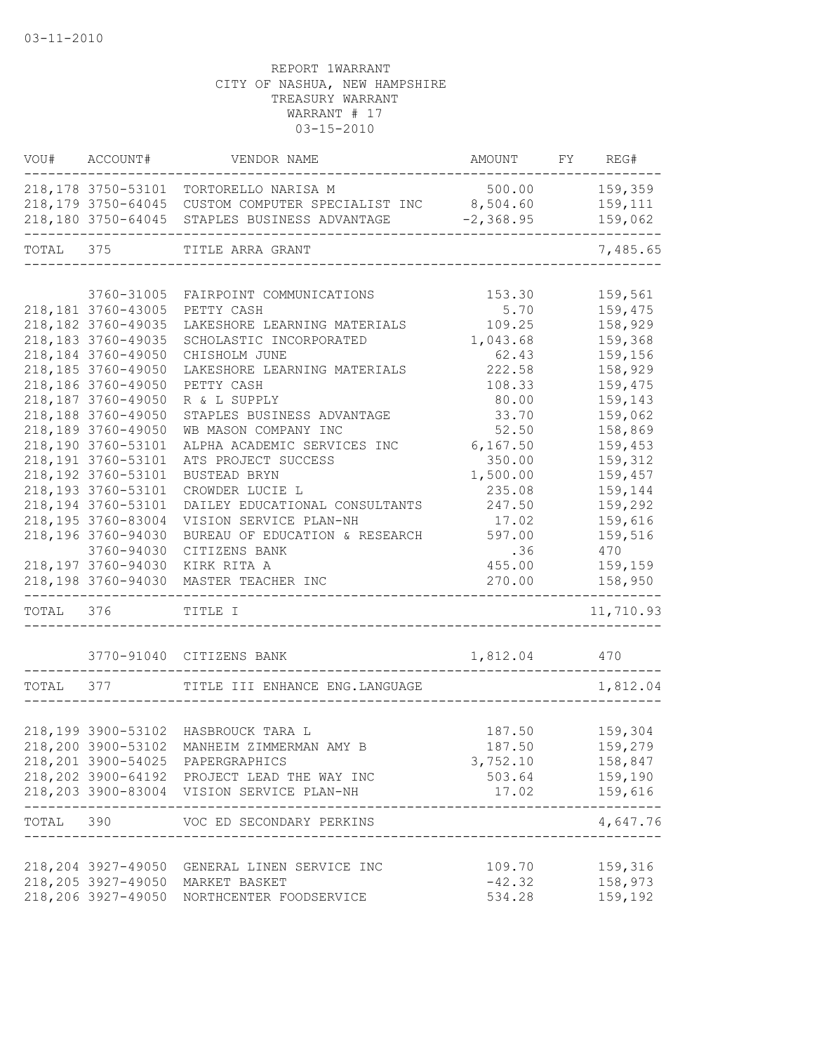|           | VOU# ACCOUNT#       | VENDOR NAME                                   | AMOUNT         | FY REG#             |
|-----------|---------------------|-----------------------------------------------|----------------|---------------------|
|           | 218,178 3750-53101  | TORTORELLO NARISA M                           |                | 500.00 159,359      |
|           | 218, 179 3750-64045 | CUSTOM COMPUTER SPECIALIST INC 8,504.60       |                | 159,111             |
|           | 218,180 3750-64045  | STAPLES BUSINESS ADVANTAGE                    | $-2, 368.95$   | 159,062             |
| TOTAL     | 375                 | TITLE ARRA GRANT                              |                | 7,485.65            |
|           |                     |                                               |                |                     |
|           | 3760-31005          | FAIRPOINT COMMUNICATIONS                      | 153.30         | 159,561             |
|           | 218, 181 3760-43005 | PETTY CASH                                    | 5.70           | 159,475             |
|           | 218,182 3760-49035  | LAKESHORE LEARNING MATERIALS                  | 109.25         | 158,929             |
|           | 218,183 3760-49035  | SCHOLASTIC INCORPORATED                       | 1,043.68       | 159,368             |
|           | 218,184 3760-49050  | CHISHOLM JUNE                                 | 62.43          | 159,156             |
|           | 218,185 3760-49050  | LAKESHORE LEARNING MATERIALS                  | 222.58         | 158,929             |
|           | 218,186 3760-49050  | PETTY CASH                                    | 108.33         | 159,475             |
|           | 218,187 3760-49050  | R & L SUPPLY                                  | 80.00          | 159,143             |
|           | 218,188 3760-49050  | STAPLES BUSINESS ADVANTAGE                    | 33.70          | 159,062             |
|           | 218,189 3760-49050  | WB MASON COMPANY INC                          | 52.50          | 158,869             |
|           | 218,190 3760-53101  | ALPHA ACADEMIC SERVICES INC                   | 6, 167.50      | 159,453             |
|           | 218,191 3760-53101  | ATS PROJECT SUCCESS                           | 350.00         | 159,312             |
|           | 218,192 3760-53101  | <b>BUSTEAD BRYN</b>                           | 1,500.00       | 159,457             |
|           | 218,193 3760-53101  | CROWDER LUCIE L                               | 235.08         | 159,144             |
|           | 218,194 3760-53101  | DAILEY EDUCATIONAL CONSULTANTS                | 247.50         | 159,292             |
|           | 218,195 3760-83004  | VISION SERVICE PLAN-NH                        | 17.02          | 159,616             |
|           | 218,196 3760-94030  | BUREAU OF EDUCATION & RESEARCH                | 597.00         | 159,516             |
|           | 3760-94030          |                                               | .36            | 470                 |
|           |                     | CITIZENS BANK                                 |                |                     |
|           | 218,197 3760-94030  | KIRK RITA A                                   | 455.00         | 159,159             |
|           | 218,198 3760-94030  | MASTER TEACHER INC<br>_________________       | 270.00         | 158,950             |
| TOTAL 376 |                     | TITLE I                                       |                | 11,710.93           |
|           |                     | 3770-91040 CITIZENS BANK                      | 1,812.04       | 470                 |
| TOTAL     | 377                 | TITLE III ENHANCE ENG. LANGUAGE               |                | 1,812.04            |
|           |                     |                                               |                |                     |
|           | 218,199 3900-53102  | HASBROUCK TARA L                              | 187.50         | 159,304             |
|           |                     | 218,200 3900-53102 MANHEIM ZIMMERMAN AMY B    | 187.50         | 159,279             |
|           |                     |                                               |                |                     |
|           |                     | 218, 201 3900-54025 PAPERGRAPHICS             | 3,752.10       | 158,847             |
|           |                     | 218, 202 3900-64192 PROJECT LEAD THE WAY INC  | 503.64 159,190 |                     |
|           |                     | 218,203 3900-83004 VISION SERVICE PLAN-NH     | 17.02 159,616  | . _ _ _ _ _ _ _ _ _ |
|           |                     | TOTAL 390 VOC ED SECONDARY PERKINS            |                | 4,647.76            |
|           |                     |                                               |                |                     |
|           |                     | 218, 204 3927-49050 GENERAL LINEN SERVICE INC | 109.70         | 159,316             |
|           |                     | 218,205 3927-49050 MARKET BASKET              | $-42.32$       | 158,973             |
|           |                     | 218,206 3927-49050 NORTHCENTER FOODSERVICE    | 534.28         | 159,192             |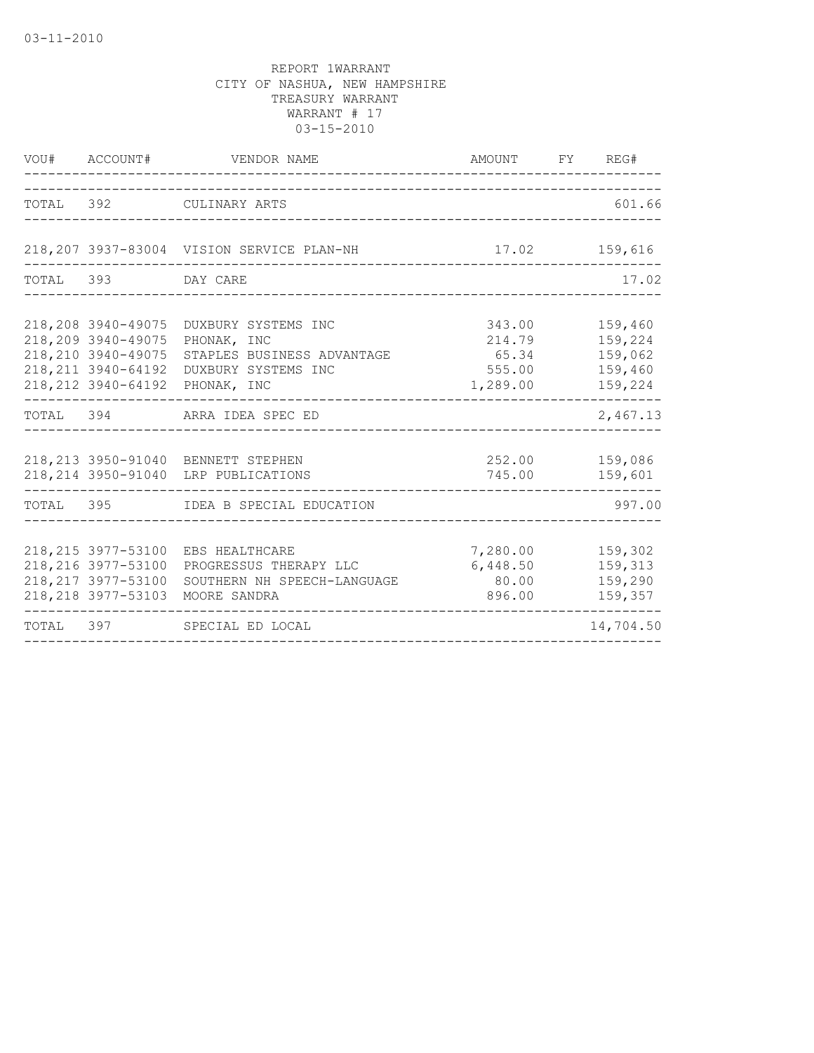|                                                                                          | VOU# ACCOUNT# VENDOR NAME                                                                                                  | AMOUNT FY REG#                                  |                                                     |
|------------------------------------------------------------------------------------------|----------------------------------------------------------------------------------------------------------------------------|-------------------------------------------------|-----------------------------------------------------|
|                                                                                          | TOTAL 392 CULINARY ARTS                                                                                                    |                                                 | 601.66                                              |
|                                                                                          | 218,207 3937-83004 VISION SERVICE PLAN-NH                                                                                  | 17.02 159,616                                   |                                                     |
| TOTAL 393 DAY CARE                                                                       |                                                                                                                            |                                                 | 17.02                                               |
| 218,208 3940-49075<br>218,209 3940-49075<br>218, 210 3940-49075<br>218, 211 3940-64192   | DUXBURY SYSTEMS INC<br>PHONAK, INC<br>STAPLES BUSINESS ADVANTAGE<br>DUXBURY SYSTEMS INC<br>218, 212 3940-64192 PHONAK, INC | 343.00<br>214.79<br>65.34<br>555.00<br>1,289.00 | 159,460<br>159,224<br>159,062<br>159,460<br>159,224 |
|                                                                                          | TOTAL 394 ARRA IDEA SPEC ED                                                                                                |                                                 | 2,467.13                                            |
|                                                                                          | 218, 213 3950-91040 BENNETT STEPHEN<br>218, 214 3950-91040 LRP PUBLICATIONS                                                | 252.00 159,086<br>745.00 159,601                |                                                     |
|                                                                                          | TOTAL 395 IDEA B SPECIAL EDUCATION                                                                                         |                                                 | 997.00                                              |
| 218, 215 3977-53100<br>218, 216 3977-53100<br>218, 217 3977-53100<br>218, 218 3977-53103 | EBS HEALTHCARE<br>PROGRESSUS THERAPY LLC<br>SOUTHERN NH SPEECH-LANGUAGE<br>MOORE SANDRA                                    | 7,280.00<br>6,448.50<br>80.00<br>896.00         | 159,302<br>159,313<br>159,290<br>159,357            |
|                                                                                          | TOTAL 397 SPECIAL ED LOCAL                                                                                                 |                                                 | 14,704.50                                           |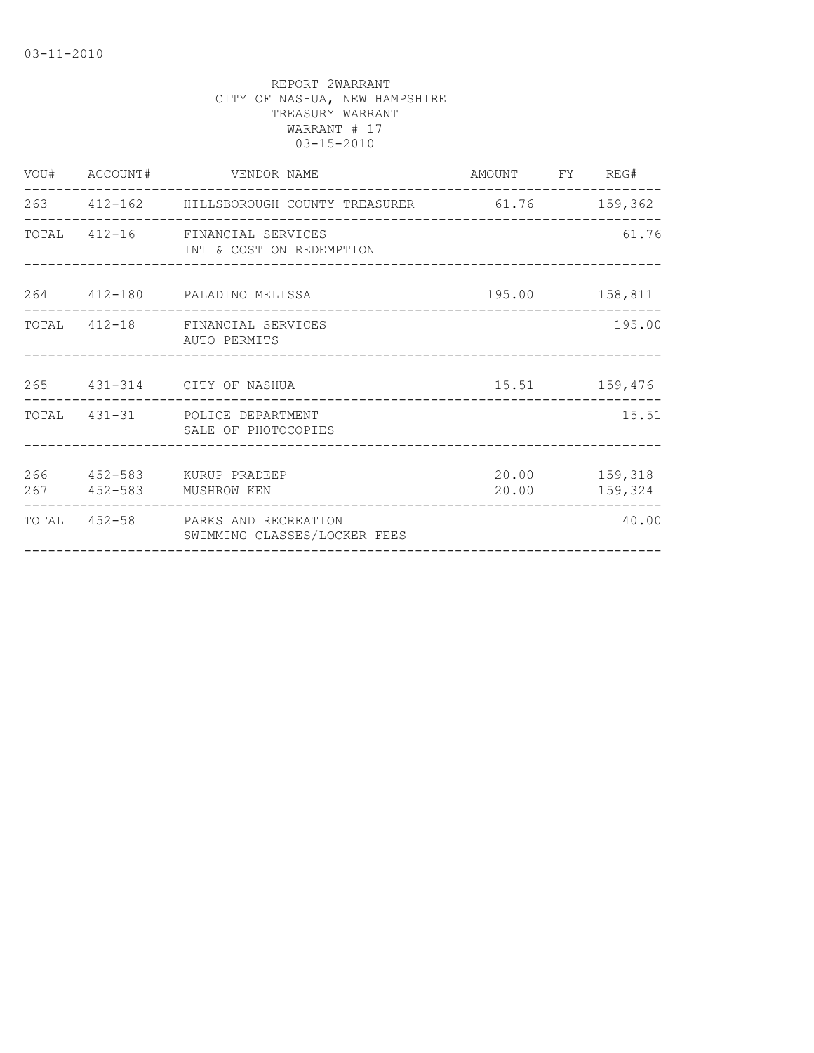|  | VOU# ACCOUNT# VENDOR NAME                                         | AMOUNT FY REG#    |                          |
|--|-------------------------------------------------------------------|-------------------|--------------------------|
|  | 263 412-162 HILLSBOROUGH COUNTY TREASURER 61.76 159,362           |                   |                          |
|  | TOTAL 412-16 FINANCIAL SERVICES<br>INT & COST ON REDEMPTION       |                   | 61.76                    |
|  | 264 412-180 PALADINO MELISSA                                      |                   | 195.00 158,811           |
|  | TOTAL 412-18 FINANCIAL SERVICES<br>AUTO PERMITS                   |                   | 195.00                   |
|  | 265 431-314 CITY OF NASHUA                                        | $15.51$ $159,476$ |                          |
|  | TOTAL 431-31 POLICE DEPARTMENT<br>SALE OF PHOTOCOPIES             |                   | 15.51                    |
|  | 266  452-583  KURUP PRADEEP<br>267 452-583 MUSHROW KEN            | 20.00             | 20.00 159,318<br>159,324 |
|  | TOTAL 452-58 PARKS AND RECREATION<br>SWIMMING CLASSES/LOCKER FEES |                   | 40.00                    |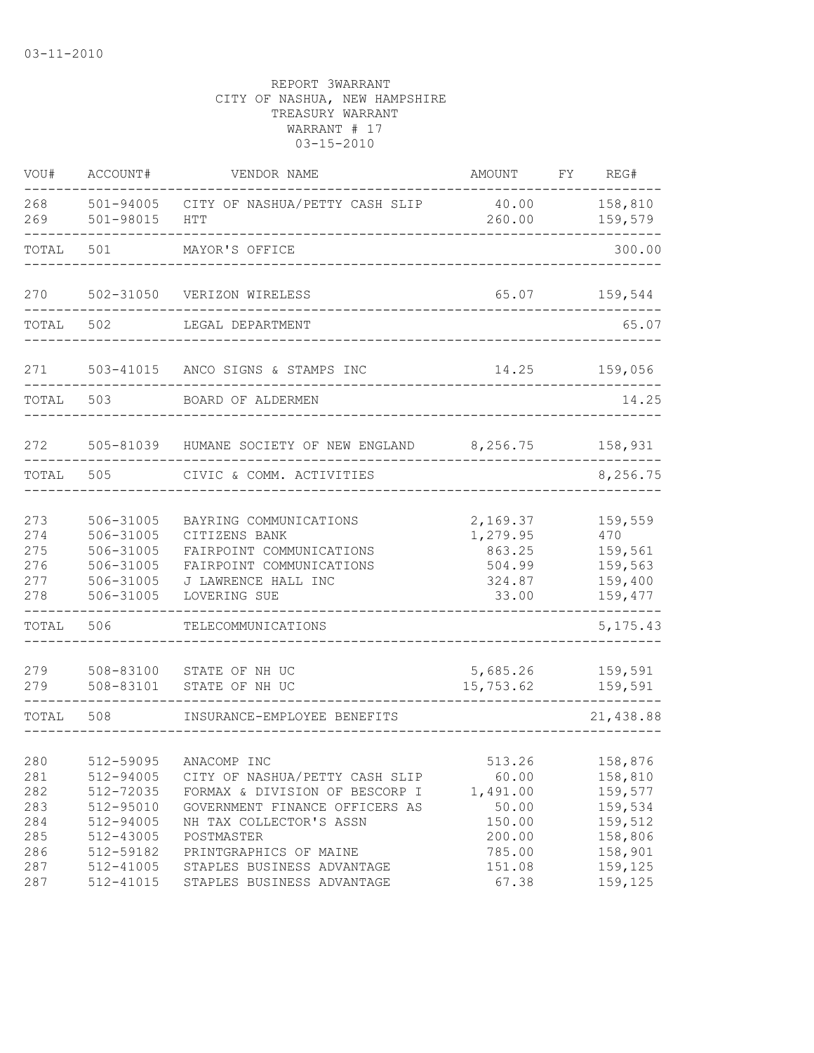| VOU#                                   | ACCOUNT#                                                                   | VENDOR NAME                                                                                                                                                | AMOUNT                                                      | FY | REG#                                                           |
|----------------------------------------|----------------------------------------------------------------------------|------------------------------------------------------------------------------------------------------------------------------------------------------------|-------------------------------------------------------------|----|----------------------------------------------------------------|
| 268<br>269                             | 501-98015                                                                  | 501-94005 CITY OF NASHUA/PETTY CASH SLIP<br>HTT                                                                                                            | 40.00<br>260.00                                             |    | 158,810<br>159,579                                             |
| TOTAL                                  | 501                                                                        | MAYOR'S OFFICE                                                                                                                                             |                                                             |    | 300.00                                                         |
| 270                                    | 502-31050                                                                  | VERIZON WIRELESS                                                                                                                                           | 65.07                                                       |    | 159,544                                                        |
| TOTAL                                  | 502                                                                        | LEGAL DEPARTMENT                                                                                                                                           |                                                             |    | 65.07                                                          |
| 271                                    | 503-41015                                                                  | ANCO SIGNS & STAMPS INC                                                                                                                                    | 14.25                                                       |    | 159,056                                                        |
| TOTAL                                  | 503                                                                        | BOARD OF ALDERMEN                                                                                                                                          |                                                             |    | 14.25                                                          |
| 272                                    | 505-81039                                                                  | HUMANE SOCIETY OF NEW ENGLAND 8,256.75                                                                                                                     |                                                             |    | 158,931                                                        |
| TOTAL                                  | 505                                                                        | CIVIC & COMM. ACTIVITIES                                                                                                                                   |                                                             |    | 8,256.75                                                       |
| 273<br>274<br>275<br>276<br>277<br>278 | 506-31005<br>506-31005<br>506-31005<br>506-31005<br>506-31005<br>506-31005 | BAYRING COMMUNICATIONS<br>CITIZENS BANK<br>FAIRPOINT COMMUNICATIONS<br>FAIRPOINT COMMUNICATIONS<br>J LAWRENCE HALL INC<br>LOVERING SUE                     | 2,169.37<br>1,279.95<br>863.25<br>504.99<br>324.87<br>33.00 |    | 159,559<br>470<br>159,561<br>159,563<br>159,400<br>159,477     |
| TOTAL                                  | 506                                                                        | TELECOMMUNICATIONS                                                                                                                                         |                                                             |    | 5, 175. 43                                                     |
| 279<br>279                             | 508-83100<br>508-83101                                                     | STATE OF NH UC<br>STATE OF NH UC                                                                                                                           | 5,685.26<br>15,753.62                                       |    | 159,591<br>159,591                                             |
| TOTAL                                  | 508                                                                        | INSURANCE-EMPLOYEE BENEFITS                                                                                                                                |                                                             |    | 21,438.88                                                      |
| 280<br>281<br>282<br>283<br>284<br>285 | 512-59095<br>512-94005<br>512-72035<br>512-95010<br>512-94005<br>512-43005 | ANACOMP INC<br>CITY OF NASHUA/PETTY CASH SLIP<br>FORMAX & DIVISION OF BESCORP I<br>GOVERNMENT FINANCE OFFICERS AS<br>NH TAX COLLECTOR'S ASSN<br>POSTMASTER | 513.26<br>60.00<br>1,491.00<br>50.00<br>150.00<br>200.00    |    | 158,876<br>158,810<br>159,577<br>159,534<br>159,512<br>158,806 |
| 286<br>287<br>287                      | 512-59182<br>512-41005<br>512-41015                                        | PRINTGRAPHICS OF MAINE<br>STAPLES BUSINESS ADVANTAGE<br>STAPLES BUSINESS ADVANTAGE                                                                         | 785.00<br>151.08<br>67.38                                   |    | 158,901<br>159,125<br>159,125                                  |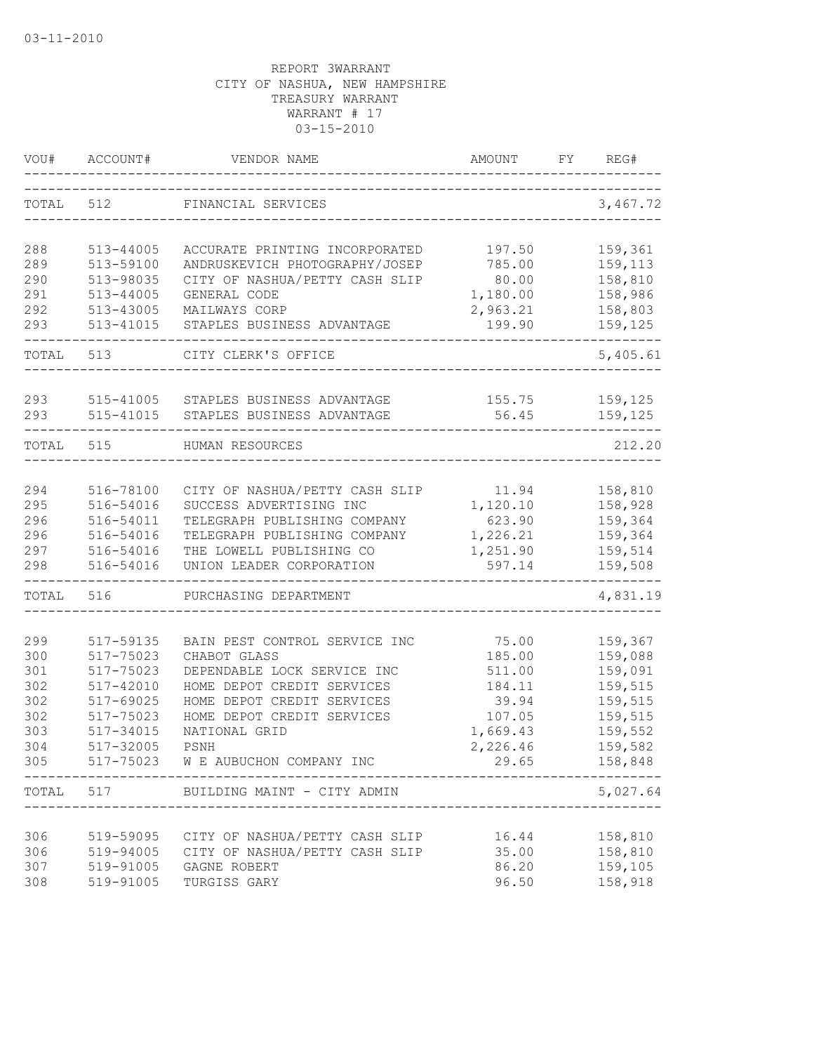| VOU#       | ACCOUNT#                   | VENDOR NAME                                                      | AMOUNT           | FY | REG#                   |
|------------|----------------------------|------------------------------------------------------------------|------------------|----|------------------------|
| TOTAL      | 512                        | FINANCIAL SERVICES                                               |                  |    | 3,467.72               |
|            |                            |                                                                  |                  |    |                        |
| 288<br>289 | $513 - 44005$<br>513-59100 | ACCURATE PRINTING INCORPORATED<br>ANDRUSKEVICH PHOTOGRAPHY/JOSEP | 197.50<br>785.00 |    | 159,361<br>159,113     |
| 290        | 513-98035                  | CITY OF NASHUA/PETTY CASH SLIP                                   | 80.00            |    | 158,810                |
| 291        | 513-44005                  | GENERAL CODE                                                     | 1,180.00         |    | 158,986                |
| 292        | 513-43005                  | MAILWAYS CORP                                                    | 2,963.21         |    | 158,803                |
| 293        | 513-41015                  | STAPLES BUSINESS ADVANTAGE                                       | 199.90           |    | 159,125                |
| TOTAL      | 513                        | CITY CLERK'S OFFICE                                              |                  |    | 5,405.61               |
| 293        | 515-41005                  | STAPLES BUSINESS ADVANTAGE                                       | 155.75           |    | 159,125                |
| 293        | 515-41015                  | STAPLES BUSINESS ADVANTAGE                                       | 56.45            |    | 159,125                |
| TOTAL      | 515                        | HUMAN RESOURCES                                                  |                  |    | 212.20                 |
|            |                            |                                                                  |                  |    |                        |
| 294        | 516-78100                  | CITY OF NASHUA/PETTY CASH SLIP                                   | 11.94            |    | 158,810                |
| 295        | 516-54016                  | SUCCESS ADVERTISING INC                                          | 1,120.10         |    | 158,928                |
| 296        | 516-54011                  | TELEGRAPH PUBLISHING COMPANY                                     | 623.90           |    | 159,364                |
| 296        | 516-54016                  | TELEGRAPH PUBLISHING COMPANY                                     | 1,226.21         |    | 159,364                |
| 297        | 516-54016                  | THE LOWELL PUBLISHING CO                                         | 1,251.90         |    | 159,514                |
| 298        | 516-54016                  | UNION LEADER CORPORATION                                         | 597.14           |    | 159,508                |
| TOTAL      | 516                        | PURCHASING DEPARTMENT                                            |                  |    | 4,831.19               |
| 299        | 517-59135                  | BAIN PEST CONTROL SERVICE INC                                    | 75.00            |    | 159,367                |
| 300        | 517-75023                  | CHABOT GLASS                                                     | 185.00           |    | 159,088                |
| 301        | 517-75023                  | DEPENDABLE LOCK SERVICE INC                                      | 511.00           |    | 159,091                |
| 302        | 517-42010                  | HOME DEPOT CREDIT SERVICES                                       | 184.11           |    | 159,515                |
| 302        | 517-69025                  | HOME DEPOT CREDIT SERVICES                                       | 39.94            |    | 159,515                |
| 302        | 517-75023                  | HOME DEPOT CREDIT SERVICES                                       | 107.05           |    | 159,515                |
| 303        | 517-34015                  | NATIONAL GRID                                                    | 1,669.43         |    | 159,552                |
| 304        | 517-32005                  | PSNH                                                             | 2,226.46         |    | 159,582                |
| 305        |                            | 517-75023 W E AUBUCHON COMPANY INC                               | 29.65            |    | 158,848<br>----------- |
|            |                            | TOTAL 517 BUILDING MAINT - CITY ADMIN                            |                  |    | 5,027.64               |
|            |                            |                                                                  |                  |    |                        |
| 306<br>306 | 519-59095                  | CITY OF NASHUA/PETTY CASH SLIP<br>CITY OF NASHUA/PETTY CASH SLIP | 16.44<br>35.00   |    | 158,810<br>158,810     |
| 307        | 519-94005<br>519-91005     | GAGNE ROBERT                                                     | 86.20            |    | 159,105                |
| 308        | 519-91005                  | TURGISS GARY                                                     | 96.50            |    | 158,918                |
|            |                            |                                                                  |                  |    |                        |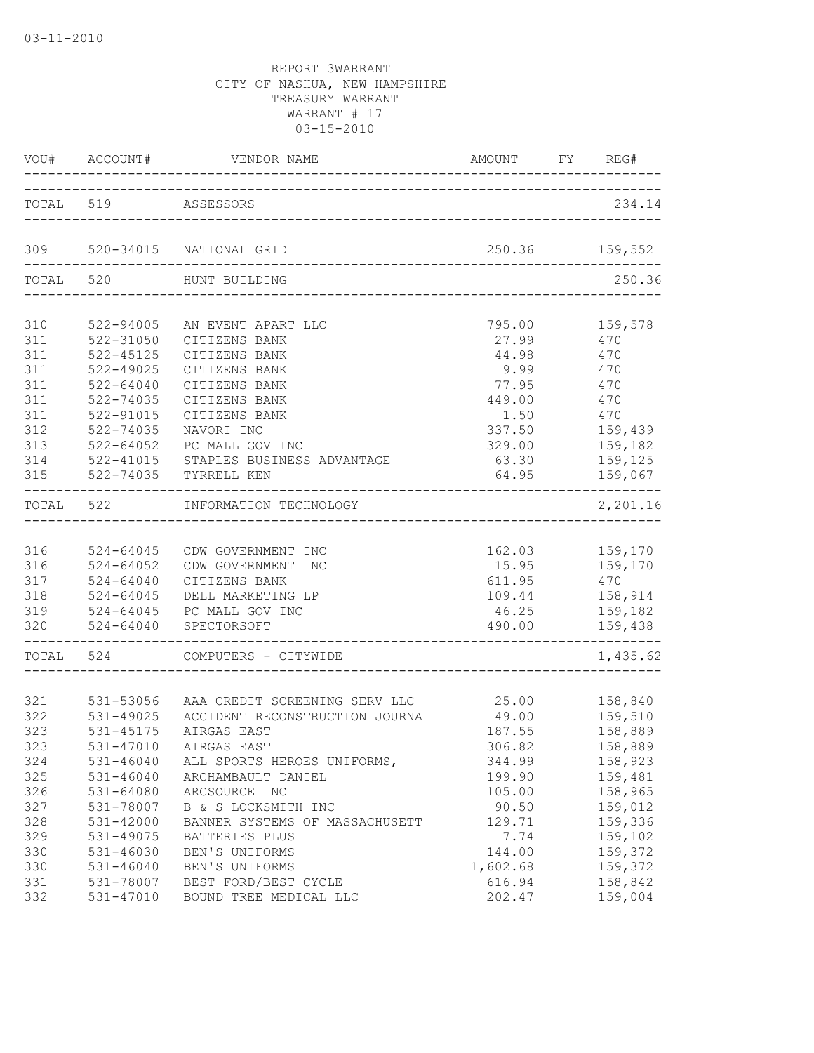|           |                     | VOU# ACCOUNT# VENDOR NAME AMOUNT FY                                                                     | AMOUNT FY REG# |     |                               |
|-----------|---------------------|---------------------------------------------------------------------------------------------------------|----------------|-----|-------------------------------|
|           | TOTAL 519 ASSESSORS |                                                                                                         |                |     | 234.14                        |
|           |                     | 309 520-34015 NATIONAL GRID                                                                             | 250.36 159,552 |     |                               |
|           | TOTAL 520           | HUNT BUILDING                                                                                           |                |     | 250.36                        |
| 310       | 522-94005           | AN EVENT APART LLC                                                                                      | 795.00         |     | 159,578                       |
| 311       | 522-31050           | CITIZENS BANK                                                                                           | 27.99          |     | 470                           |
| 311       | 522-45125           | CITIZENS BANK                                                                                           | 44.98 470      |     |                               |
| 311       | 522-49025           | CITIZENS BANK                                                                                           | 9.99 470       |     |                               |
| 311       | 522-64040           | CITIZENS BANK                                                                                           | 77.95 470      |     |                               |
| 311       | 522-74035           | CITIZENS BANK                                                                                           | 449.00         | 470 |                               |
| 311       | 522-91015           | CITIZENS BANK                                                                                           | 1.50 470       |     |                               |
| 312       | 522-74035           | NAVORI INC                                                                                              | 337.50         |     | 159,439                       |
| 313       | $522 - 64052$       | PC MALL GOV INC                                                                                         | 329.00         |     | 159,182                       |
| 314       |                     |                                                                                                         | 63.30          |     | 159,125                       |
| 315       |                     | 522-64052    PC MALL GOV INC<br>522-41015    STAPLES BUSINESS ADVANTAGE<br>522-74035    TYRRELL KEN     |                |     | 64.95 159,067                 |
| TOTAL 522 |                     | ---------------------------------<br>INFORMATION TECHNOLOGY                                             |                |     | _________________<br>2,201.16 |
|           |                     |                                                                                                         |                |     |                               |
| 316       |                     | 524-64045 CDW GOVERNMENT INC                                                                            |                |     | 162.03 159,170                |
| 316       | $524 - 64052$       | CDW GOVERNMENT INC                                                                                      |                |     | 15.95 159,170                 |
| 317       |                     |                                                                                                         | 611.95         |     |                               |
| 318       |                     | 524-64040 CITIZENS BANK<br>524-64045 DELL MARKETING I<br>524-64045 PC MALL GOV INC<br>DELL MARKETING LP | 109.44         |     | 470<br>158,914                |
| 319       |                     |                                                                                                         | 46.25          |     | 159,182                       |
|           |                     | 320   524-64040   SPECTORSOFT                                                                           | 490.00         |     | 159,438                       |
|           |                     | TOTAL 524 COMPUTERS - CITYWIDE                                                                          |                |     | 1,435.62                      |
|           |                     |                                                                                                         |                |     |                               |
|           |                     | 321 531-53056 AAA CREDIT SCREENING SERV LLC                                                             |                |     | 25.00 158,840                 |
| 322       |                     | 531-49025 ACCIDENT RECONSTRUCTION JOURNA                                                                | 49.00          |     | 159,510                       |
| 323       | 531-45175           | AIRGAS EAST                                                                                             | 187.55         |     | 158,889                       |
| 323       |                     | 531-47010 AIRGAS EAST                                                                                   |                |     | 306.82 158,889                |
| 324       | $531 - 46040$       | ALL SPORTS HEROES UNIFORMS,                                                                             | 344.99         |     | 158,923                       |
| 325       | $531 - 46040$       | ARCHAMBAULT DANIEL                                                                                      | 199.90         |     | 159,481                       |
| 326       | $531 - 64080$       | ARCSOURCE INC                                                                                           | 105.00         |     | 158,965                       |
| 327       | 531-78007           | B & S LOCKSMITH INC                                                                                     | 90.50          |     | 159,012                       |
| 328       | 531-42000           | BANNER SYSTEMS OF MASSACHUSETT                                                                          | 129.71         |     | 159,336                       |
| 329       | 531-49075           | BATTERIES PLUS                                                                                          | 7.74           |     | 159,102                       |
| 330       | 531-46030           | BEN'S UNIFORMS                                                                                          | 144.00         |     | 159,372                       |
| 330       | $531 - 46040$       | BEN'S UNIFORMS                                                                                          | 1,602.68       |     | 159,372                       |
| 331       | 531-78007           | BEST FORD/BEST CYCLE                                                                                    | 616.94         |     | 158,842                       |
| 332       | 531-47010           | BOUND TREE MEDICAL LLC                                                                                  | 202.47         |     | 159,004                       |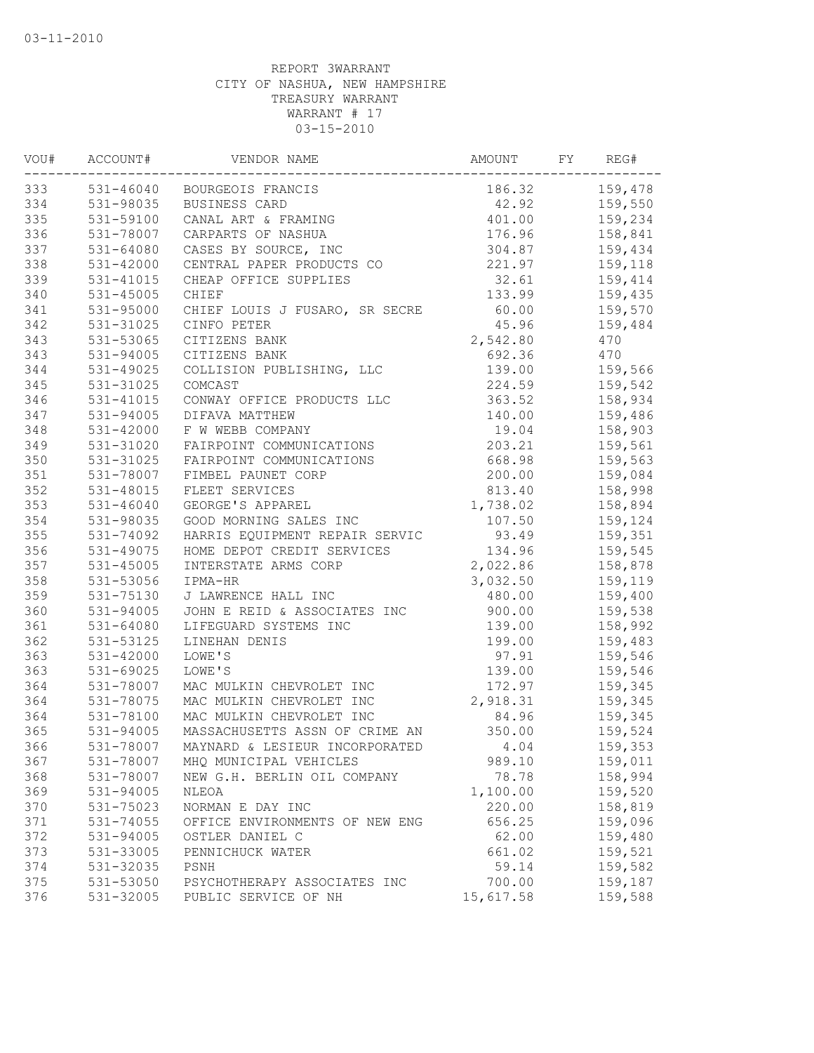| VOU# | ACCOUNT#      | VENDOR NAME                    | AMOUNT    | FY | REG#    |
|------|---------------|--------------------------------|-----------|----|---------|
| 333  |               | 531-46040 BOURGEOIS FRANCIS    | 186.32    |    | 159,478 |
| 334  | 531-98035     | BUSINESS CARD                  | 42.92     |    | 159,550 |
| 335  | 531-59100     | CANAL ART & FRAMING            | 401.00    |    | 159,234 |
| 336  | 531-78007     | CARPARTS OF NASHUA             | 176.96    |    | 158,841 |
| 337  | $531 - 64080$ | CASES BY SOURCE, INC           | 304.87    |    | 159,434 |
| 338  | 531-42000     | CENTRAL PAPER PRODUCTS CO      | 221.97    |    | 159,118 |
| 339  | $531 - 41015$ | CHEAP OFFICE SUPPLIES          | 32.61     |    | 159,414 |
| 340  | 531-45005     | CHIEF                          | 133.99    |    | 159,435 |
| 341  | 531-95000     | CHIEF LOUIS J FUSARO, SR SECRE | 60.00     |    | 159,570 |
| 342  | 531-31025     | CINFO PETER                    | 45.96     |    | 159,484 |
| 343  | 531-53065     | CITIZENS BANK                  | 2,542.80  |    | 470     |
| 343  | $531 - 94005$ | CITIZENS BANK                  | 692.36    |    | 470     |
| 344  | $531 - 49025$ | COLLISION PUBLISHING, LLC      | 139.00    |    | 159,566 |
| 345  | 531-31025     | COMCAST                        | 224.59    |    | 159,542 |
| 346  | 531-41015     | CONWAY OFFICE PRODUCTS LLC     | 363.52    |    | 158,934 |
| 347  | 531-94005     | DIFAVA MATTHEW                 | 140.00    |    | 159,486 |
| 348  | 531-42000     | F W WEBB COMPANY               | 19.04     |    | 158,903 |
| 349  | 531-31020     | FAIRPOINT COMMUNICATIONS       | 203.21    |    | 159,561 |
| 350  | 531-31025     | FAIRPOINT COMMUNICATIONS       | 668.98    |    | 159,563 |
| 351  | 531-78007     | FIMBEL PAUNET CORP             | 200.00    |    | 159,084 |
| 352  | 531-48015     | FLEET SERVICES                 | 813.40    |    | 158,998 |
| 353  | $531 - 46040$ | GEORGE'S APPAREL               | 1,738.02  |    | 158,894 |
| 354  | 531-98035     | GOOD MORNING SALES INC         | 107.50    |    | 159,124 |
| 355  | 531-74092     | HARRIS EQUIPMENT REPAIR SERVIC | 93.49     |    | 159,351 |
| 356  | 531-49075     | HOME DEPOT CREDIT SERVICES     | 134.96    |    | 159,545 |
| 357  | $531 - 45005$ | INTERSTATE ARMS CORP           | 2,022.86  |    | 158,878 |
| 358  | 531-53056     | IPMA-HR                        | 3,032.50  |    | 159,119 |
| 359  | 531-75130     | J LAWRENCE HALL INC            | 480.00    |    | 159,400 |
| 360  | 531-94005     | JOHN E REID & ASSOCIATES INC   | 900.00    |    | 159,538 |
| 361  | 531-64080     | LIFEGUARD SYSTEMS INC          | 139.00    |    | 158,992 |
| 362  | 531-53125     | LINEHAN DENIS                  | 199.00    |    | 159,483 |
| 363  | $531 - 42000$ | LOWE'S                         | 97.91     |    | 159,546 |
| 363  | $531 - 69025$ | LOWE'S                         | 139.00    |    | 159,546 |
| 364  | 531-78007     | MAC MULKIN CHEVROLET INC       | 172.97    |    | 159,345 |
| 364  | 531-78075     | MAC MULKIN CHEVROLET INC       | 2,918.31  |    | 159,345 |
| 364  | 531-78100     | MAC MULKIN CHEVROLET INC       | 84.96     |    | 159,345 |
| 365  | 531-94005     | MASSACHUSETTS ASSN OF CRIME AN | 350.00    |    | 159,524 |
| 366  | 531-78007     | MAYNARD & LESIEUR INCORPORATED | 4.04      |    | 159,353 |
| 367  | 531-78007     | MHQ MUNICIPAL VEHICLES         | 989.10    |    | 159,011 |
| 368  | 531-78007     | NEW G.H. BERLIN OIL COMPANY    | 78.78     |    | 158,994 |
| 369  | 531-94005     | <b>NLEOA</b>                   | 1,100.00  |    | 159,520 |
| 370  | 531-75023     | NORMAN E DAY INC               | 220.00    |    | 158,819 |
| 371  | 531-74055     | OFFICE ENVIRONMENTS OF NEW ENG | 656.25    |    | 159,096 |
| 372  | 531-94005     | OSTLER DANIEL C                | 62.00     |    | 159,480 |
| 373  | 531-33005     | PENNICHUCK WATER               | 661.02    |    | 159,521 |
| 374  | 531-32035     | PSNH                           | 59.14     |    | 159,582 |
| 375  | 531-53050     | PSYCHOTHERAPY ASSOCIATES INC   | 700.00    |    | 159,187 |
| 376  | 531-32005     | PUBLIC SERVICE OF NH           | 15,617.58 |    | 159,588 |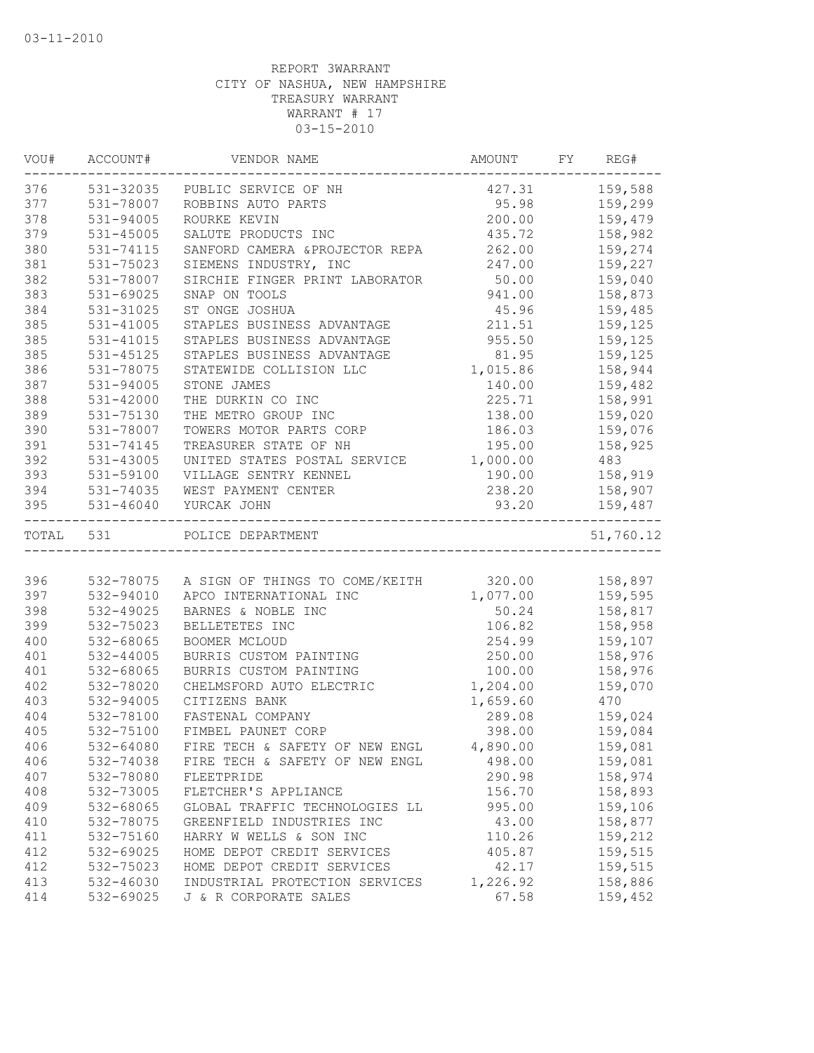| VOU# | ACCOUNT#      | VENDOR NAME                                             | AMOUNT FY REG#   |                    |
|------|---------------|---------------------------------------------------------|------------------|--------------------|
| 376  |               | 531-32035 PUBLIC SERVICE OF NH                          | 427.31 159,588   |                    |
| 377  | 531-78007     | ROBBINS AUTO PARTS                                      |                  | 95.98 159,299      |
| 378  | $531 - 94005$ | ROURKE KEVIN                                            |                  | 200.00 159,479     |
| 379  | 531-45005     | SALUTE PRODUCTS INC                                     | 435.72           | 158,982            |
| 380  | 531-74115     | SANFORD CAMERA & PROJECTOR REPA                         | 262.00           | 159,274            |
| 381  | 531-75023     | SIEMENS INDUSTRY, INC                                   | 247.00           | 159,227            |
| 382  | 531-78007     | SIRCHIE FINGER PRINT LABORATOR                          | 50.00            | 159,040            |
| 383  | 531-69025     | SNAP ON TOOLS                                           | 941.00           | 158,873            |
| 384  | 531-31025     | ST ONGE JOSHUA                                          | 45.96            | 159,485            |
| 385  | 531-41005     | STAPLES BUSINESS ADVANTAGE                              | 211.51           | 159,125            |
| 385  | 531-41015     | STAPLES BUSINESS ADVANTAGE                              | 955.50           | 159,125            |
| 385  | 531-45125     | STAPLES BUSINESS ADVANTAGE                              |                  | 81.95 159,125      |
| 386  | 531-78075     | STATEWIDE COLLISION LLC                                 | 1,015.86         | 158,944            |
| 387  | 531-94005     | STONE JAMES                                             | 140.00           | 159,482            |
| 388  | 531-42000     | THE DURKIN CO INC                                       | 225.71           | 158,991            |
| 389  | 531-75130     | THE METRO GROUP INC                                     | 138.00           | 159,020            |
| 390  | 531-78007     | TOWERS MOTOR PARTS CORP                                 | 186.03           | 159,076            |
| 391  | 531-74145     | TREASURER STATE OF NH                                   | 195.00           | 158,925            |
| 392  | 531-43005     | UNITED STATES POSTAL SERVICE 1,000.00                   |                  | 483                |
| 393  | 531-59100     | VILLAGE SENTRY KENNEL                                   | 190.00           | 158,919            |
| 394  | 531-74035     | WEST PAYMENT CENTER                                     | 238.20           | 158,907            |
| 395  |               | 531-46040 YURCAK JOHN                                   | 93.20            | 159,487<br>------- |
|      | TOTAL 531     | POLICE DEPARTMENT                                       |                  | 51,760.12          |
|      |               |                                                         |                  |                    |
| 396  |               | 532-78075 A SIGN OF THINGS TO COME/KEITH 320.00 158,897 |                  |                    |
| 397  | 532-94010     | APCO INTERNATIONAL INC                                  | 1,077.00 159,595 |                    |
| 398  | 532-49025     | BARNES & NOBLE INC                                      |                  | 50.24 158,817      |
| 399  | 532-75023     | BELLETETES INC                                          | 106.82           | 158,958            |
| 400  | 532-68065     | BOOMER MCLOUD                                           | 254.99           | 159,107            |
| 401  | 532-44005     | BURRIS CUSTOM PAINTING                                  | 250.00           | 158,976            |
| 401  | 532-68065     | BURRIS CUSTOM PAINTING                                  | 100.00           | 158,976            |
| 402  | 532-78020     | CHELMSFORD AUTO ELECTRIC                                | 1,204.00         | 159,070            |
| 403  | 532-94005     | CITIZENS BANK                                           | 1,659.60         | 470                |
| 404  | 532-78100     | FASTENAL COMPANY                                        | 289.08           | 159,024            |
| 405  | 532-75100     | FIMBEL PAUNET CORP                                      | 398.00           | 159,084            |
| 406  | 532-64080     | FIRE TECH & SAFETY OF NEW ENGL                          | 4,890.00         | 159,081            |
| 406  | 532-74038     | FIRE TECH & SAFETY OF NEW ENGL                          | 498.00           | 159,081            |
| 407  | 532-78080     | FLEETPRIDE                                              | 290.98           | 158,974            |
| 408  | 532-73005     | FLETCHER'S APPLIANCE                                    | 156.70           | 158,893            |
| 409  | 532-68065     | GLOBAL TRAFFIC TECHNOLOGIES LL                          | 995.00           | 159,106            |
| 410  | 532-78075     | GREENFIELD INDUSTRIES INC                               | 43.00            | 158,877            |
| 411  | 532-75160     | HARRY W WELLS & SON INC                                 | 110.26           | 159,212            |
| 412  | 532-69025     | HOME DEPOT CREDIT SERVICES                              | 405.87           | 159,515            |
| 412  | 532-75023     | HOME DEPOT CREDIT SERVICES                              | 42.17            | 159,515            |
| 413  | 532-46030     | INDUSTRIAL PROTECTION SERVICES                          | 1,226.92         | 158,886            |
| 414  | 532-69025     | J & R CORPORATE SALES                                   | 67.58            | 159,452            |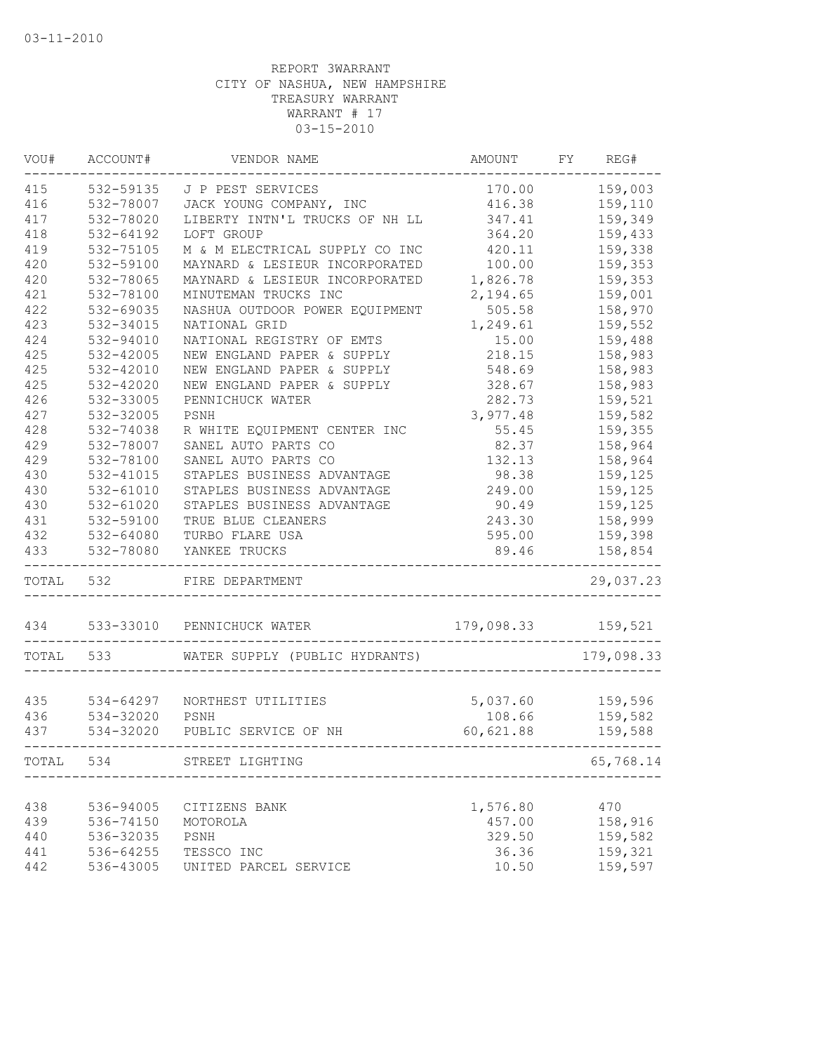| VOU#      | ACCOUNT#      | VENDOR NAME                    | <b>AMOUNT</b> | FY | REG#       |
|-----------|---------------|--------------------------------|---------------|----|------------|
| 415       | 532-59135     | J P PEST SERVICES              | 170.00        |    | 159,003    |
| 416       | 532-78007     | JACK YOUNG COMPANY, INC        | 416.38        |    | 159,110    |
| 417       | 532-78020     | LIBERTY INTN'L TRUCKS OF NH LL | 347.41        |    | 159,349    |
| 418       | $532 - 64192$ | LOFT GROUP                     | 364.20        |    | 159,433    |
| 419       | 532-75105     | M & M ELECTRICAL SUPPLY CO INC | 420.11        |    | 159,338    |
| 420       | 532-59100     | MAYNARD & LESIEUR INCORPORATED | 100.00        |    | 159,353    |
| 420       | 532-78065     | MAYNARD & LESIEUR INCORPORATED | 1,826.78      |    | 159,353    |
| 421       | 532-78100     | MINUTEMAN TRUCKS INC           | 2,194.65      |    | 159,001    |
| 422       | 532-69035     | NASHUA OUTDOOR POWER EQUIPMENT | 505.58        |    | 158,970    |
| 423       | 532-34015     | NATIONAL GRID                  | 1,249.61      |    | 159,552    |
| 424       | 532-94010     | NATIONAL REGISTRY OF EMTS      | 15.00         |    | 159,488    |
| 425       | 532-42005     | NEW ENGLAND PAPER & SUPPLY     | 218.15        |    | 158,983    |
| 425       | 532-42010     | NEW ENGLAND PAPER & SUPPLY     | 548.69        |    | 158,983    |
| 425       | 532-42020     | NEW ENGLAND PAPER & SUPPLY     | 328.67        |    | 158,983    |
| 426       | 532-33005     | PENNICHUCK WATER               | 282.73        |    | 159,521    |
| 427       | 532-32005     | PSNH                           | 3,977.48      |    | 159,582    |
| 428       | 532-74038     | R WHITE EQUIPMENT CENTER INC   | 55.45         |    | 159,355    |
| 429       | 532-78007     | SANEL AUTO PARTS CO            | 82.37         |    | 158,964    |
| 429       | 532-78100     | SANEL AUTO PARTS CO            | 132.13        |    | 158,964    |
| 430       | 532-41015     | STAPLES BUSINESS ADVANTAGE     | 98.38         |    | 159,125    |
| 430       | 532-61010     | STAPLES BUSINESS ADVANTAGE     | 249.00        |    | 159,125    |
| 430       | $532 - 61020$ | STAPLES BUSINESS ADVANTAGE     | 90.49         |    | 159,125    |
| 431       | 532-59100     | TRUE BLUE CLEANERS             | 243.30        |    | 158,999    |
|           | 532-64080     | TURBO FLARE USA                |               |    |            |
| 432       |               |                                | 595.00        |    | 159,398    |
| 433       | 532-78080     | YANKEE TRUCKS                  | 89.46         |    | 158,854    |
| TOTAL 532 |               | FIRE DEPARTMENT                |               |    | 29,037.23  |
| 434       | 533-33010     | PENNICHUCK WATER               | 179,098.33    |    | 159,521    |
| TOTAL     | 533           | WATER SUPPLY (PUBLIC HYDRANTS) |               |    | 179,098.33 |
|           |               |                                |               |    |            |
| 435       | 534-64297     | NORTHEST UTILITIES             | 5,037.60      |    | 159,596    |
| 436       | 534-32020     | PSNH                           | 108.66        |    | 159,582    |
| 437       | 534-32020     | PUBLIC SERVICE OF NH           | 60,621.88     |    | 159,588    |
| TOTAL     | 534           | STREET LIGHTING                |               |    | 65,768.14  |
|           |               |                                |               |    |            |
| 438       | 536-94005     | CITIZENS BANK                  | 1,576.80      |    | 470        |
| 439       | 536-74150     | MOTOROLA                       | 457.00        |    | 158,916    |
| 440       | 536-32035     | PSNH                           | 329.50        |    | 159,582    |
| 441       | 536-64255     | TESSCO INC                     | 36.36         |    | 159,321    |
| 442       | 536-43005     | UNITED PARCEL SERVICE          | 10.50         |    | 159,597    |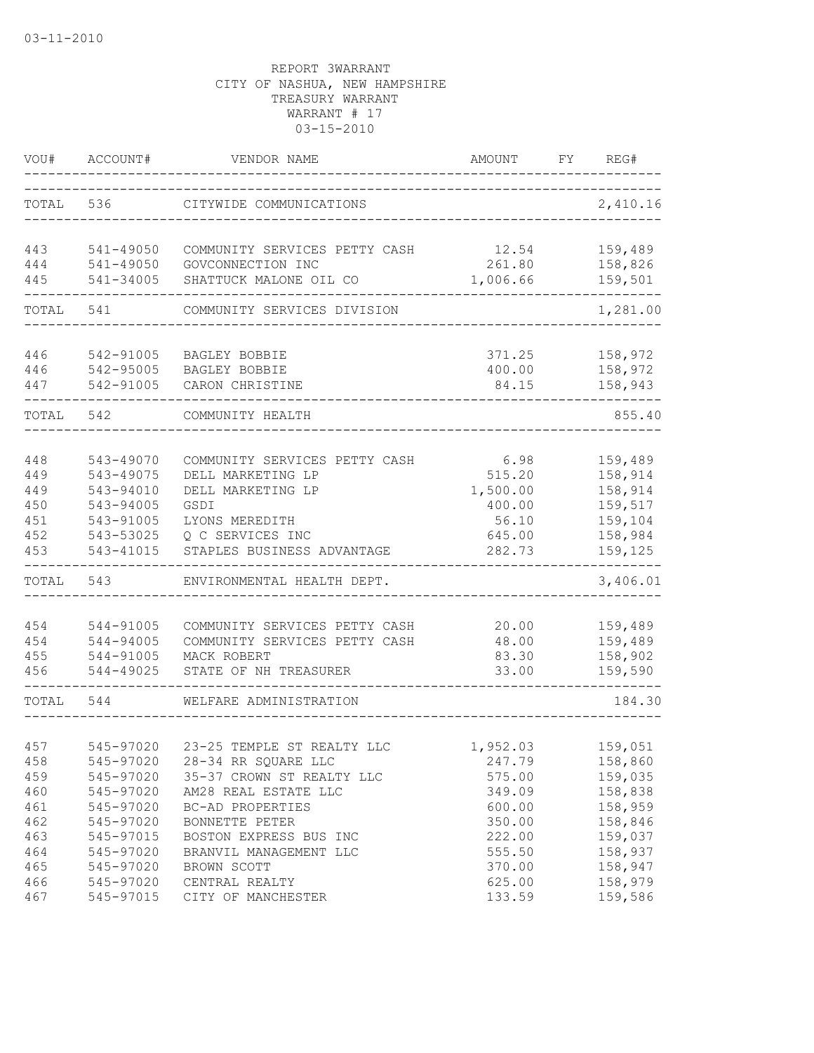| VOU#       | ACCOUNT#               | VENDOR NAME                                  | AMOUNT             | FY | REG#               |
|------------|------------------------|----------------------------------------------|--------------------|----|--------------------|
| TOTAL      | 536                    | CITYWIDE COMMUNICATIONS                      |                    |    | 2,410.16           |
| 443        | 541-49050              | COMMUNITY SERVICES PETTY CASH                | 12.54              |    | 159,489            |
| 444<br>445 | 541-49050<br>541-34005 | GOVCONNECTION INC<br>SHATTUCK MALONE OIL CO  | 261.80<br>1,006.66 |    | 158,826<br>159,501 |
| TOTAL      | 541                    | COMMUNITY SERVICES DIVISION                  |                    |    | 1,281.00           |
| 446        | 542-91005              | BAGLEY BOBBIE                                | 371.25             |    | 158,972            |
| 446        | 542-95005              | BAGLEY BOBBIE                                | 400.00             |    | 158,972            |
| 447        | 542-91005              | CARON CHRISTINE                              | 84.15              |    | 158,943            |
| TOTAL      | 542                    | COMMUNITY HEALTH                             |                    |    | 855.40             |
| 448        | 543-49070              | COMMUNITY SERVICES PETTY CASH                | 6.98               |    | 159,489            |
| 449        | 543-49075              | DELL MARKETING LP                            | 515.20             |    | 158,914            |
| 449        | 543-94010              | DELL MARKETING LP                            | 1,500.00           |    | 158,914            |
| 450        | 543-94005              | GSDI                                         | 400.00             |    | 159,517            |
| 451        | 543-91005              | LYONS MEREDITH                               | 56.10              |    | 159,104            |
| 452        | 543-53025              | Q C SERVICES INC                             | 645.00             |    | 158,984            |
| 453        | 543-41015              | STAPLES BUSINESS ADVANTAGE                   | 282.73             |    | 159,125            |
| TOTAL      | 543                    | ENVIRONMENTAL HEALTH DEPT.                   |                    |    | 3,406.01           |
|            |                        |                                              |                    |    |                    |
| 454        | 544-91005<br>544-94005 | COMMUNITY SERVICES PETTY CASH                | 20.00              |    | 159,489            |
| 454<br>455 | 544-91005              | COMMUNITY SERVICES PETTY CASH<br>MACK ROBERT | 48.00<br>83.30     |    | 159,489<br>158,902 |
| 456        | 544-49025              | STATE OF NH TREASURER                        | 33.00              |    | 159,590            |
| TOTAL      | 544                    | WELFARE ADMINISTRATION                       |                    |    | 184.30             |
|            |                        |                                              |                    |    |                    |
| 457        |                        | 545-97020 23-25 TEMPLE ST REALTY LLC         | 1,952.03           |    | 159,051            |
| 458        | 545-97020              | 28-34 RR SQUARE LLC                          | 247.79             |    | 158,860            |
| 459        | 545-97020              | 35-37 CROWN ST REALTY LLC                    | 575.00             |    | 159,035            |
| 460        | 545-97020              | AM28 REAL ESTATE LLC                         | 349.09             |    | 158,838            |
| 461        | 545-97020              | BC-AD PROPERTIES                             | 600.00             |    | 158,959            |
| 462        | 545-97020              | BONNETTE PETER                               | 350.00             |    | 158,846            |
| 463        | 545-97015              | BOSTON EXPRESS BUS INC                       | 222.00             |    | 159,037            |
| 464        | 545-97020              | BRANVIL MANAGEMENT LLC                       | 555.50             |    | 158,937            |
| 465        | 545-97020              | BROWN SCOTT                                  | 370.00             |    | 158,947            |
| 466        | 545-97020              | CENTRAL REALTY                               | 625.00             |    | 158,979            |
| 467        | 545-97015              | CITY OF MANCHESTER                           | 133.59             |    | 159,586            |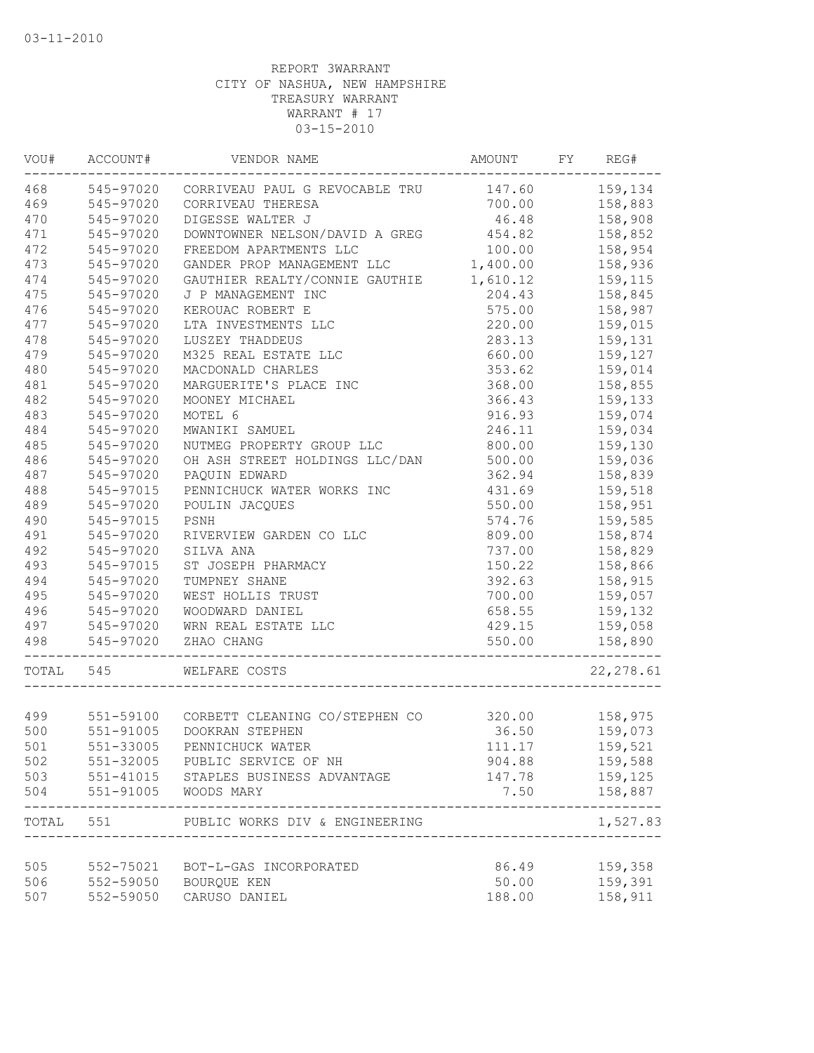| VOU#  | ACCOUNT#  | VENDOR NAME                                       | AMOUNT   | FY | REG#                       |
|-------|-----------|---------------------------------------------------|----------|----|----------------------------|
| 468   |           | 545-97020 CORRIVEAU PAUL G REVOCABLE TRU 147.60   |          |    | 159,134                    |
| 469   | 545-97020 | CORRIVEAU THERESA                                 | 700.00   |    | 158,883                    |
| 470   | 545-97020 | DIGESSE WALTER J                                  | 46.48    |    | 158,908                    |
| 471   | 545-97020 | DOWNTOWNER NELSON/DAVID A GREG                    | 454.82   |    | 158,852                    |
| 472   | 545-97020 | FREEDOM APARTMENTS LLC                            | 100.00   |    | 158,954                    |
| 473   | 545-97020 | GANDER PROP MANAGEMENT LLC                        | 1,400.00 |    | 158,936                    |
| 474   | 545-97020 | GAUTHIER REALTY/CONNIE GAUTHIE                    | 1,610.12 |    | 159,115                    |
| 475   | 545-97020 | J P MANAGEMENT INC                                | 204.43   |    | 158,845                    |
| 476   | 545-97020 | KEROUAC ROBERT E                                  | 575.00   |    | 158,987                    |
| 477   | 545-97020 | LTA INVESTMENTS LLC                               | 220.00   |    | 159,015                    |
| 478   | 545-97020 | LUSZEY THADDEUS                                   | 283.13   |    | 159,131                    |
| 479   | 545-97020 | M325 REAL ESTATE LLC                              | 660.00   |    | 159,127                    |
| 480   | 545-97020 | MACDONALD CHARLES                                 | 353.62   |    | 159,014                    |
| 481   | 545-97020 | MARGUERITE'S PLACE INC                            | 368.00   |    | 158,855                    |
| 482   | 545-97020 | MOONEY MICHAEL                                    | 366.43   |    | 159,133                    |
| 483   | 545-97020 | MOTEL 6                                           | 916.93   |    | 159,074                    |
| 484   | 545-97020 | MWANIKI SAMUEL                                    | 246.11   |    | 159,034                    |
| 485   | 545-97020 | NUTMEG PROPERTY GROUP LLC                         | 800.00   |    | 159,130                    |
| 486   | 545-97020 | OH ASH STREET HOLDINGS LLC/DAN                    | 500.00   |    | 159,036                    |
| 487   | 545-97020 | PAOUIN EDWARD                                     | 362.94   |    | 158,839                    |
| 488   | 545-97015 | PENNICHUCK WATER WORKS INC                        | 431.69   |    | 159,518                    |
| 489   | 545-97020 | POULIN JACQUES                                    | 550.00   |    | 158,951                    |
| 490   | 545-97015 | PSNH                                              | 574.76   |    | 159,585                    |
| 491   | 545-97020 | RIVERVIEW GARDEN CO LLC                           | 809.00   |    | 158,874                    |
| 492   | 545-97020 | SILVA ANA                                         | 737.00   |    | 158,829                    |
| 493   | 545-97015 | ST JOSEPH PHARMACY                                | 150.22   |    | 158,866                    |
| 494   | 545-97020 | TUMPNEY SHANE                                     | 392.63   |    | 158,915                    |
| 495   | 545-97020 | WEST HOLLIS TRUST                                 | 700.00   |    | 159,057                    |
| 496   | 545-97020 | WOODWARD DANIEL                                   | 658.55   |    | 159,132                    |
| 497   | 545-97020 | WRN REAL ESTATE LLC                               | 429.15   |    | 159,058                    |
| 498   | 545-97020 | ZHAO CHANG<br>___________________________________ | 550.00   |    | 158,890                    |
| TOTAL | 545       | WELFARE COSTS                                     |          |    | 22, 278.61                 |
|       |           |                                                   |          |    |                            |
| 499   |           | 551-59100 CORBETT CLEANING CO/STEPHEN CO          | 320.00   |    | 158,975                    |
| 500   | 551-91005 | DOOKRAN STEPHEN                                   | 36.50    |    | 159,073                    |
| 501   |           | 551-33005 PENNICHUCK WATER                        | 111.17   |    | 159,521                    |
| 502   |           | 551-32005 PUBLIC SERVICE OF NH                    | 904.88   |    | 159,588                    |
| 503   |           | 551-41015 STAPLES BUSINESS ADVANTAGE              | 147.78   |    | 159,125                    |
| 504   |           | 551-91005 WOODS MARY                              | 7.50     |    | 158,887<br>--------------- |
|       |           | TOTAL 551 PUBLIC WORKS DIV & ENGINEERING          |          |    | 1,527.83                   |
|       |           |                                                   |          |    |                            |
| 505   |           | 552-75021 BOT-L-GAS INCORPORATED                  | 86.49    |    | 159,358                    |
| 506   |           | 552-59050 BOURQUE KEN                             | 50.00    |    | 159,391                    |
| 507   | 552-59050 | CARUSO DANIEL                                     | 188.00   |    | 158,911                    |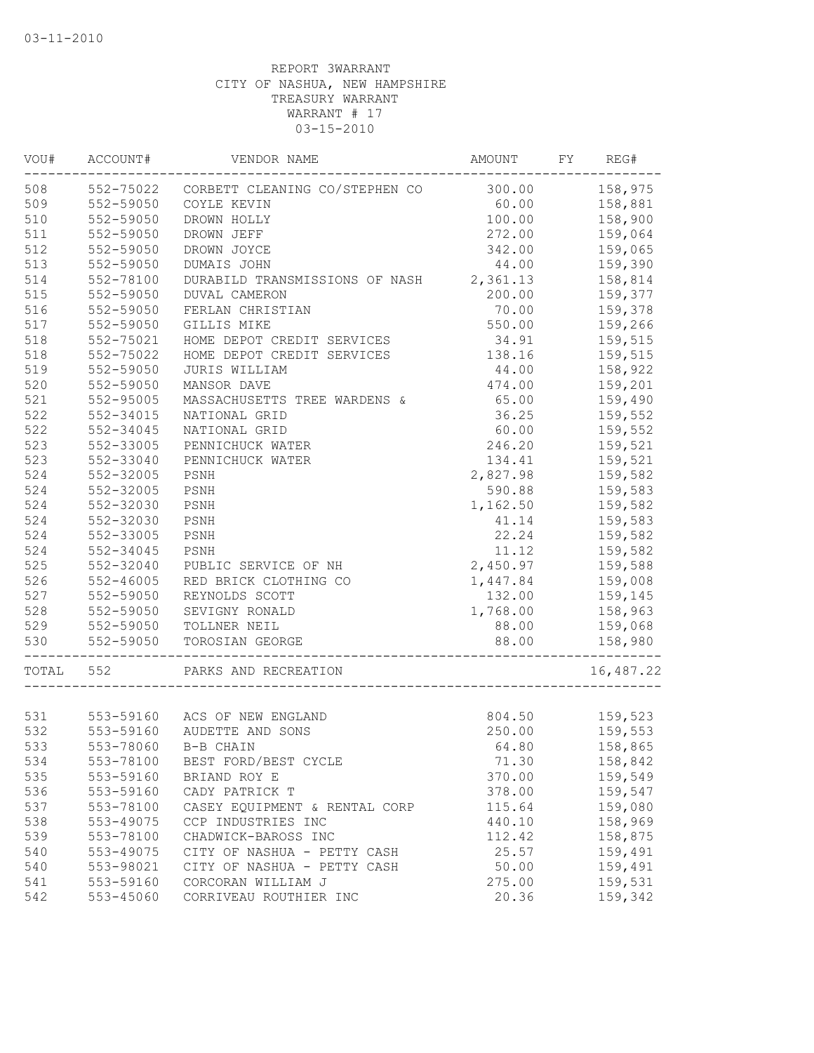| VOU#  | ACCOUNT#               | VENDOR NAME                                            | AMOUNT   | FY | REG#      |
|-------|------------------------|--------------------------------------------------------|----------|----|-----------|
| 508   |                        | 552-75022 CORBETT CLEANING CO/STEPHEN CO               | 300.00   |    | 158,975   |
| 509   | 552-59050              | COYLE KEVIN                                            | 60.00    |    | 158,881   |
| 510   | 552-59050              | DROWN HOLLY                                            | 100.00   |    | 158,900   |
| 511   | 552-59050              | DROWN JEFF                                             | 272.00   |    | 159,064   |
| 512   | 552-59050              | DROWN JOYCE                                            | 342.00   |    | 159,065   |
| 513   | 552-59050              | DUMAIS JOHN                                            | 44.00    |    | 159,390   |
| 514   | 552-78100              | DURABILD TRANSMISSIONS OF NASH 2,361.13                |          |    | 158,814   |
| 515   | 552-59050              | DUVAL CAMERON                                          | 200.00   |    | 159,377   |
| 516   | 552-59050              | FERLAN CHRISTIAN                                       | 70.00    |    | 159,378   |
| 517   | 552-59050              | GILLIS MIKE                                            | 550.00   |    | 159,266   |
| 518   | 552-75021              | HOME DEPOT CREDIT SERVICES                             | 34.91    |    | 159,515   |
| 518   | 552-75022              | HOME DEPOT CREDIT SERVICES                             | 138.16   |    | 159,515   |
| 519   | 552-59050              | JURIS WILLIAM                                          | 44.00    |    | 158,922   |
| 520   | 552-59050              | MANSOR DAVE                                            | 474.00   |    | 159,201   |
| 521   | 552-95005              | MASSACHUSETTS TREE WARDENS &                           | 65.00    |    | 159,490   |
| 522   | 552-34015              | NATIONAL GRID                                          | 36.25    |    | 159,552   |
| 522   | 552-34045              | NATIONAL GRID                                          | 60.00    |    | 159,552   |
| 523   | 552-33005              | PENNICHUCK WATER                                       | 246.20   |    | 159,521   |
| 523   | 552-33040              | PENNICHUCK WATER                                       | 134.41   |    | 159,521   |
| 524   | 552-32005              | PSNH                                                   | 2,827.98 |    | 159,582   |
| 524   | 552-32005              | PSNH                                                   | 590.88   |    | 159,583   |
| 524   | 552-32030              | PSNH                                                   | 1,162.50 |    | 159,582   |
| 524   | 552-32030              | PSNH                                                   | 41.14    |    | 159,583   |
| 524   | 552-33005              | PSNH                                                   | 22.24    |    | 159,582   |
| 524   | 552-34045              | PSNH                                                   | 11.12    |    | 159,582   |
| 525   | 552-32040              | PUBLIC SERVICE OF NH                                   | 2,450.97 |    | 159,588   |
| 526   | 552-46005              | RED BRICK CLOTHING CO                                  | 1,447.84 |    | 159,008   |
| 527   | 552-59050              | REYNOLDS SCOTT                                         | 132.00   |    | 159,145   |
| 528   | 552-59050              | SEVIGNY RONALD                                         | 1,768.00 |    | 158,963   |
| 529   | 552-59050              | TOLLNER NEIL                                           | 88.00    |    | 159,068   |
| 530   | 552-59050              | TOROSIAN GEORGE                                        | 88.00    |    | 158,980   |
|       |                        |                                                        |          |    |           |
| TOTAL | 552                    | PARKS AND RECREATION<br>------------------------------ |          |    | 16,487.22 |
| 531   |                        | 553-59160 ACS OF NEW ENGLAND                           | 804.50   |    | 159,523   |
| 532   | 553-59160              | AUDETTE AND SONS                                       | 250.00   |    | 159,553   |
| 533   |                        | 553-78060 B-B CHAIN                                    | 64.80    |    | 158,865   |
| 534   | 553-78100              | BEST FORD/BEST CYCLE                                   | 71.30    |    | 158,842   |
| 535   | 553-59160              | BRIAND ROY E                                           | 370.00   |    | 159,549   |
| 536   | 553-59160              | CADY PATRICK T                                         | 378.00   |    | 159,547   |
| 537   | 553-78100              | CASEY EQUIPMENT & RENTAL CORP                          | 115.64   |    | 159,080   |
| 538   | 553-49075              | CCP INDUSTRIES INC                                     | 440.10   |    | 158,969   |
| 539   | 553-78100              | CHADWICK-BAROSS INC                                    | 112.42   |    | 158,875   |
| 540   | 553-49075              | CITY OF NASHUA - PETTY CASH                            | 25.57    |    | 159,491   |
| 540   |                        |                                                        | 50.00    |    | 159,491   |
|       | 553-98021<br>553-59160 | CITY OF NASHUA - PETTY CASH                            |          |    | 159,531   |
| 541   |                        | CORCORAN WILLIAM J                                     | 275.00   |    |           |
| 542   | 553-45060              | CORRIVEAU ROUTHIER INC                                 | 20.36    |    | 159,342   |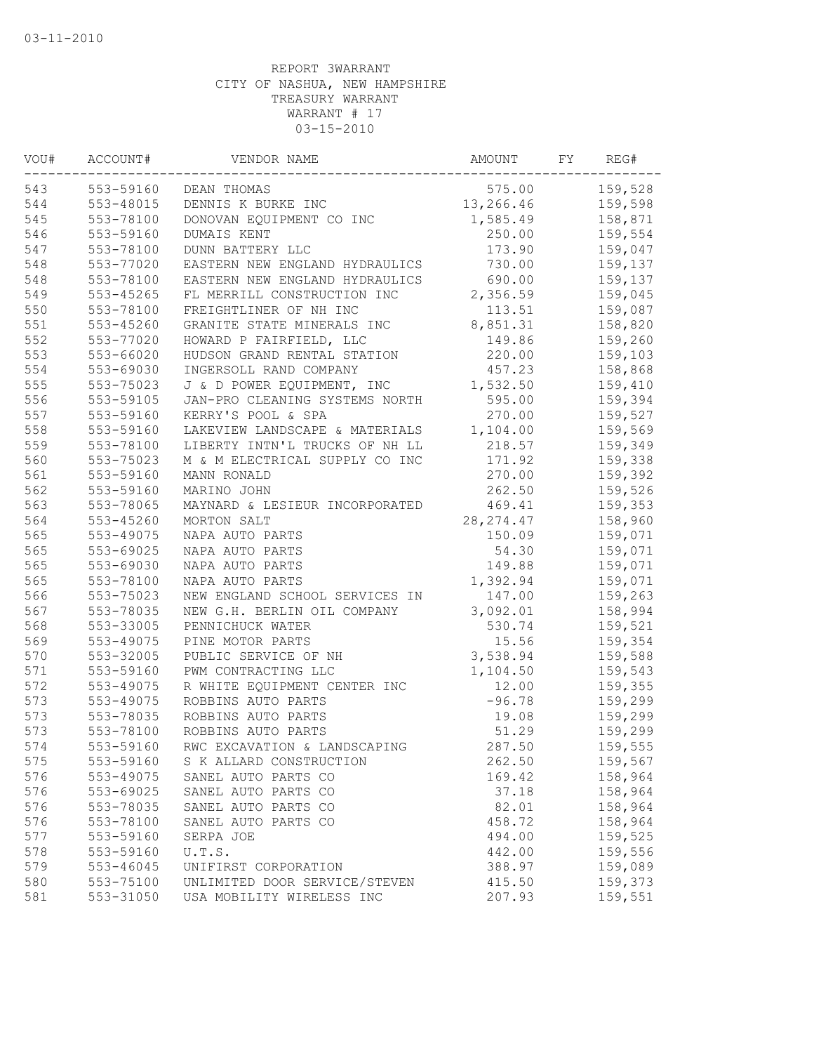| VOU# | ACCOUNT#  | VENDOR NAME                    | AMOUNT     | FY | REG#    |
|------|-----------|--------------------------------|------------|----|---------|
| 543  | 553-59160 | DEAN THOMAS                    | 575.00     |    | 159,528 |
| 544  | 553-48015 | DENNIS K BURKE INC             | 13,266.46  |    | 159,598 |
| 545  | 553-78100 | DONOVAN EQUIPMENT CO INC       | 1,585.49   |    | 158,871 |
| 546  | 553-59160 | DUMAIS KENT                    | 250.00     |    | 159,554 |
| 547  | 553-78100 | DUNN BATTERY LLC               | 173.90     |    | 159,047 |
| 548  | 553-77020 | EASTERN NEW ENGLAND HYDRAULICS | 730.00     |    | 159,137 |
| 548  | 553-78100 | EASTERN NEW ENGLAND HYDRAULICS | 690.00     |    | 159,137 |
| 549  | 553-45265 | FL MERRILL CONSTRUCTION INC    | 2,356.59   |    | 159,045 |
| 550  | 553-78100 | FREIGHTLINER OF NH INC         | 113.51     |    | 159,087 |
| 551  | 553-45260 | GRANITE STATE MINERALS INC     | 8,851.31   |    | 158,820 |
| 552  | 553-77020 | HOWARD P FAIRFIELD, LLC        | 149.86     |    | 159,260 |
| 553  | 553-66020 | HUDSON GRAND RENTAL STATION    | 220.00     |    | 159,103 |
| 554  | 553-69030 | INGERSOLL RAND COMPANY         | 457.23     |    | 158,868 |
| 555  | 553-75023 | J & D POWER EQUIPMENT, INC     | 1,532.50   |    | 159,410 |
| 556  | 553-59105 | JAN-PRO CLEANING SYSTEMS NORTH | 595.00     |    | 159,394 |
| 557  | 553-59160 | KERRY'S POOL & SPA             | 270.00     |    | 159,527 |
| 558  | 553-59160 | LAKEVIEW LANDSCAPE & MATERIALS | 1,104.00   |    | 159,569 |
| 559  | 553-78100 | LIBERTY INTN'L TRUCKS OF NH LL | 218.57     |    | 159,349 |
| 560  | 553-75023 | M & M ELECTRICAL SUPPLY CO INC | 171.92     |    | 159,338 |
| 561  | 553-59160 | MANN RONALD                    | 270.00     |    | 159,392 |
| 562  | 553-59160 | MARINO JOHN                    | 262.50     |    | 159,526 |
| 563  | 553-78065 | MAYNARD & LESIEUR INCORPORATED | 469.41     |    | 159,353 |
| 564  | 553-45260 | MORTON SALT                    | 28, 274.47 |    | 158,960 |
| 565  | 553-49075 | NAPA AUTO PARTS                | 150.09     |    | 159,071 |
| 565  | 553-69025 | NAPA AUTO PARTS                | 54.30      |    | 159,071 |
| 565  | 553-69030 | NAPA AUTO PARTS                | 149.88     |    | 159,071 |
| 565  | 553-78100 | NAPA AUTO PARTS                | 1,392.94   |    | 159,071 |
| 566  | 553-75023 | NEW ENGLAND SCHOOL SERVICES IN | 147.00     |    | 159,263 |
| 567  | 553-78035 | NEW G.H. BERLIN OIL COMPANY    | 3,092.01   |    | 158,994 |
| 568  | 553-33005 | PENNICHUCK WATER               | 530.74     |    | 159,521 |
| 569  | 553-49075 | PINE MOTOR PARTS               | 15.56      |    | 159,354 |
| 570  | 553-32005 | PUBLIC SERVICE OF NH           | 3,538.94   |    | 159,588 |
| 571  | 553-59160 | PWM CONTRACTING LLC            | 1,104.50   |    | 159,543 |
| 572  | 553-49075 | R WHITE EQUIPMENT CENTER INC   | 12.00      |    | 159,355 |
| 573  | 553-49075 | ROBBINS AUTO PARTS             | $-96.78$   |    | 159,299 |
| 573  | 553-78035 | ROBBINS AUTO PARTS             | 19.08      |    | 159,299 |
| 573  | 553-78100 | ROBBINS AUTO PARTS             | 51.29      |    | 159,299 |
| 574  | 553-59160 | RWC EXCAVATION & LANDSCAPING   | 287.50     |    | 159,555 |
| 575  | 553-59160 | S K ALLARD CONSTRUCTION        | 262.50     |    | 159,567 |
| 576  | 553-49075 | SANEL AUTO PARTS CO            | 169.42     |    | 158,964 |
| 576  | 553-69025 | SANEL AUTO PARTS CO            | 37.18      |    | 158,964 |
| 576  | 553-78035 | SANEL AUTO PARTS CO            | 82.01      |    | 158,964 |
| 576  | 553-78100 | SANEL AUTO PARTS CO            | 458.72     |    | 158,964 |
| 577  | 553-59160 | SERPA JOE                      | 494.00     |    | 159,525 |
| 578  | 553-59160 | U.T.S.                         | 442.00     |    | 159,556 |
| 579  | 553-46045 | UNIFIRST CORPORATION           | 388.97     |    | 159,089 |
| 580  | 553-75100 | UNLIMITED DOOR SERVICE/STEVEN  | 415.50     |    | 159,373 |
| 581  | 553-31050 | USA MOBILITY WIRELESS INC      | 207.93     |    | 159,551 |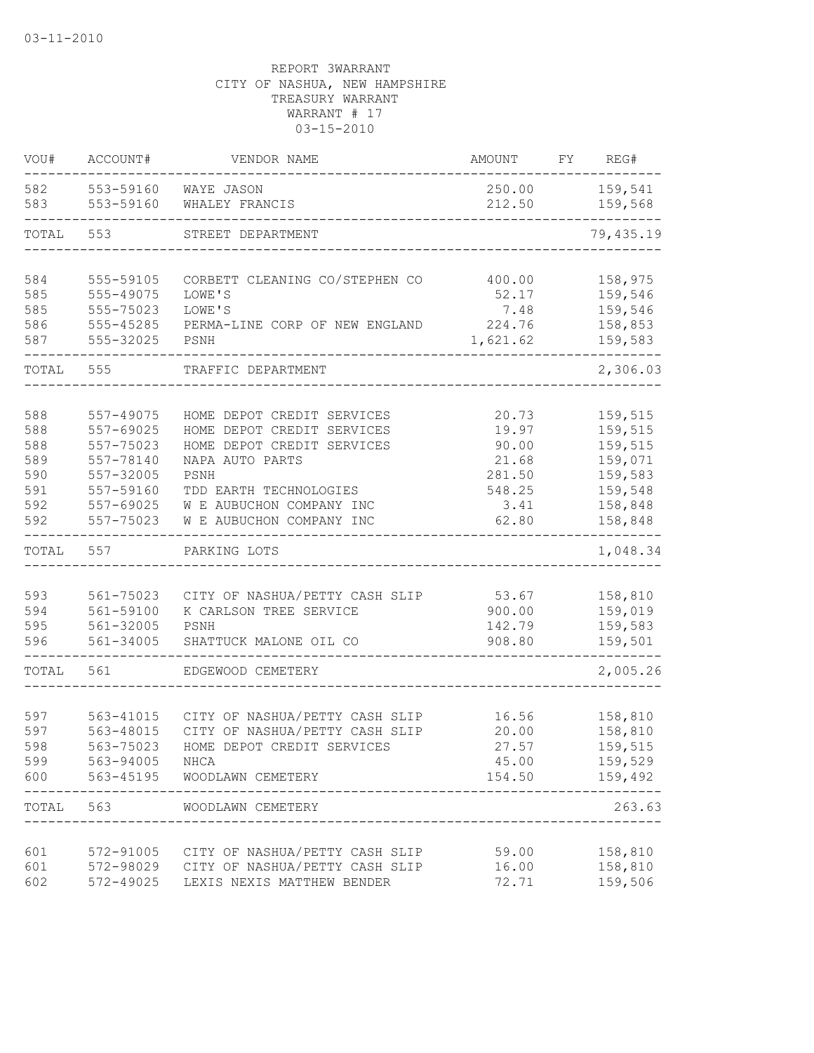| VOU#       | ACCOUNT#               | VENDOR NAME                                                                          | AMOUNT             | FY | REG#               |
|------------|------------------------|--------------------------------------------------------------------------------------|--------------------|----|--------------------|
| 582<br>583 | 553-59160<br>553-59160 | WAYE JASON<br>WHALEY FRANCIS                                                         | 250.00<br>212.50   |    | 159,541<br>159,568 |
| TOTAL      | 553                    | STREET DEPARTMENT                                                                    |                    |    | 79,435.19          |
| 584        | 555-59105              | CORBETT CLEANING CO/STEPHEN CO                                                       | 400.00             |    | 158,975            |
| 585        | 555-49075              | LOWE'S                                                                               | 52.17              |    | 159,546            |
| 585        | 555-75023              | LOWE'S                                                                               | 7.48               |    | 159,546            |
| 586<br>587 | 555-45285<br>555-32025 | PERMA-LINE CORP OF NEW ENGLAND<br>PSNH                                               | 224.76<br>1,621.62 |    | 158,853<br>159,583 |
|            |                        |                                                                                      |                    |    |                    |
| TOTAL      | 555                    | TRAFFIC DEPARTMENT                                                                   |                    |    | 2,306.03           |
| 588        | 557-49075              | HOME DEPOT CREDIT SERVICES                                                           | 20.73              |    | 159,515            |
| 588        | 557-69025              | HOME DEPOT CREDIT SERVICES                                                           | 19.97              |    | 159,515            |
| 588        | 557-75023              | HOME DEPOT CREDIT SERVICES                                                           | 90.00              |    | 159,515            |
| 589        | 557-78140              | NAPA AUTO PARTS                                                                      | 21.68              |    | 159,071            |
| 590        | 557-32005              | PSNH                                                                                 | 281.50             |    | 159,583            |
| 591<br>592 | 557-59160<br>557-69025 | TDD EARTH TECHNOLOGIES<br>W E AUBUCHON COMPANY INC                                   | 548.25<br>3.41     |    | 159,548<br>158,848 |
| 592        | 557-75023              | W E AUBUCHON COMPANY INC                                                             | 62.80              |    | 158,848            |
| TOTAL      | 557                    | PARKING LOTS                                                                         |                    |    | 1,048.34           |
|            |                        |                                                                                      |                    |    |                    |
| 593        | 561-75023              | CITY OF NASHUA/PETTY CASH SLIP                                                       | 53.67              |    | 158,810            |
| 594<br>595 | 561-59100<br>561-32005 | K CARLSON TREE SERVICE<br>PSNH                                                       | 900.00<br>142.79   |    | 159,019<br>159,583 |
| 596        | $561 - 34005$          | SHATTUCK MALONE OIL CO                                                               | 908.80             |    | 159,501            |
| TOTAL      | 561                    | EDGEWOOD CEMETERY                                                                    |                    |    | 2,005.26           |
|            |                        |                                                                                      |                    |    |                    |
| 597        | 563-41015              | CITY OF NASHUA/PETTY CASH SLIP                                                       | 16.56              |    | 158,810            |
| 597        | 563-48015              | CITY OF NASHUA/PETTY CASH SLIP                                                       | 20.00              |    | 158,810            |
| 598        | 563-75023              | HOME DEPOT CREDIT SERVICES                                                           | 27.57              |    | 159,515            |
| 599        | 563-94005              | NHCA                                                                                 | 45.00              |    | 159,529            |
| 600 000    |                        | 563-45195 WOODLAWN CEMETERY                                                          |                    |    | 154.50 159,492     |
|            | TOTAL 563              | WOODLAWN CEMETERY                                                                    |                    |    | 263.63             |
|            |                        |                                                                                      |                    |    |                    |
| 601<br>601 |                        | 572-91005 CITY OF NASHUA/PETTY CASH SLIP<br>572-98029 CITY OF NASHUA/PETTY CASH SLIP | 59.00<br>16.00     |    | 158,810<br>158,810 |
| 602        | 572-49025              | LEXIS NEXIS MATTHEW BENDER                                                           | 72.71              |    | 159,506            |
|            |                        |                                                                                      |                    |    |                    |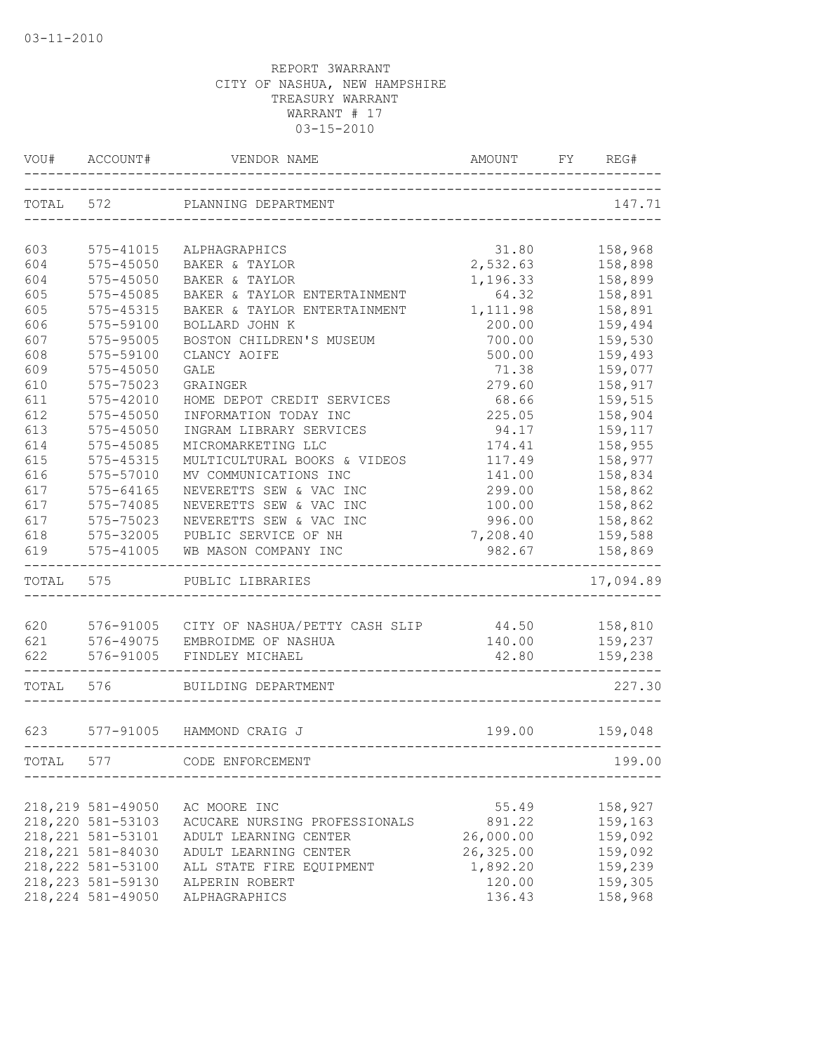| VOU#       | ACCOUNT#               | VENDOR NAME                            | AMOUNT    | FΥ | REG#               |
|------------|------------------------|----------------------------------------|-----------|----|--------------------|
| TOTAL 572  |                        | PLANNING DEPARTMENT                    |           |    | 147.71             |
| 603        | 575-41015              | ALPHAGRAPHICS                          | 31.80     |    | 158,968            |
| 604        | 575-45050              | BAKER & TAYLOR                         | 2,532.63  |    | 158,898            |
| 604        | $575 - 45050$          | BAKER & TAYLOR                         | 1,196.33  |    | 158,899            |
| 605        | 575-45085              | BAKER & TAYLOR ENTERTAINMENT           | 64.32     |    | 158,891            |
| 605        | $575 - 45315$          | BAKER & TAYLOR ENTERTAINMENT           | 1,111.98  |    | 158,891            |
| 606        | 575-59100              | BOLLARD JOHN K                         | 200.00    |    | 159,494            |
| 607        | 575-95005              | BOSTON CHILDREN'S MUSEUM               | 700.00    |    | 159,530            |
| 608        | 575-59100              | CLANCY AOIFE                           | 500.00    |    | 159,493            |
| 609        | $575 - 45050$          | <b>GALE</b>                            | 71.38     |    | 159,077            |
| 610        | 575-75023              | GRAINGER                               | 279.60    |    | 158,917            |
| 611        | 575-42010              | HOME DEPOT CREDIT SERVICES             | 68.66     |    | 159,515            |
| 612        | $575 - 45050$          | INFORMATION TODAY INC                  | 225.05    |    | 158,904            |
| 613        | $575 - 45050$          | INGRAM LIBRARY SERVICES                | 94.17     |    | 159,117            |
| 614        | 575-45085              | MICROMARKETING LLC                     | 174.41    |    | 158,955            |
| 615        | 575-45315              | MULTICULTURAL BOOKS & VIDEOS           | 117.49    |    | 158,977            |
| 616        | 575-57010              | MV COMMUNICATIONS INC                  | 141.00    |    | 158,834            |
| 617        | 575-64165              | NEVERETTS SEW & VAC INC                | 299.00    |    | 158,862            |
| 617        | 575-74085              | NEVERETTS SEW & VAC INC                | 100.00    |    | 158,862            |
| 617        | 575-75023              | NEVERETTS SEW & VAC INC                | 996.00    |    | 158,862            |
| 618        | 575-32005              | PUBLIC SERVICE OF NH                   | 7,208.40  |    | 159,588            |
| 619        | $575 - 41005$          | WB MASON COMPANY INC                   | 982.67    |    | 158,869            |
| TOTAL 575  |                        | PUBLIC LIBRARIES                       |           |    | 17,094.89          |
|            |                        |                                        |           |    |                    |
| 620        | 576-91005              | CITY OF NASHUA/PETTY CASH SLIP         | 44.50     |    | 158,810            |
| 621<br>622 | 576-49075<br>576-91005 | EMBROIDME OF NASHUA<br>FINDLEY MICHAEL | 140.00    |    | 159,237<br>159,238 |
|            |                        |                                        | 42.80     |    |                    |
| TOTAL 576  |                        | BUILDING DEPARTMENT                    |           |    | 227.30             |
|            |                        |                                        |           |    |                    |
| 623        |                        | 577-91005 HAMMOND CRAIG J              | 199.00    |    | 159,048            |
| TOTAL      | 577                    | CODE ENFORCEMENT                       |           |    | 199.00             |
|            | 218, 219 581-49050     | AC MOORE INC                           | 55.49     |    | 158,927            |
|            | 218, 220 581-53103     | ACUCARE NURSING PROFESSIONALS          | 891.22    |    | 159,163            |
|            | 218, 221 581-53101     | ADULT LEARNING CENTER                  | 26,000.00 |    | 159,092            |
|            | 218, 221 581-84030     | ADULT LEARNING CENTER                  | 26,325.00 |    | 159,092            |
|            | 218, 222 581-53100     | ALL STATE FIRE EQUIPMENT               | 1,892.20  |    | 159,239            |
|            | 218, 223 581-59130     | ALPERIN ROBERT                         | 120.00    |    | 159,305            |
|            | 218, 224 581-49050     | ALPHAGRAPHICS                          | 136.43    |    | 158,968            |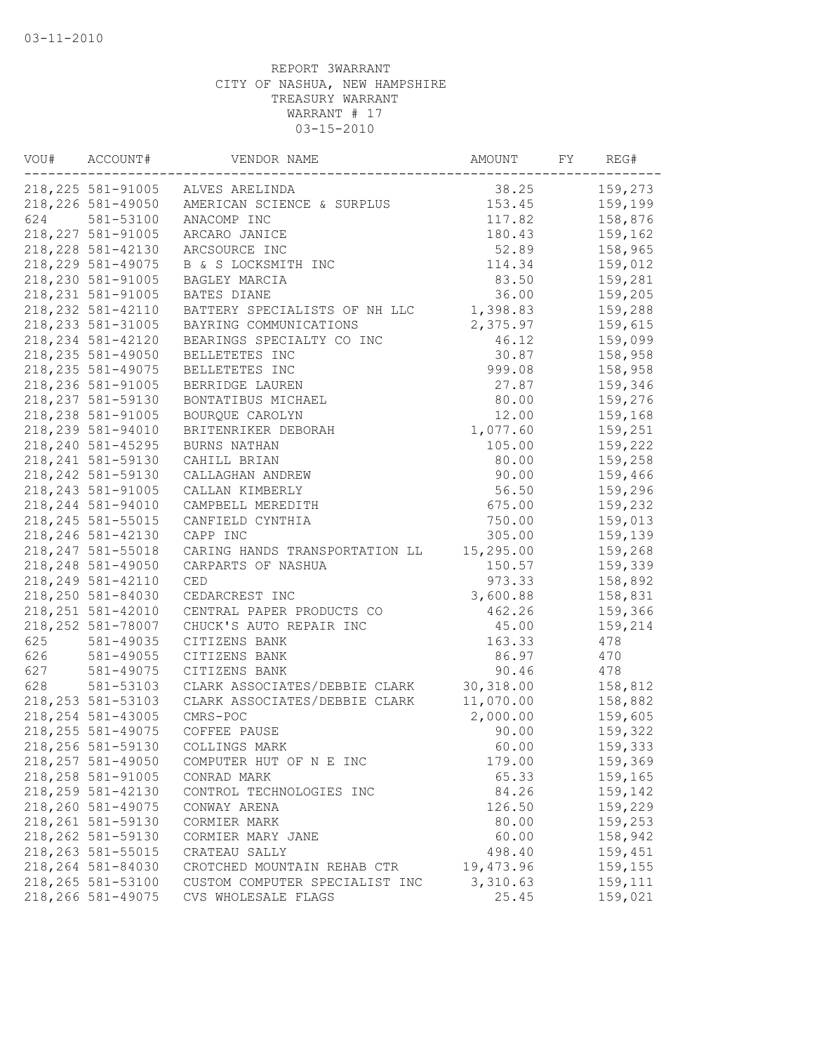| VOU# | ACCOUNT#                                 | VENDOR NAME                             | AMOUNT          | FY | REG#    |
|------|------------------------------------------|-----------------------------------------|-----------------|----|---------|
|      |                                          | 218, 225 581-91005 ALVES ARELINDA       | 38.25           |    | 159,273 |
|      | 218, 226 581-49050                       | AMERICAN SCIENCE & SURPLUS              | 153.45          |    | 159,199 |
| 624  | 581-53100                                | ANACOMP INC                             | 117.82          |    | 158,876 |
|      | 218, 227 581-91005                       | ARCARO JANICE                           | 180.43          |    | 159,162 |
|      | 218, 228 581-42130                       | ARCSOURCE INC                           | 52.89           |    | 158,965 |
|      | 218, 229 581-49075                       | B & S LOCKSMITH INC                     | 114.34          |    | 159,012 |
|      | 218,230 581-91005                        | BAGLEY MARCIA                           | 83.50           |    | 159,281 |
|      | 218, 231 581-91005                       | BATES DIANE                             | 36.00           |    | 159,205 |
|      | 218, 232 581-42110                       | BATTERY SPECIALISTS OF NH LLC           | 1,398.83        |    | 159,288 |
|      | 218, 233 581-31005                       | BAYRING COMMUNICATIONS                  | 2,375.97        |    | 159,615 |
|      | 218, 234 581-42120                       | BEARINGS SPECIALTY CO INC               | 46.12           |    | 159,099 |
|      | 218, 235 581-49050                       | BELLETETES INC                          | 30.87           |    | 158,958 |
|      | 218, 235 581-49075                       | BELLETETES INC                          | 999.08          |    | 158,958 |
|      | 218,236 581-91005                        | BERRIDGE LAUREN                         | 27.87           |    | 159,346 |
|      | 218, 237 581-59130                       | BONTATIBUS MICHAEL                      | 80.00           |    | 159,276 |
|      | 218, 238 581-91005                       | BOURQUE CAROLYN                         | 12.00           |    | 159,168 |
|      | 218,239 581-94010                        | BRITENRIKER DEBORAH                     | 1,077.60        |    | 159,251 |
|      | 218, 240 581-45295                       | BURNS NATHAN                            | 105.00          |    | 159,222 |
|      | 218, 241 581-59130                       | CAHILL BRIAN                            | 80.00           |    | 159,258 |
|      | 218, 242 581-59130                       | CALLAGHAN ANDREW                        | 90.00           |    | 159,466 |
|      | 218, 243 581-91005                       | CALLAN KIMBERLY                         | 56.50           |    | 159,296 |
|      | 218, 244 581-94010                       | CAMPBELL MEREDITH                       | 675.00          |    | 159,232 |
|      | 218, 245 581-55015                       | CANFIELD CYNTHIA                        | 750.00          |    | 159,013 |
|      | 218, 246 581-42130                       | CAPP INC                                | 305.00          |    | 159,139 |
|      | 218, 247 581-55018                       | CARING HANDS TRANSPORTATION LL          | 15, 295.00      |    | 159,268 |
|      | 218, 248 581-49050                       | CARPARTS OF NASHUA                      | 150.57          |    | 159,339 |
|      | 218, 249 581-42110                       | <b>CED</b>                              | 973.33          |    | 158,892 |
|      | 218,250 581-84030                        | CEDARCREST INC                          | 3,600.88        |    | 158,831 |
|      | 218, 251 581-42010                       | CENTRAL PAPER PRODUCTS CO               | 462.26          |    | 159,366 |
|      | 218, 252 581-78007                       | CHUCK'S AUTO REPAIR INC                 | 45.00           |    | 159,214 |
| 625  | 581-49035                                | CITIZENS BANK                           | 163.33          |    | 478     |
| 626  | 581-49055                                | CITIZENS BANK                           | 86.97           |    | 470     |
| 627  | $581 - 49075$                            | CITIZENS BANK                           | 90.46           |    | 478     |
| 628  | 581-53103                                | CLARK ASSOCIATES/DEBBIE CLARK           | 30,318.00       |    | 158,812 |
|      | 218, 253 581-53103                       | CLARK ASSOCIATES/DEBBIE CLARK           | 11,070.00       |    | 158,882 |
|      | 218, 254 581-43005                       | CMRS-POC                                | 2,000.00        |    | 159,605 |
|      | 218, 255 581-49075                       | COFFEE PAUSE                            | 90.00           |    | 159,322 |
|      | 218, 256 581-59130                       | COLLINGS MARK                           | 60.00           |    | 159,333 |
|      | 218, 257 581-49050                       | COMPUTER HUT OF N E INC                 |                 |    | 159,369 |
|      | 218, 258 581-91005                       |                                         | 179.00<br>65.33 |    | 159,165 |
|      | 218, 259 581-42130                       | CONRAD MARK<br>CONTROL TECHNOLOGIES INC | 84.26           |    | 159,142 |
|      | 218,260 581-49075                        | CONWAY ARENA                            | 126.50          |    | 159,229 |
|      | 218, 261 581-59130                       |                                         | 80.00           |    | 159,253 |
|      |                                          | CORMIER MARK                            |                 |    |         |
|      | 218, 262 581-59130<br>218, 263 581-55015 | CORMIER MARY JANE                       | 60.00           |    | 158,942 |
|      | 218,264 581-84030                        | CRATEAU SALLY                           | 498.40          |    | 159,451 |
|      | 218, 265 581-53100                       | CROTCHED MOUNTAIN REHAB CTR             | 19,473.96       |    | 159,155 |
|      |                                          | CUSTOM COMPUTER SPECIALIST INC          | 3,310.63        |    | 159,111 |
|      | 218,266 581-49075                        | CVS WHOLESALE FLAGS                     | 25.45           |    | 159,021 |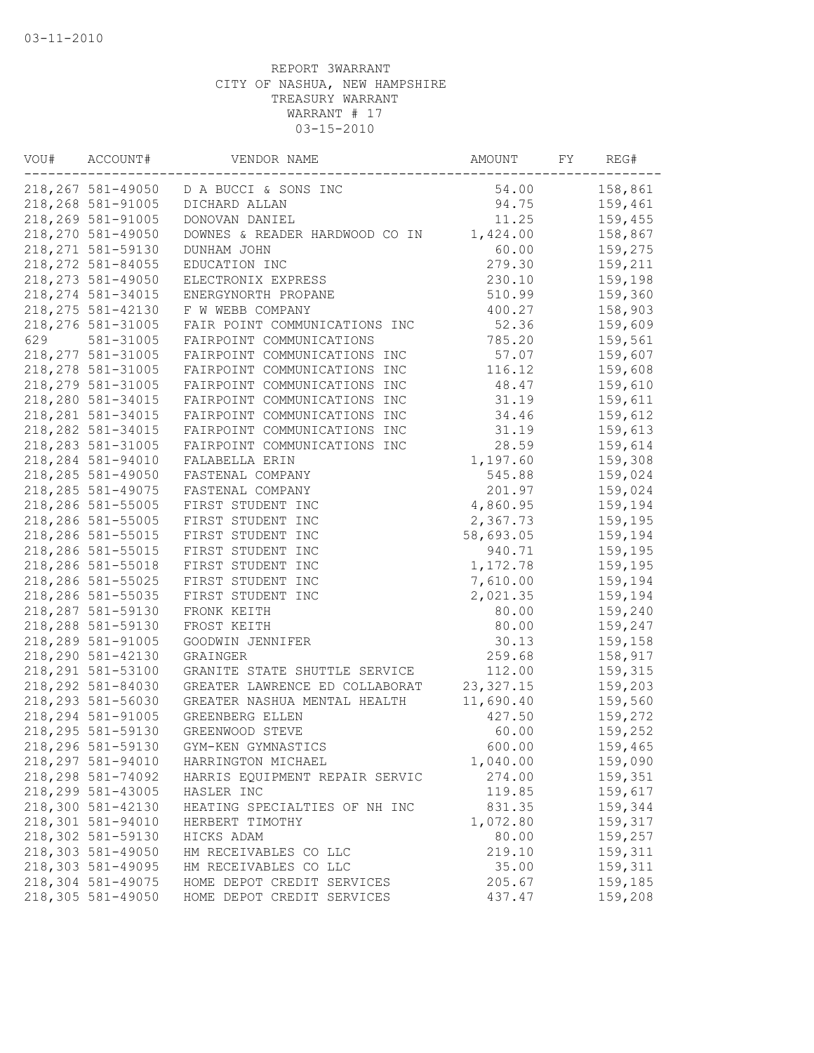| VOU# | ACCOUNT#           | VENDOR NAME                             | AMOUNT     | FΥ | REG#    |
|------|--------------------|-----------------------------------------|------------|----|---------|
|      |                    | 218, 267 581-49050 D A BUCCI & SONS INC | 54.00      |    | 158,861 |
|      | 218,268 581-91005  | DICHARD ALLAN                           | 94.75      |    | 159,461 |
|      | 218,269 581-91005  | DONOVAN DANIEL                          | 11.25      |    | 159,455 |
|      | 218,270 581-49050  | DOWNES & READER HARDWOOD CO IN          | 1,424.00   |    | 158,867 |
|      | 218, 271 581-59130 | DUNHAM JOHN                             | 60.00      |    | 159,275 |
|      | 218, 272 581-84055 | EDUCATION INC                           | 279.30     |    | 159,211 |
|      | 218, 273 581-49050 | ELECTRONIX EXPRESS                      | 230.10     |    | 159,198 |
|      | 218, 274 581-34015 | ENERGYNORTH PROPANE                     | 510.99     |    | 159,360 |
|      | 218, 275 581-42130 | F W WEBB COMPANY                        | 400.27     |    | 158,903 |
|      | 218,276 581-31005  | FAIR POINT COMMUNICATIONS INC           | 52.36      |    | 159,609 |
| 629  | 581-31005          | FAIRPOINT COMMUNICATIONS                | 785.20     |    | 159,561 |
|      | 218, 277 581-31005 | FAIRPOINT COMMUNICATIONS INC            | 57.07      |    | 159,607 |
|      | 218, 278 581-31005 | FAIRPOINT COMMUNICATIONS INC            | 116.12     |    | 159,608 |
|      | 218,279 581-31005  | FAIRPOINT COMMUNICATIONS INC            | 48.47      |    | 159,610 |
|      | 218,280 581-34015  | FAIRPOINT COMMUNICATIONS INC            | 31.19      |    | 159,611 |
|      | 218, 281 581-34015 | FAIRPOINT COMMUNICATIONS INC            | 34.46      |    | 159,612 |
|      | 218, 282 581-34015 | FAIRPOINT COMMUNICATIONS INC            | 31.19      |    | 159,613 |
|      | 218,283 581-31005  | FAIRPOINT COMMUNICATIONS INC            | 28.59      |    | 159,614 |
|      | 218,284 581-94010  | FALABELLA ERIN                          | 1,197.60   |    | 159,308 |
|      | 218,285 581-49050  | FASTENAL COMPANY                        | 545.88     |    | 159,024 |
|      | 218, 285 581-49075 | FASTENAL COMPANY                        | 201.97     |    | 159,024 |
|      | 218,286 581-55005  | FIRST STUDENT INC                       | 4,860.95   |    | 159,194 |
|      | 218,286 581-55005  | FIRST STUDENT INC                       | 2,367.73   |    | 159,195 |
|      | 218,286 581-55015  | FIRST STUDENT INC                       | 58,693.05  |    | 159,194 |
|      | 218,286 581-55015  | FIRST STUDENT INC                       | 940.71     |    | 159,195 |
|      | 218,286 581-55018  | FIRST STUDENT INC                       | 1,172.78   |    | 159,195 |
|      | 218,286 581-55025  | FIRST STUDENT INC                       | 7,610.00   |    | 159,194 |
|      | 218,286 581-55035  | FIRST STUDENT INC                       | 2,021.35   |    | 159,194 |
|      | 218,287 581-59130  | FRONK KEITH                             | 80.00      |    | 159,240 |
|      | 218,288 581-59130  | FROST KEITH                             | 80.00      |    | 159,247 |
|      | 218,289 581-91005  | GOODWIN JENNIFER                        | 30.13      |    | 159,158 |
|      | 218,290 581-42130  | GRAINGER                                | 259.68     |    | 158,917 |
|      | 218, 291 581-53100 | GRANITE STATE SHUTTLE SERVICE           | 112.00     |    | 159,315 |
|      | 218,292 581-84030  | GREATER LAWRENCE ED COLLABORAT          | 23, 327.15 |    | 159,203 |
|      | 218,293 581-56030  | GREATER NASHUA MENTAL HEALTH            | 11,690.40  |    | 159,560 |
|      | 218,294 581-91005  | GREENBERG ELLEN                         | 427.50     |    | 159,272 |
|      | 218,295 581-59130  | GREENWOOD STEVE                         | 60.00      |    | 159,252 |
|      | 218,296 581-59130  | GYM-KEN GYMNASTICS                      | 600.00     |    | 159,465 |
|      | 218,297 581-94010  | HARRINGTON MICHAEL                      | 1,040.00   |    | 159,090 |
|      | 218,298 581-74092  | HARRIS EQUIPMENT REPAIR SERVIC          | 274.00     |    | 159,351 |
|      | 218,299 581-43005  | HASLER INC                              | 119.85     |    | 159,617 |
|      | 218,300 581-42130  | HEATING SPECIALTIES OF NH INC           | 831.35     |    | 159,344 |
|      | 218,301 581-94010  | HERBERT TIMOTHY                         | 1,072.80   |    | 159,317 |
|      | 218,302 581-59130  | HICKS ADAM                              | 80.00      |    | 159,257 |
|      | 218,303 581-49050  | HM RECEIVABLES CO LLC                   | 219.10     |    | 159,311 |
|      | 218,303 581-49095  | HM RECEIVABLES CO LLC                   | 35.00      |    | 159,311 |
|      | 218,304 581-49075  | HOME DEPOT CREDIT SERVICES              | 205.67     |    | 159,185 |
|      | 218,305 581-49050  | HOME DEPOT CREDIT SERVICES              | 437.47     |    | 159,208 |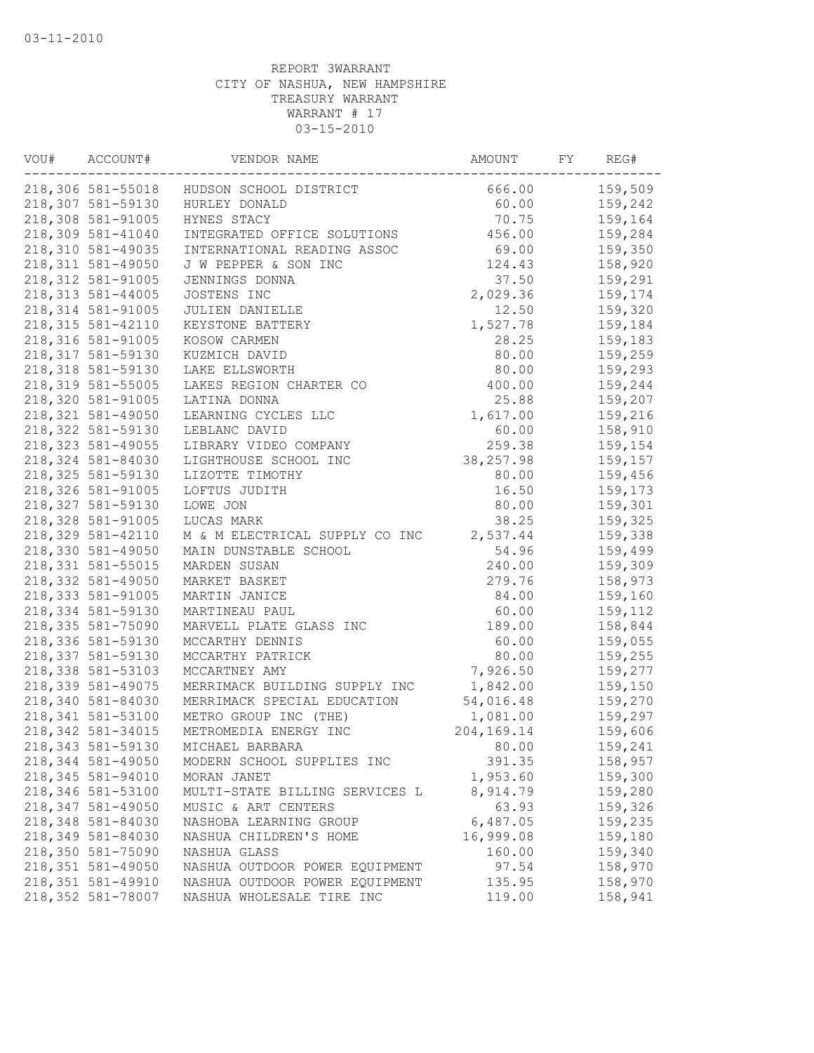| VOU# | ACCOUNT#           | VENDOR NAME                    | AMOUNT         | FY | REG#    |
|------|--------------------|--------------------------------|----------------|----|---------|
|      | 218,306 581-55018  | HUDSON SCHOOL DISTRICT         | 666.00         |    | 159,509 |
|      | 218,307 581-59130  | HURLEY DONALD                  | 60.00          |    | 159,242 |
|      | 218,308 581-91005  | HYNES STACY                    | 70.75          |    | 159,164 |
|      | 218,309 581-41040  | INTEGRATED OFFICE SOLUTIONS    | 456.00         |    | 159,284 |
|      | 218,310 581-49035  | INTERNATIONAL READING ASSOC    | 69.00          |    | 159,350 |
|      | 218, 311 581-49050 | J W PEPPER & SON INC           | 124.43         |    | 158,920 |
|      | 218, 312 581-91005 | JENNINGS DONNA                 | 37.50          |    | 159,291 |
|      | 218, 313 581-44005 | JOSTENS INC                    | 2,029.36       |    | 159,174 |
|      | 218, 314 581-91005 | JULIEN DANIELLE                | 12.50          |    | 159,320 |
|      | 218, 315 581-42110 | KEYSTONE BATTERY               | 1,527.78       |    | 159,184 |
|      | 218, 316 581-91005 | KOSOW CARMEN                   | 28.25          |    | 159,183 |
|      | 218, 317 581-59130 | KUZMICH DAVID                  | 80.00          |    | 159,259 |
|      | 218, 318 581-59130 | LAKE ELLSWORTH                 | 80.00          |    | 159,293 |
|      | 218,319 581-55005  | LAKES REGION CHARTER CO        | 400.00         |    | 159,244 |
|      | 218,320 581-91005  | LATINA DONNA                   | 25.88          |    | 159,207 |
|      | 218, 321 581-49050 | LEARNING CYCLES LLC            | 1,617.00       |    | 159,216 |
|      | 218, 322 581-59130 | LEBLANC DAVID                  | 60.00          |    | 158,910 |
|      | 218, 323 581-49055 | LIBRARY VIDEO COMPANY          | 259.38         |    | 159,154 |
|      | 218, 324 581-84030 | LIGHTHOUSE SCHOOL INC          | 38, 257.98     |    | 159,157 |
|      | 218, 325 581-59130 | LIZOTTE TIMOTHY                | 80.00          |    | 159,456 |
|      | 218,326 581-91005  | LOFTUS JUDITH                  | 16.50          |    | 159,173 |
|      | 218, 327 581-59130 | LOWE JON                       | 80.00          |    | 159,301 |
|      | 218,328 581-91005  | LUCAS MARK                     | 38.25          |    | 159,325 |
|      | 218, 329 581-42110 | M & M ELECTRICAL SUPPLY CO INC | 2,537.44       |    | 159,338 |
|      | 218,330 581-49050  | MAIN DUNSTABLE SCHOOL          | 54.96          |    | 159,499 |
|      | 218, 331 581-55015 | MARDEN SUSAN                   | 240.00         |    | 159,309 |
|      | 218,332 581-49050  | MARKET BASKET                  | 279.76         |    | 158,973 |
|      | 218, 333 581-91005 | MARTIN JANICE                  | 84.00          |    | 159,160 |
|      | 218, 334 581-59130 | MARTINEAU PAUL                 | 60.00          |    | 159,112 |
|      | 218,335 581-75090  | MARVELL PLATE GLASS INC        | 189.00         |    | 158,844 |
|      | 218,336 581-59130  |                                |                |    |         |
|      |                    | MCCARTHY DENNIS                | 60.00<br>80.00 |    | 159,055 |
|      | 218,337 581-59130  | MCCARTHY PATRICK               |                |    | 159,255 |
|      | 218,338 581-53103  | MCCARTNEY AMY                  | 7,926.50       |    | 159,277 |
|      | 218, 339 581-49075 | MERRIMACK BUILDING SUPPLY INC  | 1,842.00       |    | 159,150 |
|      | 218,340 581-84030  | MERRIMACK SPECIAL EDUCATION    | 54,016.48      |    | 159,270 |
|      | 218, 341 581-53100 | METRO GROUP INC (THE)          | 1,081.00       |    | 159,297 |
|      | 218, 342 581-34015 | METROMEDIA ENERGY INC          | 204,169.14     |    | 159,606 |
|      | 218,343 581-59130  | MICHAEL BARBARA                | 80.00          |    | 159,241 |
|      | 218,344 581-49050  | MODERN SCHOOL SUPPLIES INC     | 391.35         |    | 158,957 |
|      | 218, 345 581-94010 | MORAN JANET                    | 1,953.60       |    | 159,300 |
|      | 218,346 581-53100  | MULTI-STATE BILLING SERVICES L | 8,914.79       |    | 159,280 |
|      | 218, 347 581-49050 | MUSIC & ART CENTERS            | 63.93          |    | 159,326 |
|      | 218,348 581-84030  | NASHOBA LEARNING GROUP         | 6,487.05       |    | 159,235 |
|      | 218,349 581-84030  | NASHUA CHILDREN'S HOME         | 16,999.08      |    | 159,180 |
|      | 218,350 581-75090  | NASHUA GLASS                   | 160.00         |    | 159,340 |
|      | 218, 351 581-49050 | NASHUA OUTDOOR POWER EQUIPMENT | 97.54          |    | 158,970 |
|      | 218, 351 581-49910 | NASHUA OUTDOOR POWER EQUIPMENT | 135.95         |    | 158,970 |
|      | 218,352 581-78007  | NASHUA WHOLESALE TIRE INC      | 119.00         |    | 158,941 |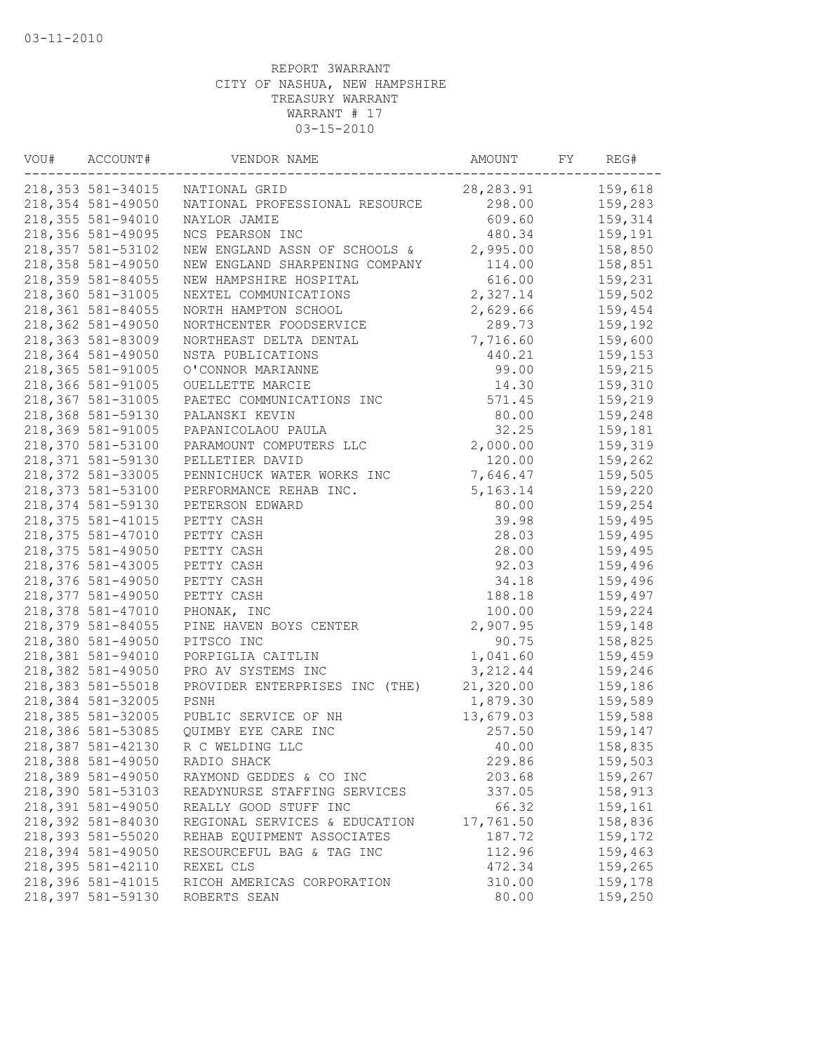| VOU# | ACCOUNT#           | VENDOR NAME                       | AMOUNT     | FY | REG#    |
|------|--------------------|-----------------------------------|------------|----|---------|
|      | 218,353 581-34015  | NATIONAL GRID                     | 28, 283.91 |    | 159,618 |
|      | 218,354 581-49050  | NATIONAL PROFESSIONAL RESOURCE    | 298.00     |    | 159,283 |
|      | 218,355 581-94010  | NAYLOR JAMIE                      | 609.60     |    | 159,314 |
|      | 218,356 581-49095  | NCS PEARSON INC                   | 480.34     |    | 159,191 |
|      | 218, 357 581-53102 | NEW ENGLAND ASSN OF SCHOOLS &     | 2,995.00   |    | 158,850 |
|      | 218,358 581-49050  | NEW ENGLAND SHARPENING COMPANY    | 114.00     |    | 158,851 |
|      | 218, 359 581-84055 | NEW HAMPSHIRE HOSPITAL            | 616.00     |    | 159,231 |
|      | 218,360 581-31005  | NEXTEL COMMUNICATIONS             | 2,327.14   |    | 159,502 |
|      | 218, 361 581-84055 | NORTH HAMPTON SCHOOL              | 2,629.66   |    | 159,454 |
|      | 218,362 581-49050  | NORTHCENTER FOODSERVICE           | 289.73     |    | 159,192 |
|      | 218,363 581-83009  | NORTHEAST DELTA DENTAL            | 7,716.60   |    | 159,600 |
|      | 218,364 581-49050  | NSTA PUBLICATIONS                 | 440.21     |    | 159,153 |
|      | 218,365 581-91005  | O'CONNOR MARIANNE                 | 99.00      |    | 159,215 |
|      | 218,366 581-91005  | OUELLETTE MARCIE                  | 14.30      |    | 159,310 |
|      | 218,367 581-31005  | PAETEC COMMUNICATIONS INC         | 571.45     |    | 159,219 |
|      | 218,368 581-59130  | PALANSKI KEVIN                    | 80.00      |    | 159,248 |
|      | 218,369 581-91005  | PAPANICOLAOU PAULA                | 32.25      |    | 159,181 |
|      | 218,370 581-53100  | PARAMOUNT COMPUTERS LLC           | 2,000.00   |    | 159,319 |
|      | 218, 371 581-59130 | PELLETIER DAVID                   | 120.00     |    | 159,262 |
|      | 218,372 581-33005  | PENNICHUCK WATER WORKS INC        | 7,646.47   |    | 159,505 |
|      | 218,373 581-53100  | PERFORMANCE REHAB INC.            | 5,163.14   |    | 159,220 |
|      | 218,374 581-59130  | PETERSON EDWARD                   | 80.00      |    | 159,254 |
|      | 218, 375 581-41015 | PETTY CASH                        | 39.98      |    | 159,495 |
|      | 218, 375 581-47010 | PETTY CASH                        | 28.03      |    | 159,495 |
|      | 218, 375 581-49050 | PETTY CASH                        | 28.00      |    | 159,495 |
|      | 218,376 581-43005  | PETTY CASH                        | 92.03      |    | 159,496 |
|      | 218,376 581-49050  | PETTY CASH                        | 34.18      |    | 159,496 |
|      | 218,377 581-49050  | PETTY CASH                        | 188.18     |    | 159,497 |
|      | 218,378 581-47010  | PHONAK, INC                       | 100.00     |    | 159,224 |
|      | 218,379 581-84055  | PINE HAVEN BOYS CENTER            | 2,907.95   |    | 159,148 |
|      | 218,380 581-49050  | PITSCO INC                        | 90.75      |    | 158,825 |
|      | 218,381 581-94010  | PORPIGLIA CAITLIN                 | 1,041.60   |    | 159,459 |
|      | 218,382 581-49050  | PRO AV SYSTEMS INC                | 3, 212.44  |    | 159,246 |
|      | 218, 383 581-55018 | PROVIDER ENTERPRISES INC (THE)    | 21,320.00  |    | 159,186 |
|      | 218,384 581-32005  | PSNH                              | 1,879.30   |    | 159,589 |
|      | 218,385 581-32005  | PUBLIC SERVICE OF NH              | 13,679.03  |    | 159,588 |
|      | 218,386 581-53085  | QUIMBY EYE CARE INC               | 257.50     |    | 159,147 |
|      |                    | 218,387 581-42130 R C WELDING LLC | 40.00      |    | 158,835 |
|      | 218,388 581-49050  | RADIO SHACK                       | 229.86     |    | 159,503 |
|      | 218,389 581-49050  | RAYMOND GEDDES & CO INC           | 203.68     |    | 159,267 |
|      | 218,390 581-53103  | READYNURSE STAFFING SERVICES      | 337.05     |    | 158,913 |
|      | 218,391 581-49050  | REALLY GOOD STUFF INC             | 66.32      |    | 159,161 |
|      | 218,392 581-84030  | REGIONAL SERVICES & EDUCATION     | 17,761.50  |    | 158,836 |
|      | 218,393 581-55020  | REHAB EQUIPMENT ASSOCIATES        | 187.72     |    | 159,172 |
|      | 218,394 581-49050  | RESOURCEFUL BAG & TAG INC         | 112.96     |    | 159,463 |
|      | 218,395 581-42110  | REXEL CLS                         | 472.34     |    | 159,265 |
|      | 218,396 581-41015  | RICOH AMERICAS CORPORATION        | 310.00     |    | 159,178 |
|      | 218,397 581-59130  | ROBERTS SEAN                      | 80.00      |    | 159,250 |
|      |                    |                                   |            |    |         |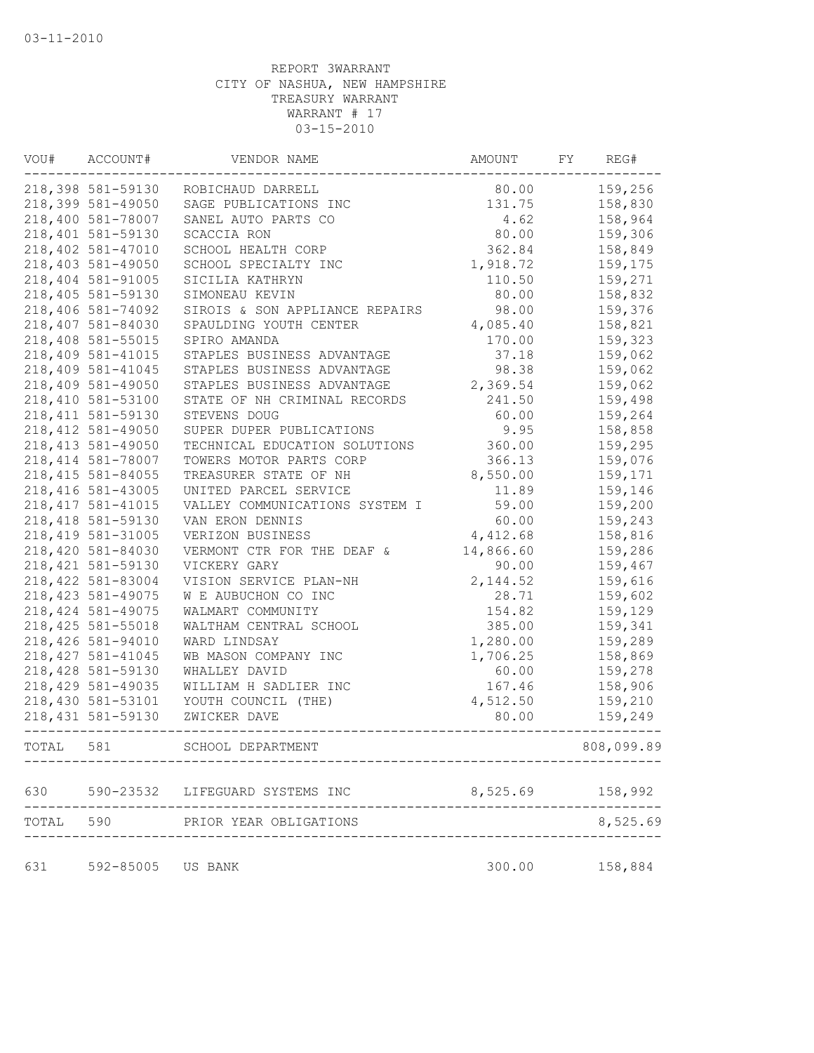| VOU#  | ACCOUNT#           | VENDOR NAME                     | AMOUNT    | FΥ | REG#       |
|-------|--------------------|---------------------------------|-----------|----|------------|
|       | 218,398 581-59130  | ROBICHAUD DARRELL               | 80.00     |    | 159,256    |
|       | 218,399 581-49050  | SAGE PUBLICATIONS INC           | 131.75    |    | 158,830    |
|       | 218,400 581-78007  | SANEL AUTO PARTS CO             | 4.62      |    | 158,964    |
|       | 218,401 581-59130  | SCACCIA RON                     | 80.00     |    | 159,306    |
|       | 218,402 581-47010  | SCHOOL HEALTH CORP              | 362.84    |    | 158,849    |
|       | 218,403 581-49050  | SCHOOL SPECIALTY INC            | 1,918.72  |    | 159,175    |
|       | 218,404 581-91005  | SICILIA KATHRYN                 | 110.50    |    | 159,271    |
|       | 218,405 581-59130  | SIMONEAU KEVIN                  | 80.00     |    | 158,832    |
|       | 218,406 581-74092  | SIROIS & SON APPLIANCE REPAIRS  | 98.00     |    | 159,376    |
|       | 218,407 581-84030  | SPAULDING YOUTH CENTER          | 4,085.40  |    | 158,821    |
|       | 218,408 581-55015  | SPIRO AMANDA                    | 170.00    |    | 159,323    |
|       | 218,409 581-41015  | STAPLES BUSINESS ADVANTAGE      | 37.18     |    | 159,062    |
|       | 218,409 581-41045  | STAPLES BUSINESS ADVANTAGE      | 98.38     |    | 159,062    |
|       | 218,409 581-49050  | STAPLES BUSINESS ADVANTAGE      | 2,369.54  |    | 159,062    |
|       | 218,410 581-53100  | STATE OF NH CRIMINAL RECORDS    | 241.50    |    | 159,498    |
|       | 218, 411 581-59130 | STEVENS DOUG                    | 60.00     |    | 159,264    |
|       | 218, 412 581-49050 | SUPER DUPER PUBLICATIONS        | 9.95      |    | 158,858    |
|       | 218, 413 581-49050 | TECHNICAL EDUCATION SOLUTIONS   | 360.00    |    | 159,295    |
|       | 218, 414 581-78007 | TOWERS MOTOR PARTS CORP         | 366.13    |    | 159,076    |
|       | 218, 415 581-84055 | TREASURER STATE OF NH           | 8,550.00  |    | 159,171    |
|       | 218, 416 581-43005 | UNITED PARCEL SERVICE           | 11.89     |    | 159,146    |
|       | 218, 417 581-41015 | VALLEY COMMUNICATIONS SYSTEM I  | 59.00     |    | 159,200    |
|       | 218, 418 581-59130 | VAN ERON DENNIS                 | 60.00     |    | 159,243    |
|       | 218, 419 581-31005 | VERIZON BUSINESS                | 4,412.68  |    | 158,816    |
|       | 218,420 581-84030  | VERMONT CTR FOR THE DEAF &      | 14,866.60 |    | 159,286    |
|       | 218, 421 581-59130 | VICKERY GARY                    | 90.00     |    | 159,467    |
|       | 218,422 581-83004  | VISION SERVICE PLAN-NH          | 2, 144.52 |    | 159,616    |
|       | 218, 423 581-49075 | W E AUBUCHON CO INC             | 28.71     |    | 159,602    |
|       | 218, 424 581-49075 | WALMART COMMUNITY               | 154.82    |    | 159,129    |
|       | 218, 425 581-55018 | WALTHAM CENTRAL SCHOOL          | 385.00    |    | 159,341    |
|       | 218,426 581-94010  | WARD LINDSAY                    | 1,280.00  |    | 159,289    |
|       | 218, 427 581-41045 | WB MASON COMPANY INC            | 1,706.25  |    | 158,869    |
|       | 218,428 581-59130  | WHALLEY DAVID                   | 60.00     |    | 159,278    |
|       | 218, 429 581-49035 | WILLIAM H SADLIER INC           | 167.46    |    | 158,906    |
|       | 218,430 581-53101  | YOUTH COUNCIL (THE)             | 4,512.50  |    | 159,210    |
|       | 218, 431 581-59130 | ZWICKER DAVE                    | 80.00     |    | 159,249    |
| TOTAL | 581                | SCHOOL DEPARTMENT               |           |    | 808,099.89 |
| 630   |                    | 590-23532 LIFEGUARD SYSTEMS INC | 8,525.69  |    | 158,992    |
| TOTAL | 590                | PRIOR YEAR OBLIGATIONS          |           |    | 8,525.69   |
| 631   | 592-85005 US BANK  |                                 | 300.00    |    | 158,884    |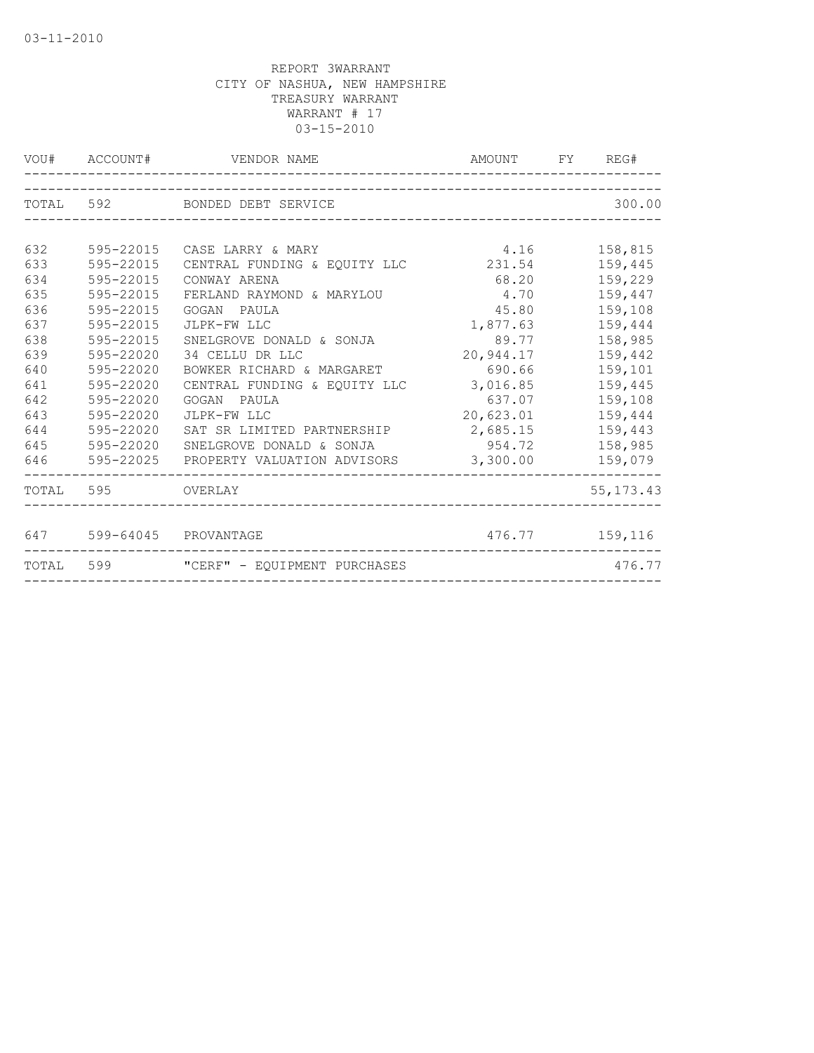|     |                          | VOU# ACCOUNT# VENDOR NAME                    | AMOUNT FY REG# |                |
|-----|--------------------------|----------------------------------------------|----------------|----------------|
|     |                          | TOTAL 592 BONDED DEBT SERVICE                |                | 300.00         |
|     |                          |                                              |                |                |
| 632 | 595-22015                | CASE LARRY & MARY                            | 4.16           | 158,815        |
| 633 | 595-22015                | CENTRAL FUNDING & EQUITY LLC                 | 231.54         | 159,445        |
| 634 | 595-22015                | CONWAY ARENA                                 | 68.20          | 159,229        |
| 635 | 595-22015                | FERLAND RAYMOND & MARYLOU                    | 4.70           | 159,447        |
| 636 | 595-22015                | GOGAN PAULA                                  | 45.80          | 159,108        |
| 637 | 595-22015                | JLPK-FW LLC                                  | 1,877.63       | 159,444        |
| 638 | 595-22015                | SNELGROVE DONALD & SONJA                     | 89.77          | 158,985        |
| 639 | 595-22020                | 34 CELLU DR LLC                              | 20,944.17      | 159,442        |
| 640 | $595 - 22020$            | BOWKER RICHARD & MARGARET                    | 690.66         | 159,101        |
| 641 | 595-22020                | CENTRAL FUNDING & EQUITY LLC                 | 3,016.85       | 159,445        |
| 642 | 595-22020                | GOGAN PAULA                                  | 637.07         | 159,108        |
| 643 | 595-22020                | JLPK-FW LLC                                  | 20,623.01      | 159,444        |
| 644 | 595-22020                | SAT SR LIMITED PARTNERSHIP 2,685.15          |                | 159,443        |
| 645 | 595-22020                | SNELGROVE DONALD & SONJA                     | 954.72         | 158,985        |
|     | 646 595-22025            | PROPERTY VALUATION ADVISORS 3,300.00 159,079 |                |                |
|     | TOTAL 595 OVERLAY        |                                              |                | 55, 173. 43    |
|     |                          |                                              |                |                |
|     | 647 599-64045 PROVANTAGE |                                              |                | 476.77 159,116 |
|     |                          | TOTAL 599 "CERF" - EQUIPMENT PURCHASES       |                | 476.77         |
|     |                          |                                              |                |                |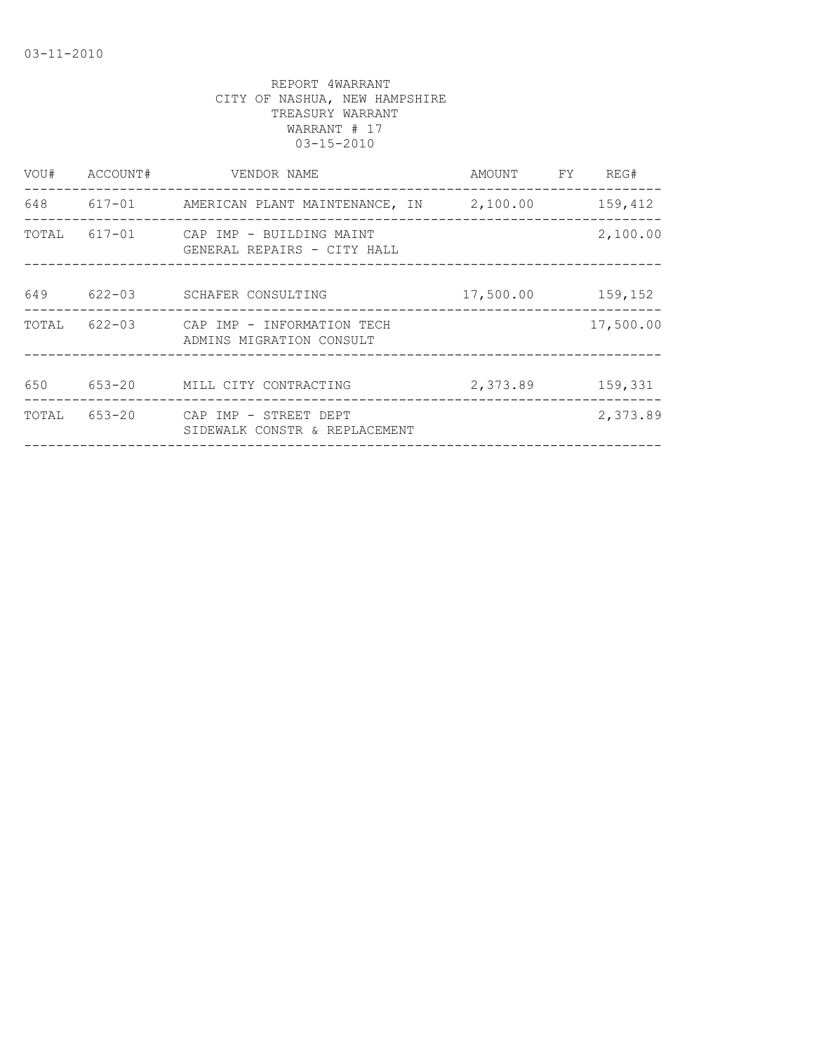| VOU#  | ACCOUNT#   | VENDOR NAME                                                    | AMOUNT    | FY | REG#      |
|-------|------------|----------------------------------------------------------------|-----------|----|-----------|
| 648   |            |                                                                |           |    | 159,412   |
| TOTAL |            | 617-01 CAP IMP - BUILDING MAINT<br>GENERAL REPAIRS - CITY HALL |           |    | 2,100.00  |
| 649   | $622 - 03$ | SCHAFER CONSULTING                                             | 17,500.00 |    | 159,152   |
| TOTAL |            | 622-03 CAP IMP - INFORMATION TECH<br>ADMINS MIGRATION CONSULT  |           |    | 17,500.00 |
| 650   | 653-20     | MILL CITY CONTRACTING                                          | 2,373.89  |    | 159,331   |
| TOTAL | $653 - 20$ | CAP IMP - STREET DEPT<br>SIDEWALK CONSTR & REPLACEMENT         |           |    | 2,373.89  |
|       |            |                                                                |           |    |           |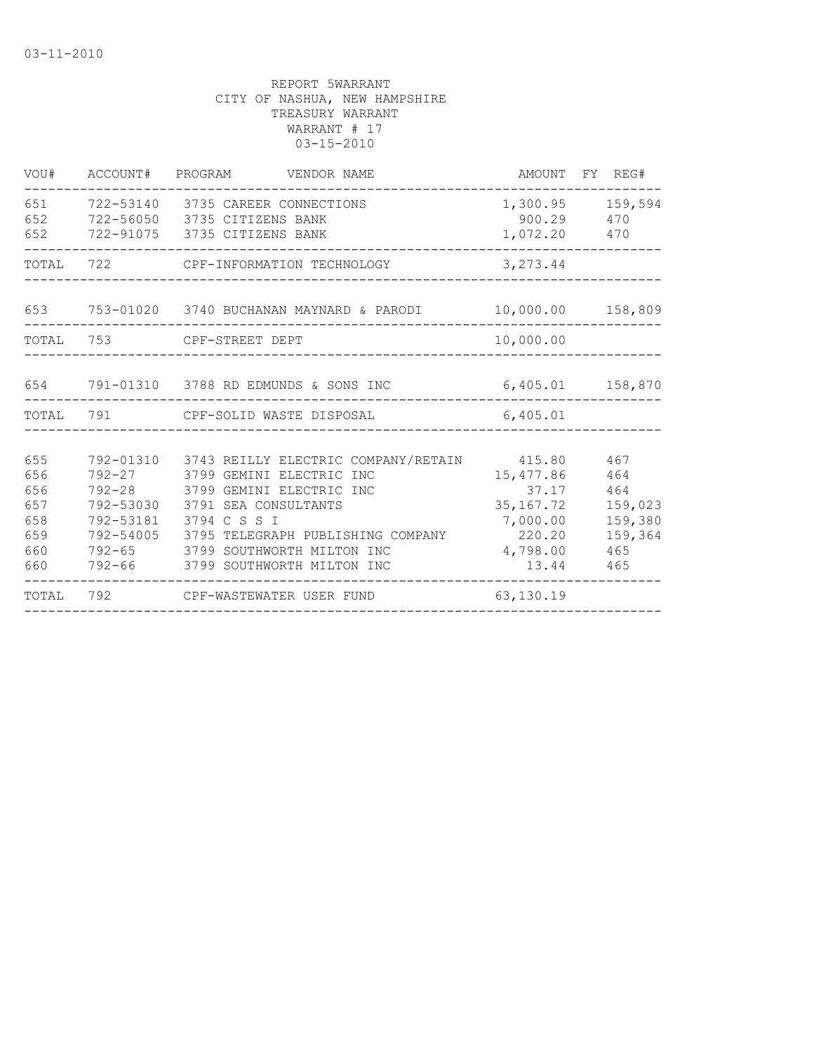| VOU#                                                 |     | ACCOUNT# PROGRAM VENDOR NAME                                                                                                                                                                                                                                                                                            |                                                                    | AMOUNT FY REG#                                                   |
|------------------------------------------------------|-----|-------------------------------------------------------------------------------------------------------------------------------------------------------------------------------------------------------------------------------------------------------------------------------------------------------------------------|--------------------------------------------------------------------|------------------------------------------------------------------|
| 651<br>652<br>652                                    |     | 722-53140 3735 CAREER CONNECTIONS<br>722-56050 3735 CITIZENS BANK<br>722-91075 3735 CITIZENS BANK                                                                                                                                                                                                                       | 900.29<br>1,072.20 470                                             | 1,300.95 159,594<br>470                                          |
| TOTAL                                                | 722 | CPF-INFORMATION TECHNOLOGY                                                                                                                                                                                                                                                                                              | 3, 273.44                                                          |                                                                  |
|                                                      |     |                                                                                                                                                                                                                                                                                                                         |                                                                    | 10,000.00 158,809                                                |
|                                                      |     | TOTAL 753 CPF-STREET DEPT                                                                                                                                                                                                                                                                                               | 10,000.00                                                          |                                                                  |
|                                                      |     |                                                                                                                                                                                                                                                                                                                         |                                                                    | 6,405.01 158,870                                                 |
|                                                      |     | TOTAL 791 CPF-SOLID WASTE DISPOSAL                                                                                                                                                                                                                                                                                      | 6,405.01                                                           |                                                                  |
| 655<br>656<br>656<br>657<br>658<br>659<br>660<br>660 |     | 792-01310 3743 REILLY ELECTRIC COMPANY/RETAIN 415.80<br>792-27 3799 GEMINI ELECTRIC INC<br>792-28 3799 GEMINI ELECTRIC INC<br>792-53030 3791 SEA CONSULTANTS<br>792-53181 3794 C S S I<br>792-54005 3795 TELEGRAPH PUBLISHING COMPANY 6220.20<br>792-65 3799 SOUTHWORTH MILTON INC<br>792-66 3799 SOUTHWORTH MILTON INC | 15,477.86<br>37.17<br>35, 167. 72<br>7,000.00<br>4,798.00<br>13.44 | 467<br>464<br>464<br>159,023<br>159,380<br>159,364<br>465<br>465 |
| TOTAL                                                |     | 792 CPF-WASTEWATER USER FUND                                                                                                                                                                                                                                                                                            | 63,130.19                                                          |                                                                  |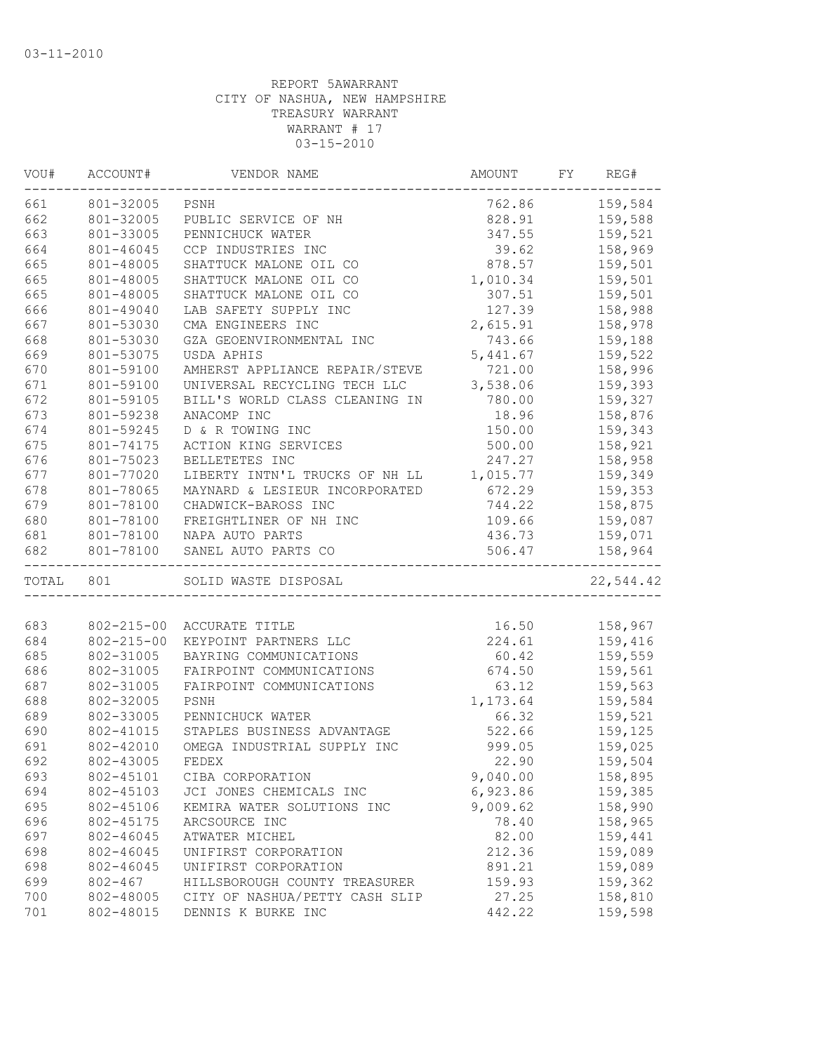| VOU#      | ACCOUNT#         | VENDOR NAME                    | AMOUNT         | FY | REG#      |
|-----------|------------------|--------------------------------|----------------|----|-----------|
| 661       | 801-32005        | PSNH                           | 762.86         |    | 159,584   |
| 662       | 801-32005        | PUBLIC SERVICE OF NH           | 828.91         |    | 159,588   |
| 663       | 801-33005        | PENNICHUCK WATER               | 347.55         |    | 159,521   |
| 664       | 801-46045        | CCP INDUSTRIES INC             | 39.62          |    | 158,969   |
| 665       | 801-48005        | SHATTUCK MALONE OIL CO         | 878.57         |    | 159,501   |
| 665       | 801-48005        | SHATTUCK MALONE OIL CO         | 1,010.34       |    | 159,501   |
| 665       | 801-48005        | SHATTUCK MALONE OIL CO         | 307.51         |    | 159,501   |
| 666       | 801-49040        | LAB SAFETY SUPPLY INC          | 127.39         |    | 158,988   |
| 667       | 801-53030        | CMA ENGINEERS INC              | 2,615.91       |    | 158,978   |
| 668       | 801-53030        | GZA GEOENVIRONMENTAL INC       | 743.66         |    | 159,188   |
| 669       | 801-53075        | USDA APHIS                     | 5,441.67       |    | 159,522   |
| 670       | 801-59100        | AMHERST APPLIANCE REPAIR/STEVE | 721.00         |    | 158,996   |
| 671       | 801-59100        | UNIVERSAL RECYCLING TECH LLC   | 3,538.06       |    | 159,393   |
| 672       | 801-59105        | BILL'S WORLD CLASS CLEANING IN | 780.00         |    | 159,327   |
| 673       | 801-59238        | ANACOMP INC                    | 18.96          |    | 158,876   |
| 674       | 801-59245        | D & R TOWING INC               | 150.00         |    | 159,343   |
| 675       | 801-74175        | ACTION KING SERVICES           | 500.00         |    | 158,921   |
| 676       | 801-75023        | BELLETETES INC                 | 247.27         |    | 158,958   |
| 677       | 801-77020        | LIBERTY INTN'L TRUCKS OF NH LL | 1,015.77       |    | 159,349   |
| 678       | 801-78065        | MAYNARD & LESIEUR INCORPORATED | 672.29         |    | 159,353   |
| 679       | 801-78100        | CHADWICK-BAROSS INC            | 744.22         |    | 158,875   |
| 680       | 801-78100        | FREIGHTLINER OF NH INC         | 109.66         |    | 159,087   |
| 681       |                  | 801-78100 NAPA AUTO PARTS      | 436.73         |    | 159,071   |
| 682       | 801-78100        | SANEL AUTO PARTS CO            | 506.47         |    | 158,964   |
| TOTAL 801 |                  | SOLID WASTE DISPOSAL           | ______________ |    | 22,544.42 |
|           |                  |                                |                |    |           |
| 683       | $802 - 215 - 00$ | ACCURATE TITLE                 | 16.50          |    | 158,967   |
| 684       | $802 - 215 - 00$ | KEYPOINT PARTNERS LLC          | 224.61         |    | 159,416   |
| 685       | 802-31005        | BAYRING COMMUNICATIONS         | 60.42          |    | 159,559   |
| 686       | 802-31005        | FAIRPOINT COMMUNICATIONS       | 674.50         |    | 159,561   |
| 687       | 802-31005        | FAIRPOINT COMMUNICATIONS       | 63.12          |    | 159,563   |
| 688       | 802-32005        | PSNH                           | 1,173.64       |    | 159,584   |
| 689       | 802-33005        | PENNICHUCK WATER               | 66.32          |    | 159,521   |
| 690       | 802-41015        | STAPLES BUSINESS ADVANTAGE     | 522.66         |    | 159,125   |
| 691       | 802-42010        | OMEGA INDUSTRIAL SUPPLY INC    | 999.05         |    | 159,025   |
| 692       | 802-43005        | FEDEX                          | 22.90          |    | 159,504   |
| 693       | 802-45101        | CIBA CORPORATION               | 9,040.00       |    | 158,895   |
| 694       | 802-45103        | JCI JONES CHEMICALS INC        | 6,923.86       |    | 159,385   |
| 695       | 802-45106        | KEMIRA WATER SOLUTIONS INC     | 9,009.62       |    | 158,990   |
| 696       | 802-45175        | ARCSOURCE INC                  | 78.40          |    | 158,965   |
| 697       | 802-46045        | ATWATER MICHEL                 | 82.00          |    | 159,441   |
| 698       | 802-46045        | UNIFIRST CORPORATION           | 212.36         |    | 159,089   |
| 698       | 802-46045        | UNIFIRST CORPORATION           | 891.21         |    | 159,089   |
| 699       | $802 - 467$      | HILLSBOROUGH COUNTY TREASURER  | 159.93         |    | 159,362   |
| 700       | 802-48005        | CITY OF NASHUA/PETTY CASH SLIP | 27.25          |    | 158,810   |
| 701       | 802-48015        | DENNIS K BURKE INC             | 442.22         |    | 159,598   |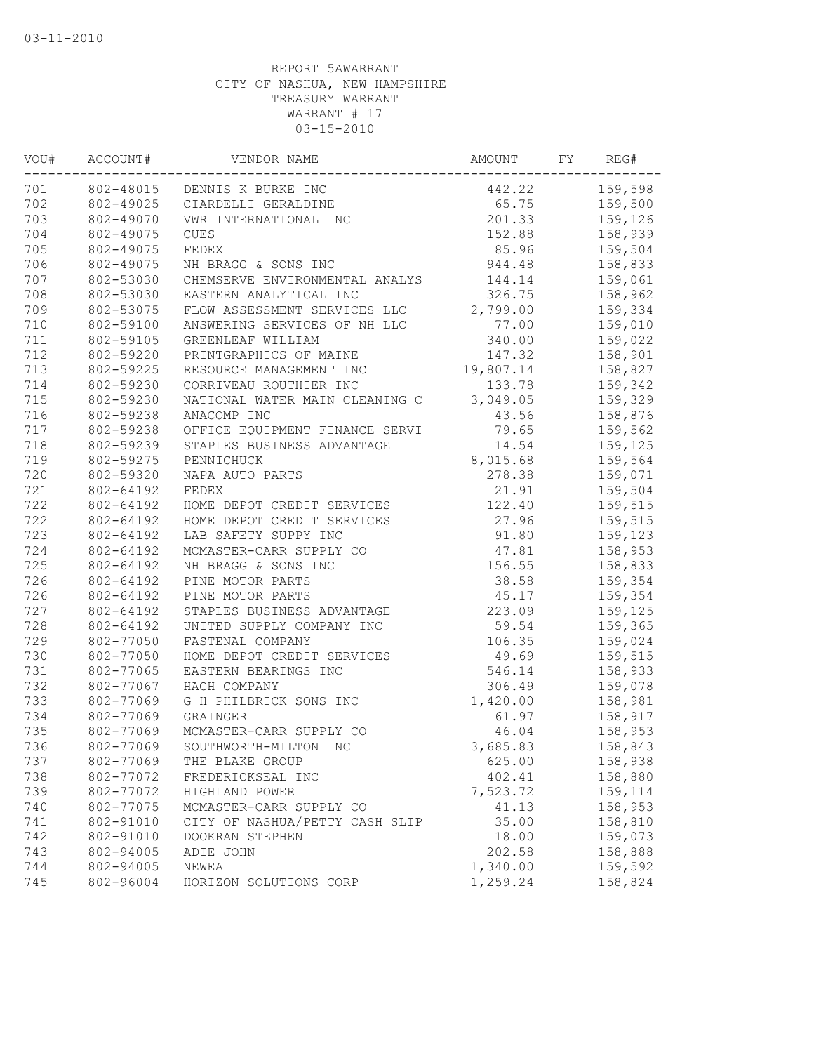| VOU# | ACCOUNT#  | VENDOR NAME                    | AMOUNT    | FY | REG#    |
|------|-----------|--------------------------------|-----------|----|---------|
| 701  |           | 802-48015 DENNIS K BURKE INC   | 442.22    |    | 159,598 |
| 702  | 802-49025 | CIARDELLI GERALDINE            | 65.75     |    | 159,500 |
| 703  | 802-49070 | VWR INTERNATIONAL INC          | 201.33    |    | 159,126 |
| 704  | 802-49075 | <b>CUES</b>                    | 152.88    |    | 158,939 |
| 705  | 802-49075 | FEDEX                          | 85.96     |    | 159,504 |
| 706  | 802-49075 | NH BRAGG & SONS INC            | 944.48    |    | 158,833 |
| 707  | 802-53030 | CHEMSERVE ENVIRONMENTAL ANALYS | 144.14    |    | 159,061 |
| 708  | 802-53030 | EASTERN ANALYTICAL INC         | 326.75    |    | 158,962 |
| 709  | 802-53075 | FLOW ASSESSMENT SERVICES LLC   | 2,799.00  |    | 159,334 |
| 710  | 802-59100 | ANSWERING SERVICES OF NH LLC   | 77.00     |    | 159,010 |
| 711  | 802-59105 | GREENLEAF WILLIAM              | 340.00    |    | 159,022 |
| 712  | 802-59220 | PRINTGRAPHICS OF MAINE         | 147.32    |    | 158,901 |
| 713  | 802-59225 | RESOURCE MANAGEMENT INC        | 19,807.14 |    | 158,827 |
| 714  | 802-59230 | CORRIVEAU ROUTHIER INC         | 133.78    |    | 159,342 |
| 715  | 802-59230 | NATIONAL WATER MAIN CLEANING C | 3,049.05  |    | 159,329 |
| 716  | 802-59238 | ANACOMP INC                    | 43.56     |    | 158,876 |
| 717  | 802-59238 | OFFICE EQUIPMENT FINANCE SERVI | 79.65     |    | 159,562 |
| 718  | 802-59239 | STAPLES BUSINESS ADVANTAGE     | 14.54     |    | 159,125 |
| 719  | 802-59275 | PENNICHUCK                     | 8,015.68  |    | 159,564 |
| 720  | 802-59320 | NAPA AUTO PARTS                | 278.38    |    | 159,071 |
| 721  | 802-64192 | FEDEX                          | 21.91     |    | 159,504 |
| 722  | 802-64192 | HOME DEPOT CREDIT SERVICES     | 122.40    |    | 159,515 |
| 722  | 802-64192 | HOME DEPOT CREDIT SERVICES     | 27.96     |    | 159,515 |
| 723  | 802-64192 | LAB SAFETY SUPPY INC           | 91.80     |    | 159,123 |
| 724  | 802-64192 | MCMASTER-CARR SUPPLY CO        | 47.81     |    | 158,953 |
| 725  | 802-64192 | NH BRAGG & SONS INC            | 156.55    |    | 158,833 |
| 726  | 802-64192 | PINE MOTOR PARTS               | 38.58     |    | 159,354 |
| 726  | 802-64192 | PINE MOTOR PARTS               | 45.17     |    | 159,354 |
| 727  | 802-64192 | STAPLES BUSINESS ADVANTAGE     | 223.09    |    | 159,125 |
| 728  | 802-64192 | UNITED SUPPLY COMPANY INC      | 59.54     |    | 159,365 |
| 729  | 802-77050 | FASTENAL COMPANY               | 106.35    |    | 159,024 |
| 730  | 802-77050 | HOME DEPOT CREDIT SERVICES     | 49.69     |    | 159,515 |
| 731  | 802-77065 | EASTERN BEARINGS INC           | 546.14    |    | 158,933 |
| 732  | 802-77067 | HACH COMPANY                   | 306.49    |    | 159,078 |
| 733  | 802-77069 | G H PHILBRICK SONS INC         | 1,420.00  |    | 158,981 |
| 734  | 802-77069 | GRAINGER                       | 61.97     |    | 158,917 |
| 735  | 802-77069 | MCMASTER-CARR SUPPLY CO        | 46.04     |    | 158,953 |
| 736  | 802-77069 | SOUTHWORTH-MILTON INC          | 3,685.83  |    | 158,843 |
| 737  | 802-77069 | THE BLAKE GROUP                | 625.00    |    | 158,938 |
| 738  | 802-77072 | FREDERICKSEAL INC              | 402.41    |    | 158,880 |
| 739  | 802-77072 | HIGHLAND POWER                 | 7,523.72  |    | 159,114 |
| 740  | 802-77075 | MCMASTER-CARR SUPPLY CO        | 41.13     |    | 158,953 |
| 741  | 802-91010 | CITY OF NASHUA/PETTY CASH SLIP | 35.00     |    | 158,810 |
| 742  | 802-91010 | DOOKRAN STEPHEN                | 18.00     |    | 159,073 |
| 743  | 802-94005 | ADIE JOHN                      | 202.58    |    | 158,888 |
| 744  | 802-94005 | NEWEA                          | 1,340.00  |    | 159,592 |
| 745  | 802-96004 | HORIZON SOLUTIONS CORP         | 1,259.24  |    | 158,824 |
|      |           |                                |           |    |         |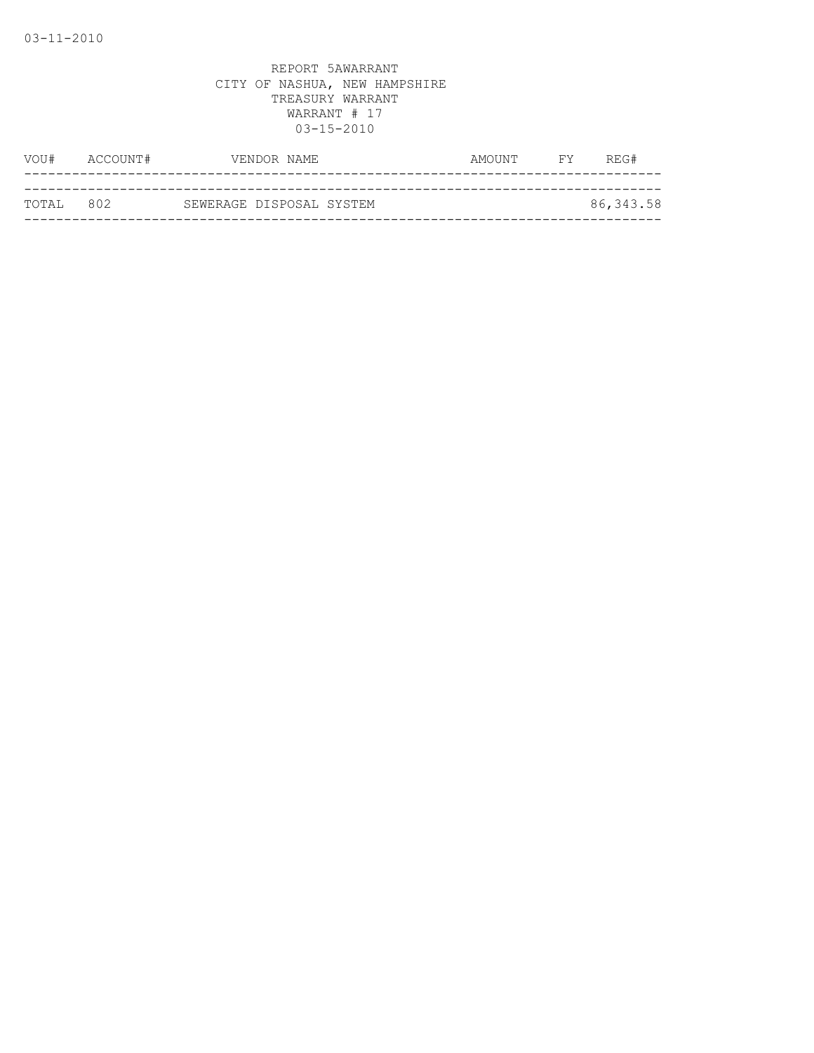| VOU#      | ACCOUNT# |                          | VENDOR NAME | AMOUNT | <b>FY</b> | REG#      |
|-----------|----------|--------------------------|-------------|--------|-----------|-----------|
|           |          |                          |             |        |           |           |
| TOTAL 802 |          | SEWERAGE DISPOSAL SYSTEM |             |        |           | 86,343.58 |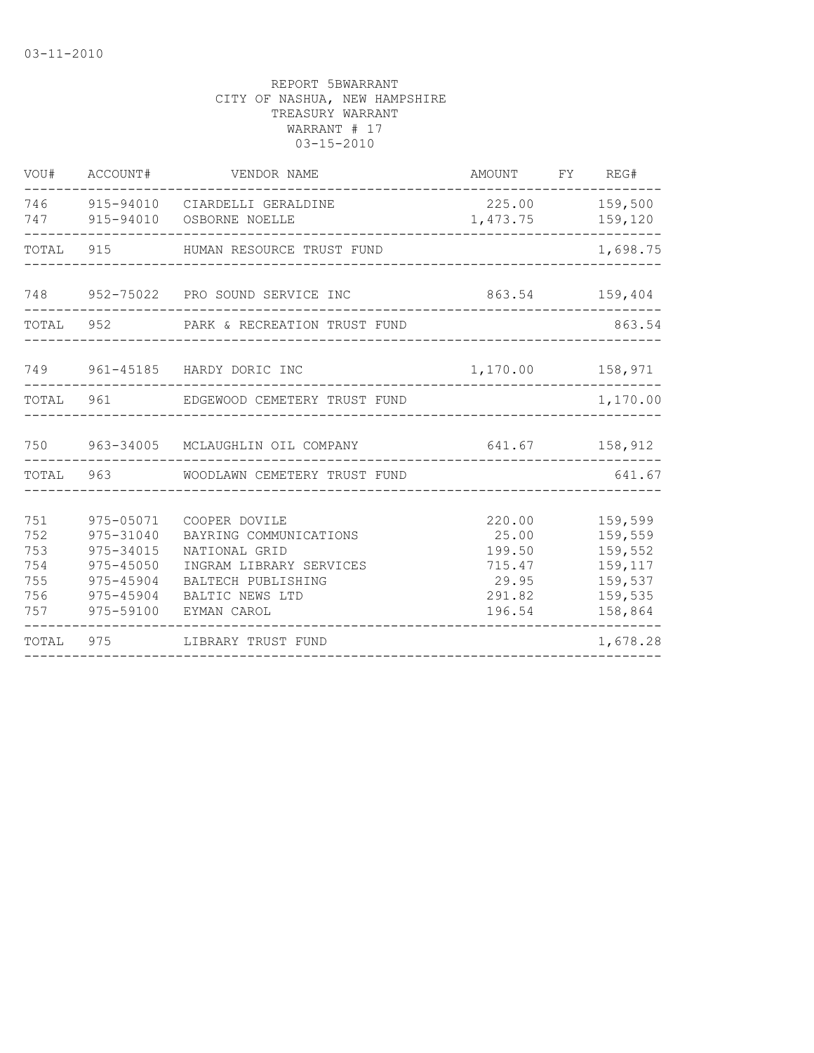| VOU#                                          | ACCOUNT#                                                                                | VENDOR NAME                                                                                                                                 | AMOUNT FY REG#                                                   |                                                                           |
|-----------------------------------------------|-----------------------------------------------------------------------------------------|---------------------------------------------------------------------------------------------------------------------------------------------|------------------------------------------------------------------|---------------------------------------------------------------------------|
|                                               |                                                                                         | 746 915-94010 CIARDELLI GERALDINE<br>747 915-94010 OSBORNE NOELLE                                                                           | 225.00                                                           | 159,500<br>1,473.75 159,120                                               |
| TOTAL                                         |                                                                                         | 915 HUMAN RESOURCE TRUST FUND                                                                                                               |                                                                  | 1,698.75                                                                  |
|                                               |                                                                                         | 748 952-75022 PRO SOUND SERVICE INC                                                                                                         | 863.54 159,404                                                   |                                                                           |
|                                               |                                                                                         | TOTAL 952 PARK & RECREATION TRUST FUND                                                                                                      |                                                                  | 863.54                                                                    |
|                                               |                                                                                         | 749 961-45185 HARDY DORIC INC                                                                                                               |                                                                  | 1,170.00 158,971                                                          |
|                                               |                                                                                         | TOTAL 961 EDGEWOOD CEMETERY TRUST FUND                                                                                                      |                                                                  | 1,170.00                                                                  |
|                                               |                                                                                         | 750 963-34005 MCLAUGHLIN OIL COMPANY                                                                                                        |                                                                  | $641.67$ $158,912$                                                        |
|                                               |                                                                                         | TOTAL 963 WOODLAWN CEMETERY TRUST FUND                                                                                                      |                                                                  | 641.67                                                                    |
| 751<br>752<br>753<br>754<br>755<br>756<br>757 | 975-05071<br>975-31040<br>975-34015<br>975-45050<br>975-45904<br>975-45904<br>975-59100 | COOPER DOVILE<br>BAYRING COMMUNICATIONS<br>NATIONAL GRID<br>INGRAM LIBRARY SERVICES<br>BALTECH PUBLISHING<br>BALTIC NEWS LTD<br>EYMAN CAROL | 220.00<br>25.00<br>199.50<br>715.47<br>29.95<br>291.82<br>196.54 | 159,599<br>159,559<br>159,552<br>159,117<br>159,537<br>159,535<br>158,864 |
| TOTAL                                         | 975                                                                                     | LIBRARY TRUST FUND                                                                                                                          |                                                                  | 1,678.28                                                                  |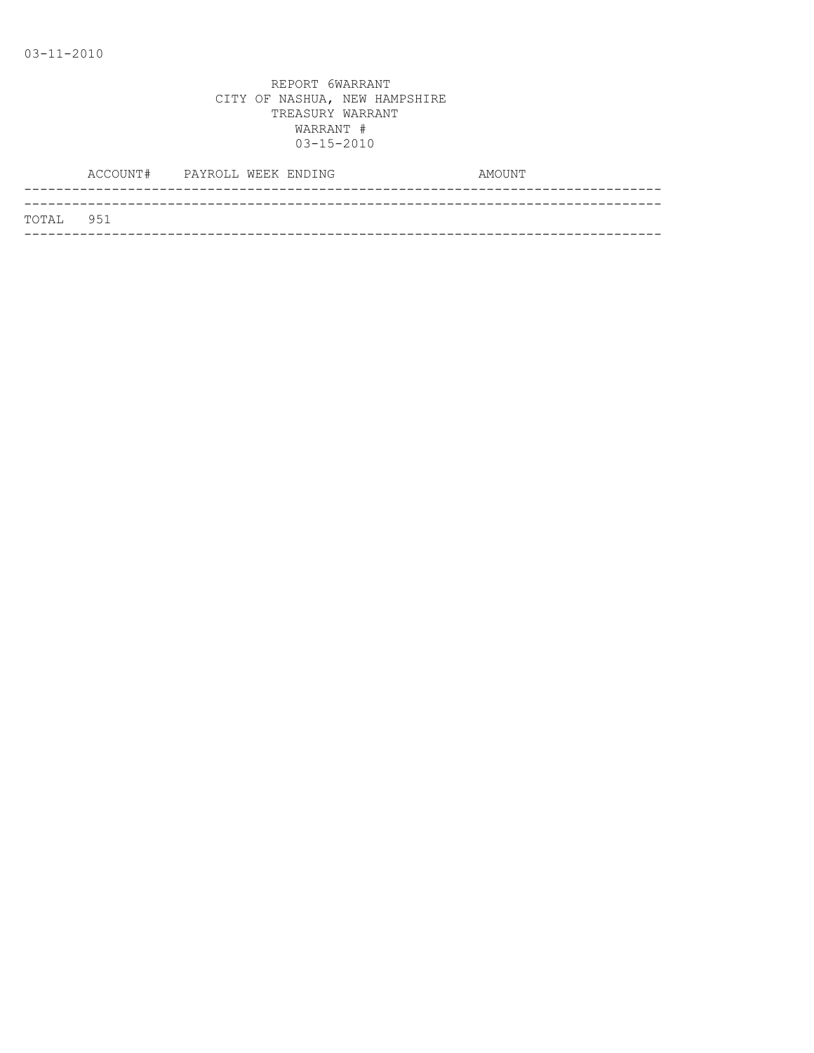|           | ACCOUNT# PAYROLL WEEK ENDING |  | AMOUNT |
|-----------|------------------------------|--|--------|
|           |                              |  |        |
| TOTAL 951 |                              |  |        |
|           |                              |  |        |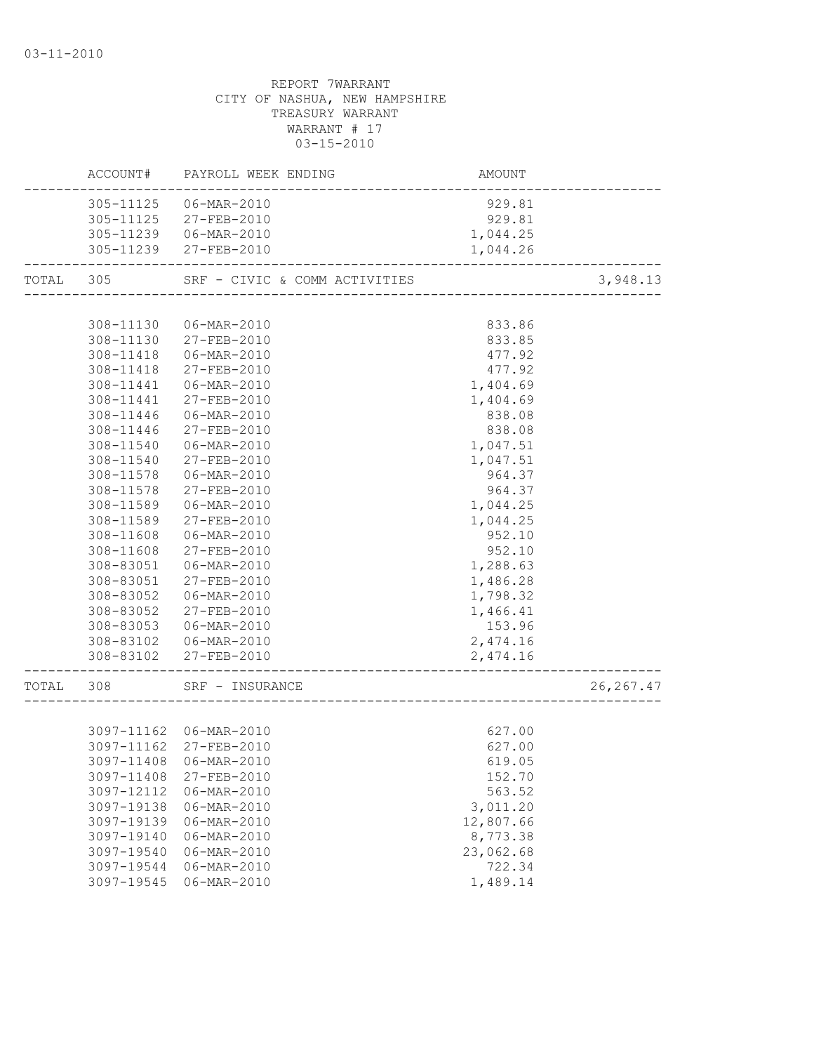|           |                                                                                                                                                                                                                                                                  | ACCOUNT# PAYROLL WEEK ENDING                                                                                                                                                                                                                                                                                                            | AMOUNT                                                                                                                                                                                                                             |            |
|-----------|------------------------------------------------------------------------------------------------------------------------------------------------------------------------------------------------------------------------------------------------------------------|-----------------------------------------------------------------------------------------------------------------------------------------------------------------------------------------------------------------------------------------------------------------------------------------------------------------------------------------|------------------------------------------------------------------------------------------------------------------------------------------------------------------------------------------------------------------------------------|------------|
|           |                                                                                                                                                                                                                                                                  | 305-11125 06-MAR-2010<br>305-11125 27-FEB-2010<br>305-11239   06-MAR-2010<br>305-11239 27-FEB-2010                                                                                                                                                                                                                                      | 929.81<br>929.81<br>1,044.25<br>1,044.26                                                                                                                                                                                           |            |
| TOTAL 305 |                                                                                                                                                                                                                                                                  | SRF - CIVIC & COMM ACTIVITIES                                                                                                                                                                                                                                                                                                           |                                                                                                                                                                                                                                    | 3,948.13   |
|           |                                                                                                                                                                                                                                                                  |                                                                                                                                                                                                                                                                                                                                         |                                                                                                                                                                                                                                    |            |
|           | 308-11130<br>308-11130<br>308-11418<br>308-11418<br>308-11441<br>308-11441<br>308-11446<br>308-11446<br>308-11540<br>308-11540<br>308-11578<br>308-11578<br>308-11589<br>308-11589<br>308-11608<br>308-11608<br>308-83051<br>308-83051<br>308-83052<br>308-83052 | 06-MAR-2010<br>27-FEB-2010<br>06-MAR-2010<br>27-FEB-2010<br>06-MAR-2010<br>27-FEB-2010<br>06-MAR-2010<br>27-FEB-2010<br>06-MAR-2010<br>$27 - FEB - 2010$<br>06-MAR-2010<br>27-FEB-2010<br>06-MAR-2010<br>27-FEB-2010<br>06-MAR-2010<br>27-FEB-2010<br>06-MAR-2010<br>27-FEB-2010<br>06-MAR-2010<br>27-FEB-2010<br>308-83053 06-MAR-2010 | 833.86<br>833.85<br>477.92<br>477.92<br>1,404.69<br>1,404.69<br>838.08<br>838.08<br>1,047.51<br>1,047.51<br>964.37<br>964.37<br>1,044.25<br>1,044.25<br>952.10<br>952.10<br>1,288.63<br>1,486.28<br>1,798.32<br>1,466.41<br>153.96 |            |
|           | 308-83102                                                                                                                                                                                                                                                        | 308-83102  06-MAR-2010<br>27-FEB-2010                                                                                                                                                                                                                                                                                                   | 2,474.16<br>2,474.16                                                                                                                                                                                                               |            |
| TOTAL     | 308                                                                                                                                                                                                                                                              | SRF - INSURANCE                                                                                                                                                                                                                                                                                                                         |                                                                                                                                                                                                                                    | 26, 267.47 |
|           | 3097-11408<br>3097-11408<br>3097-12112<br>3097-19138<br>3097-19139<br>3097-19140<br>3097-19540<br>3097-19544<br>3097-19545                                                                                                                                       | 3097-11162 06-MAR-2010<br>3097-11162 27-FEB-2010<br>06-MAR-2010<br>27-FEB-2010<br>06-MAR-2010<br>06-MAR-2010<br>06-MAR-2010<br>$06 - MAR - 2010$<br>$06 - MAR - 2010$<br>$06 - MAR - 2010$<br>06-MAR-2010                                                                                                                               | 627.00<br>627.00<br>619.05<br>152.70<br>563.52<br>3,011.20<br>12,807.66<br>8,773.38<br>23,062.68<br>722.34<br>1,489.14                                                                                                             |            |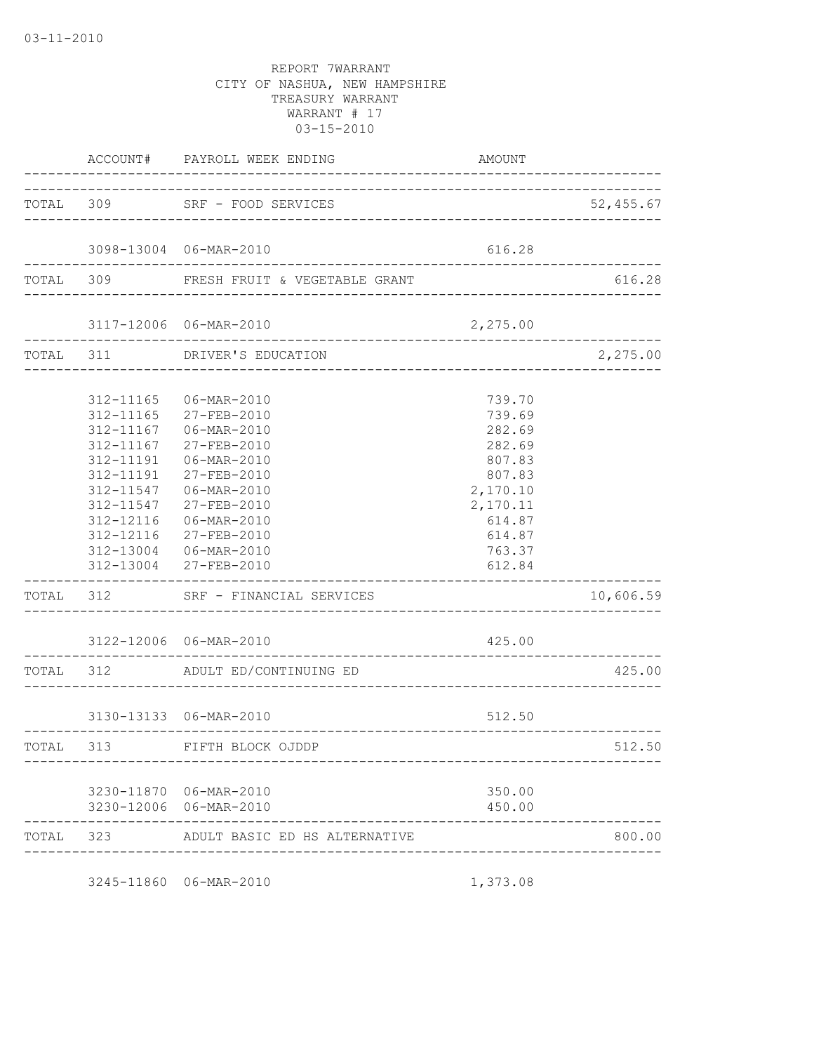|           |                                                  | ACCOUNT# PAYROLL WEEK ENDING                                                                                                                                                                                                                                       | AMOUNT                                                                                                                   |           |
|-----------|--------------------------------------------------|--------------------------------------------------------------------------------------------------------------------------------------------------------------------------------------------------------------------------------------------------------------------|--------------------------------------------------------------------------------------------------------------------------|-----------|
|           |                                                  | TOTAL 309 SRF - FOOD SERVICES                                                                                                                                                                                                                                      |                                                                                                                          | 52,455.67 |
|           |                                                  | 3098-13004 06-MAR-2010                                                                                                                                                                                                                                             | 616.28                                                                                                                   |           |
|           |                                                  | TOTAL 309 FRESH FRUIT & VEGETABLE GRANT                                                                                                                                                                                                                            |                                                                                                                          | 616.28    |
|           |                                                  | 3117-12006 06-MAR-2010                                                                                                                                                                                                                                             | 2,275.00                                                                                                                 |           |
|           | -----------------                                | TOTAL 311 DRIVER'S EDUCATION<br>_______________________                                                                                                                                                                                                            |                                                                                                                          | 2,275.00  |
|           | 312-11167<br>312-11191<br>312-11191<br>312-11547 | 312-11165 06-MAR-2010<br>312-11165 27-FEB-2010<br>312-11167 06-MAR-2010<br>27-FEB-2010<br>06-MAR-2010<br>27-FEB-2010<br>06-MAR-2010<br>312-11547 27-FEB-2010<br>312-12116   06-MAR-2010<br>312-12116 27-FEB-2010<br>312-13004 06-MAR-2010<br>312-13004 27-FEB-2010 | 739.70<br>739.69<br>282.69<br>282.69<br>807.83<br>807.83<br>2,170.10<br>2,170.11<br>614.87<br>614.87<br>763.37<br>612.84 |           |
|           |                                                  | TOTAL 312 SRF - FINANCIAL SERVICES                                                                                                                                                                                                                                 |                                                                                                                          | 10,606.59 |
|           |                                                  | 3122-12006 06-MAR-2010                                                                                                                                                                                                                                             | 425.00                                                                                                                   |           |
|           |                                                  | TOTAL 312 ADULT ED/CONTINUING ED                                                                                                                                                                                                                                   |                                                                                                                          | 425.00    |
|           |                                                  | 3130-13133 06-MAR-2010                                                                                                                                                                                                                                             | 512.50                                                                                                                   |           |
| TOTAL 313 |                                                  | --------------------------------<br>FIFTH BLOCK OJDDP                                                                                                                                                                                                              |                                                                                                                          | 512.50    |
|           | -------------                                    | 3230-11870 06-MAR-2010<br>3230-12006 06-MAR-2010                                                                                                                                                                                                                   | 350.00<br>450.00                                                                                                         |           |
|           |                                                  | TOTAL 323 ADULT BASIC ED HS ALTERNATIVE                                                                                                                                                                                                                            |                                                                                                                          | 800.00    |

3245-11860 06-MAR-2010 1,373.08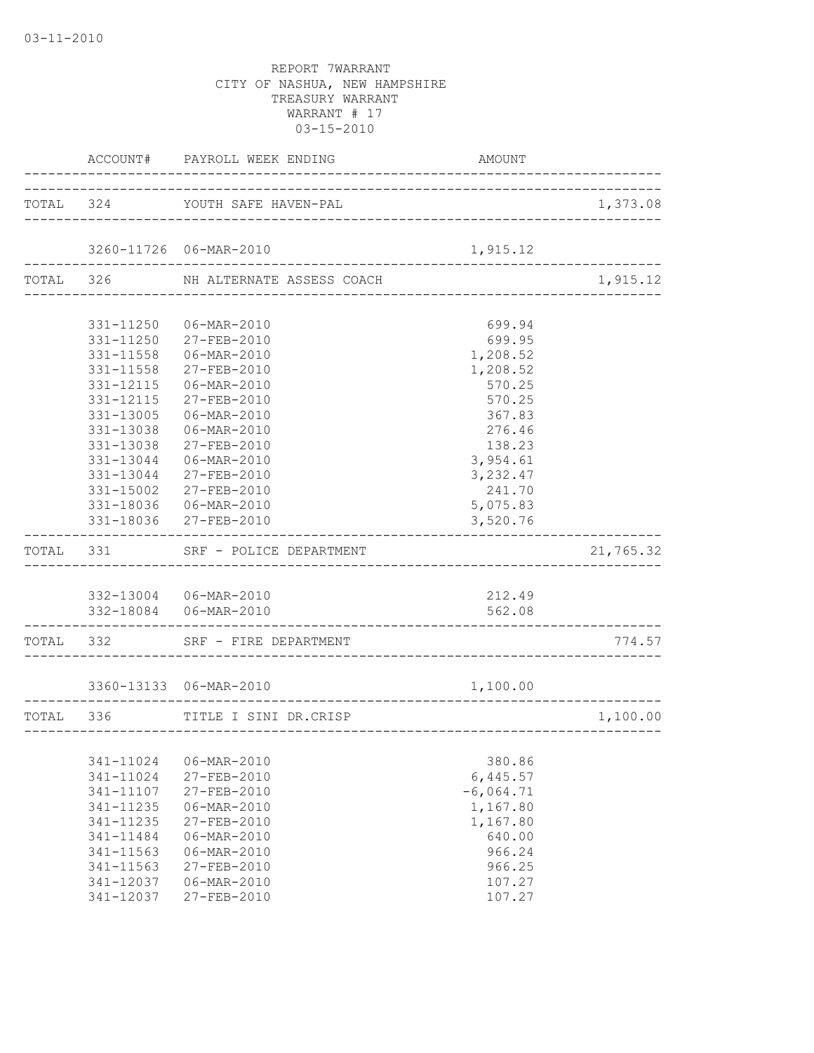|           | ACCOUNT# PAYROLL WEEK ENDING        | AMOUNT                            |           |
|-----------|-------------------------------------|-----------------------------------|-----------|
|           | TOTAL 324 YOUTH SAFE HAVEN-PAL      |                                   | 1,373.08  |
|           | 3260-11726 06-MAR-2010              | 1,915.12                          |           |
|           | TOTAL 326 NH ALTERNATE ASSESS COACH |                                   | 1,915.12  |
|           |                                     |                                   |           |
|           | 331-11250 06-MAR-2010               | 699.94                            |           |
|           | 331-11250 27-FEB-2010               | 699.95                            |           |
|           | 331-11558 06-MAR-2010               | 1,208.52                          |           |
| 331-11558 | 27-FEB-2010                         | 1,208.52                          |           |
| 331-12115 | 06-MAR-2010                         | 570.25                            |           |
| 331-12115 | 27-FEB-2010                         | 570.25                            |           |
| 331-13005 | 06-MAR-2010                         | 367.83                            |           |
| 331-13038 | 06-MAR-2010                         | 276.46                            |           |
| 331-13038 | 27-FEB-2010                         | 138.23                            |           |
| 331-13044 | 06-MAR-2010                         | 3,954.61                          |           |
| 331-13044 | 27-FEB-2010                         | 3,232.47                          |           |
| 331-15002 | 27-FEB-2010                         | 241.70                            |           |
|           | 331-18036 06-MAR-2010               | 5,075.83                          |           |
|           | 331-18036 27-FEB-2010               | 3,520.76                          |           |
|           | TOTAL 331 SRF - POLICE DEPARTMENT   |                                   | 21,765.32 |
|           |                                     |                                   |           |
|           | 332-13004 06-MAR-2010               | 212.49                            |           |
| --------  | 332-18084   06-MAR-2010             | 562.08                            |           |
|           | TOTAL 332 SRF - FIRE DEPARTMENT     |                                   | 774.57    |
|           | 3360-13133 06-MAR-2010              | 1,100.00                          |           |
|           | ___________________________________ |                                   |           |
| TOTAL 336 | TITLE I SINI DR.CRISP               | --------------------------------- | 1,100.00  |
|           |                                     |                                   |           |
| 341-11024 | 06-MAR-2010                         | 380.86                            |           |
| 341-11024 | 27-FEB-2010                         | 6,445.57                          |           |
| 341-11107 | 27-FEB-2010                         | $-6,064.71$                       |           |
| 341-11235 | 06-MAR-2010                         | 1,167.80                          |           |
| 341-11235 | 27-FEB-2010                         | 1,167.80                          |           |
| 341-11484 | $06 - MAR - 2010$                   | 640.00                            |           |
| 341-11563 | 06-MAR-2010                         | 966.24                            |           |
| 341-11563 | 27-FEB-2010                         | 966.25                            |           |
| 341-12037 | 06-MAR-2010                         | 107.27                            |           |
| 341-12037 | 27-FEB-2010                         | 107.27                            |           |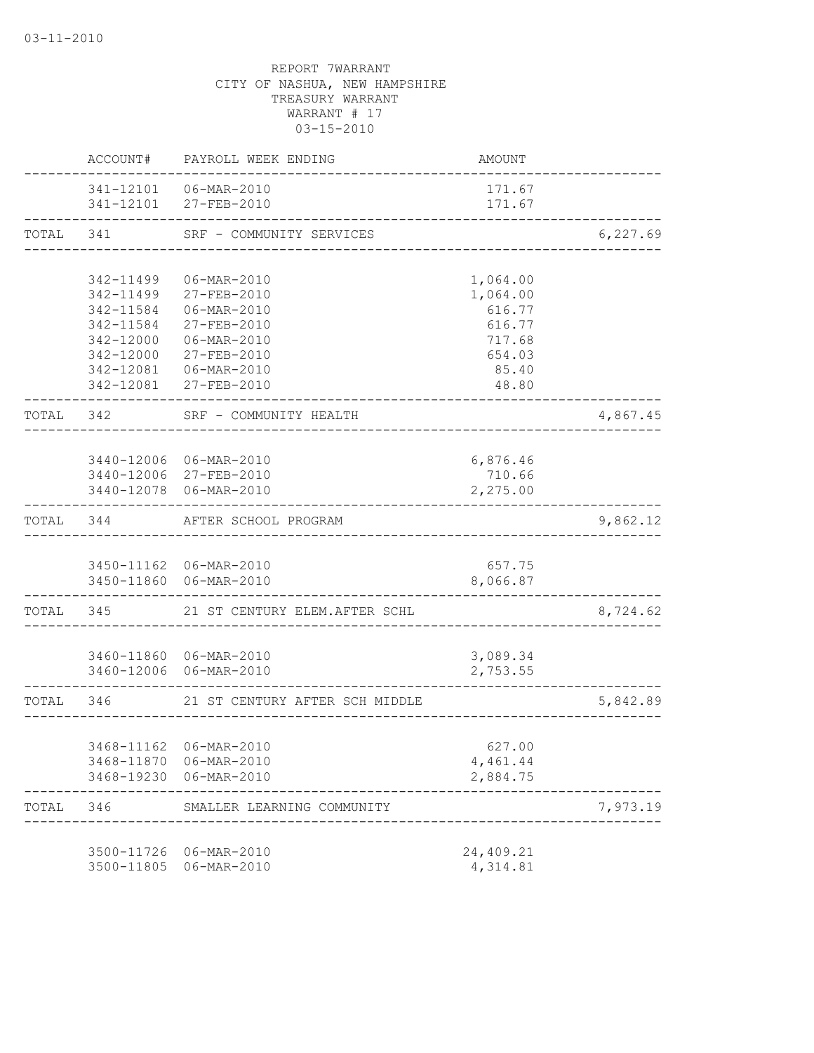|           |                           | ACCOUNT# PAYROLL WEEK ENDING                      | AMOUNT           |          |
|-----------|---------------------------|---------------------------------------------------|------------------|----------|
|           |                           | 341-12101    06-MAR-2010<br>341-12101 27-FEB-2010 | 171.67<br>171.67 |          |
| TOTAL 341 |                           | SRF - COMMUNITY SERVICES                          |                  | 6,227.69 |
|           |                           |                                                   |                  |          |
|           | 342-11499                 | 06-MAR-2010                                       | 1,064.00         |          |
|           | 342-11499                 | 27-FEB-2010                                       | 1,064.00         |          |
|           | 342-11584                 | 06-MAR-2010                                       | 616.77           |          |
|           | 342-11584                 | 27-FEB-2010                                       | 616.77           |          |
|           |                           | 342-12000 06-MAR-2010                             | 717.68           |          |
|           |                           | 342-12000 27-FEB-2010                             | 654.03           |          |
|           |                           | 342-12081   06-MAR-2010                           | 85.40            |          |
|           |                           | 342-12081 27-FEB-2010                             | 48.80            |          |
| TOTAL 342 |                           | SRF - COMMUNITY HEALTH                            |                  | 4,867.45 |
|           |                           |                                                   |                  |          |
|           |                           | 3440-12006 06-MAR-2010                            | 6,876.46         |          |
|           |                           | 3440-12006 27-FEB-2010                            | 710.66           |          |
|           |                           | 3440-12078 06-MAR-2010                            | 2,275.00         |          |
|           | TOTAL 344                 | AFTER SCHOOL PROGRAM                              |                  | 9,862.12 |
|           |                           |                                                   |                  |          |
|           |                           | 3450-11162 06-MAR-2010                            | 657.75           |          |
|           |                           | 3450-11860 06-MAR-2010                            | 8,066.87         |          |
|           | . _ _ _ _ _ _ _ _ _ _ _ _ | TOTAL 345 21 ST CENTURY ELEM.AFTER SCHL           |                  | 8,724.62 |
|           |                           |                                                   |                  |          |
|           |                           | 3460-11860 06-MAR-2010                            | 3,089.34         |          |
|           |                           | 3460-12006 06-MAR-2010                            | 2,753.55         |          |
|           | TOTAL 346                 | 21 ST CENTURY AFTER SCH MIDDLE                    |                  | 5,842.89 |
|           |                           |                                                   |                  |          |
|           |                           | 3468-11162 06-MAR-2010                            | 627.00           |          |
|           |                           | 3468-11870 06-MAR-2010                            | 4,461.44         |          |
|           |                           | 3468-19230 06-MAR-2010                            | 2,884.75         |          |
| TOTAL     | 346                       | SMALLER LEARNING COMMUNITY                        |                  | 7,973.19 |
|           |                           |                                                   |                  |          |
|           |                           | 3500-11726 06-MAR-2010                            | 24,409.21        |          |
|           | 3500-11805                | 06-MAR-2010                                       | 4,314.81         |          |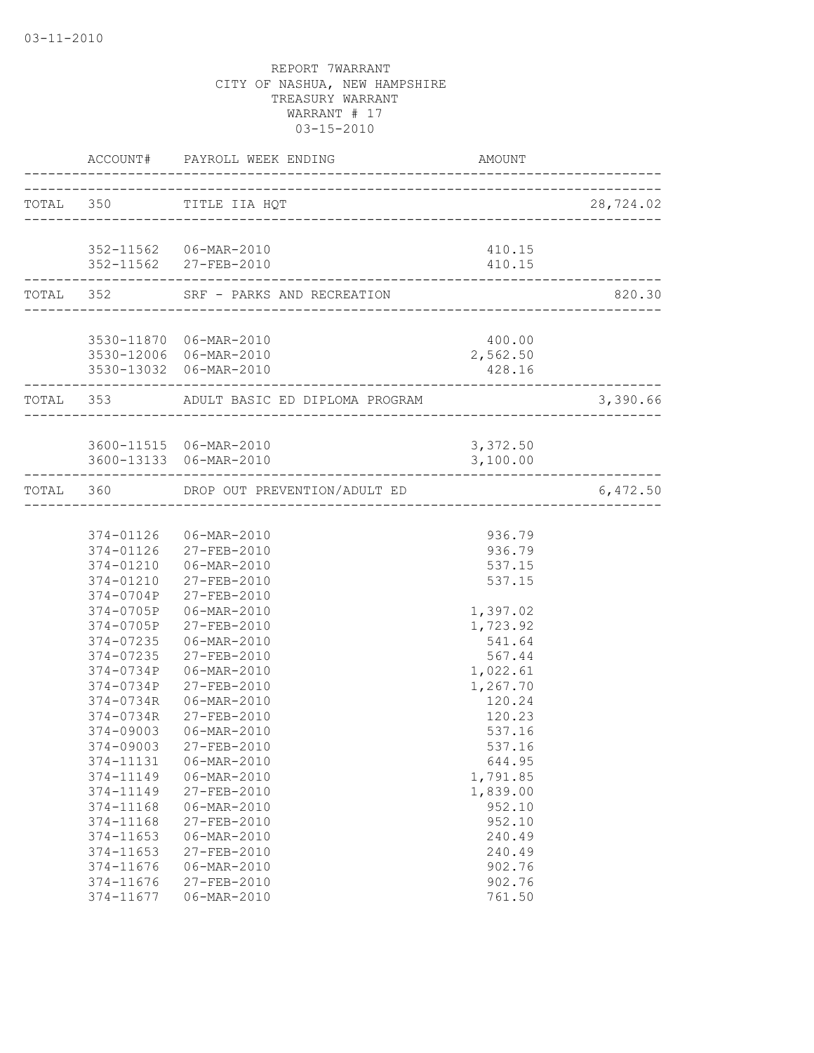| TOTAL 350 TITLE IIA HQT<br>352-11562 06-MAR-2010<br>410.15<br>352-11562 27-FEB-2010<br>410.15<br>-------------------------------<br>--------------------------------<br>TOTAL 352 SRF - PARKS AND RECREATION<br>3530-11870 06-MAR-2010<br>400.00<br>3530-12006 06-MAR-2010<br>2,562.50<br>3530-13032 06-MAR-2010<br>428.16<br>__________________________________<br>-------------------<br>3,390.66<br>TOTAL 353 ADULT BASIC ED DIPLOMA PROGRAM<br>3600-11515 06-MAR-2010<br>3,372.50<br>3600-13133 06-MAR-2010<br>3,100.00<br>TOTAL 360 DROP OUT PREVENTION/ADULT ED<br>6,472.50<br>374-01126  06-MAR-2010<br>936.79<br>374-01126 27-FEB-2010<br>936.79<br>374-01210 06-MAR-2010<br>537.15<br>374-01210 27-FEB-2010<br>537.15<br>374-0704P 27-FEB-2010<br>374-0705P<br>06-MAR-2010<br>1,397.02<br>27-FEB-2010<br>1,723.92<br>374-0705P<br>374-07235 06-MAR-2010<br>541.64<br>374-07235 27-FEB-2010<br>567.44<br>374-0734P<br>$06 - \text{MAR} - 2010$<br>1,022.61<br>1,267.70<br>374-0734P<br>27-FEB-2010<br>374-0734R<br>120.24<br>06-MAR-2010<br>120.23<br>374-0734R<br>27-FEB-2010<br>537.16<br>374-09003<br>06-MAR-2010<br>374-09003<br>27-FEB-2010<br>537.16<br>374-11131<br>06-MAR-2010<br>644.95<br>374-11149<br>06-MAR-2010<br>1,791.85<br>1,839.00<br>374-11149<br>27-FEB-2010<br>374-11168<br>06-MAR-2010<br>952.10<br>374-11168<br>27-FEB-2010<br>952.10<br>374-11653<br>06-MAR-2010<br>240.49<br>374-11653<br>27-FEB-2010<br>240.49<br>902.76<br>374-11676<br>06-MAR-2010<br>902.76<br>374-11676<br>27-FEB-2010<br>761.50<br>374-11677<br>06-MAR-2010 |  | ACCOUNT# PAYROLL WEEK ENDING | AMOUNT |           |
|--------------------------------------------------------------------------------------------------------------------------------------------------------------------------------------------------------------------------------------------------------------------------------------------------------------------------------------------------------------------------------------------------------------------------------------------------------------------------------------------------------------------------------------------------------------------------------------------------------------------------------------------------------------------------------------------------------------------------------------------------------------------------------------------------------------------------------------------------------------------------------------------------------------------------------------------------------------------------------------------------------------------------------------------------------------------------------------------------------------------------------------------------------------------------------------------------------------------------------------------------------------------------------------------------------------------------------------------------------------------------------------------------------------------------------------------------------------------------------------------------------------------------------------------------------------------|--|------------------------------|--------|-----------|
|                                                                                                                                                                                                                                                                                                                                                                                                                                                                                                                                                                                                                                                                                                                                                                                                                                                                                                                                                                                                                                                                                                                                                                                                                                                                                                                                                                                                                                                                                                                                                                    |  |                              |        | 28,724.02 |
|                                                                                                                                                                                                                                                                                                                                                                                                                                                                                                                                                                                                                                                                                                                                                                                                                                                                                                                                                                                                                                                                                                                                                                                                                                                                                                                                                                                                                                                                                                                                                                    |  |                              |        |           |
|                                                                                                                                                                                                                                                                                                                                                                                                                                                                                                                                                                                                                                                                                                                                                                                                                                                                                                                                                                                                                                                                                                                                                                                                                                                                                                                                                                                                                                                                                                                                                                    |  |                              |        |           |
|                                                                                                                                                                                                                                                                                                                                                                                                                                                                                                                                                                                                                                                                                                                                                                                                                                                                                                                                                                                                                                                                                                                                                                                                                                                                                                                                                                                                                                                                                                                                                                    |  |                              |        | 820.30    |
|                                                                                                                                                                                                                                                                                                                                                                                                                                                                                                                                                                                                                                                                                                                                                                                                                                                                                                                                                                                                                                                                                                                                                                                                                                                                                                                                                                                                                                                                                                                                                                    |  |                              |        |           |
|                                                                                                                                                                                                                                                                                                                                                                                                                                                                                                                                                                                                                                                                                                                                                                                                                                                                                                                                                                                                                                                                                                                                                                                                                                                                                                                                                                                                                                                                                                                                                                    |  |                              |        |           |
|                                                                                                                                                                                                                                                                                                                                                                                                                                                                                                                                                                                                                                                                                                                                                                                                                                                                                                                                                                                                                                                                                                                                                                                                                                                                                                                                                                                                                                                                                                                                                                    |  |                              |        |           |
|                                                                                                                                                                                                                                                                                                                                                                                                                                                                                                                                                                                                                                                                                                                                                                                                                                                                                                                                                                                                                                                                                                                                                                                                                                                                                                                                                                                                                                                                                                                                                                    |  |                              |        |           |
|                                                                                                                                                                                                                                                                                                                                                                                                                                                                                                                                                                                                                                                                                                                                                                                                                                                                                                                                                                                                                                                                                                                                                                                                                                                                                                                                                                                                                                                                                                                                                                    |  |                              |        |           |
|                                                                                                                                                                                                                                                                                                                                                                                                                                                                                                                                                                                                                                                                                                                                                                                                                                                                                                                                                                                                                                                                                                                                                                                                                                                                                                                                                                                                                                                                                                                                                                    |  |                              |        |           |
|                                                                                                                                                                                                                                                                                                                                                                                                                                                                                                                                                                                                                                                                                                                                                                                                                                                                                                                                                                                                                                                                                                                                                                                                                                                                                                                                                                                                                                                                                                                                                                    |  |                              |        |           |
|                                                                                                                                                                                                                                                                                                                                                                                                                                                                                                                                                                                                                                                                                                                                                                                                                                                                                                                                                                                                                                                                                                                                                                                                                                                                                                                                                                                                                                                                                                                                                                    |  |                              |        |           |
|                                                                                                                                                                                                                                                                                                                                                                                                                                                                                                                                                                                                                                                                                                                                                                                                                                                                                                                                                                                                                                                                                                                                                                                                                                                                                                                                                                                                                                                                                                                                                                    |  |                              |        |           |
|                                                                                                                                                                                                                                                                                                                                                                                                                                                                                                                                                                                                                                                                                                                                                                                                                                                                                                                                                                                                                                                                                                                                                                                                                                                                                                                                                                                                                                                                                                                                                                    |  |                              |        |           |
|                                                                                                                                                                                                                                                                                                                                                                                                                                                                                                                                                                                                                                                                                                                                                                                                                                                                                                                                                                                                                                                                                                                                                                                                                                                                                                                                                                                                                                                                                                                                                                    |  |                              |        |           |
|                                                                                                                                                                                                                                                                                                                                                                                                                                                                                                                                                                                                                                                                                                                                                                                                                                                                                                                                                                                                                                                                                                                                                                                                                                                                                                                                                                                                                                                                                                                                                                    |  |                              |        |           |
|                                                                                                                                                                                                                                                                                                                                                                                                                                                                                                                                                                                                                                                                                                                                                                                                                                                                                                                                                                                                                                                                                                                                                                                                                                                                                                                                                                                                                                                                                                                                                                    |  |                              |        |           |
|                                                                                                                                                                                                                                                                                                                                                                                                                                                                                                                                                                                                                                                                                                                                                                                                                                                                                                                                                                                                                                                                                                                                                                                                                                                                                                                                                                                                                                                                                                                                                                    |  |                              |        |           |
|                                                                                                                                                                                                                                                                                                                                                                                                                                                                                                                                                                                                                                                                                                                                                                                                                                                                                                                                                                                                                                                                                                                                                                                                                                                                                                                                                                                                                                                                                                                                                                    |  |                              |        |           |
|                                                                                                                                                                                                                                                                                                                                                                                                                                                                                                                                                                                                                                                                                                                                                                                                                                                                                                                                                                                                                                                                                                                                                                                                                                                                                                                                                                                                                                                                                                                                                                    |  |                              |        |           |
|                                                                                                                                                                                                                                                                                                                                                                                                                                                                                                                                                                                                                                                                                                                                                                                                                                                                                                                                                                                                                                                                                                                                                                                                                                                                                                                                                                                                                                                                                                                                                                    |  |                              |        |           |
|                                                                                                                                                                                                                                                                                                                                                                                                                                                                                                                                                                                                                                                                                                                                                                                                                                                                                                                                                                                                                                                                                                                                                                                                                                                                                                                                                                                                                                                                                                                                                                    |  |                              |        |           |
|                                                                                                                                                                                                                                                                                                                                                                                                                                                                                                                                                                                                                                                                                                                                                                                                                                                                                                                                                                                                                                                                                                                                                                                                                                                                                                                                                                                                                                                                                                                                                                    |  |                              |        |           |
|                                                                                                                                                                                                                                                                                                                                                                                                                                                                                                                                                                                                                                                                                                                                                                                                                                                                                                                                                                                                                                                                                                                                                                                                                                                                                                                                                                                                                                                                                                                                                                    |  |                              |        |           |
|                                                                                                                                                                                                                                                                                                                                                                                                                                                                                                                                                                                                                                                                                                                                                                                                                                                                                                                                                                                                                                                                                                                                                                                                                                                                                                                                                                                                                                                                                                                                                                    |  |                              |        |           |
|                                                                                                                                                                                                                                                                                                                                                                                                                                                                                                                                                                                                                                                                                                                                                                                                                                                                                                                                                                                                                                                                                                                                                                                                                                                                                                                                                                                                                                                                                                                                                                    |  |                              |        |           |
|                                                                                                                                                                                                                                                                                                                                                                                                                                                                                                                                                                                                                                                                                                                                                                                                                                                                                                                                                                                                                                                                                                                                                                                                                                                                                                                                                                                                                                                                                                                                                                    |  |                              |        |           |
|                                                                                                                                                                                                                                                                                                                                                                                                                                                                                                                                                                                                                                                                                                                                                                                                                                                                                                                                                                                                                                                                                                                                                                                                                                                                                                                                                                                                                                                                                                                                                                    |  |                              |        |           |
|                                                                                                                                                                                                                                                                                                                                                                                                                                                                                                                                                                                                                                                                                                                                                                                                                                                                                                                                                                                                                                                                                                                                                                                                                                                                                                                                                                                                                                                                                                                                                                    |  |                              |        |           |
|                                                                                                                                                                                                                                                                                                                                                                                                                                                                                                                                                                                                                                                                                                                                                                                                                                                                                                                                                                                                                                                                                                                                                                                                                                                                                                                                                                                                                                                                                                                                                                    |  |                              |        |           |
|                                                                                                                                                                                                                                                                                                                                                                                                                                                                                                                                                                                                                                                                                                                                                                                                                                                                                                                                                                                                                                                                                                                                                                                                                                                                                                                                                                                                                                                                                                                                                                    |  |                              |        |           |
|                                                                                                                                                                                                                                                                                                                                                                                                                                                                                                                                                                                                                                                                                                                                                                                                                                                                                                                                                                                                                                                                                                                                                                                                                                                                                                                                                                                                                                                                                                                                                                    |  |                              |        |           |
|                                                                                                                                                                                                                                                                                                                                                                                                                                                                                                                                                                                                                                                                                                                                                                                                                                                                                                                                                                                                                                                                                                                                                                                                                                                                                                                                                                                                                                                                                                                                                                    |  |                              |        |           |
|                                                                                                                                                                                                                                                                                                                                                                                                                                                                                                                                                                                                                                                                                                                                                                                                                                                                                                                                                                                                                                                                                                                                                                                                                                                                                                                                                                                                                                                                                                                                                                    |  |                              |        |           |
|                                                                                                                                                                                                                                                                                                                                                                                                                                                                                                                                                                                                                                                                                                                                                                                                                                                                                                                                                                                                                                                                                                                                                                                                                                                                                                                                                                                                                                                                                                                                                                    |  |                              |        |           |
|                                                                                                                                                                                                                                                                                                                                                                                                                                                                                                                                                                                                                                                                                                                                                                                                                                                                                                                                                                                                                                                                                                                                                                                                                                                                                                                                                                                                                                                                                                                                                                    |  |                              |        |           |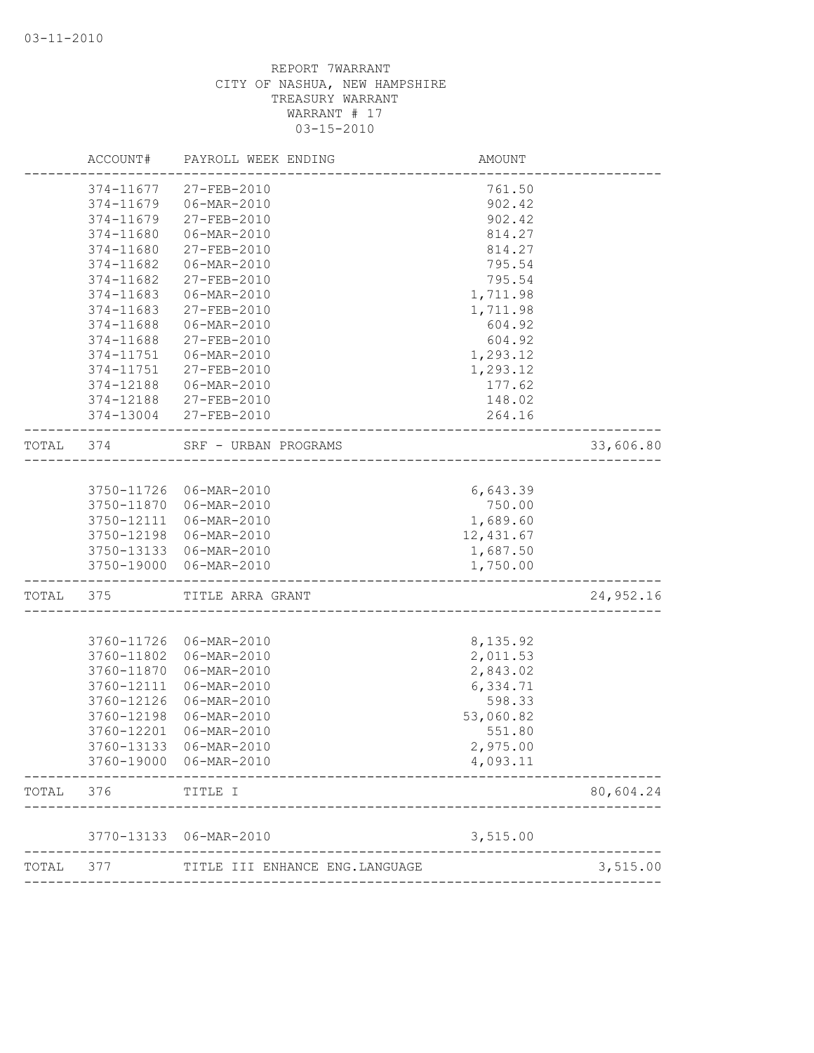|       | ACCOUNT#   | PAYROLL WEEK ENDING                     | AMOUNT                          |           |
|-------|------------|-----------------------------------------|---------------------------------|-----------|
|       | 374-11677  | 27-FEB-2010                             | 761.50                          |           |
|       | 374-11679  | 06-MAR-2010                             | 902.42                          |           |
|       | 374-11679  | 27-FEB-2010                             | 902.42                          |           |
|       | 374-11680  | 06-MAR-2010                             | 814.27                          |           |
|       | 374-11680  | 27-FEB-2010                             | 814.27                          |           |
|       | 374-11682  | 06-MAR-2010                             | 795.54                          |           |
|       | 374-11682  | 27-FEB-2010                             | 795.54                          |           |
|       | 374-11683  | 06-MAR-2010                             | 1,711.98                        |           |
|       | 374-11683  | 27-FEB-2010                             | 1,711.98                        |           |
|       | 374-11688  | 06-MAR-2010                             | 604.92                          |           |
|       | 374-11688  | 27-FEB-2010                             | 604.92                          |           |
|       | 374-11751  | 06-MAR-2010                             | 1,293.12                        |           |
|       | 374-11751  | 27-FEB-2010                             | 1,293.12                        |           |
|       | 374-12188  | 06-MAR-2010                             | 177.62                          |           |
|       | 374-12188  | 27-FEB-2010                             | 148.02                          |           |
|       | 374-13004  | 27-FEB-2010                             | 264.16                          |           |
| TOTAL | 374        | SRF - URBAN PROGRAMS                    | ------------------------------- | 33,606.80 |
|       |            |                                         |                                 |           |
|       |            | 3750-11726 06-MAR-2010                  | 6,643.39                        |           |
|       | 3750-11870 | 06-MAR-2010                             | 750.00                          |           |
|       | 3750-12111 | 06-MAR-2010                             | 1,689.60                        |           |
|       | 3750-12198 | 06-MAR-2010                             | 12,431.67                       |           |
|       |            | 3750-13133 06-MAR-2010                  | 1,687.50                        |           |
|       | 3750-19000 | 06-MAR-2010<br>_______________________  | 1,750.00                        |           |
| TOTAL | 375        | TITLE ARRA GRANT<br>------------------- |                                 | 24,952.16 |
|       | 3760-11726 | 06-MAR-2010                             |                                 |           |
|       | 3760-11802 | 06-MAR-2010                             | 8,135.92<br>2,011.53            |           |
|       | 3760-11870 | 06-MAR-2010                             | 2,843.02                        |           |
|       | 3760-12111 | 06-MAR-2010                             | 6,334.71                        |           |
|       | 3760-12126 | 06-MAR-2010                             | 598.33                          |           |
|       | 3760-12198 | 06-MAR-2010                             |                                 |           |
|       | 3760-12201 | 06-MAR-2010                             | 53,060.82<br>551.80             |           |
|       | 3760-13133 | 06-MAR-2010                             | 2,975.00                        |           |
|       | 3760-19000 | 06-MAR-2010                             | 4,093.11                        |           |
| TOTAL | 376        | TITLE I                                 |                                 | 80,604.24 |
|       |            |                                         |                                 |           |
|       | 3770-13133 | 06-MAR-2010                             | 3,515.00                        |           |
| TOTAL | 377        | TITLE III ENHANCE ENG. LANGUAGE         |                                 | 3,515.00  |
|       |            |                                         |                                 |           |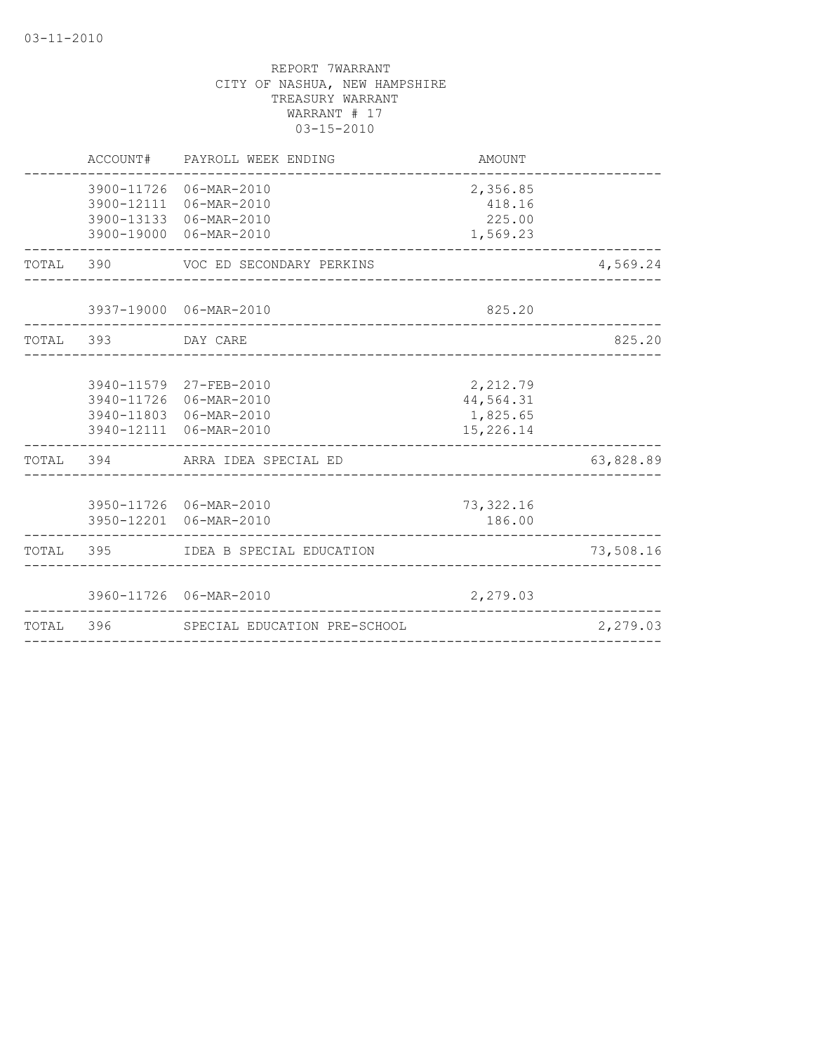| TOTAL     | 396      | SPECIAL EDUCATION PRE-SCHOOL                                                                         | _____________________________                  | 2,279.03  |
|-----------|----------|------------------------------------------------------------------------------------------------------|------------------------------------------------|-----------|
|           |          | 3960-11726 06-MAR-2010                                                                               | 2,279.03                                       |           |
|           |          | TOTAL 395 IDEA B SPECIAL EDUCATION                                                                   |                                                | 73,508.16 |
|           |          | 3950-11726 06-MAR-2010<br>3950-12201 06-MAR-2010                                                     | 73, 322.16<br>186.00                           |           |
|           |          | TOTAL 394 ARRA IDEA SPECIAL ED                                                                       |                                                | 63,828.89 |
|           |          | 3940-11579 27-FEB-2010<br>3940-11726 06-MAR-2010<br>3940-11803 06-MAR-2010<br>3940-12111 06-MAR-2010 | 2,212.79<br>44,564.31<br>1,825.65<br>15,226.14 |           |
| TOTAL 393 |          | DAY CARE                                                                                             | _____________________________________          | 825.20    |
|           |          | 3937-19000 06-MAR-2010<br>_____________________________                                              | 825.20                                         |           |
|           |          | TOTAL 390 VOC ED SECONDARY PERKINS                                                                   |                                                | 4,569.24  |
|           |          | 3900-11726 06-MAR-2010<br>3900-12111 06-MAR-2010<br>3900-13133 06-MAR-2010<br>3900-19000 06-MAR-2010 | 2,356.85<br>418.16<br>225.00<br>1,569.23       |           |
|           | ACCOUNT# | PAYROLL WEEK ENDING                                                                                  | AMOUNT                                         |           |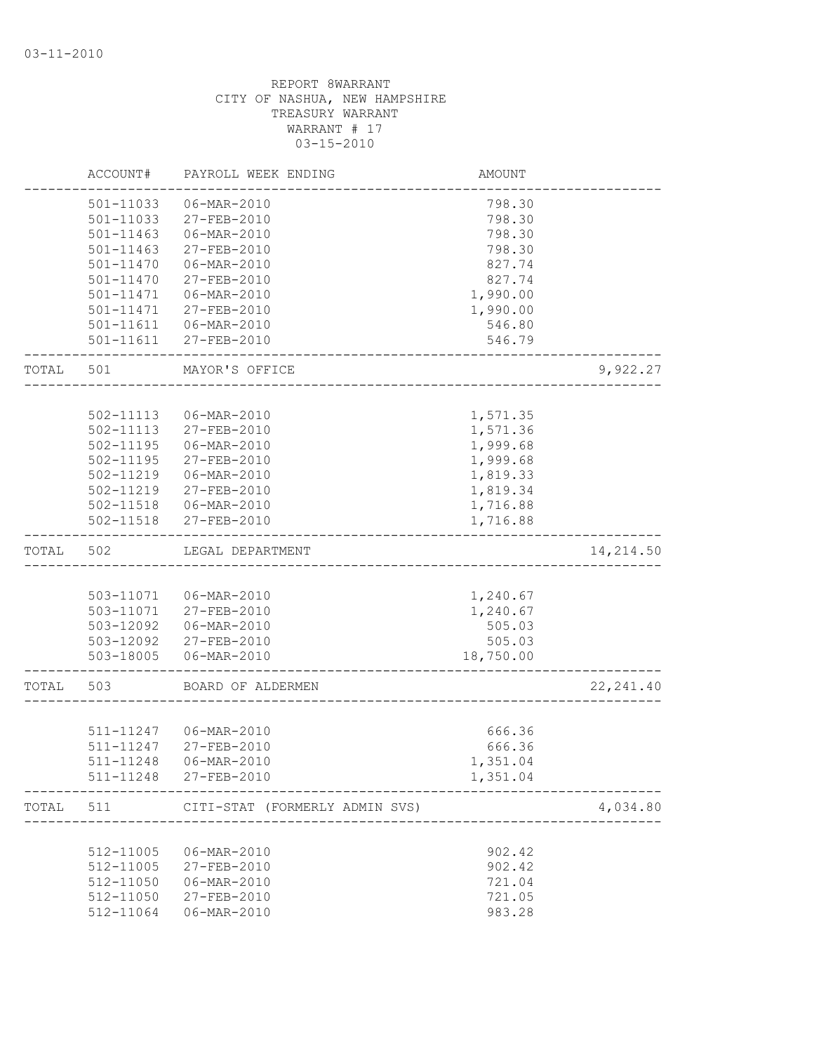|       | ACCOUNT#      | PAYROLL WEEK ENDING            | <b>AMOUNT</b> |            |
|-------|---------------|--------------------------------|---------------|------------|
|       | 501-11033     | 06-MAR-2010                    | 798.30        |            |
|       | 501-11033     | 27-FEB-2010                    | 798.30        |            |
|       | $501 - 11463$ | 06-MAR-2010                    | 798.30        |            |
|       | $501 - 11463$ | 27-FEB-2010                    | 798.30        |            |
|       | 501-11470     | 06-MAR-2010                    | 827.74        |            |
|       | $501 - 11470$ | 27-FEB-2010                    | 827.74        |            |
|       | 501-11471     | 06-MAR-2010                    | 1,990.00      |            |
|       | 501-11471     | 27-FEB-2010                    | 1,990.00      |            |
|       |               | 501-11611  06-MAR-2010         | 546.80        |            |
|       |               | 501-11611 27-FEB-2010          | 546.79        |            |
| TOTAL | 501           | MAYOR'S OFFICE                 |               | 9,922.27   |
|       |               |                                |               |            |
|       | 502-11113     | 06-MAR-2010                    | 1,571.35      |            |
|       | $502 - 11113$ | 27-FEB-2010                    | 1,571.36      |            |
|       | 502-11195     | 06-MAR-2010                    | 1,999.68      |            |
|       | $502 - 11195$ | 27-FEB-2010                    | 1,999.68      |            |
|       | 502-11219     | 06-MAR-2010                    | 1,819.33      |            |
|       |               | 502-11219 27-FEB-2010          | 1,819.34      |            |
|       |               | 502-11518   06-MAR-2010        | 1,716.88      |            |
|       | $502 - 11518$ | 27-FEB-2010                    | 1,716.88      |            |
| TOTAL | 502           | LEGAL DEPARTMENT               |               | 14,214.50  |
|       |               |                                |               |            |
|       |               | 503-11071   06-MAR-2010        | 1,240.67      |            |
|       |               | 503-11071 27-FEB-2010          | 1,240.67      |            |
|       |               | 503-12092   06-MAR-2010        | 505.03        |            |
|       |               | 503-12092 27-FEB-2010          | 505.03        |            |
|       |               | 503-18005  06-MAR-2010         | 18,750.00     |            |
| TOTAL | 503           | BOARD OF ALDERMEN              |               | 22, 241.40 |
|       |               |                                |               |            |
|       |               | 511-11247 06-MAR-2010          | 666.36        |            |
|       | 511-11247     | 27-FEB-2010                    | 666.36        |            |
|       |               | 511-11248  06-MAR-2010         | 1,351.04      |            |
|       |               | 511-11248 27-FEB-2010          | 1,351.04      |            |
| TOTAL | 511           | CITI-STAT (FORMERLY ADMIN SVS) |               | 4,034.80   |
|       |               |                                |               |            |
|       | 512-11005     | $06 - MAR - 2010$              | 902.42        |            |
|       | 512-11005     | 27-FEB-2010                    | 902.42        |            |
|       | 512-11050     | 06-MAR-2010                    | 721.04        |            |
|       | 512-11050     | 27-FEB-2010                    | 721.05        |            |
|       | 512-11064     | 06-MAR-2010                    | 983.28        |            |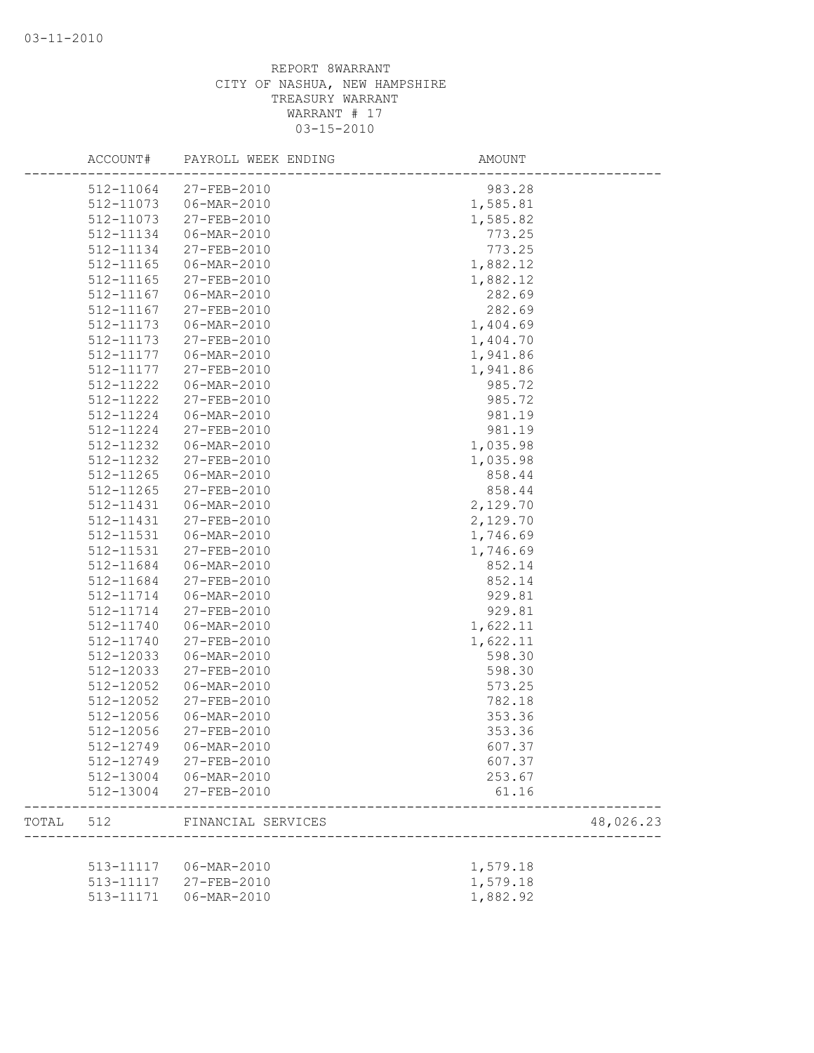|       | ACCOUNT#  | PAYROLL WEEK ENDING | AMOUNT   |           |
|-------|-----------|---------------------|----------|-----------|
|       | 512-11064 | 27-FEB-2010         | 983.28   |           |
|       | 512-11073 | 06-MAR-2010         | 1,585.81 |           |
|       | 512-11073 | 27-FEB-2010         | 1,585.82 |           |
|       | 512-11134 | 06-MAR-2010         | 773.25   |           |
|       | 512-11134 | 27-FEB-2010         | 773.25   |           |
|       | 512-11165 | 06-MAR-2010         | 1,882.12 |           |
|       | 512-11165 | 27-FEB-2010         | 1,882.12 |           |
|       | 512-11167 | 06-MAR-2010         | 282.69   |           |
|       | 512-11167 | 27-FEB-2010         | 282.69   |           |
|       | 512-11173 | 06-MAR-2010         | 1,404.69 |           |
|       | 512-11173 | 27-FEB-2010         | 1,404.70 |           |
|       | 512-11177 | 06-MAR-2010         | 1,941.86 |           |
|       | 512-11177 | 27-FEB-2010         | 1,941.86 |           |
|       | 512-11222 | 06-MAR-2010         | 985.72   |           |
|       | 512-11222 | 27-FEB-2010         | 985.72   |           |
|       | 512-11224 | 06-MAR-2010         | 981.19   |           |
|       | 512-11224 | 27-FEB-2010         | 981.19   |           |
|       | 512-11232 | 06-MAR-2010         | 1,035.98 |           |
|       | 512-11232 | 27-FEB-2010         | 1,035.98 |           |
|       | 512-11265 | 06-MAR-2010         | 858.44   |           |
|       | 512-11265 | 27-FEB-2010         | 858.44   |           |
|       | 512-11431 | 06-MAR-2010         | 2,129.70 |           |
|       | 512-11431 | 27-FEB-2010         | 2,129.70 |           |
|       | 512-11531 | 06-MAR-2010         | 1,746.69 |           |
|       | 512-11531 | 27-FEB-2010         | 1,746.69 |           |
|       | 512-11684 | 06-MAR-2010         | 852.14   |           |
|       | 512-11684 | 27-FEB-2010         | 852.14   |           |
|       | 512-11714 | 06-MAR-2010         | 929.81   |           |
|       | 512-11714 | 27-FEB-2010         | 929.81   |           |
|       | 512-11740 | 06-MAR-2010         | 1,622.11 |           |
|       | 512-11740 | 27-FEB-2010         | 1,622.11 |           |
|       | 512-12033 | 06-MAR-2010         | 598.30   |           |
|       | 512-12033 | 27-FEB-2010         | 598.30   |           |
|       | 512-12052 | 06-MAR-2010         | 573.25   |           |
|       | 512-12052 | 27-FEB-2010         | 782.18   |           |
|       | 512-12056 | 06-MAR-2010         | 353.36   |           |
|       | 512-12056 | 27-FEB-2010         | 353.36   |           |
|       | 512-12749 | 06-MAR-2010         | 607.37   |           |
|       | 512-12749 | 27-FEB-2010         | 607.37   |           |
|       | 512-13004 | 06-MAR-2010         | 253.67   |           |
|       | 512-13004 | 27-FEB-2010         | 61.16    |           |
| TOTAL | 512       | FINANCIAL SERVICES  |          | 48,026.23 |
|       |           |                     |          |           |
|       | 513-11117 | 06-MAR-2010         | 1,579.18 |           |
|       | 513-11117 | 27-FEB-2010         | 1,579.18 |           |
|       | 513-11171 | 06-MAR-2010         | 1,882.92 |           |
|       |           |                     |          |           |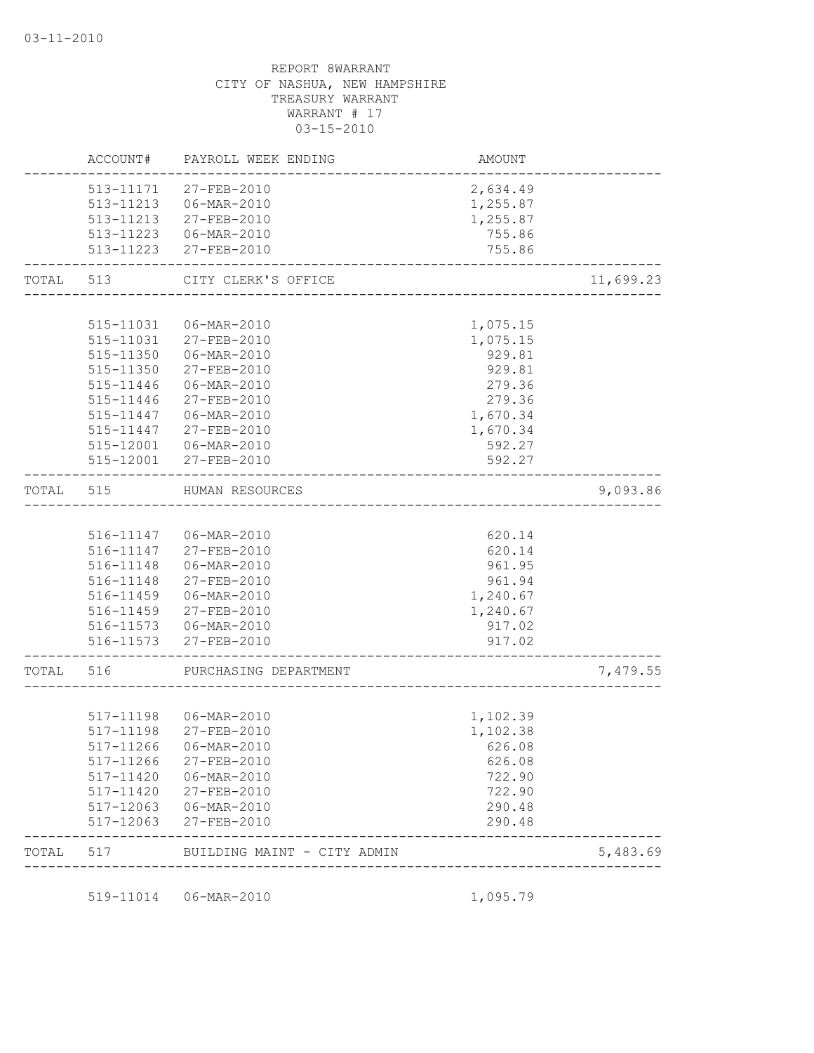| TOTAL     | 517       | BUILDING MAINT - CITY ADMIN |          | 5,483.69  |
|-----------|-----------|-----------------------------|----------|-----------|
|           | 517-12063 | $27 - FEB - 2010$           | 290.48   |           |
|           | 517-12063 | 06-MAR-2010                 | 290.48   |           |
|           | 517-11420 | 27-FEB-2010                 | 722.90   |           |
|           | 517-11420 | 06-MAR-2010                 | 722.90   |           |
|           | 517-11266 | 27-FEB-2010                 | 626.08   |           |
|           |           | 517-11266 06-MAR-2010       | 626.08   |           |
|           | 517-11198 | 27-FEB-2010                 | 1,102.38 |           |
|           |           | 517-11198   06-MAR-2010     | 1,102.39 |           |
| TOTAL 516 |           | PURCHASING DEPARTMENT       |          | 7,479.55  |
|           |           | 516-11573 27-FEB-2010       | 917.02   |           |
|           |           | 516-11573   06-MAR-2010     | 917.02   |           |
|           |           | 516-11459 27-FEB-2010       | 1,240.67 |           |
|           |           | 516-11459 06-MAR-2010       | 1,240.67 |           |
|           | 516-11148 | 27-FEB-2010                 | 961.94   |           |
|           | 516-11148 | 06-MAR-2010                 | 961.95   |           |
|           |           | 516-11147 27-FEB-2010       | 620.14   |           |
|           |           | 516-11147 06-MAR-2010       | 620.14   |           |
| TOTAL     | 515       | HUMAN RESOURCES             |          | 9,093.86  |
|           |           | 515-12001 27-FEB-2010       | 592.27   |           |
|           | 515-12001 | 06-MAR-2010                 | 592.27   |           |
|           | 515-11447 | 27-FEB-2010                 | 1,670.34 |           |
|           | 515-11447 | 06-MAR-2010                 | 1,670.34 |           |
|           | 515-11446 | 27-FEB-2010                 | 279.36   |           |
|           | 515-11446 | 06-MAR-2010                 | 279.36   |           |
|           | 515-11350 | 27-FEB-2010                 | 929.81   |           |
|           |           | 515-11350 06-MAR-2010       | 929.81   |           |
|           |           | 515-11031 27-FEB-2010       | 1,075.15 |           |
|           | 515-11031 | 06-MAR-2010                 | 1,075.15 |           |
|           | TOTAL 513 | CITY CLERK'S OFFICE         |          | 11,699.23 |
|           |           |                             |          |           |
|           |           | 513-11223 27-FEB-2010       | 755.86   |           |
|           |           | 513-11223  06-MAR-2010      | 755.86   |           |
|           |           | 513-11213 27-FEB-2010       | 1,255.87 |           |
|           |           | 513-11213 06-MAR-2010       | 1,255.87 |           |
|           |           | 513-11171 27-FEB-2010       | 2,634.49 |           |
|           | ACCOUNT#  | PAYROLL WEEK ENDING         | AMOUNT   |           |

519-11014 06-MAR-2010 1,095.79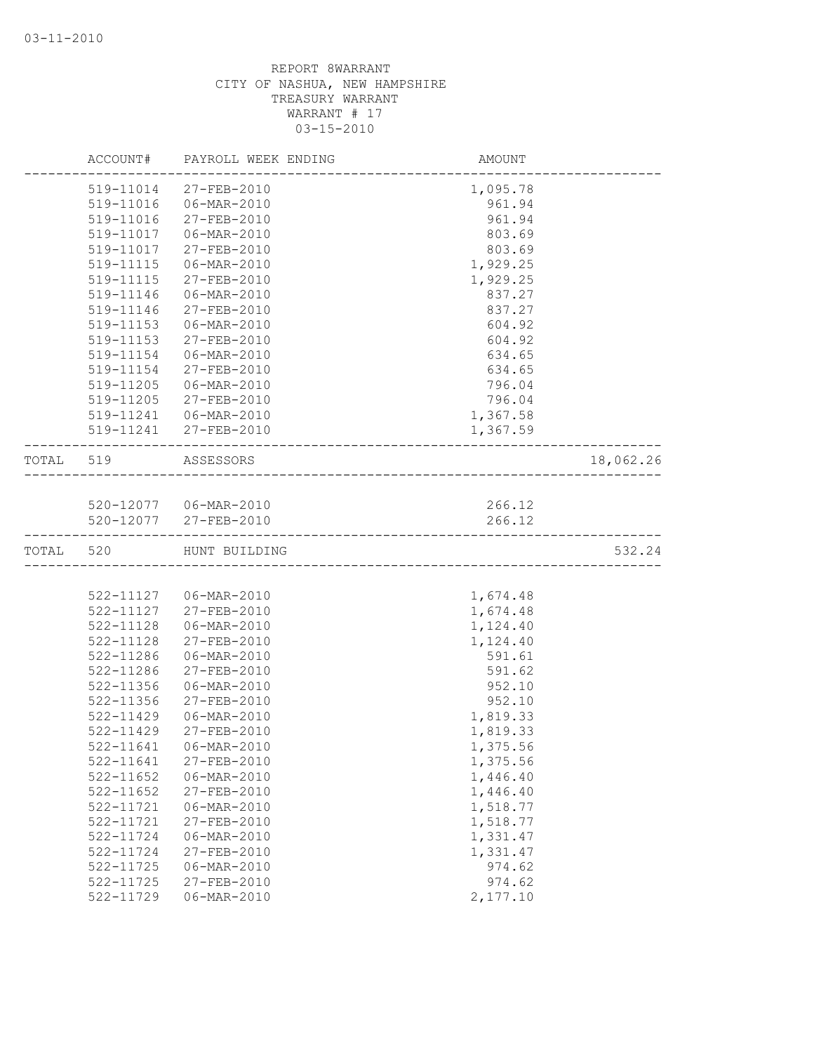|           | ACCOUNT#      | PAYROLL WEEK ENDING     | AMOUNT   |           |
|-----------|---------------|-------------------------|----------|-----------|
|           | 519-11014     | 27-FEB-2010             | 1,095.78 |           |
|           | 519-11016     | 06-MAR-2010             | 961.94   |           |
|           | 519-11016     | 27-FEB-2010             | 961.94   |           |
|           | 519-11017     | 06-MAR-2010             | 803.69   |           |
|           | 519-11017     | 27-FEB-2010             | 803.69   |           |
|           | 519-11115     | 06-MAR-2010             | 1,929.25 |           |
|           | 519-11115     | 27-FEB-2010             | 1,929.25 |           |
|           | 519-11146     | 06-MAR-2010             | 837.27   |           |
|           | 519-11146     | 27-FEB-2010             | 837.27   |           |
|           | $519 - 11153$ | 06-MAR-2010             | 604.92   |           |
|           | 519-11153     | 27-FEB-2010             | 604.92   |           |
|           | 519-11154     | 06-MAR-2010             | 634.65   |           |
|           | 519-11154     | 27-FEB-2010             | 634.65   |           |
|           | 519-11205     | 06-MAR-2010             | 796.04   |           |
|           | 519-11205     | 27-FEB-2010             | 796.04   |           |
|           | 519-11241     | 06-MAR-2010             | 1,367.58 |           |
|           |               | 519-11241 27-FEB-2010   | 1,367.59 |           |
| TOTAL 519 |               | ASSESSORS               |          | 18,062.26 |
|           |               |                         |          |           |
|           |               | 520-12077   06-MAR-2010 | 266.12   |           |
|           |               | 520-12077 27-FEB-2010   | 266.12   |           |
| TOTAL     | 520           | HUNT BUILDING           |          | 532.24    |
|           |               |                         |          |           |
|           |               | 522-11127   06-MAR-2010 | 1,674.48 |           |
|           | 522-11127     | 27-FEB-2010             | 1,674.48 |           |
|           | 522-11128     | 06-MAR-2010             | 1,124.40 |           |
|           | $522 - 11128$ | 27-FEB-2010             | 1,124.40 |           |
|           | 522-11286     | 06-MAR-2010             | 591.61   |           |
|           | 522-11286     | 27-FEB-2010             | 591.62   |           |
|           | 522-11356     | 06-MAR-2010             | 952.10   |           |
|           | 522-11356     | 27-FEB-2010             | 952.10   |           |
|           | 522-11429     | 06-MAR-2010             | 1,819.33 |           |
|           | 522-11429     | 27-FEB-2010             | 1,819.33 |           |
|           |               | 522-11641 06-MAR-2010   | 1,375.56 |           |
|           | 522-11641     | 27-FEB-2010             | 1,375.56 |           |
|           | 522-11652     | 06-MAR-2010             | 1,446.40 |           |
|           | 522-11652     | 27-FEB-2010             | 1,446.40 |           |
|           | 522-11721     | 06-MAR-2010             | 1,518.77 |           |
|           | 522-11721     | 27-FEB-2010             | 1,518.77 |           |
|           | 522-11724     | 06-MAR-2010             | 1,331.47 |           |
|           | 522-11724     | 27-FEB-2010             | 1,331.47 |           |
|           | 522-11725     | 06-MAR-2010             | 974.62   |           |
|           | 522-11725     | $27 - FEB - 2010$       | 974.62   |           |
|           | 522-11729     | 06-MAR-2010             | 2,177.10 |           |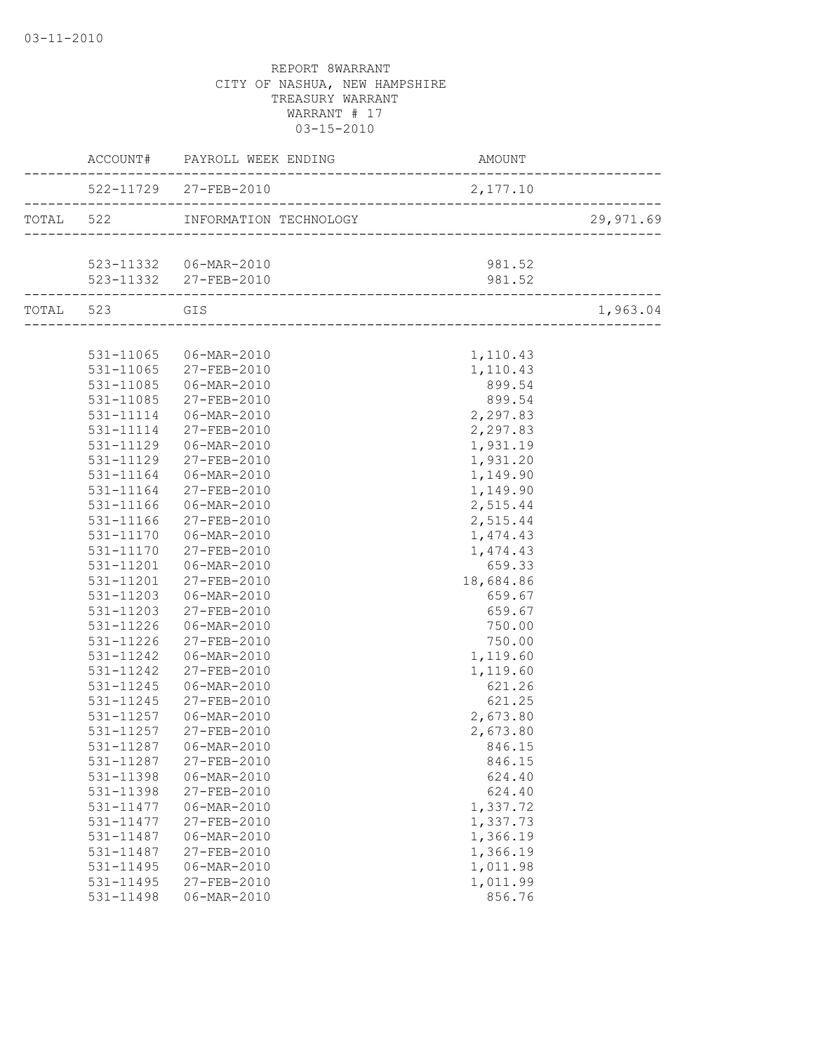|                     | ACCOUNT# PAYROLL WEEK ENDING     | AMOUNT    |           |
|---------------------|----------------------------------|-----------|-----------|
|                     | 522-11729 27-FEB-2010            | 2,177.10  |           |
|                     | TOTAL 522 INFORMATION TECHNOLOGY |           | 29,971.69 |
|                     |                                  |           |           |
|                     | 523-11332 06-MAR-2010            | 981.52    |           |
| .__________________ | 523-11332 27-FEB-2010            | 981.52    |           |
| TOTAL 523 GIS       |                                  |           | 1,963.04  |
|                     |                                  |           |           |
|                     | 531-11065 06-MAR-2010            | 1,110.43  |           |
|                     | 531-11065 27-FEB-2010            | 1,110.43  |           |
| 531-11085           | 06-MAR-2010                      | 899.54    |           |
| 531-11085           | 27-FEB-2010                      | 899.54    |           |
| 531-11114           | 06-MAR-2010                      | 2,297.83  |           |
| 531-11114           | 27-FEB-2010                      | 2,297.83  |           |
| 531-11129           | 06-MAR-2010                      | 1,931.19  |           |
| 531-11129           | 27-FEB-2010                      | 1,931.20  |           |
| 531-11164           | 06-MAR-2010                      | 1,149.90  |           |
| 531-11164           | 27-FEB-2010                      | 1,149.90  |           |
| 531-11166           | 06-MAR-2010                      | 2,515.44  |           |
| 531-11166           | 27-FEB-2010                      | 2,515.44  |           |
| 531-11170           | 06-MAR-2010                      | 1,474.43  |           |
| 531-11170           | 27-FEB-2010                      | 1,474.43  |           |
| 531-11201           | 06-MAR-2010                      | 659.33    |           |
| 531-11201           | 27-FEB-2010                      | 18,684.86 |           |
| 531-11203           | 06-MAR-2010                      | 659.67    |           |
| 531-11203           | 27-FEB-2010                      | 659.67    |           |
| 531-11226           | 06-MAR-2010                      | 750.00    |           |
| 531-11226           | 27-FEB-2010                      | 750.00    |           |
| 531-11242           | 06-MAR-2010                      | 1,119.60  |           |
| 531-11242           | 27-FEB-2010                      | 1,119.60  |           |
| 531-11245           | 06-MAR-2010                      | 621.26    |           |
| 531-11245           | 27-FEB-2010                      | 621.25    |           |
| 531-11257           | 06-MAR-2010                      | 2,673.80  |           |
| 531-11257           | 27-FEB-2010                      | 2,673.80  |           |
|                     | 531-11287    06-MAR-2010         | 846.15    |           |
| 531-11287           | 27-FEB-2010                      | 846.15    |           |
| 531-11398           | $06 - MAR - 2010$                | 624.40    |           |
| 531-11398           | 27-FEB-2010                      | 624.40    |           |
| 531-11477           | $06 - MAR - 2010$                | 1,337.72  |           |
| 531-11477           | 27-FEB-2010                      | 1,337.73  |           |
| 531-11487           | 06-MAR-2010                      | 1,366.19  |           |
| 531-11487           | 27-FEB-2010                      | 1,366.19  |           |
| 531-11495           | 06-MAR-2010                      | 1,011.98  |           |
| 531-11495           | 27-FEB-2010                      | 1,011.99  |           |
| 531-11498           | $06 - MAR - 2010$                | 856.76    |           |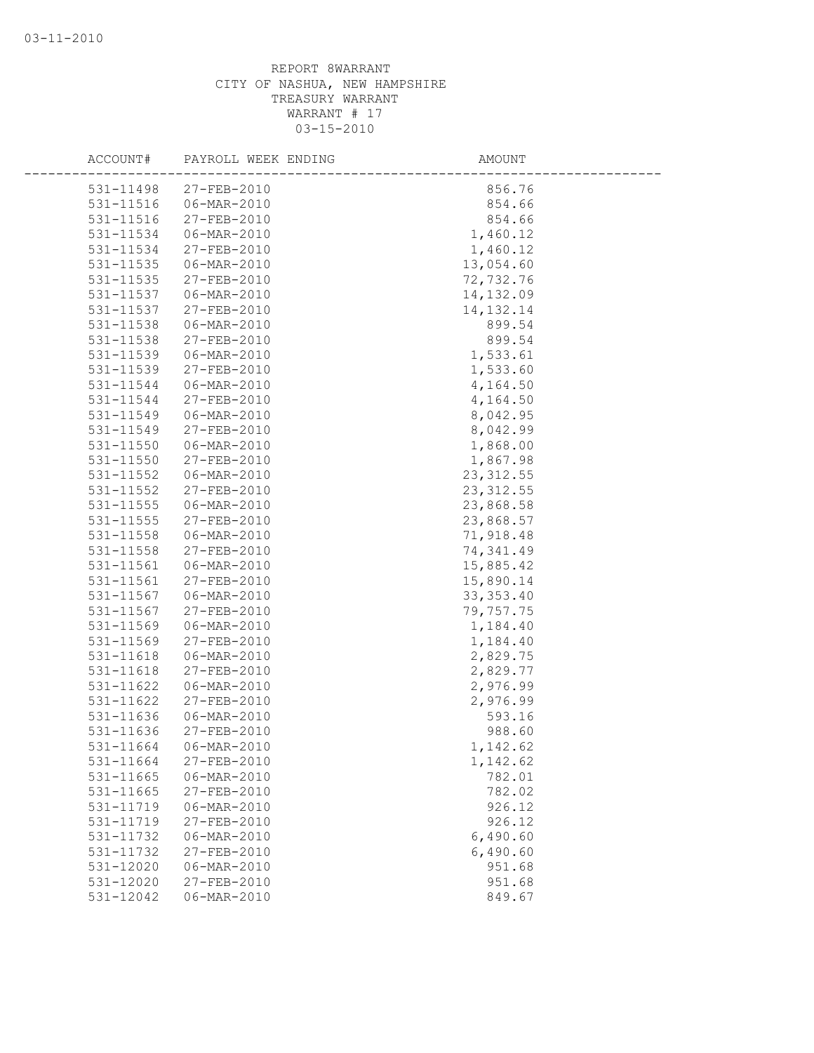| ACCOUNT#               | PAYROLL WEEK ENDING        | AMOUNT             |  |
|------------------------|----------------------------|--------------------|--|
| 531-11498              | $27 - FEB - 2010$          | 856.76             |  |
| 531-11516              | 06-MAR-2010                | 854.66             |  |
| 531-11516              | 27-FEB-2010                | 854.66             |  |
| 531-11534              | 06-MAR-2010                | 1,460.12           |  |
| 531-11534              | 27-FEB-2010                | 1,460.12           |  |
| 531-11535              | 06-MAR-2010                | 13,054.60          |  |
| $531 - 11535$          | 27-FEB-2010                | 72,732.76          |  |
| 531-11537              | $06 - MAR - 2010$          | 14,132.09          |  |
| 531-11537              | 27-FEB-2010                | 14, 132. 14        |  |
| 531-11538              | 06-MAR-2010                | 899.54             |  |
| 531-11538              | 27-FEB-2010                | 899.54             |  |
| 531-11539              | 06-MAR-2010                | 1,533.61           |  |
| 531-11539              | 27-FEB-2010                | 1,533.60           |  |
| 531-11544              | 06-MAR-2010                | 4,164.50           |  |
| 531-11544              | 27-FEB-2010                | 4,164.50           |  |
| 531-11549              | 06-MAR-2010                | 8,042.95           |  |
| 531-11549              | $27 - FEB - 2010$          | 8,042.99           |  |
| 531-11550              | 06-MAR-2010                | 1,868.00           |  |
| 531-11550              | 27-FEB-2010                | 1,867.98           |  |
| 531-11552              | 06-MAR-2010                | 23, 312.55         |  |
| 531-11552              | 27-FEB-2010                | 23, 312.55         |  |
| 531-11555              | 06-MAR-2010                | 23,868.58          |  |
| 531-11555              | 27-FEB-2010                | 23,868.57          |  |
| 531-11558              | 06-MAR-2010                | 71,918.48          |  |
| 531-11558              | 27-FEB-2010                | 74,341.49          |  |
| $531 - 11561$          | $06 - MAR - 2010$          | 15,885.42          |  |
| 531-11561              | 27-FEB-2010                | 15,890.14          |  |
| 531-11567              | 06-MAR-2010                | 33, 353.40         |  |
| 531-11567              | 27-FEB-2010                | 79,757.75          |  |
| 531-11569              | 06-MAR-2010                | 1,184.40           |  |
| 531-11569              | 27-FEB-2010                | 1,184.40           |  |
| 531-11618              | 06-MAR-2010                | 2,829.75           |  |
| 531-11618              | 27-FEB-2010                | 2,829.77           |  |
| 531-11622              | 06-MAR-2010                | 2,976.99           |  |
| 531-11622              | 27-FEB-2010                | 2,976.99           |  |
| 531-11636              | 06-MAR-2010                | 593.16             |  |
| 531-11636<br>531-11664 | 27-FEB-2010<br>06-MAR-2010 | 988.60<br>1,142.62 |  |
|                        | 27-FEB-2010                |                    |  |
| 531-11664<br>531-11665 | 06-MAR-2010                | 1,142.62<br>782.01 |  |
| 531-11665              | 27-FEB-2010                | 782.02             |  |
| 531-11719              | $06 - \text{MAR} - 2010$   | 926.12             |  |
| 531-11719              | 27-FEB-2010                | 926.12             |  |
| 531-11732              | 06-MAR-2010                | 6,490.60           |  |
| 531-11732              | 27-FEB-2010                | 6,490.60           |  |
| 531-12020              | 06-MAR-2010                | 951.68             |  |
| 531-12020              | 27-FEB-2010                | 951.68             |  |
| 531-12042              | 06-MAR-2010                | 849.67             |  |
|                        |                            |                    |  |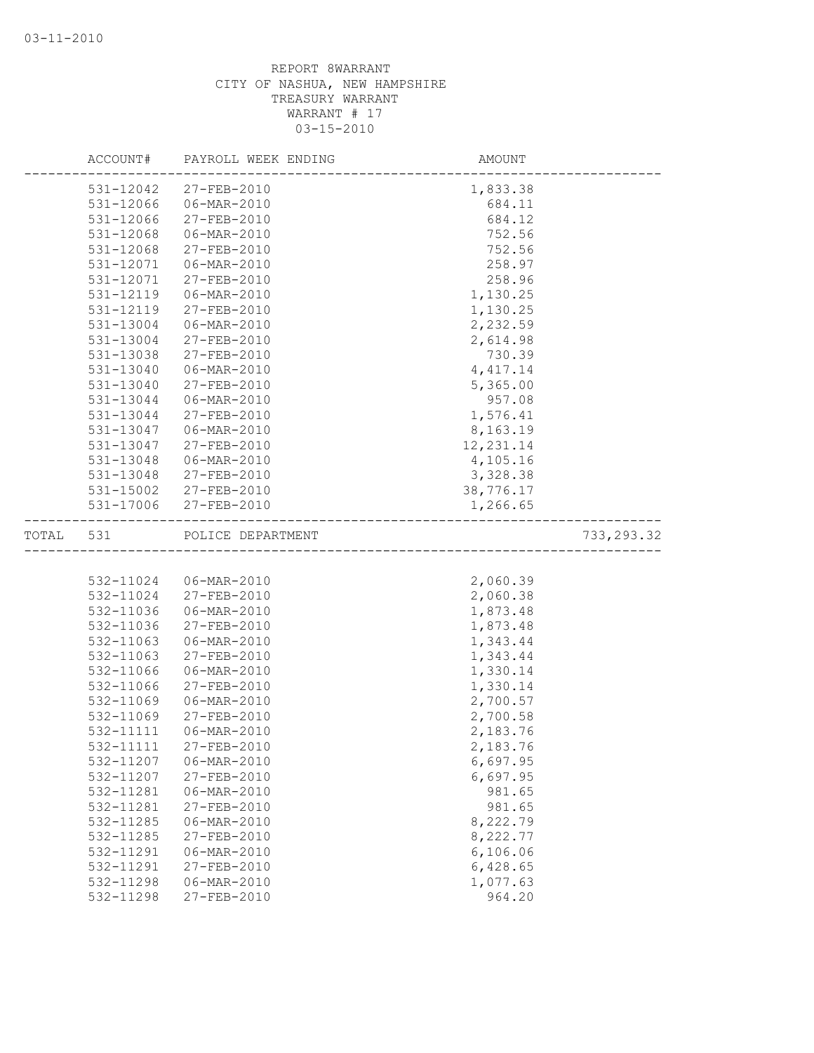|           | ACCOUNT#  | PAYROLL WEEK ENDING     | AMOUNT     |             |
|-----------|-----------|-------------------------|------------|-------------|
|           | 531-12042 | 27-FEB-2010             | 1,833.38   |             |
|           | 531-12066 | 06-MAR-2010             | 684.11     |             |
|           | 531-12066 | 27-FEB-2010             | 684.12     |             |
|           | 531-12068 | 06-MAR-2010             | 752.56     |             |
|           | 531-12068 | 27-FEB-2010             | 752.56     |             |
|           | 531-12071 | 06-MAR-2010             | 258.97     |             |
|           | 531-12071 | 27-FEB-2010             | 258.96     |             |
|           | 531-12119 | $06 - MAR - 2010$       | 1,130.25   |             |
|           | 531-12119 | 27-FEB-2010             | 1,130.25   |             |
|           | 531-13004 | 06-MAR-2010             | 2,232.59   |             |
|           | 531-13004 | 27-FEB-2010             | 2,614.98   |             |
|           | 531-13038 | 27-FEB-2010             | 730.39     |             |
|           | 531-13040 | 06-MAR-2010             | 4, 417.14  |             |
|           | 531-13040 | 27-FEB-2010             | 5,365.00   |             |
|           | 531-13044 | 06-MAR-2010             | 957.08     |             |
|           | 531-13044 | 27-FEB-2010             | 1,576.41   |             |
|           | 531-13047 | 06-MAR-2010             | 8,163.19   |             |
|           | 531-13047 | 27-FEB-2010             | 12, 231.14 |             |
|           | 531-13048 | 06-MAR-2010             | 4,105.16   |             |
|           | 531-13048 | 27-FEB-2010             | 3,328.38   |             |
|           |           | 531-15002 27-FEB-2010   | 38,776.17  |             |
|           |           | 531-17006 27-FEB-2010   | 1,266.65   |             |
| TOTAL 531 |           | POLICE DEPARTMENT       |            | 733, 293.32 |
|           |           |                         |            |             |
|           |           | 532-11024   06-MAR-2010 | 2,060.39   |             |
|           | 532-11024 | 27-FEB-2010             | 2,060.38   |             |
|           | 532-11036 | 06-MAR-2010             | 1,873.48   |             |
|           | 532-11036 | 27-FEB-2010             | 1,873.48   |             |
|           | 532-11063 | $06 - MAR - 2010$       | 1,343.44   |             |
|           | 532-11063 | 27-FEB-2010             | 1,343.44   |             |
|           | 532-11066 | 06-MAR-2010             | 1,330.14   |             |
|           | 532-11066 | 27-FEB-2010             | 1,330.14   |             |
|           | 532-11069 | 06-MAR-2010             | 2,700.57   |             |
|           | 532-11069 | 27-FEB-2010             | 2,700.58   |             |
|           | 532-11111 | 06-MAR-2010             | 2,183.76   |             |
|           | 532-11111 | $27 - FEB - 2010$       | 2,183.76   |             |
|           | 532-11207 | 06-MAR-2010             | 6,697.95   |             |
|           | 532-11207 | 27-FEB-2010             | 6,697.95   |             |
|           | 532-11281 | 06-MAR-2010             | 981.65     |             |
|           | 532-11281 | 27-FEB-2010             | 981.65     |             |
|           | 532-11285 | 06-MAR-2010             | 8,222.79   |             |
|           | 532-11285 | 27-FEB-2010             | 8,222.77   |             |
|           | 532-11291 | 06-MAR-2010             | 6,106.06   |             |
|           | 532-11291 | $27 - FEB - 2010$       | 6,428.65   |             |
|           | 532-11298 | 06-MAR-2010             | 1,077.63   |             |
|           | 532-11298 | 27-FEB-2010             | 964.20     |             |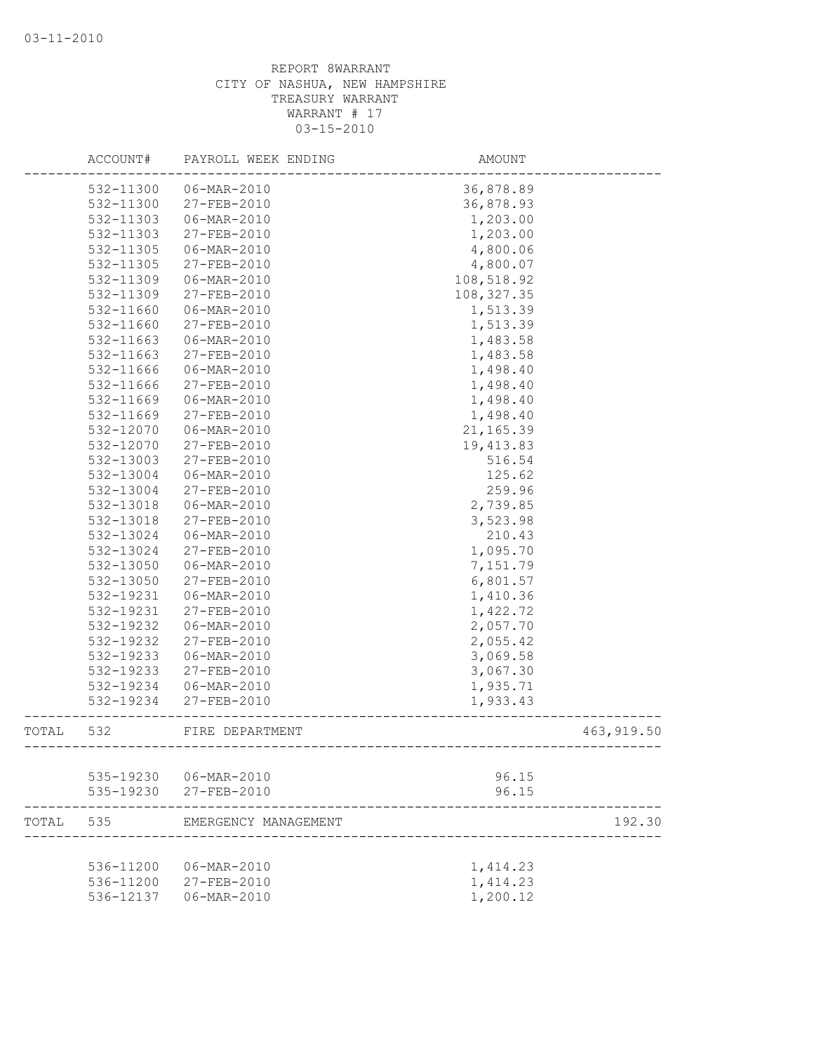|       | ACCOUNT#  | PAYROLL WEEK ENDING                  | AMOUNT      |                            |
|-------|-----------|--------------------------------------|-------------|----------------------------|
|       | 532-11300 | 06-MAR-2010                          | 36,878.89   |                            |
|       | 532-11300 | 27-FEB-2010                          | 36,878.93   |                            |
|       | 532-11303 | 06-MAR-2010                          | 1,203.00    |                            |
|       | 532-11303 | 27-FEB-2010                          | 1,203.00    |                            |
|       | 532-11305 | 06-MAR-2010                          | 4,800.06    |                            |
|       | 532-11305 | 27-FEB-2010                          | 4,800.07    |                            |
|       | 532-11309 | 06-MAR-2010                          | 108,518.92  |                            |
|       | 532-11309 | 27-FEB-2010                          | 108, 327.35 |                            |
|       | 532-11660 | 06-MAR-2010                          | 1,513.39    |                            |
|       | 532-11660 | 27-FEB-2010                          | 1,513.39    |                            |
|       | 532-11663 | 06-MAR-2010                          | 1,483.58    |                            |
|       | 532-11663 | 27-FEB-2010                          | 1,483.58    |                            |
|       | 532-11666 | 06-MAR-2010                          | 1,498.40    |                            |
|       | 532-11666 | 27-FEB-2010                          | 1,498.40    |                            |
|       | 532-11669 | 06-MAR-2010                          | 1,498.40    |                            |
|       | 532-11669 | 27-FEB-2010                          | 1,498.40    |                            |
|       | 532-12070 | 06-MAR-2010                          | 21,165.39   |                            |
|       | 532-12070 | 27-FEB-2010                          | 19, 413.83  |                            |
|       | 532-13003 | 27-FEB-2010                          | 516.54      |                            |
|       | 532-13004 | 06-MAR-2010                          | 125.62      |                            |
|       | 532-13004 | 27-FEB-2010                          | 259.96      |                            |
|       | 532-13018 | 06-MAR-2010                          | 2,739.85    |                            |
|       | 532-13018 | 27-FEB-2010                          | 3,523.98    |                            |
|       | 532-13024 | 06-MAR-2010                          | 210.43      |                            |
|       | 532-13024 | 27-FEB-2010                          | 1,095.70    |                            |
|       | 532-13050 | 06-MAR-2010                          | 7,151.79    |                            |
|       | 532-13050 | 27-FEB-2010                          | 6,801.57    |                            |
|       | 532-19231 | 06-MAR-2010                          | 1,410.36    |                            |
|       | 532-19231 | 27-FEB-2010                          | 1,422.72    |                            |
|       | 532-19232 | 06-MAR-2010                          | 2,057.70    |                            |
|       | 532-19232 | 27-FEB-2010                          | 2,055.42    |                            |
|       | 532-19233 | 06-MAR-2010                          | 3,069.58    |                            |
|       | 532-19233 | 27-FEB-2010                          | 3,067.30    |                            |
|       | 532-19234 | 06-MAR-2010                          | 1,935.71    |                            |
|       | 532-19234 | 27-FEB-2010                          | 1,933.43    |                            |
| TOTAL | 532       | FIRE DEPARTMENT<br>----------------- |             | 463, 919.50<br>----------- |
|       |           |                                      |             |                            |
|       | 535-19230 | 06-MAR-2010                          | 96.15       |                            |
|       | 535-19230 | 27-FEB-2010                          | 96.15       |                            |
| TOTAL | 535       | EMERGENCY MANAGEMENT                 |             | 192.30                     |
|       |           |                                      |             |                            |
|       | 536-11200 | 06-MAR-2010                          | 1,414.23    |                            |
|       | 536-11200 | $27 - FEB - 2010$                    | 1, 414.23   |                            |
|       | 536-12137 | 06-MAR-2010                          | 1,200.12    |                            |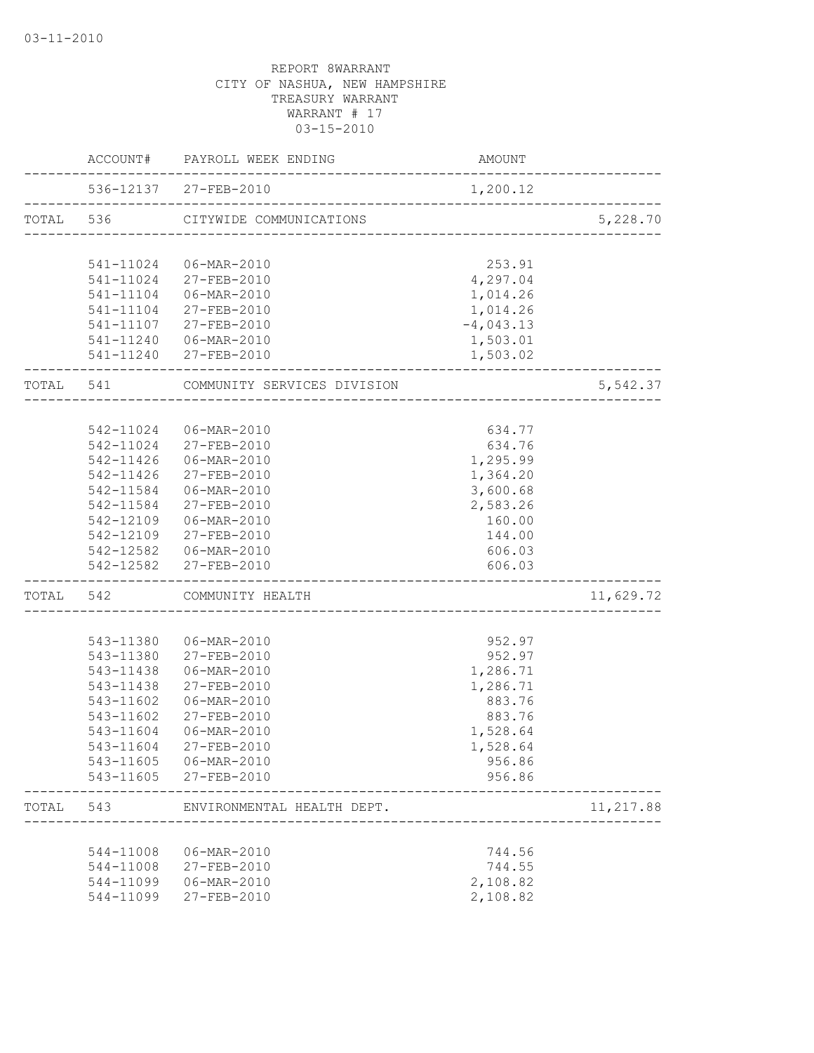|           |           | ACCOUNT# PAYROLL WEEK ENDING                   | AMOUNT             |           |
|-----------|-----------|------------------------------------------------|--------------------|-----------|
|           |           | 536-12137 27-FEB-2010                          | 1,200.12           |           |
|           |           | TOTAL 536 CITYWIDE COMMUNICATIONS              |                    | 5,228.70  |
|           |           |                                                |                    |           |
|           |           | 541-11024 06-MAR-2010<br>541-11024 27-FEB-2010 | 253.91<br>4,297.04 |           |
|           |           | 541-11104 06-MAR-2010                          | 1,014.26           |           |
|           |           | 541-11104 27-FEB-2010                          | 1,014.26           |           |
|           |           | 541-11107 27-FEB-2010                          | $-4,043.13$        |           |
|           |           | 541-11240  06-MAR-2010                         | 1,503.01           |           |
|           |           | 541-11240 27-FEB-2010                          | 1,503.02           |           |
| TOTAL 541 |           | COMMUNITY SERVICES DIVISION                    |                    | 5,542.37  |
|           |           |                                                |                    |           |
|           |           | 542-11024   06-MAR-2010                        | 634.77             |           |
|           |           | 542-11024 27-FEB-2010                          | 634.76             |           |
|           |           | 542-11426 06-MAR-2010                          | 1,295.99           |           |
|           |           | 542-11426 27-FEB-2010                          | 1,364.20           |           |
|           |           | 542-11584 06-MAR-2010                          | 3,600.68           |           |
|           |           | 542-11584 27-FEB-2010                          | 2,583.26           |           |
|           |           | 542-12109 06-MAR-2010                          | 160.00             |           |
|           |           | 542-12109 27-FEB-2010                          | 144.00             |           |
|           |           | 542-12582 06-MAR-2010<br>542-12582 27-FEB-2010 | 606.03<br>606.03   |           |
|           |           |                                                |                    |           |
|           |           | TOTAL 542 COMMUNITY HEALTH                     |                    | 11,629.72 |
|           |           | 543-11380  06-MAR-2010                         | 952.97             |           |
|           |           | 543-11380 27-FEB-2010                          | 952.97             |           |
|           | 543-11438 | 06-MAR-2010                                    | 1,286.71           |           |
|           | 543-11438 | 27-FEB-2010                                    | 1,286.71           |           |
|           | 543-11602 | 06-MAR-2010                                    | 883.76             |           |
|           | 543-11602 | 27-FEB-2010                                    | 883.76             |           |
|           | 543-11604 | 06-MAR-2010                                    | 1,528.64           |           |
|           |           | 543-11604 27-FEB-2010                          | 1,528.64           |           |
|           |           | 543-11605 06-MAR-2010                          | 956.86             |           |
|           |           | 543-11605 27-FEB-2010                          | 956.86             |           |
| TOTAL     | 543       | ENVIRONMENTAL HEALTH DEPT.                     |                    | 11,217.88 |
|           |           |                                                |                    |           |
|           | 544-11008 | 06-MAR-2010                                    | 744.56             |           |
|           | 544-11008 | 27-FEB-2010                                    | 744.55             |           |
|           | 544-11099 | 06-MAR-2010                                    | 2,108.82           |           |
|           | 544-11099 | 27-FEB-2010                                    | 2,108.82           |           |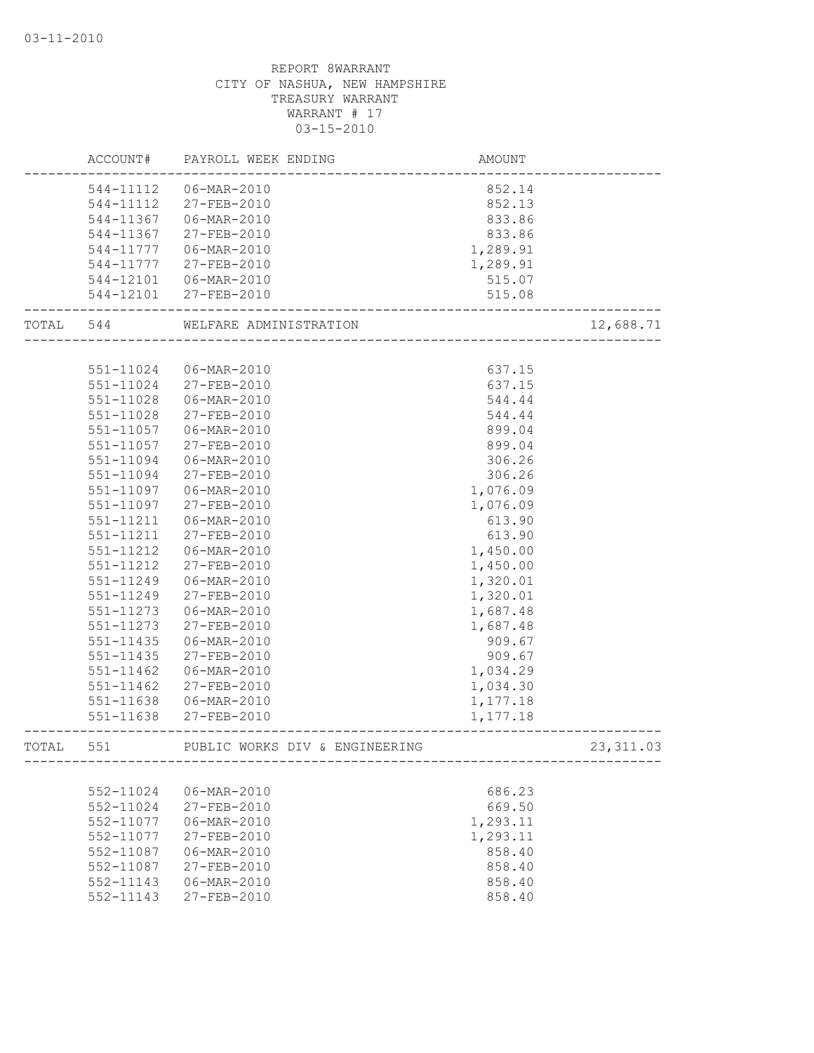|           | ACCOUNT#      | PAYROLL WEEK ENDING                                                           | AMOUNT   |            |
|-----------|---------------|-------------------------------------------------------------------------------|----------|------------|
|           | 544-11112     | 06-MAR-2010                                                                   | 852.14   |            |
|           | 544-11112     | 27-FEB-2010                                                                   | 852.13   |            |
|           | 544-11367     | 06-MAR-2010                                                                   | 833.86   |            |
|           | 544-11367     | 27-FEB-2010                                                                   | 833.86   |            |
|           | 544-11777     | 06-MAR-2010                                                                   | 1,289.91 |            |
|           | 544-11777     | 27-FEB-2010                                                                   | 1,289.91 |            |
|           | 544-12101     | 06-MAR-2010                                                                   | 515.07   |            |
|           |               | 544-12101 27-FEB-2010                                                         | 515.08   |            |
| TOTAL 544 |               | _____________________<br>WELFARE ADMINISTRATION<br>.<br>_____________________ |          | 12,688.71  |
|           |               |                                                                               |          |            |
|           | 551-11024     | 06-MAR-2010                                                                   | 637.15   |            |
|           | 551-11024     | 27-FEB-2010                                                                   | 637.15   |            |
|           | 551-11028     | 06-MAR-2010                                                                   | 544.44   |            |
|           | 551-11028     | 27-FEB-2010                                                                   | 544.44   |            |
|           | 551-11057     | 06-MAR-2010                                                                   | 899.04   |            |
|           | 551-11057     | 27-FEB-2010                                                                   | 899.04   |            |
|           | 551-11094     | 06-MAR-2010                                                                   | 306.26   |            |
|           | 551-11094     | 27-FEB-2010                                                                   | 306.26   |            |
|           | 551-11097     | 06-MAR-2010                                                                   | 1,076.09 |            |
|           | 551-11097     | 27-FEB-2010                                                                   | 1,076.09 |            |
|           | 551-11211     | 06-MAR-2010                                                                   | 613.90   |            |
|           | 551-11211     | 27-FEB-2010                                                                   | 613.90   |            |
|           | 551-11212     | 06-MAR-2010                                                                   | 1,450.00 |            |
|           | 551-11212     | 27-FEB-2010                                                                   | 1,450.00 |            |
|           | 551-11249     | 06-MAR-2010                                                                   | 1,320.01 |            |
|           | 551-11249     | 27-FEB-2010                                                                   | 1,320.01 |            |
|           | 551-11273     | 06-MAR-2010                                                                   | 1,687.48 |            |
|           | 551-11273     | 27-FEB-2010                                                                   | 1,687.48 |            |
|           | 551-11435     | 06-MAR-2010                                                                   | 909.67   |            |
|           | 551-11435     | 27-FEB-2010                                                                   | 909.67   |            |
|           | $551 - 11462$ | 06-MAR-2010                                                                   | 1,034.29 |            |
|           | 551-11462     | 27-FEB-2010                                                                   | 1,034.30 |            |
|           | 551-11638     | 06-MAR-2010                                                                   | 1,177.18 |            |
|           | 551-11638     | 27-FEB-2010                                                                   | 1,177.18 |            |
| TOTAL     | 551           | PUBLIC WORKS DIV & ENGINEERING                                                |          | 23, 311.03 |
|           |               |                                                                               |          |            |
|           | 552-11024     | 06-MAR-2010                                                                   | 686.23   |            |
|           | 552-11024     | 27-FEB-2010                                                                   | 669.50   |            |
|           | 552-11077     | 06-MAR-2010                                                                   | 1,293.11 |            |
|           | 552-11077     | $27 - FEB - 2010$                                                             | 1,293.11 |            |
|           | 552-11087     | $06 - \text{MAR} - 2010$                                                      | 858.40   |            |
|           | 552-11087     | 27-FEB-2010                                                                   | 858.40   |            |
|           | 552-11143     | 06-MAR-2010                                                                   | 858.40   |            |
|           | 552-11143     | 27-FEB-2010                                                                   | 858.40   |            |
|           |               |                                                                               |          |            |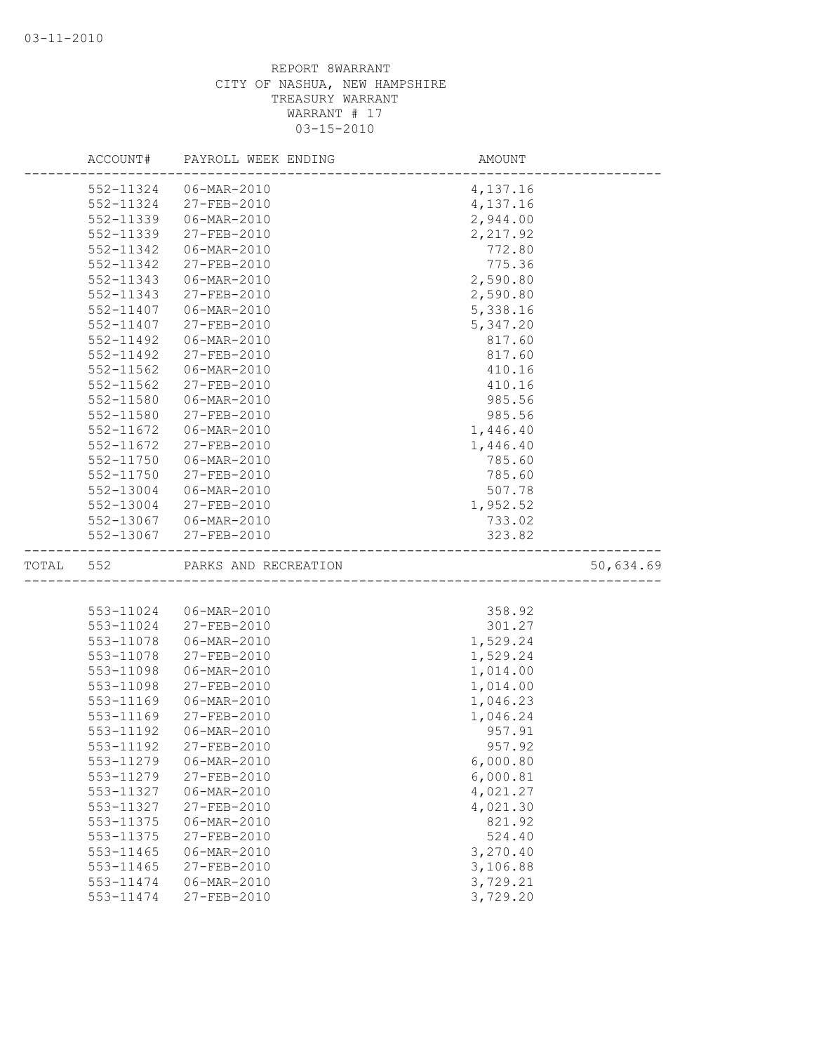|           | ACCOUNT#  | PAYROLL WEEK ENDING   | AMOUNT   |           |
|-----------|-----------|-----------------------|----------|-----------|
|           | 552-11324 | 06-MAR-2010           | 4,137.16 |           |
|           | 552-11324 | 27-FEB-2010           | 4,137.16 |           |
|           | 552-11339 | 06-MAR-2010           | 2,944.00 |           |
|           | 552-11339 | 27-FEB-2010           | 2,217.92 |           |
|           | 552-11342 | 06-MAR-2010           | 772.80   |           |
|           | 552-11342 | 27-FEB-2010           | 775.36   |           |
|           | 552-11343 | 06-MAR-2010           | 2,590.80 |           |
|           | 552-11343 | 27-FEB-2010           | 2,590.80 |           |
|           | 552-11407 | 06-MAR-2010           | 5,338.16 |           |
|           | 552-11407 | 27-FEB-2010           | 5,347.20 |           |
|           | 552-11492 | 06-MAR-2010           | 817.60   |           |
|           | 552-11492 | 27-FEB-2010           | 817.60   |           |
|           | 552-11562 | 06-MAR-2010           | 410.16   |           |
|           | 552-11562 | 27-FEB-2010           | 410.16   |           |
|           | 552-11580 | 06-MAR-2010           | 985.56   |           |
|           | 552-11580 | $27 - FEB - 2010$     | 985.56   |           |
|           | 552-11672 | 06-MAR-2010           | 1,446.40 |           |
|           | 552-11672 | 27-FEB-2010           | 1,446.40 |           |
|           | 552-11750 | 06-MAR-2010           | 785.60   |           |
|           | 552-11750 | 27-FEB-2010           | 785.60   |           |
|           | 552-13004 | 06-MAR-2010           | 507.78   |           |
|           | 552-13004 | 27-FEB-2010           | 1,952.52 |           |
|           |           | 552-13067 06-MAR-2010 | 733.02   |           |
|           | 552-13067 | 27-FEB-2010           | 323.82   |           |
| TOTAL 552 |           | PARKS AND RECREATION  |          | 50,634.69 |
|           |           |                       |          |           |
|           | 553-11024 | 06-MAR-2010           | 358.92   |           |
|           | 553-11024 | 27-FEB-2010           | 301.27   |           |
|           | 553-11078 | 06-MAR-2010           | 1,529.24 |           |
|           | 553-11078 | 27-FEB-2010           | 1,529.24 |           |
|           | 553-11098 | 06-MAR-2010           | 1,014.00 |           |
|           | 553-11098 | 27-FEB-2010           | 1,014.00 |           |
|           | 553-11169 | 06-MAR-2010           | 1,046.23 |           |
|           | 553-11169 | $27 - FEB - 2010$     | 1,046.24 |           |
|           | 553-11192 | 06-MAR-2010           | 957.91   |           |
|           | 553-11192 | 27-FEB-2010           | 957.92   |           |
|           | 553-11279 | 06-MAR-2010           | 6,000.80 |           |
|           | 553-11279 | 27-FEB-2010           | 6,000.81 |           |
|           | 553-11327 | 06-MAR-2010           | 4,021.27 |           |
|           | 553-11327 | 27-FEB-2010           | 4,021.30 |           |
|           | 553-11375 | 06-MAR-2010           | 821.92   |           |
|           | 553-11375 | 27-FEB-2010           | 524.40   |           |
|           | 553-11465 | 06-MAR-2010           | 3,270.40 |           |
|           | 553-11465 | 27-FEB-2010           | 3,106.88 |           |
|           | 553-11474 | 06-MAR-2010           | 3,729.21 |           |
|           | 553-11474 | 27-FEB-2010           | 3,729.20 |           |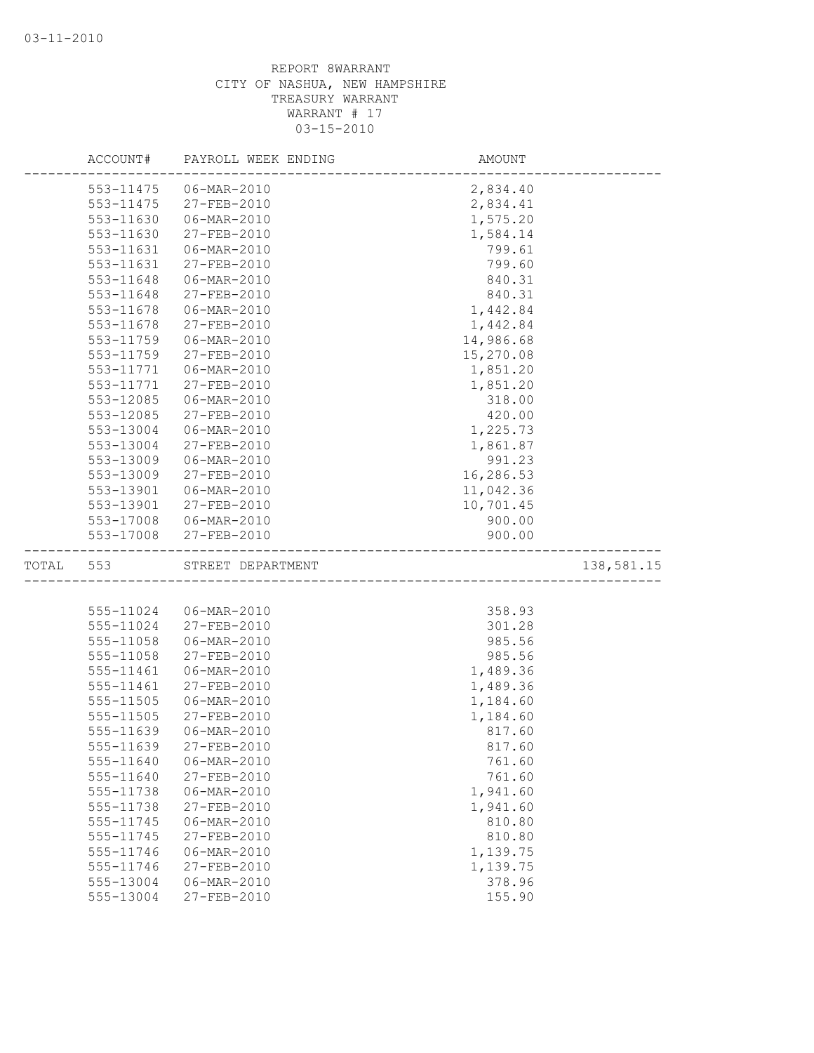|       | ACCOUNT#  | PAYROLL WEEK ENDING | AMOUNT    |            |
|-------|-----------|---------------------|-----------|------------|
|       | 553-11475 | 06-MAR-2010         | 2,834.40  |            |
|       | 553-11475 | 27-FEB-2010         | 2,834.41  |            |
|       | 553-11630 | 06-MAR-2010         | 1,575.20  |            |
|       | 553-11630 | 27-FEB-2010         | 1,584.14  |            |
|       | 553-11631 | 06-MAR-2010         | 799.61    |            |
|       | 553-11631 | 27-FEB-2010         | 799.60    |            |
|       | 553-11648 | 06-MAR-2010         | 840.31    |            |
|       | 553-11648 | 27-FEB-2010         | 840.31    |            |
|       | 553-11678 | 06-MAR-2010         | 1,442.84  |            |
|       | 553-11678 | 27-FEB-2010         | 1,442.84  |            |
|       | 553-11759 | 06-MAR-2010         | 14,986.68 |            |
|       | 553-11759 | 27-FEB-2010         | 15,270.08 |            |
|       | 553-11771 | 06-MAR-2010         | 1,851.20  |            |
|       | 553-11771 | 27-FEB-2010         | 1,851.20  |            |
|       | 553-12085 | 06-MAR-2010         | 318.00    |            |
|       | 553-12085 | 27-FEB-2010         | 420.00    |            |
|       | 553-13004 | 06-MAR-2010         | 1,225.73  |            |
|       | 553-13004 | 27-FEB-2010         | 1,861.87  |            |
|       | 553-13009 | 06-MAR-2010         | 991.23    |            |
|       | 553-13009 | 27-FEB-2010         | 16,286.53 |            |
|       | 553-13901 | 06-MAR-2010         | 11,042.36 |            |
|       | 553-13901 | 27-FEB-2010         | 10,701.45 |            |
|       | 553-17008 | 06-MAR-2010         | 900.00    |            |
|       | 553-17008 | 27-FEB-2010         | 900.00    |            |
| TOTAL | 553       | STREET DEPARTMENT   |           | 138,581.15 |
|       |           |                     |           |            |
|       | 555-11024 | 06-MAR-2010         | 358.93    |            |
|       | 555-11024 | 27-FEB-2010         | 301.28    |            |
|       | 555-11058 | 06-MAR-2010         | 985.56    |            |
|       | 555-11058 | 27-FEB-2010         | 985.56    |            |
|       | 555-11461 | 06-MAR-2010         | 1,489.36  |            |
|       | 555-11461 | 27-FEB-2010         | 1,489.36  |            |
|       | 555-11505 | 06-MAR-2010         | 1,184.60  |            |
|       | 555-11505 | 27-FEB-2010         | 1,184.60  |            |
|       | 555-11639 | 06-MAR-2010         | 817.60    |            |
|       | 555-11639 | $27 - FEB - 2010$   | 817.60    |            |
|       | 555-11640 | 06-MAR-2010         | 761.60    |            |
|       | 555-11640 | 27-FEB-2010         | 761.60    |            |
|       | 555-11738 | 06-MAR-2010         | 1,941.60  |            |
|       | 555-11738 | 27-FEB-2010         | 1,941.60  |            |
|       | 555-11745 | 06-MAR-2010         | 810.80    |            |
|       | 555-11745 | 27-FEB-2010         | 810.80    |            |
|       | 555-11746 | 06-MAR-2010         | 1,139.75  |            |
|       | 555-11746 | 27-FEB-2010         | 1,139.75  |            |
|       | 555-13004 | 06-MAR-2010         | 378.96    |            |
|       | 555-13004 | 27-FEB-2010         | 155.90    |            |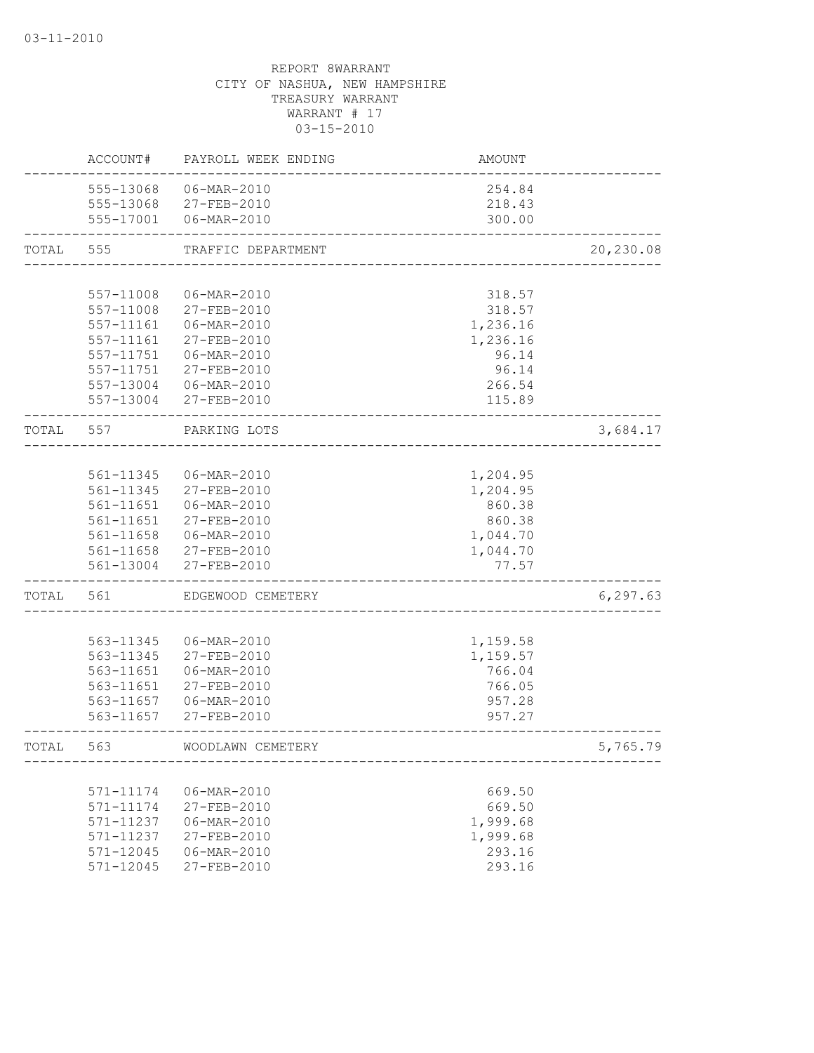|       | ACCOUNT#  | PAYROLL WEEK ENDING      | AMOUNT                  |           |
|-------|-----------|--------------------------|-------------------------|-----------|
|       |           | 555-13068 06-MAR-2010    | 254.84                  |           |
|       |           | 555-13068 27-FEB-2010    | 218.43                  |           |
|       |           | 555-17001 06-MAR-2010    | 300.00                  |           |
| TOTAL | 555       | TRAFFIC DEPARTMENT       |                         | 20,230.08 |
|       |           |                          |                         |           |
|       | 557-11008 | 06-MAR-2010              | 318.57                  |           |
|       | 557-11008 | 27-FEB-2010              | 318.57                  |           |
|       | 557-11161 | 06-MAR-2010              | 1,236.16                |           |
|       | 557-11161 | 27-FEB-2010              | 1,236.16                |           |
|       | 557-11751 | 06-MAR-2010              | 96.14                   |           |
|       | 557-11751 | 27-FEB-2010              | 96.14                   |           |
|       | 557-13004 | $06 - \text{MAR} - 2010$ | 266.54                  |           |
|       | 557-13004 | 27-FEB-2010              | 115.89                  |           |
| TOTAL | 557       | PARKING LOTS             | _______________________ | 3,684.17  |
|       |           |                          |                         |           |
|       | 561-11345 | 06-MAR-2010              | 1,204.95                |           |
|       | 561-11345 | 27-FEB-2010              | 1,204.95                |           |
|       | 561-11651 | 06-MAR-2010              | 860.38                  |           |
|       | 561-11651 | 27-FEB-2010              | 860.38                  |           |
|       | 561-11658 | 06-MAR-2010              | 1,044.70                |           |
|       | 561-11658 | 27-FEB-2010              | 1,044.70                |           |
|       | 561-13004 | 27-FEB-2010              | 77.57                   |           |
| TOTAL | 561       | EDGEWOOD CEMETERY        |                         | 6, 297.63 |
|       |           |                          |                         |           |
|       | 563-11345 | 06-MAR-2010              | 1,159.58                |           |
|       | 563-11345 | 27-FEB-2010              | 1,159.57                |           |
|       | 563-11651 | 06-MAR-2010              | 766.04                  |           |
|       | 563-11651 | 27-FEB-2010              | 766.05                  |           |
|       | 563-11657 | 06-MAR-2010              | 957.28                  |           |
|       | 563-11657 | 27-FEB-2010              | 957.27                  |           |
| TOTAL | 563       | WOODLAWN CEMETERY        |                         | 5,765.79  |
|       |           |                          |                         |           |
|       | 571-11174 | 06-MAR-2010              | 669.50                  |           |
|       | 571-11174 | 27-FEB-2010              | 669.50                  |           |
|       | 571-11237 | 06-MAR-2010              | 1,999.68                |           |
|       | 571-11237 | 27-FEB-2010              | 1,999.68                |           |
|       | 571-12045 | 06-MAR-2010              | 293.16                  |           |
|       | 571-12045 | 27-FEB-2010              | 293.16                  |           |
|       |           |                          |                         |           |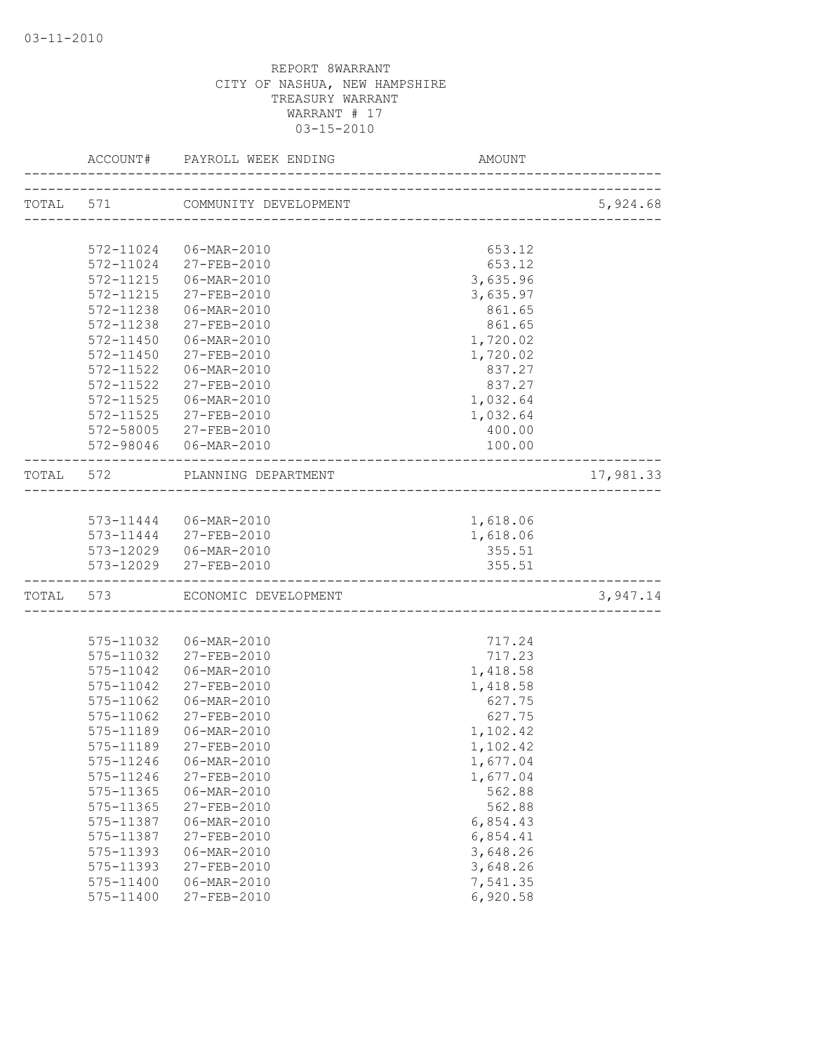|           | ACCOUNT#               | PAYROLL WEEK ENDING             | AMOUNT                            |           |
|-----------|------------------------|---------------------------------|-----------------------------------|-----------|
|           |                        | TOTAL 571 COMMUNITY DEVELOPMENT | --------------------------------- | 5,924.68  |
|           |                        |                                 |                                   |           |
|           | 572-11024              | 06-MAR-2010                     | 653.12                            |           |
|           |                        | 572-11024 27-FEB-2010           | 653.12                            |           |
|           | 572-11215              | 06-MAR-2010                     | 3,635.96                          |           |
|           | 572-11215              | 27-FEB-2010                     | 3,635.97                          |           |
|           | 572-11238              | 06-MAR-2010                     | 861.65                            |           |
|           | 572-11238              | 27-FEB-2010                     | 861.65                            |           |
|           | $572 - 11450$          | 06-MAR-2010                     | 1,720.02                          |           |
|           | $572 - 11450$          | 27-FEB-2010                     | 1,720.02                          |           |
|           | 572-11522              | 06-MAR-2010                     | 837.27                            |           |
|           | 572-11522              | 27-FEB-2010                     | 837.27                            |           |
|           | 572-11525              | 06-MAR-2010                     | 1,032.64                          |           |
|           | $572 - 11525$          | 27-FEB-2010                     | 1,032.64                          |           |
|           | 572-58005              | 27-FEB-2010                     | 400.00                            |           |
|           |                        | 572-98046  06-MAR-2010          | 100.00                            |           |
| TOTAL 572 |                        | PLANNING DEPARTMENT             |                                   | 17,981.33 |
|           |                        |                                 |                                   |           |
|           |                        | 573-11444 06-MAR-2010           | 1,618.06                          |           |
|           |                        | 573-11444 27-FEB-2010           | 1,618.06                          |           |
|           |                        | 573-12029   06-MAR-2010         | 355.51                            |           |
|           | 573-12029              | 27-FEB-2010                     | 355.51                            |           |
|           |                        | TOTAL 573 ECONOMIC DEVELOPMENT  |                                   | 3,947.14  |
|           |                        |                                 |                                   |           |
|           | 575-11032              | 06-MAR-2010                     | 717.24                            |           |
|           | 575-11032              | 27-FEB-2010                     | 717.23                            |           |
|           | 575-11042              | 06-MAR-2010                     | 1,418.58                          |           |
|           | 575-11042              | 27-FEB-2010                     | 1,418.58                          |           |
|           | 575-11062              | 06-MAR-2010                     | 627.75                            |           |
|           | 575-11062              | $27 - FEB - 2010$               | 627.75                            |           |
|           | 575-11189              | 06-MAR-2010                     | 1,102.42                          |           |
|           | 575-11189              | 27-FEB-2010                     | 1,102.42                          |           |
|           | 575-11246              | 06-MAR-2010                     | 1,677.04                          |           |
|           | 575-11246              | 27-FEB-2010                     | 1,677.04                          |           |
|           | 575-11365              | 06-MAR-2010                     | 562.88                            |           |
|           | 575-11365<br>575-11387 | 27-FEB-2010                     | 562.88                            |           |
|           |                        | 06-MAR-2010                     | 6,854.43                          |           |
|           | 575-11387              | 27-FEB-2010<br>06-MAR-2010      | 6,854.41<br>3,648.26              |           |
|           | 575-11393<br>575-11393 | 27-FEB-2010                     | 3,648.26                          |           |
|           | 575-11400              | 06-MAR-2010                     | 7,541.35                          |           |
|           | $575 - 11400$          | 27-FEB-2010                     | 6,920.58                          |           |
|           |                        |                                 |                                   |           |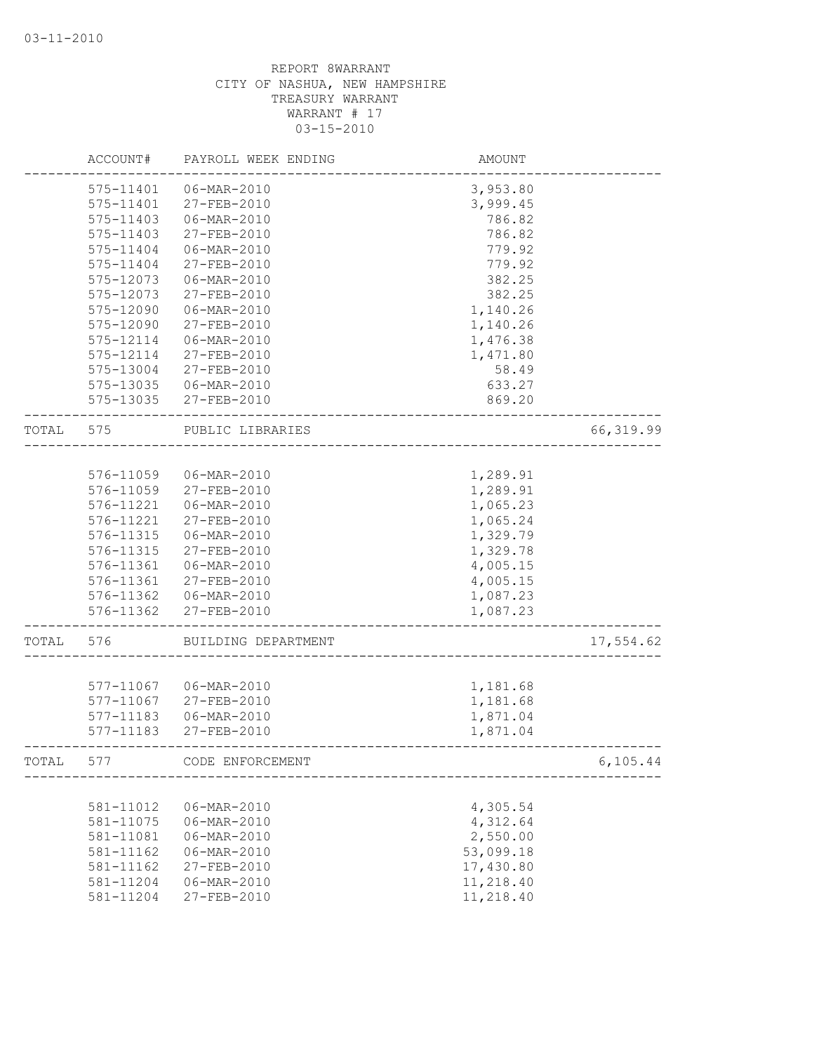|       | ACCOUNT#               | PAYROLL WEEK ENDING        | AMOUNT               |            |
|-------|------------------------|----------------------------|----------------------|------------|
|       | 575-11401              | 06-MAR-2010                | 3,953.80             |            |
|       | 575-11401              | 27-FEB-2010                | 3,999.45             |            |
|       | 575-11403              | 06-MAR-2010                | 786.82               |            |
|       | 575-11403              | 27-FEB-2010                | 786.82               |            |
|       | 575-11404              | 06-MAR-2010                | 779.92               |            |
|       | 575-11404              | 27-FEB-2010                | 779.92               |            |
|       | 575-12073              | 06-MAR-2010                | 382.25               |            |
|       | 575-12073              | 27-FEB-2010                | 382.25               |            |
|       | 575-12090              | 06-MAR-2010                | 1,140.26             |            |
|       | 575-12090              | 27-FEB-2010                | 1,140.26             |            |
|       | 575-12114              | 06-MAR-2010                | 1,476.38             |            |
|       | 575-12114              | 27-FEB-2010                | 1,471.80             |            |
|       | 575-13004              | 27-FEB-2010                | 58.49                |            |
|       | 575-13035              | 06-MAR-2010                | 633.27               |            |
|       | 575-13035              | 27-FEB-2010                | 869.20               |            |
| TOTAL | 575                    | PUBLIC LIBRARIES           |                      | 66, 319.99 |
|       |                        |                            |                      |            |
|       | 576-11059              | 06-MAR-2010                | 1,289.91             |            |
|       | 576-11059              | 27-FEB-2010                | 1,289.91             |            |
|       | 576-11221              | 06-MAR-2010                | 1,065.23             |            |
|       | 576-11221              | 27-FEB-2010                | 1,065.24             |            |
|       | 576-11315              | 06-MAR-2010                | 1,329.79             |            |
|       | 576-11315              | 27-FEB-2010                | 1,329.78             |            |
|       | 576-11361              | 06-MAR-2010                | 4,005.15             |            |
|       | 576-11361              | 27-FEB-2010                | 4,005.15             |            |
|       | 576-11362              | 06-MAR-2010                | 1,087.23             |            |
|       | 576-11362              | 27-FEB-2010                | 1,087.23             |            |
| TOTAL | 576                    | BUILDING DEPARTMENT        |                      | 17,554.62  |
|       |                        |                            |                      |            |
|       | 577-11067              | 06-MAR-2010                | 1,181.68             |            |
|       | 577-11067              | 27-FEB-2010<br>06-MAR-2010 | 1,181.68             |            |
|       | 577-11183<br>577-11183 | 27-FEB-2010                | 1,871.04<br>1,871.04 |            |
|       |                        |                            |                      |            |
| TOTAL | 577                    | CODE ENFORCEMENT           |                      | 6, 105.44  |
|       | 581-11012              | 06-MAR-2010                | 4,305.54             |            |
|       | 581-11075              | 06-MAR-2010                | 4,312.64             |            |
|       | 581-11081              | $06 - \text{MAR} - 2010$   | 2,550.00             |            |
|       | 581-11162              | $06 - MAR - 2010$          | 53,099.18            |            |
|       | 581-11162              | 27-FEB-2010                | 17,430.80            |            |
|       | 581-11204              | 06-MAR-2010                | 11,218.40            |            |
|       | 581-11204              | 27-FEB-2010                | 11,218.40            |            |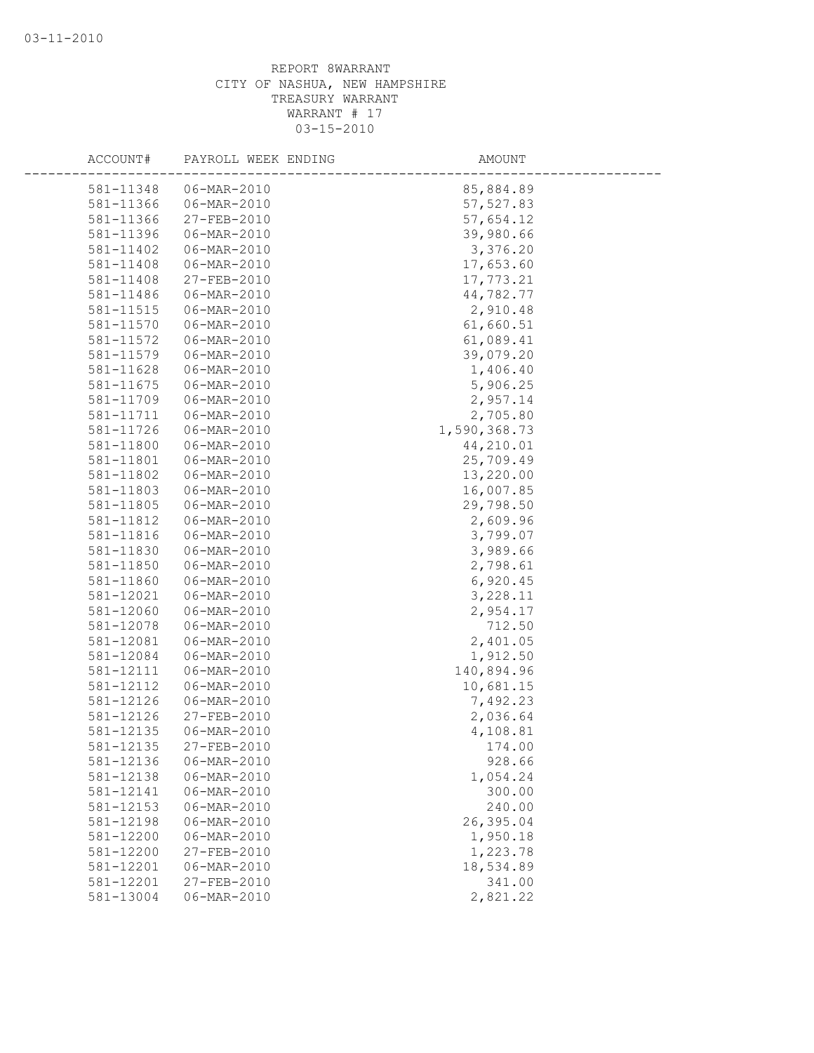| ACCOUNT#  | PAYROLL WEEK ENDING | AMOUNT       |  |
|-----------|---------------------|--------------|--|
| 581-11348 | 06-MAR-2010         | 85,884.89    |  |
| 581-11366 | 06-MAR-2010         | 57, 527.83   |  |
| 581-11366 | 27-FEB-2010         | 57,654.12    |  |
| 581-11396 | 06-MAR-2010         | 39,980.66    |  |
| 581-11402 | 06-MAR-2010         | 3,376.20     |  |
| 581-11408 | 06-MAR-2010         | 17,653.60    |  |
| 581-11408 | 27-FEB-2010         | 17,773.21    |  |
| 581-11486 | 06-MAR-2010         | 44,782.77    |  |
| 581-11515 | 06-MAR-2010         | 2,910.48     |  |
| 581-11570 | 06-MAR-2010         | 61,660.51    |  |
| 581-11572 | 06-MAR-2010         | 61,089.41    |  |
| 581-11579 | $06 - MAR - 2010$   | 39,079.20    |  |
| 581-11628 | 06-MAR-2010         | 1,406.40     |  |
| 581-11675 | 06-MAR-2010         | 5,906.25     |  |
| 581-11709 | 06-MAR-2010         | 2,957.14     |  |
| 581-11711 | 06-MAR-2010         | 2,705.80     |  |
| 581-11726 | $06 - MAR - 2010$   | 1,590,368.73 |  |
| 581-11800 | 06-MAR-2010         | 44,210.01    |  |
| 581-11801 | 06-MAR-2010         | 25,709.49    |  |
| 581-11802 | 06-MAR-2010         | 13,220.00    |  |
| 581-11803 | 06-MAR-2010         | 16,007.85    |  |
| 581-11805 | 06-MAR-2010         | 29,798.50    |  |
| 581-11812 | 06-MAR-2010         | 2,609.96     |  |
| 581-11816 | 06-MAR-2010         | 3,799.07     |  |
| 581-11830 | 06-MAR-2010         | 3,989.66     |  |
| 581-11850 | 06-MAR-2010         | 2,798.61     |  |
| 581-11860 | 06-MAR-2010         | 6,920.45     |  |
| 581-12021 | 06-MAR-2010         | 3,228.11     |  |
| 581-12060 | 06-MAR-2010         | 2,954.17     |  |
| 581-12078 | $06 - MAR - 2010$   | 712.50       |  |
| 581-12081 | $06 - MAR - 2010$   | 2,401.05     |  |
| 581-12084 | 06-MAR-2010         | 1,912.50     |  |
| 581-12111 | 06-MAR-2010         | 140,894.96   |  |
| 581-12112 | 06-MAR-2010         | 10,681.15    |  |
| 581-12126 | 06-MAR-2010         | 7,492.23     |  |
| 581-12126 | 27-FEB-2010         | 2,036.64     |  |
| 581-12135 | 06-MAR-2010         | 4,108.81     |  |
| 581-12135 | 27-FEB-2010         | 174.00       |  |
| 581-12136 | 06-MAR-2010         | 928.66       |  |
| 581-12138 | 06-MAR-2010         | 1,054.24     |  |
| 581-12141 | 06-MAR-2010         | 300.00       |  |
| 581-12153 | 06-MAR-2010         | 240.00       |  |
| 581-12198 | 06-MAR-2010         | 26,395.04    |  |
| 581-12200 | 06-MAR-2010         | 1,950.18     |  |
| 581-12200 | 27-FEB-2010         | 1,223.78     |  |
| 581-12201 | 06-MAR-2010         | 18,534.89    |  |
| 581-12201 | 27-FEB-2010         | 341.00       |  |
| 581-13004 | 06-MAR-2010         | 2,821.22     |  |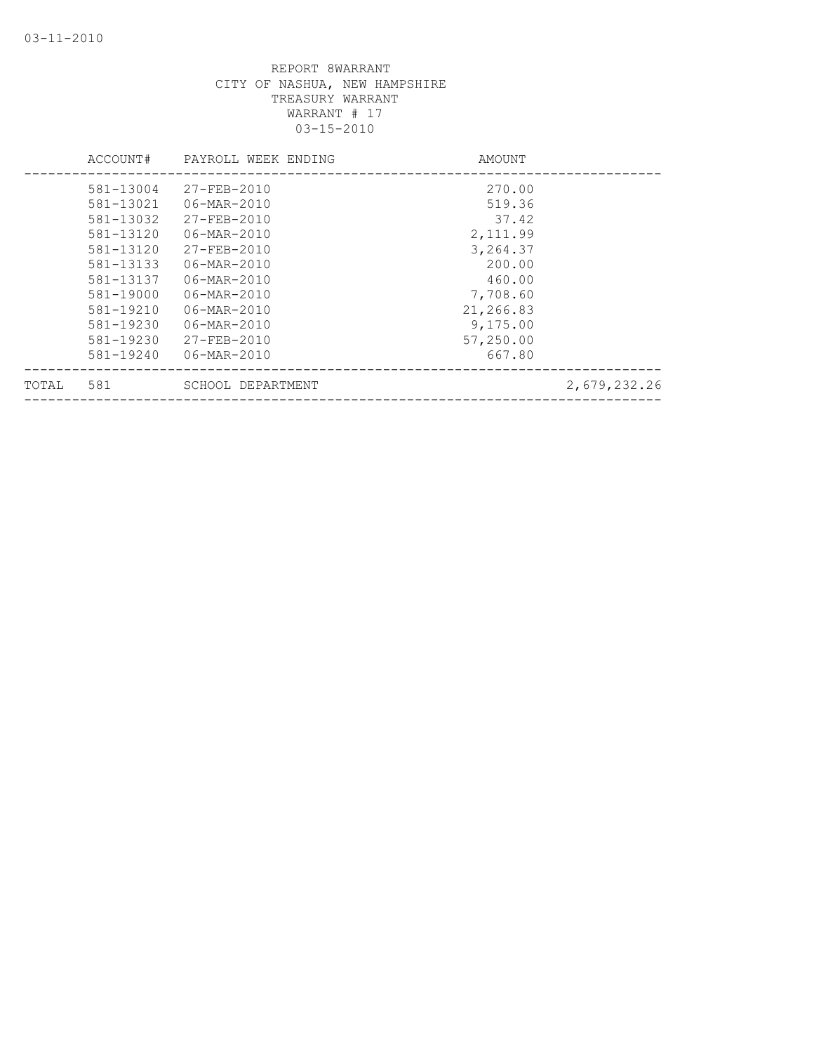|       | ACCOUNT#  | PAYROLL WEEK ENDING      | AMOUNT    |              |
|-------|-----------|--------------------------|-----------|--------------|
|       | 581-13004 | $27 - FEB - 2010$        | 270.00    |              |
|       | 581-13021 | 06-MAR-2010              | 519.36    |              |
|       | 581-13032 | $27 - FEB - 2010$        | 37.42     |              |
|       | 581-13120 | $06 - \text{MAR} - 2010$ | 2,111.99  |              |
|       | 581-13120 | 27-FEB-2010              | 3,264.37  |              |
|       | 581-13133 | $06 - \text{MAR} - 2010$ | 200.00    |              |
|       | 581-13137 | $06 - \text{MAR} - 2010$ | 460.00    |              |
|       | 581-19000 | $06 - \text{MAR} - 2010$ | 7,708.60  |              |
|       | 581-19210 | 06-MAR-2010              | 21,266.83 |              |
|       | 581-19230 | $06 - \text{MAR} - 2010$ | 9,175.00  |              |
|       | 581-19230 | $27 - FEB - 2010$        | 57,250.00 |              |
|       | 581-19240 | 06-MAR-2010              | 667.80    |              |
| TOTAL | 581       | SCHOOL DEPARTMENT        |           | 2,679,232.26 |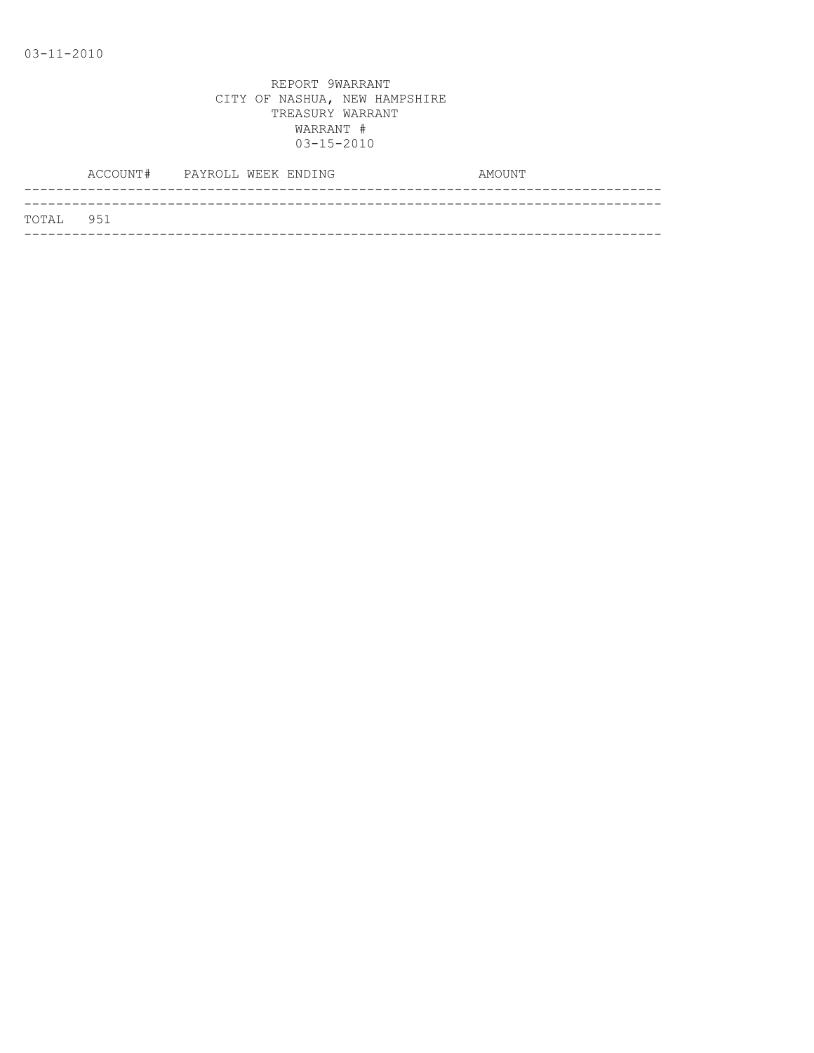|           | ACCOUNT# PAYROLL WEEK ENDING |  | AMOUNT |
|-----------|------------------------------|--|--------|
|           |                              |  |        |
| TOTAL 951 |                              |  |        |
|           |                              |  |        |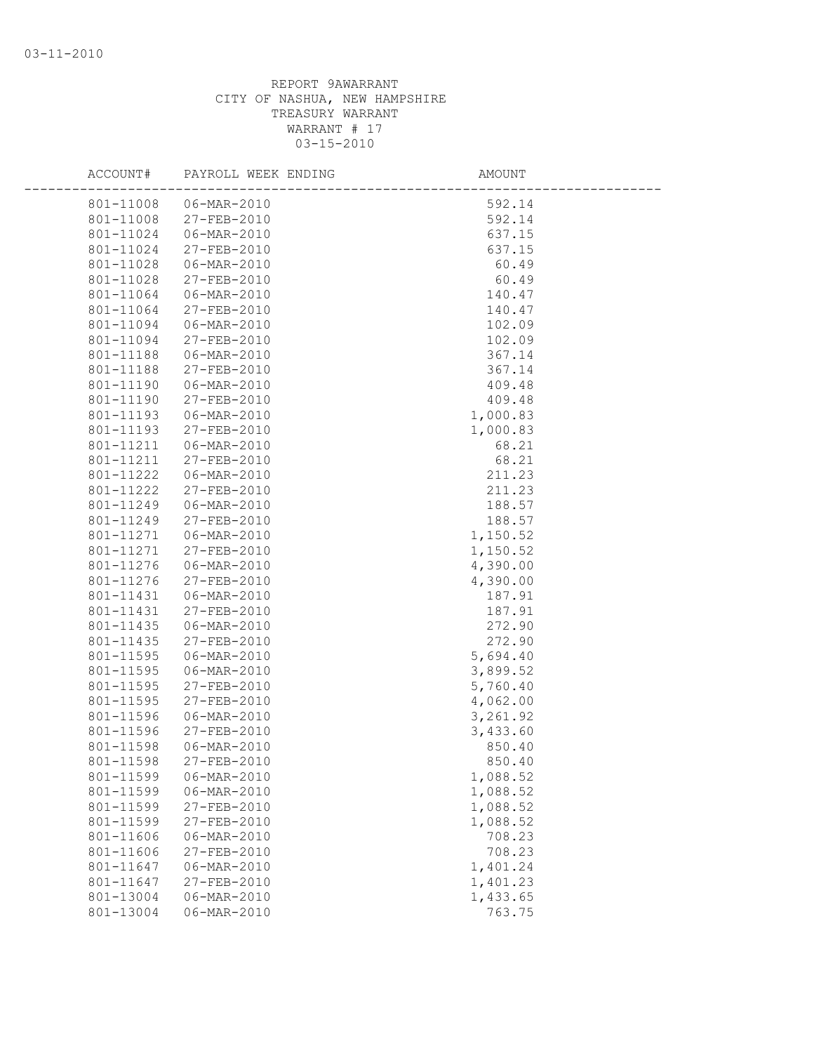| ACCOUNT#               | PAYROLL WEEK ENDING        | AMOUNT               |  |
|------------------------|----------------------------|----------------------|--|
| 801-11008              | 06-MAR-2010                | 592.14               |  |
| 801-11008              | 27-FEB-2010                | 592.14               |  |
| 801-11024              | 06-MAR-2010                | 637.15               |  |
| 801-11024              | 27-FEB-2010                | 637.15               |  |
| 801-11028              | 06-MAR-2010                | 60.49                |  |
| 801-11028              | 27-FEB-2010                | 60.49                |  |
| 801-11064              | 06-MAR-2010                | 140.47               |  |
| 801-11064              | 27-FEB-2010                | 140.47               |  |
| 801-11094              | 06-MAR-2010                | 102.09               |  |
| 801-11094              | 27-FEB-2010                | 102.09               |  |
| 801-11188              | 06-MAR-2010                | 367.14               |  |
| 801-11188              | 27-FEB-2010                | 367.14               |  |
| 801-11190              | 06-MAR-2010                | 409.48               |  |
| 801-11190              | 27-FEB-2010                | 409.48               |  |
| 801-11193              | 06-MAR-2010                | 1,000.83             |  |
| 801-11193              | 27-FEB-2010                | 1,000.83             |  |
| 801-11211              | 06-MAR-2010                | 68.21                |  |
| 801-11211              | 27-FEB-2010                | 68.21                |  |
| 801-11222              | 06-MAR-2010                | 211.23               |  |
| 801-11222              | 27-FEB-2010                | 211.23               |  |
| 801-11249              | 06-MAR-2010                | 188.57               |  |
| 801-11249              | 27-FEB-2010                | 188.57               |  |
| 801-11271              | 06-MAR-2010                | 1,150.52             |  |
| 801-11271              | 27-FEB-2010                | 1,150.52             |  |
| 801-11276              | 06-MAR-2010                | 4,390.00             |  |
| 801-11276              | 27-FEB-2010                | 4,390.00             |  |
| 801-11431              | 06-MAR-2010                | 187.91               |  |
| 801-11431              | 27-FEB-2010                | 187.91               |  |
| 801-11435              | 06-MAR-2010                | 272.90               |  |
| 801-11435              | 27-FEB-2010                | 272.90               |  |
| 801-11595              | 06-MAR-2010                | 5,694.40             |  |
| 801-11595              | 06-MAR-2010                | 3,899.52             |  |
| 801-11595              | 27-FEB-2010                | 5,760.40             |  |
| 801-11595<br>801-11596 | 27-FEB-2010<br>06-MAR-2010 | 4,062.00<br>3,261.92 |  |
| 801-11596              | 27-FEB-2010                | 3,433.60             |  |
| 801-11598              | 06-MAR-2010                | 850.40               |  |
| 801-11598              | 27-FEB-2010                | 850.40               |  |
| 801-11599              | 06-MAR-2010                | 1,088.52             |  |
| 801-11599              | 06-MAR-2010                | 1,088.52             |  |
| 801-11599              | 27-FEB-2010                | 1,088.52             |  |
| 801-11599              | 27-FEB-2010                | 1,088.52             |  |
| 801-11606              | $06 - MAR - 2010$          | 708.23               |  |
| 801-11606              | 27-FEB-2010                | 708.23               |  |
| 801-11647              | 06-MAR-2010                | 1,401.24             |  |
| 801-11647              | 27-FEB-2010                | 1,401.23             |  |
| 801-13004              | 06-MAR-2010                | 1,433.65             |  |
| 801-13004              | 06-MAR-2010                | 763.75               |  |
|                        |                            |                      |  |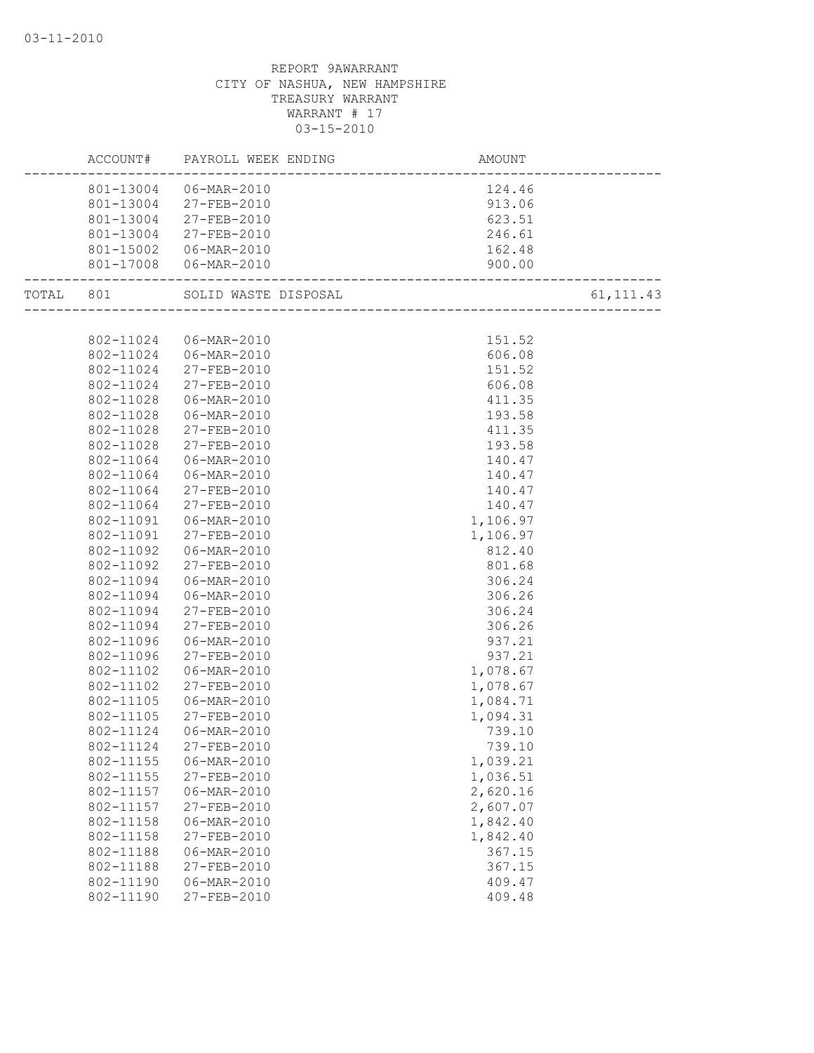|           |                        | ACCOUNT# PAYROLL WEEK ENDING | AMOUNT           |             |
|-----------|------------------------|------------------------------|------------------|-------------|
|           |                        | 801-13004 06-MAR-2010        | 124.46           |             |
|           |                        | 801-13004 27-FEB-2010        | 913.06           |             |
|           |                        | 801-13004 27-FEB-2010        | 623.51           |             |
|           |                        | 801-13004 27-FEB-2010        | 246.61           |             |
|           |                        | 801-15002  06-MAR-2010       | 162.48           |             |
|           |                        | 801-17008 06-MAR-2010        | 900.00           |             |
| TOTAL 801 |                        | SOLID WASTE DISPOSAL         |                  | 61, 111. 43 |
|           |                        |                              |                  |             |
|           | 802-11024              | 06-MAR-2010                  | 151.52           |             |
|           |                        | 802-11024   06-MAR-2010      | 606.08           |             |
|           | 802-11024              | 27-FEB-2010                  | 151.52           |             |
|           | 802-11024              | 27-FEB-2010                  | 606.08           |             |
|           | 802-11028              | 06-MAR-2010                  | 411.35           |             |
|           | 802-11028              | 06-MAR-2010                  | 193.58           |             |
|           | 802-11028              | 27-FEB-2010                  | 411.35           |             |
|           | 802-11028              | 27-FEB-2010                  | 193.58           |             |
|           | 802-11064              | 06-MAR-2010                  | 140.47           |             |
|           | 802-11064              | 06-MAR-2010                  | 140.47           |             |
|           | 802-11064              | 27-FEB-2010                  | 140.47           |             |
|           | 802-11064              | 27-FEB-2010                  | 140.47           |             |
|           | 802-11091              | 06-MAR-2010                  | 1,106.97         |             |
|           | 802-11091              | 27-FEB-2010                  | 1,106.97         |             |
|           | 802-11092              | 06-MAR-2010                  | 812.40           |             |
|           | 802-11092              | 27-FEB-2010                  | 801.68           |             |
|           | 802-11094              | 06-MAR-2010                  | 306.24           |             |
|           | 802-11094              | 06-MAR-2010                  | 306.26           |             |
|           | 802-11094              | 27-FEB-2010                  | 306.24           |             |
|           | 802-11094              | 27-FEB-2010                  | 306.26           |             |
|           | 802-11096              | 06-MAR-2010                  | 937.21           |             |
|           | 802-11096              | 27-FEB-2010                  | 937.21           |             |
|           | 802-11102              | 06-MAR-2010                  | 1,078.67         |             |
|           | 802-11102              | 27-FEB-2010                  | 1,078.67         |             |
|           | 802-11105              | 06-MAR-2010                  | 1,084.71         |             |
|           | 802-11105              | 27-FEB-2010                  | 1,094.31         |             |
|           | 802-11124              | 06-MAR-2010                  | 739.10           |             |
|           | 802-11124              | 27-FEB-2010                  | 739.10           |             |
|           | 802-11155              | 06-MAR-2010                  | 1,039.21         |             |
|           | 802-11155              | 27-FEB-2010                  | 1,036.51         |             |
|           | 802-11157              | 06-MAR-2010                  | 2,620.16         |             |
|           | 802-11157              | 27-FEB-2010                  | 2,607.07         |             |
|           | 802-11158              | 06-MAR-2010                  | 1,842.40         |             |
|           | 802-11158              | 27-FEB-2010                  | 1,842.40         |             |
|           | 802-11188              | 06-MAR-2010<br>27-FEB-2010   | 367.15           |             |
|           | 802-11188<br>802-11190 | 06-MAR-2010                  | 367.15           |             |
|           | 802-11190              | 27-FEB-2010                  | 409.47<br>409.48 |             |
|           |                        |                              |                  |             |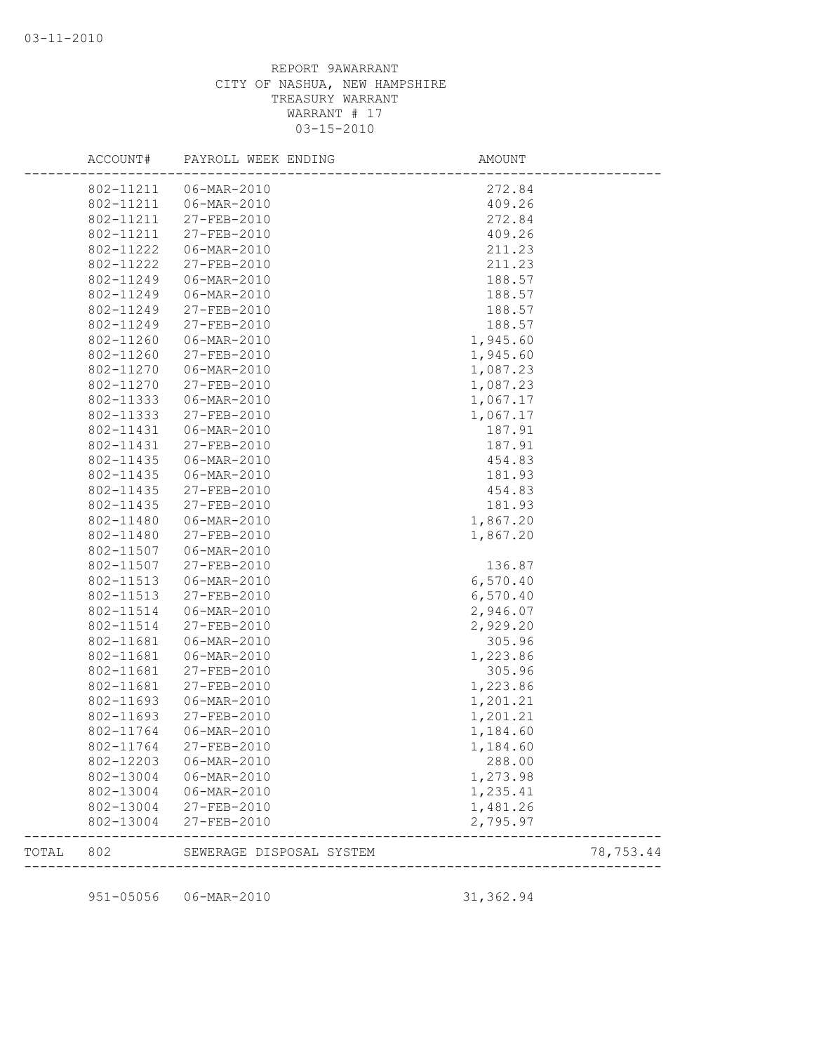|           | ACCOUNT#  | PAYROLL WEEK ENDING      | AMOUNT     |           |
|-----------|-----------|--------------------------|------------|-----------|
|           | 802-11211 | 06-MAR-2010              | 272.84     |           |
|           | 802-11211 | 06-MAR-2010              | 409.26     |           |
|           | 802-11211 | 27-FEB-2010              | 272.84     |           |
|           | 802-11211 | 27-FEB-2010              | 409.26     |           |
|           | 802-11222 | 06-MAR-2010              | 211.23     |           |
|           | 802-11222 | 27-FEB-2010              | 211.23     |           |
|           | 802-11249 | 06-MAR-2010              | 188.57     |           |
|           | 802-11249 | 06-MAR-2010              | 188.57     |           |
|           | 802-11249 | 27-FEB-2010              | 188.57     |           |
|           | 802-11249 | 27-FEB-2010              | 188.57     |           |
|           | 802-11260 | 06-MAR-2010              | 1,945.60   |           |
|           | 802-11260 | 27-FEB-2010              | 1,945.60   |           |
|           | 802-11270 | 06-MAR-2010              | 1,087.23   |           |
|           | 802-11270 | 27-FEB-2010              | 1,087.23   |           |
|           | 802-11333 | 06-MAR-2010              | 1,067.17   |           |
|           | 802-11333 | 27-FEB-2010              | 1,067.17   |           |
|           | 802-11431 | 06-MAR-2010              | 187.91     |           |
|           | 802-11431 | 27-FEB-2010              | 187.91     |           |
|           | 802-11435 | 06-MAR-2010              | 454.83     |           |
|           | 802-11435 | 06-MAR-2010              | 181.93     |           |
|           | 802-11435 | 27-FEB-2010              | 454.83     |           |
|           | 802-11435 | 27-FEB-2010              | 181.93     |           |
|           | 802-11480 | 06-MAR-2010              | 1,867.20   |           |
|           | 802-11480 | 27-FEB-2010              | 1,867.20   |           |
|           | 802-11507 | 06-MAR-2010              |            |           |
|           | 802-11507 | 27-FEB-2010              | 136.87     |           |
|           | 802-11513 | 06-MAR-2010              | 6,570.40   |           |
|           | 802-11513 | 27-FEB-2010              | 6,570.40   |           |
|           | 802-11514 | 06-MAR-2010              | 2,946.07   |           |
|           | 802-11514 | 27-FEB-2010              | 2,929.20   |           |
|           | 802-11681 | 06-MAR-2010              | 305.96     |           |
|           | 802-11681 | 06-MAR-2010              | 1,223.86   |           |
|           | 802-11681 | 27-FEB-2010              | 305.96     |           |
|           | 802-11681 | 27-FEB-2010              | 1,223.86   |           |
|           | 802-11693 | 06-MAR-2010              | 1,201.21   |           |
|           | 802-11693 | 27-FEB-2010              | 1,201.21   |           |
|           | 802-11764 | 06-MAR-2010              |            |           |
|           |           | 27-FEB-2010              | 1,184.60   |           |
|           | 802-11764 |                          | 1,184.60   |           |
|           | 802-12203 | 06-MAR-2010              | 288.00     |           |
|           | 802-13004 | 06-MAR-2010              | 1,273.98   |           |
|           | 802-13004 | 06-MAR-2010              | 1,235.41   |           |
|           |           | 802-13004 27-FEB-2010    | 1,481.26   |           |
|           | 802-13004 | 27-FEB-2010              | 2,795.97   |           |
| TOTAL 802 |           | SEWERAGE DISPOSAL SYSTEM |            | 78,753.44 |
|           |           |                          |            |           |
|           | 951-05056 | 06-MAR-2010              | 31, 362.94 |           |